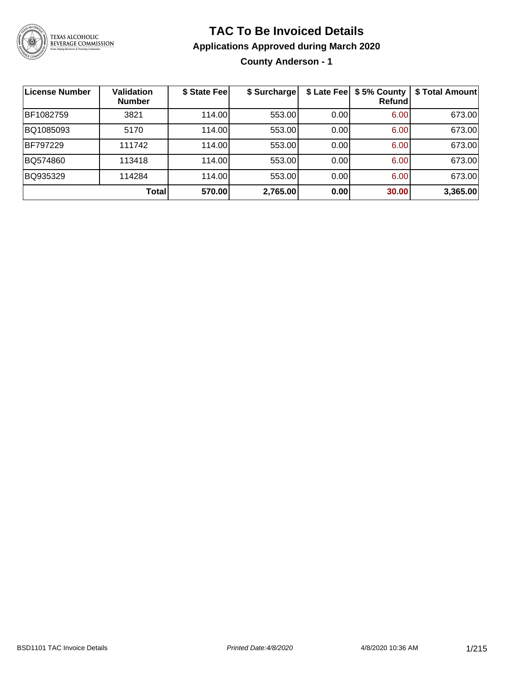

### **TAC To Be Invoiced Details**

#### **Applications Approved during March 2020**

**County Anderson - 1**

| <b>License Number</b> | <b>Validation</b><br><b>Number</b> | \$ State Fee | \$ Surcharge | \$ Late Fee | \$5% County<br>Refundl | \$ Total Amount |
|-----------------------|------------------------------------|--------------|--------------|-------------|------------------------|-----------------|
| BF1082759             | 3821                               | 114.00       | 553.00       | 0.00        | 6.00                   | 673.00          |
| BQ1085093             | 5170                               | 114.00       | 553.00       | 0.00        | 6.00                   | 673.00          |
| BF797229              | 111742                             | 114.00       | 553.00       | 0.00        | 6.00                   | 673.00          |
| BQ574860              | 113418                             | 114.00       | 553.00       | 0.00        | 6.00                   | 673.00          |
| BQ935329              | 114284                             | 114.00       | 553.00       | 0.00        | 6.00                   | 673.00          |
|                       | <b>Total</b>                       | 570.00       | 2,765.00     | 0.00        | 30.00                  | 3,365.00        |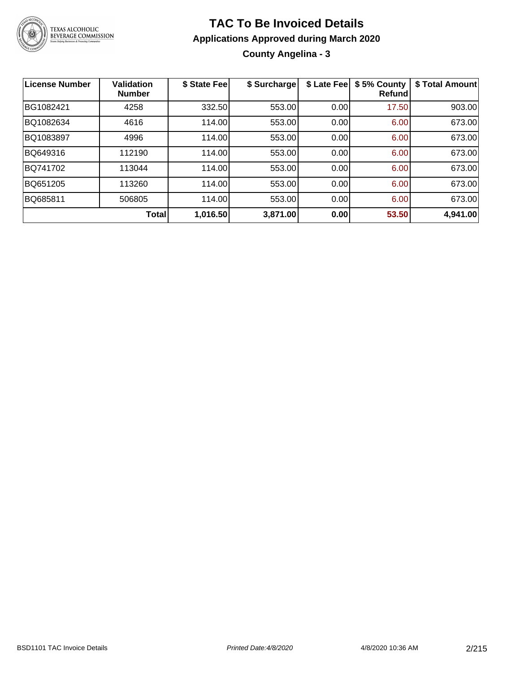

### **TAC To Be Invoiced Details Applications Approved during March 2020 County Angelina - 3**

| <b>License Number</b> | <b>Validation</b><br><b>Number</b> | \$ State Fee | \$ Surcharge | \$ Late Fee | \$5% County<br>Refundl | \$ Total Amount |
|-----------------------|------------------------------------|--------------|--------------|-------------|------------------------|-----------------|
| BG1082421             | 4258                               | 332.50       | 553.00       | 0.00        | 17.50                  | 903.00          |
| BQ1082634             | 4616                               | 114.00       | 553.00       | 0.00        | 6.00                   | 673.00          |
| BQ1083897             | 4996                               | 114.00       | 553.00       | 0.00        | 6.00                   | 673.00          |
| BQ649316              | 112190                             | 114.00       | 553.00       | 0.00        | 6.00                   | 673.00          |
| BQ741702              | 113044                             | 114.00       | 553.00       | 0.00        | 6.00                   | 673.00          |
| BQ651205              | 113260                             | 114.00       | 553.00       | 0.00        | 6.00                   | 673.00          |
| BQ685811              | 506805                             | 114.00       | 553.00       | 0.00        | 6.00                   | 673.00          |
|                       | Total                              | 1,016.50     | 3,871.00     | 0.00        | 53.50                  | 4,941.00        |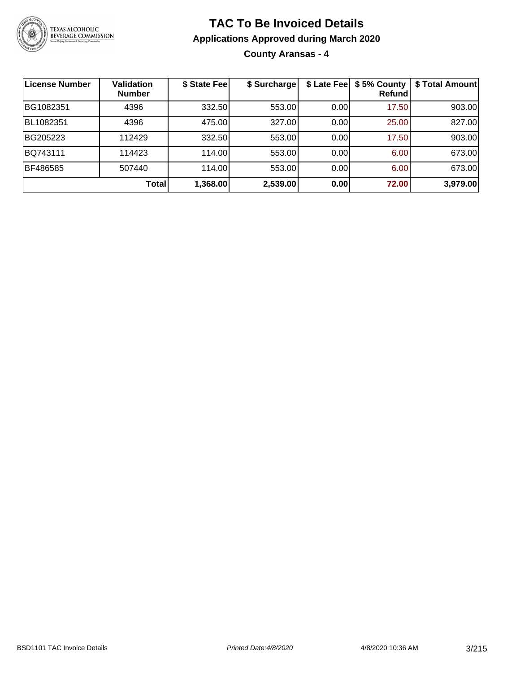

**County Aransas - 4**

| <b>License Number</b> | <b>Validation</b><br><b>Number</b> | \$ State Fee | \$ Surcharge | \$ Late Fee | \$5% County<br>Refundl | \$ Total Amount |
|-----------------------|------------------------------------|--------------|--------------|-------------|------------------------|-----------------|
| BG1082351             | 4396                               | 332.50       | 553.00       | 0.00        | 17.50                  | 903.00          |
| BL1082351             | 4396                               | 475.00       | 327.00       | 0.00        | 25.00                  | 827.00          |
| BG205223              | 112429                             | 332.50       | 553.00       | 0.00        | 17.50                  | 903.00          |
| BQ743111              | 114423                             | 114.00       | 553.00       | 0.00        | 6.00                   | 673.00          |
| BF486585              | 507440                             | 114.00       | 553.00       | 0.00        | 6.00                   | 673.00          |
|                       | Total                              | 1,368.00     | 2,539.00     | 0.00        | 72.00                  | 3,979.00        |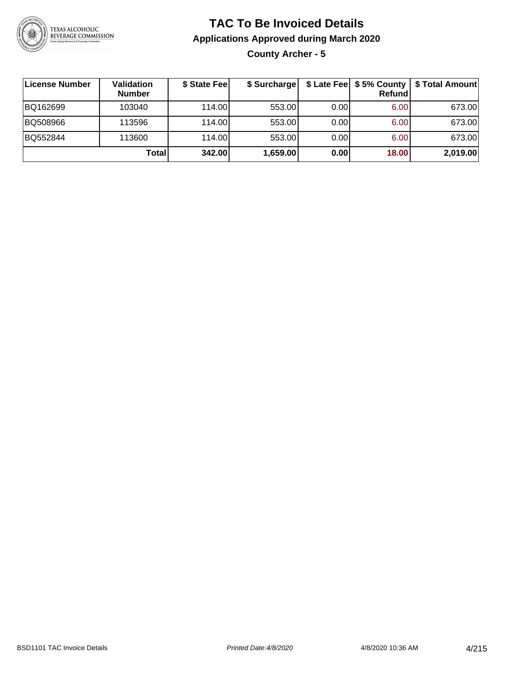

### **TAC To Be Invoiced Details Applications Approved during March 2020 County Archer - 5**

| ∣License Number | Validation<br><b>Number</b> | \$ State Fee | \$ Surcharge |      | \$ Late Fee   \$5% County  <br>Refundl | \$ Total Amount |
|-----------------|-----------------------------|--------------|--------------|------|----------------------------------------|-----------------|
| BQ162699        | 103040                      | 114.00L      | 553.00       | 0.00 | 6.00                                   | 673.00          |
| BQ508966        | 113596                      | 114.00       | 553.00       | 0.00 | 6.00                                   | 673.00          |
| BQ552844        | 113600                      | 114.00       | 553.00       | 0.00 | 6.00                                   | 673.00          |
|                 | Total                       | 342.00       | 1,659.00     | 0.00 | 18.00                                  | 2,019.00        |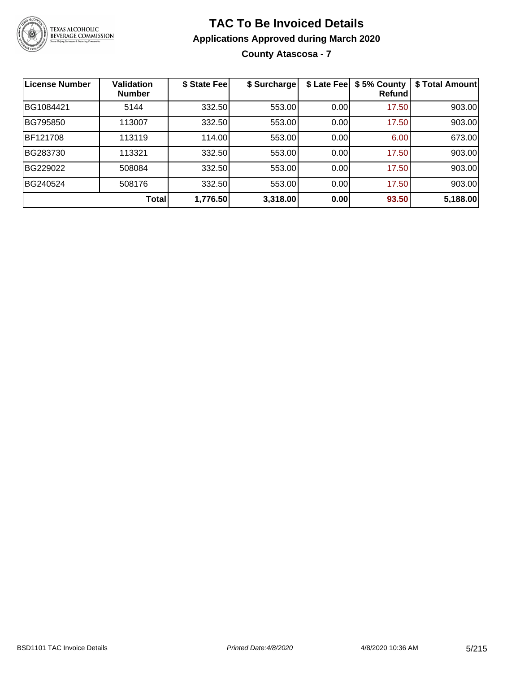

**County Atascosa - 7**

| <b>License Number</b> | <b>Validation</b><br><b>Number</b> | \$ State Fee | \$ Surcharge | \$ Late Fee | \$5% County<br>Refundl | \$ Total Amount |
|-----------------------|------------------------------------|--------------|--------------|-------------|------------------------|-----------------|
| BG1084421             | 5144                               | 332.50       | 553.00       | 0.00        | 17.50                  | 903.00          |
| BG795850              | 113007                             | 332.50       | 553.00       | 0.00        | 17.50                  | 903.00          |
| BF121708              | 113119                             | 114.00       | 553.00       | 0.00        | 6.00                   | 673.00          |
| BG283730              | 113321                             | 332.50       | 553.00       | 0.00        | 17.50                  | 903.00          |
| BG229022              | 508084                             | 332.50       | 553.00       | 0.00        | 17.50                  | 903.00          |
| BG240524              | 508176                             | 332.50       | 553.00       | 0.00        | 17.50                  | 903.00          |
|                       | Total                              | 1,776.50     | 3,318.00     | 0.00        | 93.50                  | 5,188.00        |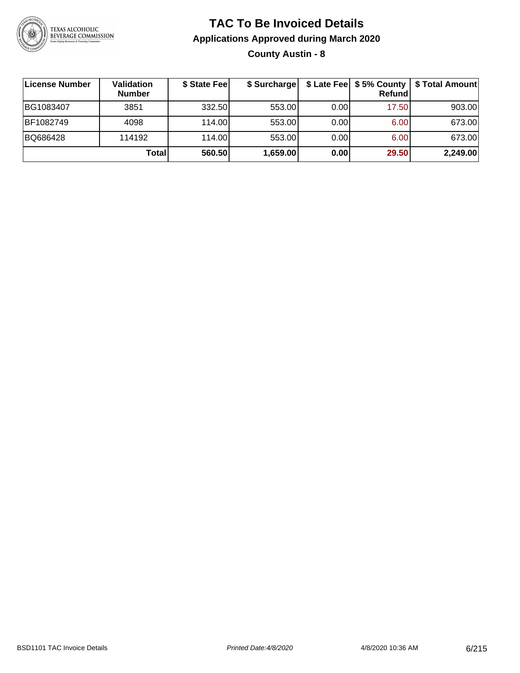

### **TAC To Be Invoiced Details Applications Approved during March 2020 County Austin - 8**

| License Number | <b>Validation</b><br><b>Number</b> | \$ State Fee | \$ Surcharge |      | \$ Late Fee   \$5% County  <br><b>Refund</b> | \$ Total Amount |
|----------------|------------------------------------|--------------|--------------|------|----------------------------------------------|-----------------|
| BG1083407      | 3851                               | 332.50       | 553.00       | 0.00 | 17.50                                        | 903.00          |
| BF1082749      | 4098                               | 114.00L      | 553.00       | 0.00 | 6.00                                         | 673.00          |
| BQ686428       | 114192                             | 114.00       | 553.00       | 0.00 | 6.00                                         | 673.00          |
|                | Total                              | 560.50       | 1,659.00     | 0.00 | 29.50                                        | 2,249.00        |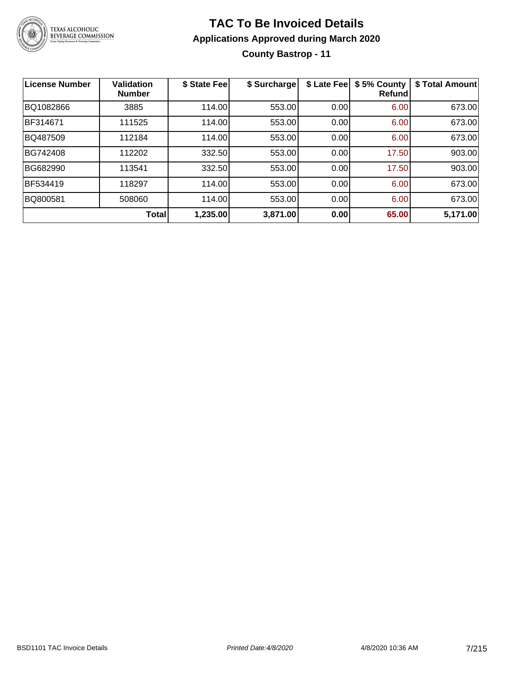

### **TAC To Be Invoiced Details Applications Approved during March 2020 County Bastrop - 11**

| License Number | <b>Validation</b><br><b>Number</b> | \$ State Fee | \$ Surcharge | \$ Late Fee | \$5% County<br><b>Refund</b> | \$ Total Amount |
|----------------|------------------------------------|--------------|--------------|-------------|------------------------------|-----------------|
| BQ1082866      | 3885                               | 114.00       | 553.00       | 0.00        | 6.00                         | 673.00          |
| BF314671       | 111525                             | 114.00       | 553.00       | 0.00        | 6.00                         | 673.00          |
| BQ487509       | 112184                             | 114.00       | 553.00       | 0.00        | 6.00                         | 673.00          |
| BG742408       | 112202                             | 332.50       | 553.00       | 0.00        | 17.50                        | 903.00          |
| BG682990       | 113541                             | 332.50       | 553.00       | 0.00        | 17.50                        | 903.00          |
| BF534419       | 118297                             | 114.00       | 553.00       | 0.00        | 6.00                         | 673.00          |
| BQ800581       | 508060                             | 114.00       | 553.00       | 0.00        | 6.00                         | 673.00          |
|                | Total                              | 1,235.00     | 3,871.00     | 0.00        | 65.00                        | 5,171.00        |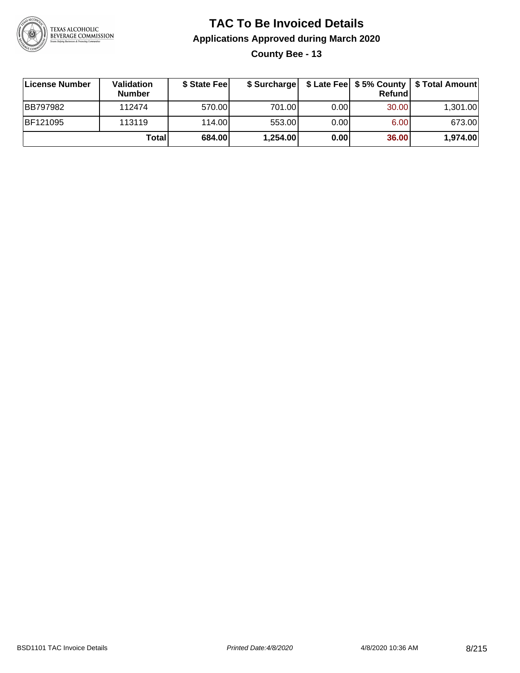

**County Bee - 13**

| ∣License Number | Validation<br><b>Number</b> | \$ State Fee |          |       | <b>Refund</b> | \$ Surcharge   \$ Late Fee   \$5% County   \$ Total Amount |
|-----------------|-----------------------------|--------------|----------|-------|---------------|------------------------------------------------------------|
| <b>BB797982</b> | 112474                      | 570.00       | 701.00   | 0.001 | 30.00         | 1,301.00                                                   |
| BF121095        | 113119                      | 114.00       | 553.00   | 0.001 | 6.00          | 673.00                                                     |
|                 | Totall                      | 684.00       | 1,254.00 | 0.00  | 36.00         | 1,974.00                                                   |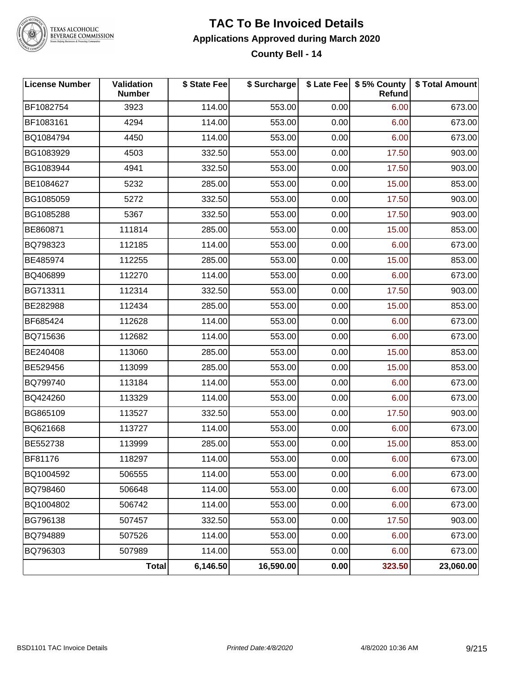

#### **TAC To Be Invoiced Details Applications Approved during March 2020 County Bell - 14**

| <b>License Number</b> | Validation<br><b>Number</b> | \$ State Fee | \$ Surcharge |      | \$ Late Fee   \$5% County  <br><b>Refund</b> | \$ Total Amount |
|-----------------------|-----------------------------|--------------|--------------|------|----------------------------------------------|-----------------|
| BF1082754             | 3923                        | 114.00       | 553.00       | 0.00 | 6.00                                         | 673.00          |
| BF1083161             | 4294                        | 114.00       | 553.00       | 0.00 | 6.00                                         | 673.00          |
| BQ1084794             | 4450                        | 114.00       | 553.00       | 0.00 | 6.00                                         | 673.00          |
| BG1083929             | 4503                        | 332.50       | 553.00       | 0.00 | 17.50                                        | 903.00          |
| BG1083944             | 4941                        | 332.50       | 553.00       | 0.00 | 17.50                                        | 903.00          |
| BE1084627             | 5232                        | 285.00       | 553.00       | 0.00 | 15.00                                        | 853.00          |
| BG1085059             | 5272                        | 332.50       | 553.00       | 0.00 | 17.50                                        | 903.00          |
| BG1085288             | 5367                        | 332.50       | 553.00       | 0.00 | 17.50                                        | 903.00          |
| BE860871              | 111814                      | 285.00       | 553.00       | 0.00 | 15.00                                        | 853.00          |
| BQ798323              | 112185                      | 114.00       | 553.00       | 0.00 | 6.00                                         | 673.00          |
| BE485974              | 112255                      | 285.00       | 553.00       | 0.00 | 15.00                                        | 853.00          |
| BQ406899              | 112270                      | 114.00       | 553.00       | 0.00 | 6.00                                         | 673.00          |
| BG713311              | 112314                      | 332.50       | 553.00       | 0.00 | 17.50                                        | 903.00          |
| BE282988              | 112434                      | 285.00       | 553.00       | 0.00 | 15.00                                        | 853.00          |
| BF685424              | 112628                      | 114.00       | 553.00       | 0.00 | 6.00                                         | 673.00          |
| BQ715636              | 112682                      | 114.00       | 553.00       | 0.00 | 6.00                                         | 673.00          |
| BE240408              | 113060                      | 285.00       | 553.00       | 0.00 | 15.00                                        | 853.00          |
| BE529456              | 113099                      | 285.00       | 553.00       | 0.00 | 15.00                                        | 853.00          |
| BQ799740              | 113184                      | 114.00       | 553.00       | 0.00 | 6.00                                         | 673.00          |
| BQ424260              | 113329                      | 114.00       | 553.00       | 0.00 | 6.00                                         | 673.00          |
| BG865109              | 113527                      | 332.50       | 553.00       | 0.00 | 17.50                                        | 903.00          |
| BQ621668              | 113727                      | 114.00       | 553.00       | 0.00 | 6.00                                         | 673.00          |
| BE552738              | 113999                      | 285.00       | 553.00       | 0.00 | 15.00                                        | 853.00          |
| <b>BF81176</b>        | 118297                      | 114.00       | 553.00       | 0.00 | 6.00                                         | 673.00          |
| BQ1004592             | 506555                      | 114.00       | 553.00       | 0.00 | 6.00                                         | 673.00          |
| BQ798460              | 506648                      | 114.00       | 553.00       | 0.00 | 6.00                                         | 673.00          |
| BQ1004802             | 506742                      | 114.00       | 553.00       | 0.00 | 6.00                                         | 673.00          |
| BG796138              | 507457                      | 332.50       | 553.00       | 0.00 | 17.50                                        | 903.00          |
| BQ794889              | 507526                      | 114.00       | 553.00       | 0.00 | 6.00                                         | 673.00          |
| BQ796303              | 507989                      | 114.00       | 553.00       | 0.00 | 6.00                                         | 673.00          |
|                       | Total                       | 6,146.50     | 16,590.00    | 0.00 | 323.50                                       | 23,060.00       |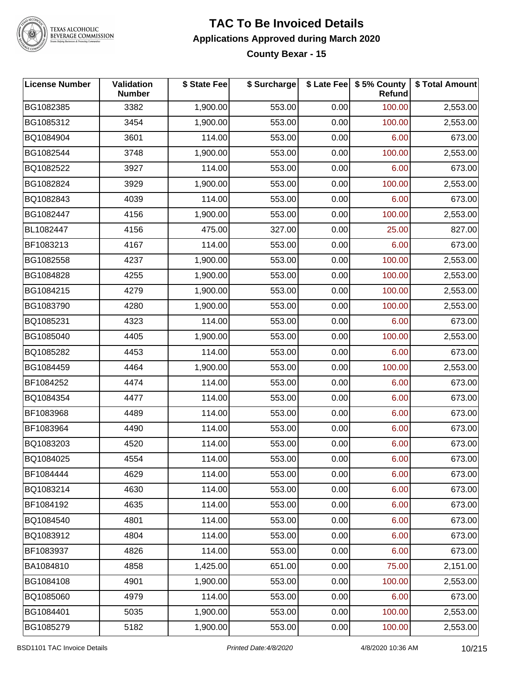

#### **TAC To Be Invoiced Details Applications Approved during March 2020 County Bexar - 15**

| <b>License Number</b> | Validation<br><b>Number</b> | \$ State Fee | \$ Surcharge |      | \$ Late Fee   \$5% County<br><b>Refund</b> | \$ Total Amount |
|-----------------------|-----------------------------|--------------|--------------|------|--------------------------------------------|-----------------|
| BG1082385             | 3382                        | 1,900.00     | 553.00       | 0.00 | 100.00                                     | 2,553.00        |
| BG1085312             | 3454                        | 1,900.00     | 553.00       | 0.00 | 100.00                                     | 2,553.00        |
| BQ1084904             | 3601                        | 114.00       | 553.00       | 0.00 | 6.00                                       | 673.00          |
| BG1082544             | 3748                        | 1,900.00     | 553.00       | 0.00 | 100.00                                     | 2,553.00        |
| BQ1082522             | 3927                        | 114.00       | 553.00       | 0.00 | 6.00                                       | 673.00          |
| BG1082824             | 3929                        | 1,900.00     | 553.00       | 0.00 | 100.00                                     | 2,553.00        |
| BQ1082843             | 4039                        | 114.00       | 553.00       | 0.00 | 6.00                                       | 673.00          |
| BG1082447             | 4156                        | 1,900.00     | 553.00       | 0.00 | 100.00                                     | 2,553.00        |
| BL1082447             | 4156                        | 475.00       | 327.00       | 0.00 | 25.00                                      | 827.00          |
| BF1083213             | 4167                        | 114.00       | 553.00       | 0.00 | 6.00                                       | 673.00          |
| BG1082558             | 4237                        | 1,900.00     | 553.00       | 0.00 | 100.00                                     | 2,553.00        |
| BG1084828             | 4255                        | 1,900.00     | 553.00       | 0.00 | 100.00                                     | 2,553.00        |
| BG1084215             | 4279                        | 1,900.00     | 553.00       | 0.00 | 100.00                                     | 2,553.00        |
| BG1083790             | 4280                        | 1,900.00     | 553.00       | 0.00 | 100.00                                     | 2,553.00        |
| BQ1085231             | 4323                        | 114.00       | 553.00       | 0.00 | 6.00                                       | 673.00          |
| BG1085040             | 4405                        | 1,900.00     | 553.00       | 0.00 | 100.00                                     | 2,553.00        |
| BQ1085282             | 4453                        | 114.00       | 553.00       | 0.00 | 6.00                                       | 673.00          |
| BG1084459             | 4464                        | 1,900.00     | 553.00       | 0.00 | 100.00                                     | 2,553.00        |
| BF1084252             | 4474                        | 114.00       | 553.00       | 0.00 | 6.00                                       | 673.00          |
| BQ1084354             | 4477                        | 114.00       | 553.00       | 0.00 | 6.00                                       | 673.00          |
| BF1083968             | 4489                        | 114.00       | 553.00       | 0.00 | 6.00                                       | 673.00          |
| BF1083964             | 4490                        | 114.00       | 553.00       | 0.00 | 6.00                                       | 673.00          |
| BQ1083203             | 4520                        | 114.00       | 553.00       | 0.00 | 6.00                                       | 673.00          |
| BQ1084025             | 4554                        | 114.00       | 553.00       | 0.00 | 6.00                                       | 673.00          |
| BF1084444             | 4629                        | 114.00       | 553.00       | 0.00 | 6.00                                       | 673.00          |
| BQ1083214             | 4630                        | 114.00       | 553.00       | 0.00 | 6.00                                       | 673.00          |
| BF1084192             | 4635                        | 114.00       | 553.00       | 0.00 | 6.00                                       | 673.00          |
| BQ1084540             | 4801                        | 114.00       | 553.00       | 0.00 | 6.00                                       | 673.00          |
| BQ1083912             | 4804                        | 114.00       | 553.00       | 0.00 | 6.00                                       | 673.00          |
| BF1083937             | 4826                        | 114.00       | 553.00       | 0.00 | 6.00                                       | 673.00          |
| BA1084810             | 4858                        | 1,425.00     | 651.00       | 0.00 | 75.00                                      | 2,151.00        |
| BG1084108             | 4901                        | 1,900.00     | 553.00       | 0.00 | 100.00                                     | 2,553.00        |
| BQ1085060             | 4979                        | 114.00       | 553.00       | 0.00 | 6.00                                       | 673.00          |
| BG1084401             | 5035                        | 1,900.00     | 553.00       | 0.00 | 100.00                                     | 2,553.00        |
| BG1085279             | 5182                        | 1,900.00     | 553.00       | 0.00 | 100.00                                     | 2,553.00        |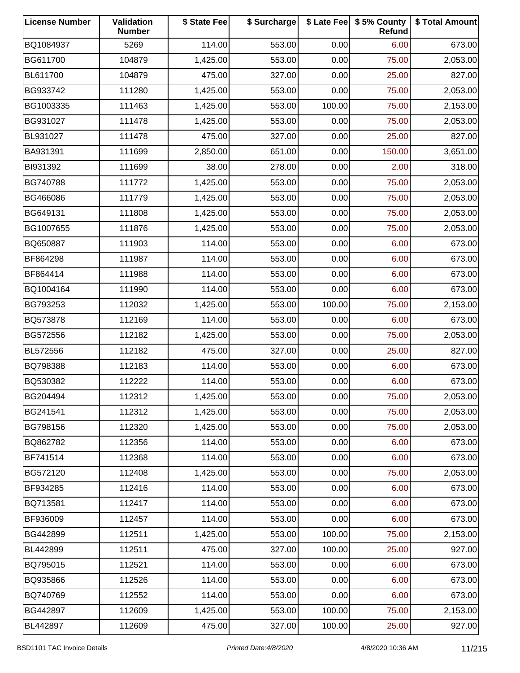| <b>License Number</b> | Validation<br><b>Number</b> | \$ State Fee | \$ Surcharge |        | \$ Late Fee   \$5% County<br>Refund | \$ Total Amount |
|-----------------------|-----------------------------|--------------|--------------|--------|-------------------------------------|-----------------|
| BQ1084937             | 5269                        | 114.00       | 553.00       | 0.00   | 6.00                                | 673.00          |
| BG611700              | 104879                      | 1,425.00     | 553.00       | 0.00   | 75.00                               | 2,053.00        |
| BL611700              | 104879                      | 475.00       | 327.00       | 0.00   | 25.00                               | 827.00          |
| BG933742              | 111280                      | 1,425.00     | 553.00       | 0.00   | 75.00                               | 2,053.00        |
| BG1003335             | 111463                      | 1,425.00     | 553.00       | 100.00 | 75.00                               | 2,153.00        |
| BG931027              | 111478                      | 1,425.00     | 553.00       | 0.00   | 75.00                               | 2,053.00        |
| BL931027              | 111478                      | 475.00       | 327.00       | 0.00   | 25.00                               | 827.00          |
| BA931391              | 111699                      | 2,850.00     | 651.00       | 0.00   | 150.00                              | 3,651.00        |
| BI931392              | 111699                      | 38.00        | 278.00       | 0.00   | 2.00                                | 318.00          |
| BG740788              | 111772                      | 1,425.00     | 553.00       | 0.00   | 75.00                               | 2,053.00        |
| BG466086              | 111779                      | 1,425.00     | 553.00       | 0.00   | 75.00                               | 2,053.00        |
| BG649131              | 111808                      | 1,425.00     | 553.00       | 0.00   | 75.00                               | 2,053.00        |
| BG1007655             | 111876                      | 1,425.00     | 553.00       | 0.00   | 75.00                               | 2,053.00        |
| BQ650887              | 111903                      | 114.00       | 553.00       | 0.00   | 6.00                                | 673.00          |
| BF864298              | 111987                      | 114.00       | 553.00       | 0.00   | 6.00                                | 673.00          |
| BF864414              | 111988                      | 114.00       | 553.00       | 0.00   | 6.00                                | 673.00          |
| BQ1004164             | 111990                      | 114.00       | 553.00       | 0.00   | 6.00                                | 673.00          |
| BG793253              | 112032                      | 1,425.00     | 553.00       | 100.00 | 75.00                               | 2,153.00        |
| BQ573878              | 112169                      | 114.00       | 553.00       | 0.00   | 6.00                                | 673.00          |
| BG572556              | 112182                      | 1,425.00     | 553.00       | 0.00   | 75.00                               | 2,053.00        |
| BL572556              | 112182                      | 475.00       | 327.00       | 0.00   | 25.00                               | 827.00          |
| BQ798388              | 112183                      | 114.00       | 553.00       | 0.00   | 6.00                                | 673.00          |
| BQ530382              | 112222                      | 114.00       | 553.00       | 0.00   | 6.00                                | 673.00          |
| BG204494              | 112312                      | 1,425.00     | 553.00       | 0.00   | 75.00                               | 2,053.00        |
| BG241541              | 112312                      | 1,425.00     | 553.00       | 0.00   | 75.00                               | 2,053.00        |
| BG798156              | 112320                      | 1,425.00     | 553.00       | 0.00   | 75.00                               | 2,053.00        |
| BQ862782              | 112356                      | 114.00       | 553.00       | 0.00   | 6.00                                | 673.00          |
| BF741514              | 112368                      | 114.00       | 553.00       | 0.00   | 6.00                                | 673.00          |
| BG572120              | 112408                      | 1,425.00     | 553.00       | 0.00   | 75.00                               | 2,053.00        |
| BF934285              | 112416                      | 114.00       | 553.00       | 0.00   | 6.00                                | 673.00          |
| BQ713581              | 112417                      | 114.00       | 553.00       | 0.00   | 6.00                                | 673.00          |
| BF936009              | 112457                      | 114.00       | 553.00       | 0.00   | 6.00                                | 673.00          |
| BG442899              | 112511                      | 1,425.00     | 553.00       | 100.00 | 75.00                               | 2,153.00        |
| BL442899              | 112511                      | 475.00       | 327.00       | 100.00 | 25.00                               | 927.00          |
| BQ795015              | 112521                      | 114.00       | 553.00       | 0.00   | 6.00                                | 673.00          |
| BQ935866              | 112526                      | 114.00       | 553.00       | 0.00   | 6.00                                | 673.00          |
| BQ740769              | 112552                      | 114.00       | 553.00       | 0.00   | 6.00                                | 673.00          |
| BG442897              | 112609                      | 1,425.00     | 553.00       | 100.00 | 75.00                               | 2,153.00        |
| BL442897              | 112609                      | 475.00       | 327.00       | 100.00 | 25.00                               | 927.00          |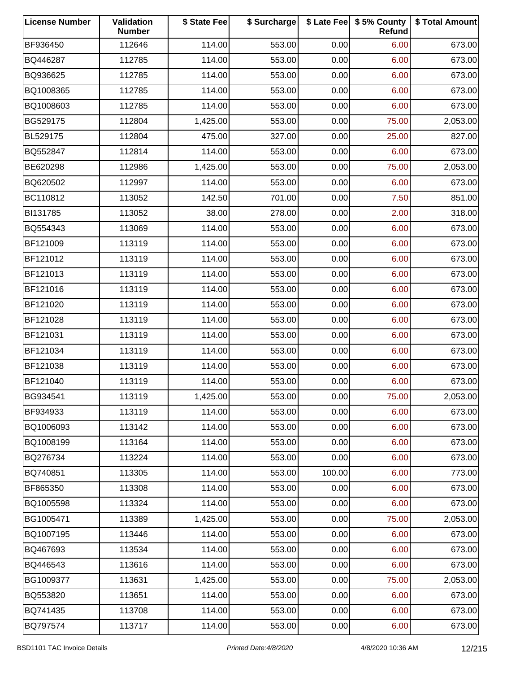| <b>License Number</b> | Validation<br><b>Number</b> | \$ State Fee | \$ Surcharge |        | \$ Late Fee   \$5% County<br>Refund | \$ Total Amount |
|-----------------------|-----------------------------|--------------|--------------|--------|-------------------------------------|-----------------|
| BF936450              | 112646                      | 114.00       | 553.00       | 0.00   | 6.00                                | 673.00          |
| BQ446287              | 112785                      | 114.00       | 553.00       | 0.00   | 6.00                                | 673.00          |
| BQ936625              | 112785                      | 114.00       | 553.00       | 0.00   | 6.00                                | 673.00          |
| BQ1008365             | 112785                      | 114.00       | 553.00       | 0.00   | 6.00                                | 673.00          |
| BQ1008603             | 112785                      | 114.00       | 553.00       | 0.00   | 6.00                                | 673.00          |
| BG529175              | 112804                      | 1,425.00     | 553.00       | 0.00   | 75.00                               | 2,053.00        |
| BL529175              | 112804                      | 475.00       | 327.00       | 0.00   | 25.00                               | 827.00          |
| BQ552847              | 112814                      | 114.00       | 553.00       | 0.00   | 6.00                                | 673.00          |
| BE620298              | 112986                      | 1,425.00     | 553.00       | 0.00   | 75.00                               | 2,053.00        |
| BQ620502              | 112997                      | 114.00       | 553.00       | 0.00   | 6.00                                | 673.00          |
| BC110812              | 113052                      | 142.50       | 701.00       | 0.00   | 7.50                                | 851.00          |
| BI131785              | 113052                      | 38.00        | 278.00       | 0.00   | 2.00                                | 318.00          |
| BQ554343              | 113069                      | 114.00       | 553.00       | 0.00   | 6.00                                | 673.00          |
| BF121009              | 113119                      | 114.00       | 553.00       | 0.00   | 6.00                                | 673.00          |
| BF121012              | 113119                      | 114.00       | 553.00       | 0.00   | 6.00                                | 673.00          |
| BF121013              | 113119                      | 114.00       | 553.00       | 0.00   | 6.00                                | 673.00          |
| BF121016              | 113119                      | 114.00       | 553.00       | 0.00   | 6.00                                | 673.00          |
| BF121020              | 113119                      | 114.00       | 553.00       | 0.00   | 6.00                                | 673.00          |
| BF121028              | 113119                      | 114.00       | 553.00       | 0.00   | 6.00                                | 673.00          |
| BF121031              | 113119                      | 114.00       | 553.00       | 0.00   | 6.00                                | 673.00          |
| BF121034              | 113119                      | 114.00       | 553.00       | 0.00   | 6.00                                | 673.00          |
| BF121038              | 113119                      | 114.00       | 553.00       | 0.00   | 6.00                                | 673.00          |
| BF121040              | 113119                      | 114.00       | 553.00       | 0.00   | 6.00                                | 673.00          |
| BG934541              | 113119                      | 1,425.00     | 553.00       | 0.00   | 75.00                               | 2,053.00        |
| BF934933              | 113119                      | 114.00       | 553.00       | 0.00   | 6.00                                | 673.00          |
| BQ1006093             | 113142                      | 114.00       | 553.00       | 0.00   | 6.00                                | 673.00          |
| BQ1008199             | 113164                      | 114.00       | 553.00       | 0.00   | 6.00                                | 673.00          |
| BQ276734              | 113224                      | 114.00       | 553.00       | 0.00   | 6.00                                | 673.00          |
| BQ740851              | 113305                      | 114.00       | 553.00       | 100.00 | 6.00                                | 773.00          |
| BF865350              | 113308                      | 114.00       | 553.00       | 0.00   | 6.00                                | 673.00          |
| BQ1005598             | 113324                      | 114.00       | 553.00       | 0.00   | 6.00                                | 673.00          |
| BG1005471             | 113389                      | 1,425.00     | 553.00       | 0.00   | 75.00                               | 2,053.00        |
| BQ1007195             | 113446                      | 114.00       | 553.00       | 0.00   | 6.00                                | 673.00          |
| BQ467693              | 113534                      | 114.00       | 553.00       | 0.00   | 6.00                                | 673.00          |
| BQ446543              | 113616                      | 114.00       | 553.00       | 0.00   | 6.00                                | 673.00          |
| BG1009377             | 113631                      | 1,425.00     | 553.00       | 0.00   | 75.00                               | 2,053.00        |
| BQ553820              | 113651                      | 114.00       | 553.00       | 0.00   | 6.00                                | 673.00          |
| BQ741435              | 113708                      | 114.00       | 553.00       | 0.00   | 6.00                                | 673.00          |
| BQ797574              | 113717                      | 114.00       | 553.00       | 0.00   | 6.00                                | 673.00          |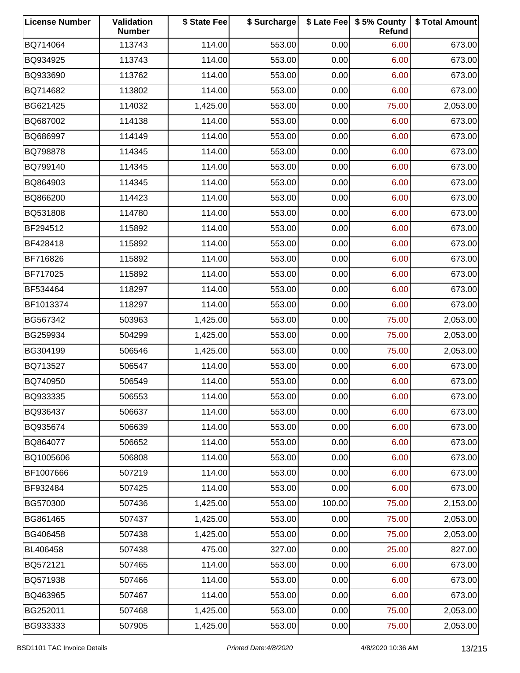| <b>License Number</b> | Validation<br><b>Number</b> | \$ State Fee | \$ Surcharge |        | \$ Late Fee   \$5% County<br>Refund | \$ Total Amount |
|-----------------------|-----------------------------|--------------|--------------|--------|-------------------------------------|-----------------|
| BQ714064              | 113743                      | 114.00       | 553.00       | 0.00   | 6.00                                | 673.00          |
| BQ934925              | 113743                      | 114.00       | 553.00       | 0.00   | 6.00                                | 673.00          |
| BQ933690              | 113762                      | 114.00       | 553.00       | 0.00   | 6.00                                | 673.00          |
| BQ714682              | 113802                      | 114.00       | 553.00       | 0.00   | 6.00                                | 673.00          |
| BG621425              | 114032                      | 1,425.00     | 553.00       | 0.00   | 75.00                               | 2,053.00        |
| BQ687002              | 114138                      | 114.00       | 553.00       | 0.00   | 6.00                                | 673.00          |
| BQ686997              | 114149                      | 114.00       | 553.00       | 0.00   | 6.00                                | 673.00          |
| BQ798878              | 114345                      | 114.00       | 553.00       | 0.00   | 6.00                                | 673.00          |
| BQ799140              | 114345                      | 114.00       | 553.00       | 0.00   | 6.00                                | 673.00          |
| BQ864903              | 114345                      | 114.00       | 553.00       | 0.00   | 6.00                                | 673.00          |
| BQ866200              | 114423                      | 114.00       | 553.00       | 0.00   | 6.00                                | 673.00          |
| BQ531808              | 114780                      | 114.00       | 553.00       | 0.00   | 6.00                                | 673.00          |
| BF294512              | 115892                      | 114.00       | 553.00       | 0.00   | 6.00                                | 673.00          |
| BF428418              | 115892                      | 114.00       | 553.00       | 0.00   | 6.00                                | 673.00          |
| BF716826              | 115892                      | 114.00       | 553.00       | 0.00   | 6.00                                | 673.00          |
| BF717025              | 115892                      | 114.00       | 553.00       | 0.00   | 6.00                                | 673.00          |
| BF534464              | 118297                      | 114.00       | 553.00       | 0.00   | 6.00                                | 673.00          |
| BF1013374             | 118297                      | 114.00       | 553.00       | 0.00   | 6.00                                | 673.00          |
| BG567342              | 503963                      | 1,425.00     | 553.00       | 0.00   | 75.00                               | 2,053.00        |
| BG259934              | 504299                      | 1,425.00     | 553.00       | 0.00   | 75.00                               | 2,053.00        |
| BG304199              | 506546                      | 1,425.00     | 553.00       | 0.00   | 75.00                               | 2,053.00        |
| BQ713527              | 506547                      | 114.00       | 553.00       | 0.00   | 6.00                                | 673.00          |
| BQ740950              | 506549                      | 114.00       | 553.00       | 0.00   | 6.00                                | 673.00          |
| BQ933335              | 506553                      | 114.00       | 553.00       | 0.00   | 6.00                                | 673.00          |
| BQ936437              | 506637                      | 114.00       | 553.00       | 0.00   | 6.00                                | 673.00          |
| BQ935674              | 506639                      | 114.00       | 553.00       | 0.00   | 6.00                                | 673.00          |
| BQ864077              | 506652                      | 114.00       | 553.00       | 0.00   | 6.00                                | 673.00          |
| BQ1005606             | 506808                      | 114.00       | 553.00       | 0.00   | 6.00                                | 673.00          |
| BF1007666             | 507219                      | 114.00       | 553.00       | 0.00   | 6.00                                | 673.00          |
| BF932484              | 507425                      | 114.00       | 553.00       | 0.00   | 6.00                                | 673.00          |
| BG570300              | 507436                      | 1,425.00     | 553.00       | 100.00 | 75.00                               | 2,153.00        |
| BG861465              | 507437                      | 1,425.00     | 553.00       | 0.00   | 75.00                               | 2,053.00        |
| BG406458              | 507438                      | 1,425.00     | 553.00       | 0.00   | 75.00                               | 2,053.00        |
| BL406458              | 507438                      | 475.00       | 327.00       | 0.00   | 25.00                               | 827.00          |
| BQ572121              | 507465                      | 114.00       | 553.00       | 0.00   | 6.00                                | 673.00          |
| BQ571938              | 507466                      | 114.00       | 553.00       | 0.00   | 6.00                                | 673.00          |
| BQ463965              | 507467                      | 114.00       | 553.00       | 0.00   | 6.00                                | 673.00          |
| BG252011              | 507468                      | 1,425.00     | 553.00       | 0.00   | 75.00                               | 2,053.00        |
| BG933333              | 507905                      | 1,425.00     | 553.00       | 0.00   | 75.00                               | 2,053.00        |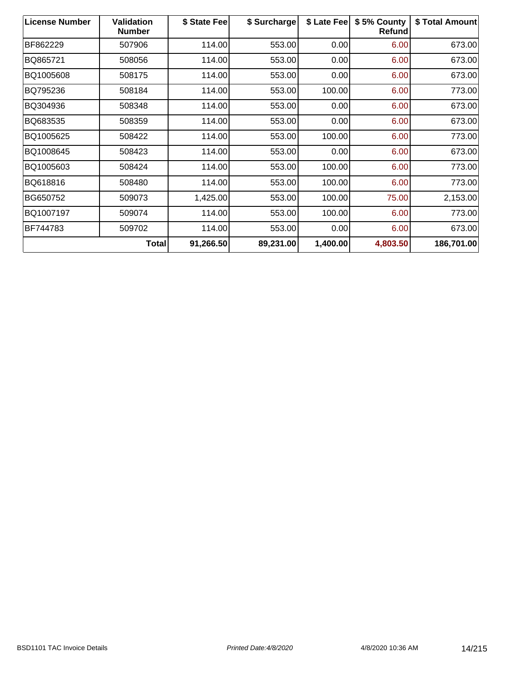| <b>License Number</b> | <b>Validation</b><br><b>Number</b> | \$ State Fee | \$ Surcharge | \$ Late Fee | \$5% County<br>Refund | \$ Total Amount |
|-----------------------|------------------------------------|--------------|--------------|-------------|-----------------------|-----------------|
| BF862229              | 507906                             | 114.00       | 553.00       | 0.00        | 6.00                  | 673.00          |
| BQ865721              | 508056                             | 114.00       | 553.00       | 0.00        | 6.00                  | 673.00          |
| BQ1005608             | 508175                             | 114.00       | 553.00       | 0.00        | 6.00                  | 673.00          |
| BQ795236              | 508184                             | 114.00       | 553.00       | 100.00      | 6.00                  | 773.00          |
| BQ304936              | 508348                             | 114.00       | 553.00       | 0.00        | 6.00                  | 673.00          |
| BQ683535              | 508359                             | 114.00       | 553.00       | 0.00        | 6.00                  | 673.00          |
| BQ1005625             | 508422                             | 114.00       | 553.00       | 100.00      | 6.00                  | 773.00          |
| BQ1008645             | 508423                             | 114.00       | 553.00       | 0.00        | 6.00                  | 673.00          |
| BQ1005603             | 508424                             | 114.00       | 553.00       | 100.00      | 6.00                  | 773.00          |
| BQ618816              | 508480                             | 114.00       | 553.00       | 100.00      | 6.00                  | 773.00          |
| BG650752              | 509073                             | 1,425.00     | 553.00       | 100.00      | 75.00                 | 2,153.00        |
| BQ1007197             | 509074                             | 114.00       | 553.00       | 100.00      | 6.00                  | 773.00          |
| BF744783              | 509702                             | 114.00       | 553.00       | 0.00        | 6.00                  | 673.00          |
|                       | Total                              | 91,266.50    | 89,231.00    | 1,400.00    | 4,803.50              | 186,701.00      |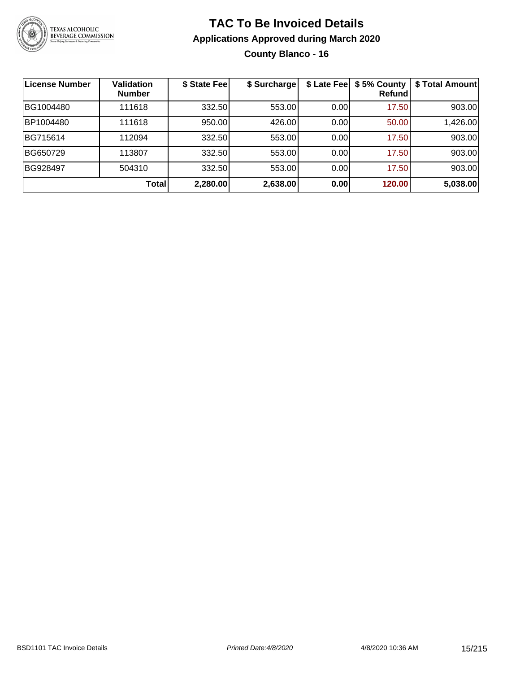

### **TAC To Be Invoiced Details Applications Approved during March 2020 County Blanco - 16**

| License Number | <b>Validation</b><br><b>Number</b> | \$ State Fee | \$ Surcharge | \$ Late Fee | \$5% County<br>Refundl | \$ Total Amount |
|----------------|------------------------------------|--------------|--------------|-------------|------------------------|-----------------|
| BG1004480      | 111618                             | 332.50       | 553.00       | 0.00        | 17.50                  | 903.00          |
| BP1004480      | 111618                             | 950.00       | 426.00       | 0.00        | 50.00                  | 1,426.00        |
| BG715614       | 112094                             | 332.50       | 553.00       | 0.00        | 17.50                  | 903.00          |
| BG650729       | 113807                             | 332.50       | 553.00       | 0.00        | 17.50                  | 903.00          |
| BG928497       | 504310                             | 332.50       | 553.00       | 0.00        | 17.50                  | 903.00          |
|                | Total                              | 2,280.00     | 2,638.00     | 0.00        | 120.00                 | 5,038.00        |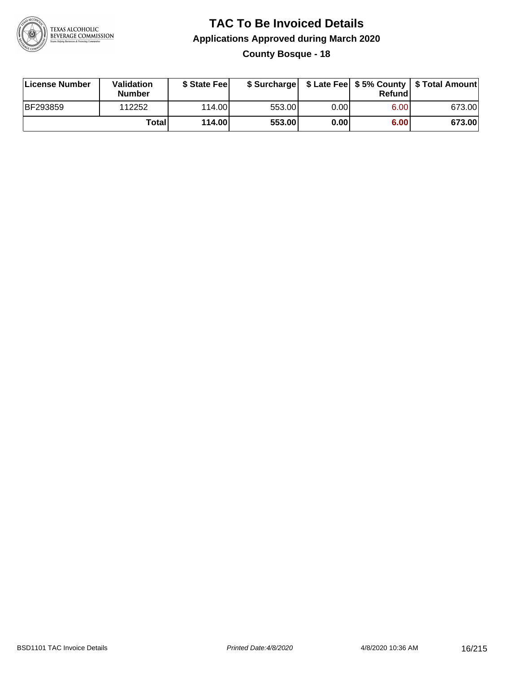

### **TAC To Be Invoiced Details Applications Approved during March 2020 County Bosque - 18**

| License Number  | Validation<br><b>Number</b> | \$ State Fee |        |      | Refund | \$ Surcharge   \$ Late Fee   \$5% County   \$ Total Amount |
|-----------------|-----------------------------|--------------|--------|------|--------|------------------------------------------------------------|
| <b>BF293859</b> | 112252                      | 114.00L      | 553.00 | 0.00 | 6.00   | 673.00                                                     |
|                 | Totall                      | 114.00       | 553.00 | 0.00 | 6.00   | 673.00                                                     |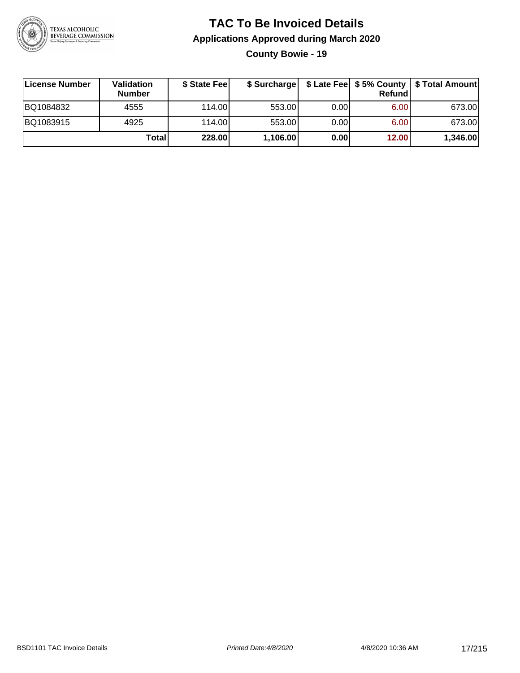

### **TAC To Be Invoiced Details Applications Approved during March 2020 County Bowie - 19**

| <b>∣License Number</b> | Validation<br><b>Number</b> | \$ State Feel | \$ Surcharge |      | Refund | \$ Late Fee   \$5% County   \$ Total Amount |
|------------------------|-----------------------------|---------------|--------------|------|--------|---------------------------------------------|
| BQ1084832              | 4555                        | 114.00L       | 553.00       | 0.00 | 6.00   | 673.00                                      |
| BQ1083915              | 4925                        | 114.00L       | 553.00       | 0.00 | 6.00   | 673.00                                      |
|                        | Total                       | 228.00        | 1,106.00     | 0.00 | 12.00  | 1,346.00                                    |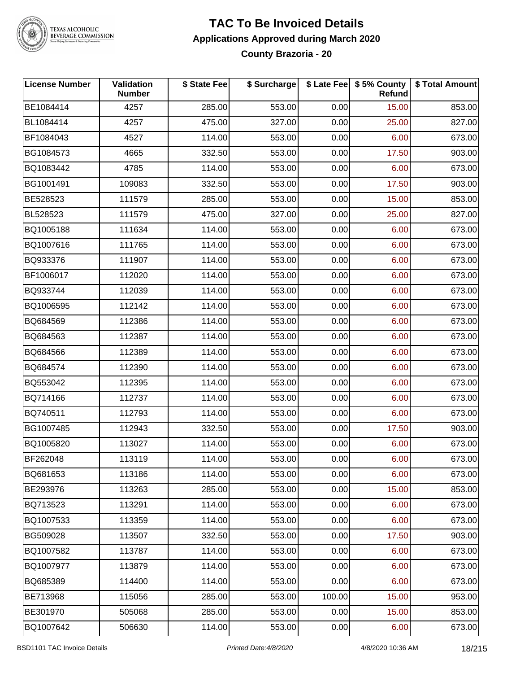

#### **TAC To Be Invoiced Details Applications Approved during March 2020 County Brazoria - 20**

| <b>License Number</b> | <b>Validation</b><br><b>Number</b> | \$ State Fee | \$ Surcharge |        | \$ Late Fee   \$5% County<br>Refund | \$ Total Amount |
|-----------------------|------------------------------------|--------------|--------------|--------|-------------------------------------|-----------------|
| BE1084414             | 4257                               | 285.00       | 553.00       | 0.00   | 15.00                               | 853.00          |
| BL1084414             | 4257                               | 475.00       | 327.00       | 0.00   | 25.00                               | 827.00          |
| BF1084043             | 4527                               | 114.00       | 553.00       | 0.00   | 6.00                                | 673.00          |
| BG1084573             | 4665                               | 332.50       | 553.00       | 0.00   | 17.50                               | 903.00          |
| BQ1083442             | 4785                               | 114.00       | 553.00       | 0.00   | 6.00                                | 673.00          |
| BG1001491             | 109083                             | 332.50       | 553.00       | 0.00   | 17.50                               | 903.00          |
| BE528523              | 111579                             | 285.00       | 553.00       | 0.00   | 15.00                               | 853.00          |
| BL528523              | 111579                             | 475.00       | 327.00       | 0.00   | 25.00                               | 827.00          |
| BQ1005188             | 111634                             | 114.00       | 553.00       | 0.00   | 6.00                                | 673.00          |
| BQ1007616             | 111765                             | 114.00       | 553.00       | 0.00   | 6.00                                | 673.00          |
| BQ933376              | 111907                             | 114.00       | 553.00       | 0.00   | 6.00                                | 673.00          |
| BF1006017             | 112020                             | 114.00       | 553.00       | 0.00   | 6.00                                | 673.00          |
| BQ933744              | 112039                             | 114.00       | 553.00       | 0.00   | 6.00                                | 673.00          |
| BQ1006595             | 112142                             | 114.00       | 553.00       | 0.00   | 6.00                                | 673.00          |
| BQ684569              | 112386                             | 114.00       | 553.00       | 0.00   | 6.00                                | 673.00          |
| BQ684563              | 112387                             | 114.00       | 553.00       | 0.00   | 6.00                                | 673.00          |
| BQ684566              | 112389                             | 114.00       | 553.00       | 0.00   | 6.00                                | 673.00          |
| BQ684574              | 112390                             | 114.00       | 553.00       | 0.00   | 6.00                                | 673.00          |
| BQ553042              | 112395                             | 114.00       | 553.00       | 0.00   | 6.00                                | 673.00          |
| BQ714166              | 112737                             | 114.00       | 553.00       | 0.00   | 6.00                                | 673.00          |
| BQ740511              | 112793                             | 114.00       | 553.00       | 0.00   | 6.00                                | 673.00          |
| BG1007485             | 112943                             | 332.50       | 553.00       | 0.00   | 17.50                               | 903.00          |
| BQ1005820             | 113027                             | 114.00       | 553.00       | 0.00   | 6.00                                | 673.00          |
| BF262048              | 113119                             | 114.00       | 553.00       | 0.00   | 6.00                                | 673.00          |
| BQ681653              | 113186                             | 114.00       | 553.00       | 0.00   | 6.00                                | 673.00          |
| BE293976              | 113263                             | 285.00       | 553.00       | 0.00   | 15.00                               | 853.00          |
| BQ713523              | 113291                             | 114.00       | 553.00       | 0.00   | 6.00                                | 673.00          |
| BQ1007533             | 113359                             | 114.00       | 553.00       | 0.00   | 6.00                                | 673.00          |
| BG509028              | 113507                             | 332.50       | 553.00       | 0.00   | 17.50                               | 903.00          |
| BQ1007582             | 113787                             | 114.00       | 553.00       | 0.00   | 6.00                                | 673.00          |
| BQ1007977             | 113879                             | 114.00       | 553.00       | 0.00   | 6.00                                | 673.00          |
| BQ685389              | 114400                             | 114.00       | 553.00       | 0.00   | 6.00                                | 673.00          |
| BE713968              | 115056                             | 285.00       | 553.00       | 100.00 | 15.00                               | 953.00          |
| BE301970              | 505068                             | 285.00       | 553.00       | 0.00   | 15.00                               | 853.00          |
| BQ1007642             | 506630                             | 114.00       | 553.00       | 0.00   | 6.00                                | 673.00          |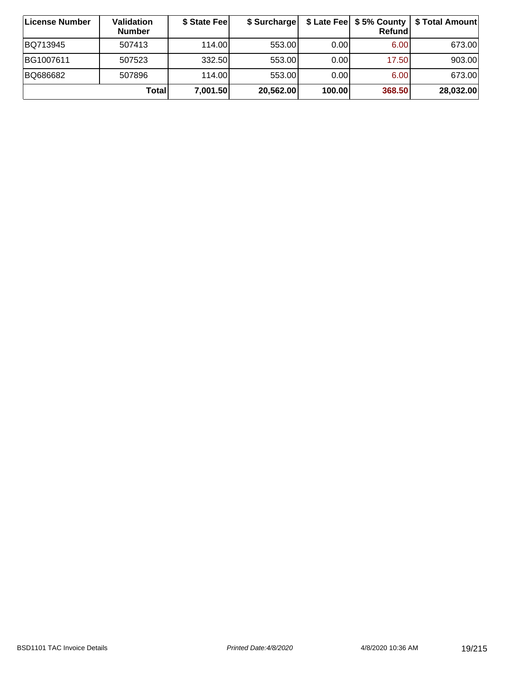| ∣License Number | <b>Validation</b><br><b>Number</b> | \$ State Fee | \$ Surcharge |        | Refundl | \$ Late Fee   \$5% County   \$ Total Amount |
|-----------------|------------------------------------|--------------|--------------|--------|---------|---------------------------------------------|
| BQ713945        | 507413                             | 114.00       | 553.00       | 0.001  | 6.00    | 673.00                                      |
| BG1007611       | 507523                             | 332.50       | 553.00       | 0.00   | 17.50   | 903.00                                      |
| BQ686682        | 507896                             | 114.00       | 553.00       | 0.00   | 6.00    | 673.00                                      |
|                 | Total                              | 7,001.50     | 20,562.00    | 100.00 | 368.50  | 28,032.00                                   |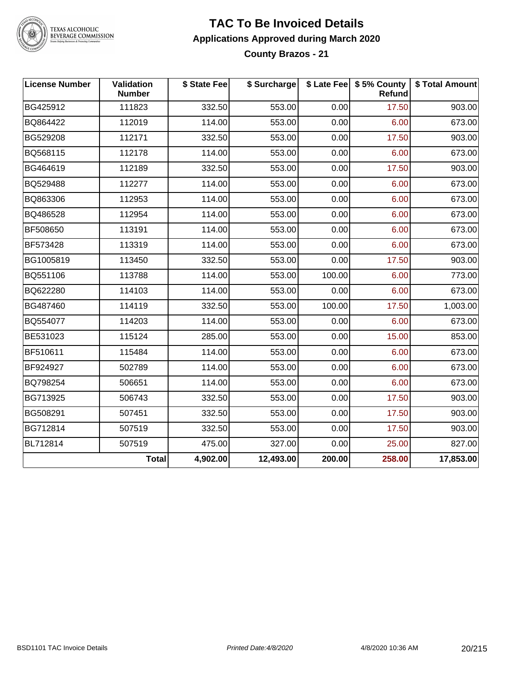

### **TAC To Be Invoiced Details Applications Approved during March 2020**

**County Brazos - 21**

| <b>License Number</b> | Validation<br><b>Number</b> | \$ State Fee | \$ Surcharge |        | \$ Late Fee   \$5% County<br>Refund | \$ Total Amount |
|-----------------------|-----------------------------|--------------|--------------|--------|-------------------------------------|-----------------|
| BG425912              | 111823                      | 332.50       | 553.00       | 0.00   | 17.50                               | 903.00          |
| BQ864422              | 112019                      | 114.00       | 553.00       | 0.00   | 6.00                                | 673.00          |
| BG529208              | 112171                      | 332.50       | 553.00       | 0.00   | 17.50                               | 903.00          |
| BQ568115              | 112178                      | 114.00       | 553.00       | 0.00   | 6.00                                | 673.00          |
| BG464619              | 112189                      | 332.50       | 553.00       | 0.00   | 17.50                               | 903.00          |
| BQ529488              | 112277                      | 114.00       | 553.00       | 0.00   | 6.00                                | 673.00          |
| BQ863306              | 112953                      | 114.00       | 553.00       | 0.00   | 6.00                                | 673.00          |
| BQ486528              | 112954                      | 114.00       | 553.00       | 0.00   | 6.00                                | 673.00          |
| BF508650              | 113191                      | 114.00       | 553.00       | 0.00   | 6.00                                | 673.00          |
| BF573428              | 113319                      | 114.00       | 553.00       | 0.00   | 6.00                                | 673.00          |
| BG1005819             | 113450                      | 332.50       | 553.00       | 0.00   | 17.50                               | 903.00          |
| BQ551106              | 113788                      | 114.00       | 553.00       | 100.00 | 6.00                                | 773.00          |
| BQ622280              | 114103                      | 114.00       | 553.00       | 0.00   | 6.00                                | 673.00          |
| BG487460              | 114119                      | 332.50       | 553.00       | 100.00 | 17.50                               | 1,003.00        |
| BQ554077              | 114203                      | 114.00       | 553.00       | 0.00   | 6.00                                | 673.00          |
| BE531023              | 115124                      | 285.00       | 553.00       | 0.00   | 15.00                               | 853.00          |
| BF510611              | 115484                      | 114.00       | 553.00       | 0.00   | 6.00                                | 673.00          |
| BF924927              | 502789                      | 114.00       | 553.00       | 0.00   | 6.00                                | 673.00          |
| BQ798254              | 506651                      | 114.00       | 553.00       | 0.00   | 6.00                                | 673.00          |
| BG713925              | 506743                      | 332.50       | 553.00       | 0.00   | 17.50                               | 903.00          |
| BG508291              | 507451                      | 332.50       | 553.00       | 0.00   | 17.50                               | 903.00          |
| BG712814              | 507519                      | 332.50       | 553.00       | 0.00   | 17.50                               | 903.00          |
| BL712814              | 507519                      | 475.00       | 327.00       | 0.00   | 25.00                               | 827.00          |
|                       | <b>Total</b>                | 4,902.00     | 12,493.00    | 200.00 | 258.00                              | 17,853.00       |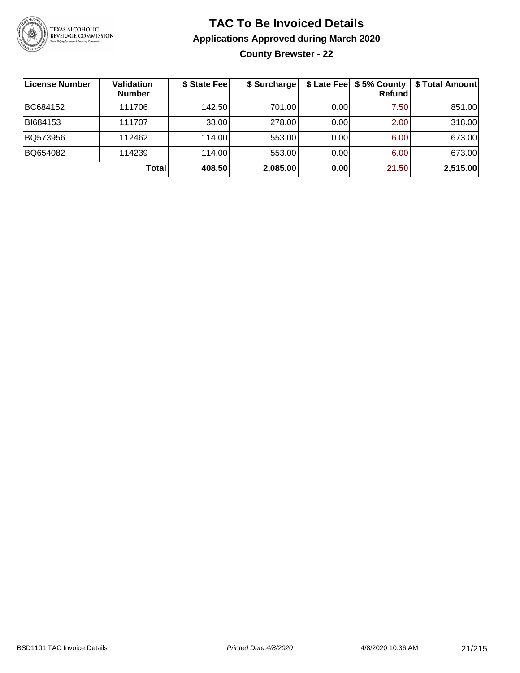

**County Brewster - 22**

| License Number | <b>Validation</b><br><b>Number</b> | \$ State Fee    | \$ Surcharge |      | \$ Late Fee   \$5% County<br><b>Refund</b> | \$ Total Amount |
|----------------|------------------------------------|-----------------|--------------|------|--------------------------------------------|-----------------|
| BC684152       | 111706                             | 142.50 <b>L</b> | 701.00       | 0.00 | 7.50                                       | 851.00          |
| BI684153       | 111707                             | 38.00           | 278.00       | 0.00 | 2.00                                       | 318.00          |
| BQ573956       | 112462                             | 114.00L         | 553.00       | 0.00 | 6.00                                       | 673.00          |
| BQ654082       | 114239                             | 114.00          | 553.00       | 0.00 | 6.00                                       | 673.00          |
|                | Total                              | 408.50          | 2,085.00     | 0.00 | 21.50                                      | 2,515.00        |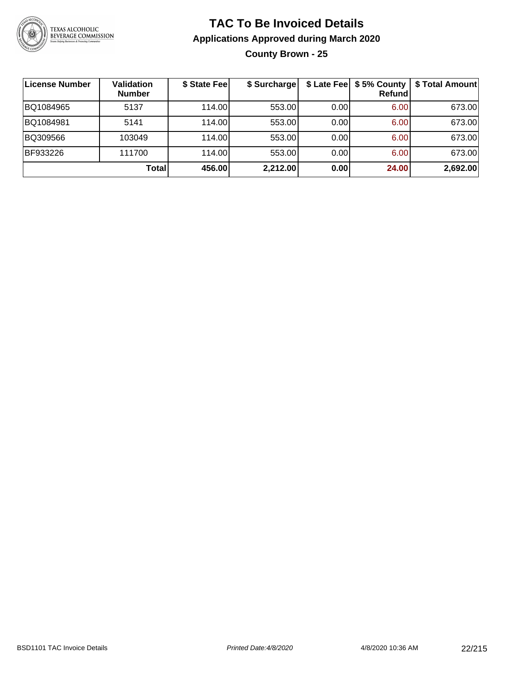

**County Brown - 25**

| ∣License Number | <b>Validation</b><br><b>Number</b> | \$ State Fee | \$ Surcharge |       | $$$ Late Fee $$$ \$ 5% County  <br>Refundl | <b>\$ Total Amount</b> |
|-----------------|------------------------------------|--------------|--------------|-------|--------------------------------------------|------------------------|
| BQ1084965       | 5137                               | 114.00       | 553.00       | 0.00  | 6.00                                       | 673.00                 |
| BQ1084981       | 5141                               | 114.00       | 553.00       | 0.001 | 6.00                                       | 673.00                 |
| BQ309566        | 103049                             | 114.00       | 553.00       | 0.001 | 6.00                                       | 673.00                 |
| BF933226        | 111700                             | 114.00       | 553.00       | 0.00  | 6.00                                       | 673.00                 |
|                 | Total                              | 456.00       | 2,212.00     | 0.00  | 24.00                                      | 2,692.00               |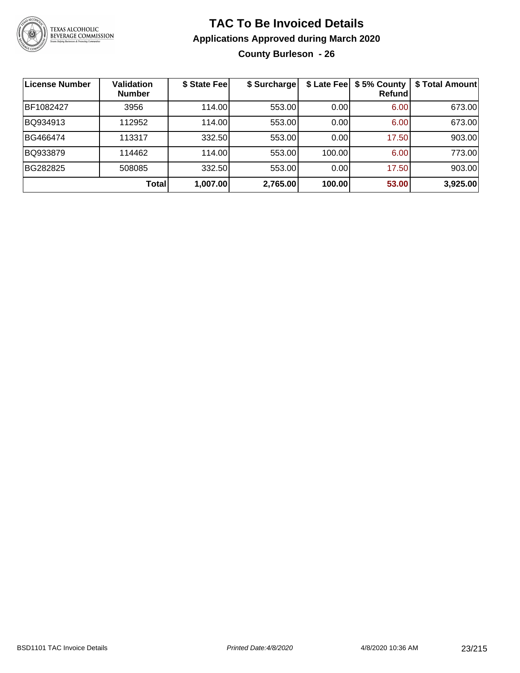

**County Burleson - 26**

| <b>License Number</b> | <b>Validation</b><br><b>Number</b> | \$ State Fee | \$ Surcharge |        | \$ Late Fee   \$5% County<br>Refundl | \$ Total Amount |
|-----------------------|------------------------------------|--------------|--------------|--------|--------------------------------------|-----------------|
| BF1082427             | 3956                               | 114.00       | 553.00       | 0.00   | 6.00                                 | 673.00          |
| BQ934913              | 112952                             | 114.00       | 553.00       | 0.00   | 6.00 <sub>1</sub>                    | 673.00          |
| BG466474              | 113317                             | 332.50       | 553.00       | 0.00   | 17.50                                | 903.00          |
| BQ933879              | 114462                             | 114.00       | 553.00       | 100.00 | 6.00                                 | 773.00          |
| BG282825              | 508085                             | 332.50       | 553.00       | 0.00   | 17.50                                | 903.00          |
|                       | Total                              | 1,007.00     | 2,765.00     | 100.00 | 53.00                                | 3,925.00        |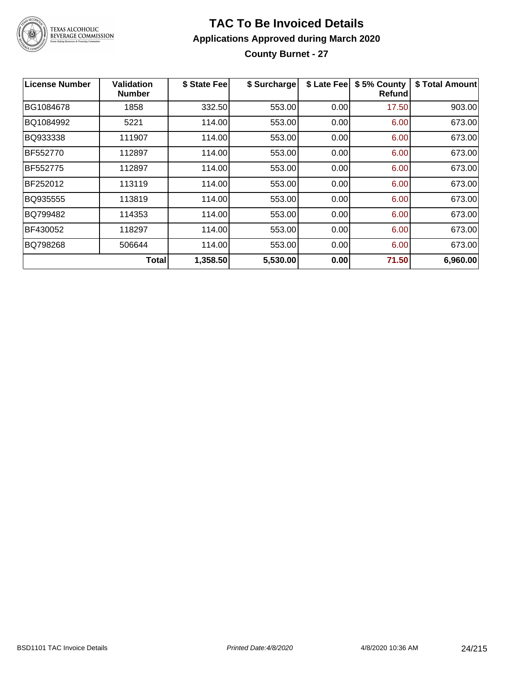

#### **TAC To Be Invoiced Details Applications Approved during March 2020 County Burnet - 27**

| <b>License Number</b> | Validation<br><b>Number</b> | \$ State Fee | \$ Surcharge | \$ Late Fee | \$5% County<br>Refundl | \$ Total Amount |
|-----------------------|-----------------------------|--------------|--------------|-------------|------------------------|-----------------|
| BG1084678             | 1858                        | 332.50       | 553.00       | 0.00        | 17.50                  | 903.00          |
| BQ1084992             | 5221                        | 114.00       | 553.00       | 0.00        | 6.00                   | 673.00          |
| BQ933338              | 111907                      | 114.00       | 553.00       | 0.00        | 6.00                   | 673.00          |
| BF552770              | 112897                      | 114.00       | 553.00       | 0.00        | 6.00                   | 673.00          |
| BF552775              | 112897                      | 114.00       | 553.00       | 0.00        | 6.00                   | 673.00          |
| BF252012              | 113119                      | 114.00       | 553.00       | 0.00        | 6.00                   | 673.00          |
| BQ935555              | 113819                      | 114.00       | 553.00       | 0.00        | 6.00                   | 673.00          |
| BQ799482              | 114353                      | 114.00       | 553.00       | 0.00        | 6.00                   | 673.00          |
| BF430052              | 118297                      | 114.00       | 553.00       | 0.00        | 6.00                   | 673.00          |
| BQ798268              | 506644                      | 114.00       | 553.00       | 0.00        | 6.00                   | 673.00          |
|                       | <b>Total</b>                | 1,358.50     | 5,530.00     | 0.00        | 71.50                  | 6,960.00        |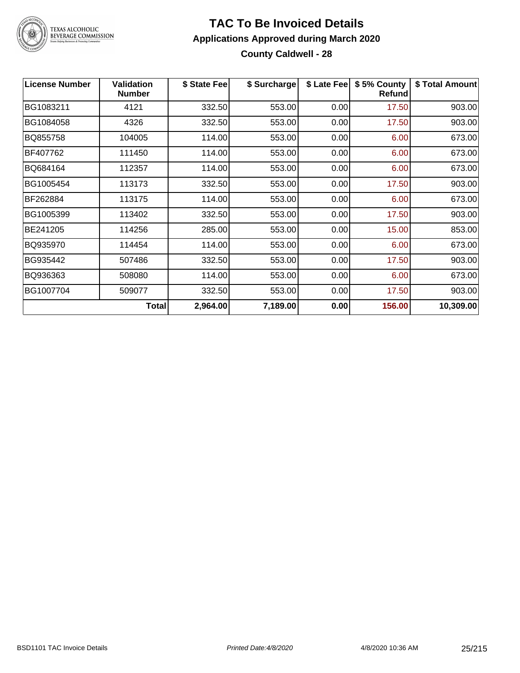

#### **TAC To Be Invoiced Details Applications Approved during March 2020 County Caldwell - 28**

| <b>License Number</b> | <b>Validation</b><br><b>Number</b> | \$ State Fee | \$ Surcharge | \$ Late Fee | \$5% County<br>Refund | \$ Total Amount |
|-----------------------|------------------------------------|--------------|--------------|-------------|-----------------------|-----------------|
| BG1083211             | 4121                               | 332.50       | 553.00       | 0.00        | 17.50                 | 903.00          |
| BG1084058             | 4326                               | 332.50       | 553.00       | 0.00        | 17.50                 | 903.00          |
| BQ855758              | 104005                             | 114.00       | 553.00       | 0.00        | 6.00                  | 673.00          |
| BF407762              | 111450                             | 114.00       | 553.00       | 0.00        | 6.00                  | 673.00          |
| BQ684164              | 112357                             | 114.00       | 553.00       | 0.00        | 6.00                  | 673.00          |
| BG1005454             | 113173                             | 332.50       | 553.00       | 0.00        | 17.50                 | 903.00          |
| BF262884              | 113175                             | 114.00       | 553.00       | 0.00        | 6.00                  | 673.00          |
| BG1005399             | 113402                             | 332.50       | 553.00       | 0.00        | 17.50                 | 903.00          |
| BE241205              | 114256                             | 285.00       | 553.00       | 0.00        | 15.00                 | 853.00          |
| BQ935970              | 114454                             | 114.00       | 553.00       | 0.00        | 6.00                  | 673.00          |
| BG935442              | 507486                             | 332.50       | 553.00       | 0.00        | 17.50                 | 903.00          |
| BQ936363              | 508080                             | 114.00       | 553.00       | 0.00        | 6.00                  | 673.00          |
| BG1007704             | 509077                             | 332.50       | 553.00       | 0.00        | 17.50                 | 903.00          |
|                       | <b>Total</b>                       | 2,964.00     | 7,189.00     | 0.00        | 156.00                | 10,309.00       |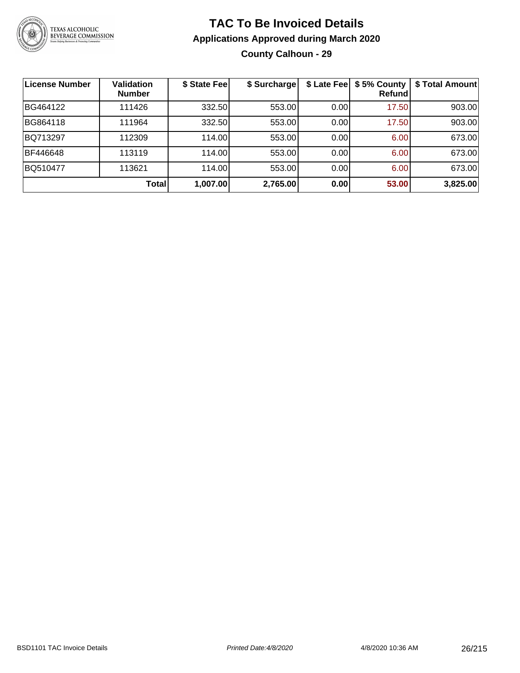

### **TAC To Be Invoiced Details Applications Approved during March 2020 County Calhoun - 29**

| License Number | <b>Validation</b><br><b>Number</b> | \$ State Fee | \$ Surcharge |      | \$ Late Fee   \$5% County<br>Refund | \$ Total Amount |
|----------------|------------------------------------|--------------|--------------|------|-------------------------------------|-----------------|
| BG464122       | 111426                             | 332.50       | 553.00       | 0.00 | 17.50                               | 903.00          |
| BG864118       | 111964                             | 332.50       | 553.00       | 0.00 | 17.50                               | 903.00          |
| BQ713297       | 112309                             | 114.00       | 553.00       | 0.00 | 6.00                                | 673.00          |
| BF446648       | 113119                             | 114.00       | 553.00       | 0.00 | 6.00                                | 673.00          |
| BQ510477       | 113621                             | 114.00       | 553.00       | 0.00 | 6.00                                | 673.00          |
|                | <b>Total</b>                       | 1,007.00     | 2,765.00     | 0.00 | 53.00                               | 3,825.00        |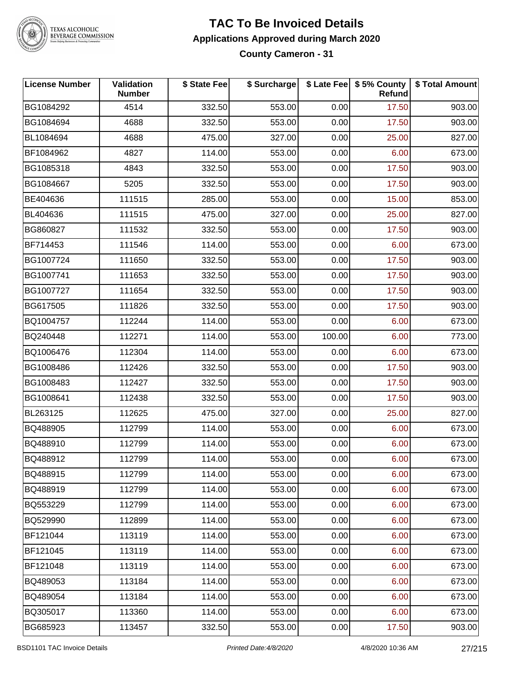

#### **TAC To Be Invoiced Details Applications Approved during March 2020 County Cameron - 31**

| <b>License Number</b> | Validation<br><b>Number</b> | \$ State Fee | \$ Surcharge |        | \$ Late Fee   \$5% County<br><b>Refund</b> | \$ Total Amount |
|-----------------------|-----------------------------|--------------|--------------|--------|--------------------------------------------|-----------------|
| BG1084292             | 4514                        | 332.50       | 553.00       | 0.00   | 17.50                                      | 903.00          |
| BG1084694             | 4688                        | 332.50       | 553.00       | 0.00   | 17.50                                      | 903.00          |
| BL1084694             | 4688                        | 475.00       | 327.00       | 0.00   | 25.00                                      | 827.00          |
| BF1084962             | 4827                        | 114.00       | 553.00       | 0.00   | 6.00                                       | 673.00          |
| BG1085318             | 4843                        | 332.50       | 553.00       | 0.00   | 17.50                                      | 903.00          |
| BG1084667             | 5205                        | 332.50       | 553.00       | 0.00   | 17.50                                      | 903.00          |
| BE404636              | 111515                      | 285.00       | 553.00       | 0.00   | 15.00                                      | 853.00          |
| BL404636              | 111515                      | 475.00       | 327.00       | 0.00   | 25.00                                      | 827.00          |
| BG860827              | 111532                      | 332.50       | 553.00       | 0.00   | 17.50                                      | 903.00          |
| BF714453              | 111546                      | 114.00       | 553.00       | 0.00   | 6.00                                       | 673.00          |
| BG1007724             | 111650                      | 332.50       | 553.00       | 0.00   | 17.50                                      | 903.00          |
| BG1007741             | 111653                      | 332.50       | 553.00       | 0.00   | 17.50                                      | 903.00          |
| BG1007727             | 111654                      | 332.50       | 553.00       | 0.00   | 17.50                                      | 903.00          |
| BG617505              | 111826                      | 332.50       | 553.00       | 0.00   | 17.50                                      | 903.00          |
| BQ1004757             | 112244                      | 114.00       | 553.00       | 0.00   | 6.00                                       | 673.00          |
| BQ240448              | 112271                      | 114.00       | 553.00       | 100.00 | 6.00                                       | 773.00          |
| BQ1006476             | 112304                      | 114.00       | 553.00       | 0.00   | 6.00                                       | 673.00          |
| BG1008486             | 112426                      | 332.50       | 553.00       | 0.00   | 17.50                                      | 903.00          |
| BG1008483             | 112427                      | 332.50       | 553.00       | 0.00   | 17.50                                      | 903.00          |
| BG1008641             | 112438                      | 332.50       | 553.00       | 0.00   | 17.50                                      | 903.00          |
| BL263125              | 112625                      | 475.00       | 327.00       | 0.00   | 25.00                                      | 827.00          |
| BQ488905              | 112799                      | 114.00       | 553.00       | 0.00   | 6.00                                       | 673.00          |
| BQ488910              | 112799                      | 114.00       | 553.00       | 0.00   | 6.00                                       | 673.00          |
| BQ488912              | 112799                      | 114.00       | 553.00       | 0.00   | 6.00                                       | 673.00          |
| BQ488915              | 112799                      | 114.00       | 553.00       | 0.00   | 6.00                                       | 673.00          |
| BQ488919              | 112799                      | 114.00       | 553.00       | 0.00   | 6.00                                       | 673.00          |
| BQ553229              | 112799                      | 114.00       | 553.00       | 0.00   | 6.00                                       | 673.00          |
| BQ529990              | 112899                      | 114.00       | 553.00       | 0.00   | 6.00                                       | 673.00          |
| BF121044              | 113119                      | 114.00       | 553.00       | 0.00   | 6.00                                       | 673.00          |
| BF121045              | 113119                      | 114.00       | 553.00       | 0.00   | 6.00                                       | 673.00          |
| BF121048              | 113119                      | 114.00       | 553.00       | 0.00   | 6.00                                       | 673.00          |
| BQ489053              | 113184                      | 114.00       | 553.00       | 0.00   | 6.00                                       | 673.00          |
| BQ489054              | 113184                      | 114.00       | 553.00       | 0.00   | 6.00                                       | 673.00          |
| BQ305017              | 113360                      | 114.00       | 553.00       | 0.00   | 6.00                                       | 673.00          |
| BG685923              | 113457                      | 332.50       | 553.00       | 0.00   | 17.50                                      | 903.00          |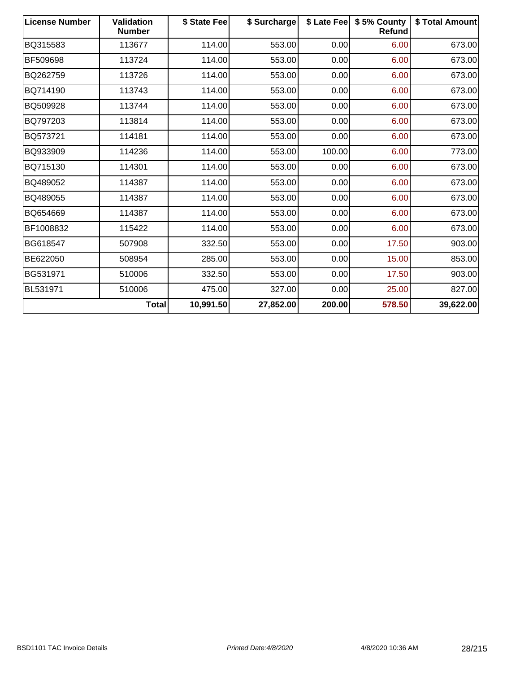| <b>License Number</b> | <b>Validation</b><br><b>Number</b> | \$ State Fee | \$ Surcharge |        | \$ Late Fee   \$5% County<br>Refund | \$ Total Amount |
|-----------------------|------------------------------------|--------------|--------------|--------|-------------------------------------|-----------------|
| BQ315583              | 113677                             | 114.00       | 553.00       | 0.00   | 6.00                                | 673.00          |
| BF509698              | 113724                             | 114.00       | 553.00       | 0.00   | 6.00                                | 673.00          |
| BQ262759              | 113726                             | 114.00       | 553.00       | 0.00   | 6.00                                | 673.00          |
| BQ714190              | 113743                             | 114.00       | 553.00       | 0.00   | 6.00                                | 673.00          |
| BQ509928              | 113744                             | 114.00       | 553.00       | 0.00   | 6.00                                | 673.00          |
| BQ797203              | 113814                             | 114.00       | 553.00       | 0.00   | 6.00                                | 673.00          |
| BQ573721              | 114181                             | 114.00       | 553.00       | 0.00   | 6.00                                | 673.00          |
| BQ933909              | 114236                             | 114.00       | 553.00       | 100.00 | 6.00                                | 773.00          |
| BQ715130              | 114301                             | 114.00       | 553.00       | 0.00   | 6.00                                | 673.00          |
| BQ489052              | 114387                             | 114.00       | 553.00       | 0.00   | 6.00                                | 673.00          |
| BQ489055              | 114387                             | 114.00       | 553.00       | 0.00   | 6.00                                | 673.00          |
| BQ654669              | 114387                             | 114.00       | 553.00       | 0.00   | 6.00                                | 673.00          |
| BF1008832             | 115422                             | 114.00       | 553.00       | 0.00   | 6.00                                | 673.00          |
| BG618547              | 507908                             | 332.50       | 553.00       | 0.00   | 17.50                               | 903.00          |
| BE622050              | 508954                             | 285.00       | 553.00       | 0.00   | 15.00                               | 853.00          |
| BG531971              | 510006                             | 332.50       | 553.00       | 0.00   | 17.50                               | 903.00          |
| BL531971              | 510006                             | 475.00       | 327.00       | 0.00   | 25.00                               | 827.00          |
|                       | <b>Total</b>                       | 10,991.50    | 27,852.00    | 200.00 | 578.50                              | 39,622.00       |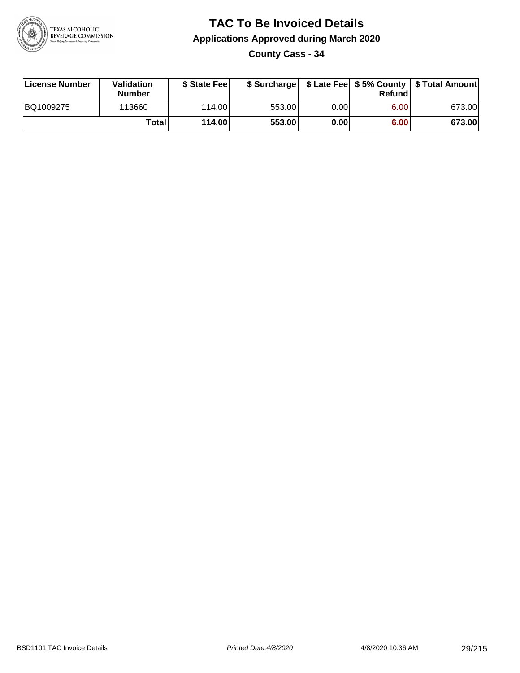

**County Cass - 34**

| License Number | Validation<br><b>Number</b> | \$ State Fee    | \$ Surcharge |             | Refundl |        |
|----------------|-----------------------------|-----------------|--------------|-------------|---------|--------|
| BQ1009275      | 113660                      | 114.00 <b>1</b> | 553.00       | $0.00\vert$ | 6.00    | 673.00 |
|                | Totali                      | 114.00          | 553.00       | 0.00        | 6.00    | 673.00 |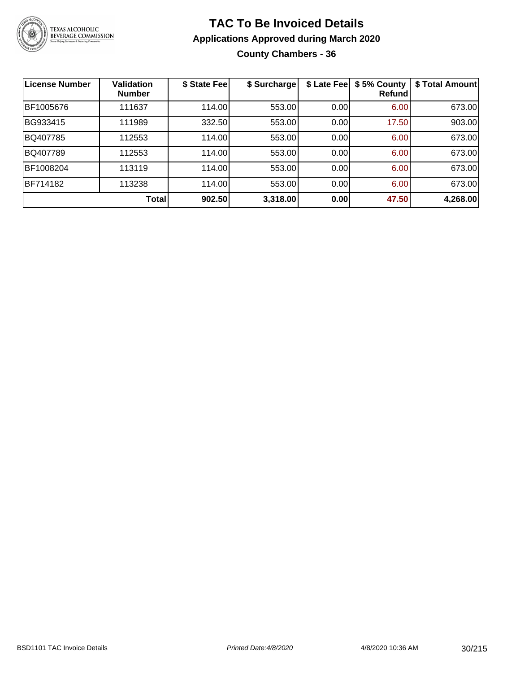

### **TAC To Be Invoiced Details Applications Approved during March 2020 County Chambers - 36**

| <b>License Number</b> | <b>Validation</b><br><b>Number</b> | \$ State Fee | \$ Surcharge | \$ Late Fee | \$5% County<br>Refund | \$ Total Amount |
|-----------------------|------------------------------------|--------------|--------------|-------------|-----------------------|-----------------|
| BF1005676             | 111637                             | 114.00       | 553.00       | 0.00        | 6.00                  | 673.00          |
| BG933415              | 111989                             | 332.50       | 553.00       | 0.00        | 17.50                 | 903.00          |
| BQ407785              | 112553                             | 114.00       | 553.00       | 0.00        | 6.00                  | 673.00          |
| BQ407789              | 112553                             | 114.00       | 553.00       | 0.00        | 6.00                  | 673.00          |
| BF1008204             | 113119                             | 114.00       | 553.00       | 0.00        | 6.00                  | 673.00          |
| BF714182              | 113238                             | 114.00       | 553.00       | 0.00        | 6.00                  | 673.00          |
|                       | <b>Total</b>                       | 902.50       | 3,318.00     | 0.00        | 47.50                 | 4,268.00        |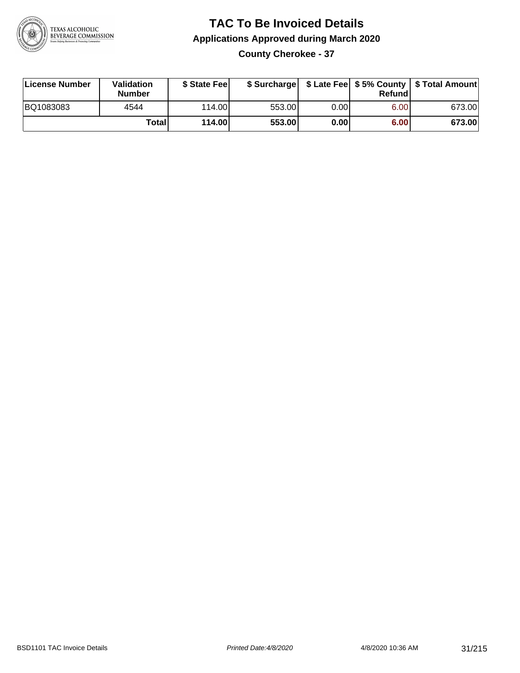

### **TAC To Be Invoiced Details Applications Approved during March 2020 County Cherokee - 37**

| License Number | Validation<br><b>Number</b> | \$ State Fee |        |      | Refund | \$ Surcharge   \$ Late Fee   \$5% County   \$ Total Amount |
|----------------|-----------------------------|--------------|--------|------|--------|------------------------------------------------------------|
| BQ1083083      | 4544                        | 114.00L      | 553.00 | 0.00 | 6.00   | 673.00                                                     |
|                | Total                       | 114.00       | 553.00 | 0.00 | 6.00   | 673.00                                                     |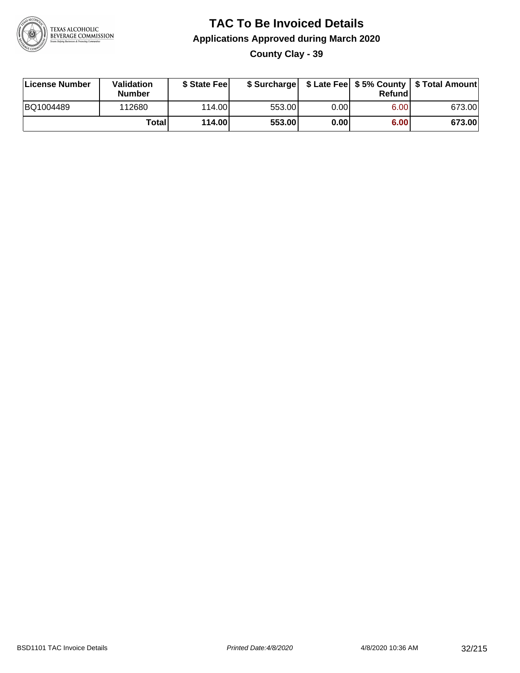

**County Clay - 39**

| License Number | Validation<br><b>Number</b> | \$ State Feel |        |      | Refundl | \$ Surcharge   \$ Late Fee   \$5% County   \$ Total Amount |
|----------------|-----------------------------|---------------|--------|------|---------|------------------------------------------------------------|
| BQ1004489      | 112680                      | 114.00        | 553.00 | 0.00 | 6.00    | 673.00                                                     |
|                | Totall                      | 114.00        | 553.00 | 0.00 | 6.00    | 673.00                                                     |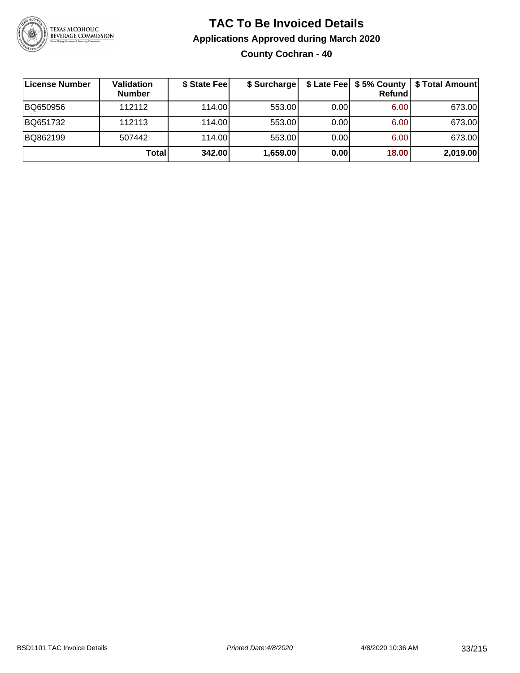

### **TAC To Be Invoiced Details Applications Approved during March 2020 County Cochran - 40**

| License Number | <b>Validation</b><br><b>Number</b> | \$ State Fee | \$ Surcharge |       | Refund | \$ Late Fee   \$5% County   \$ Total Amount |
|----------------|------------------------------------|--------------|--------------|-------|--------|---------------------------------------------|
| BQ650956       | 112112                             | 114.00       | 553.00       | 0.001 | 6.00   | 673.00                                      |
| BQ651732       | 112113                             | 114.00       | 553.00       | 0.001 | 6.00   | 673.00                                      |
| BQ862199       | 507442                             | 114.00       | 553.00       | 0.001 | 6.00   | 673.00                                      |
|                | Total                              | 342.00       | 1,659.00     | 0.00  | 18.00  | 2,019.00                                    |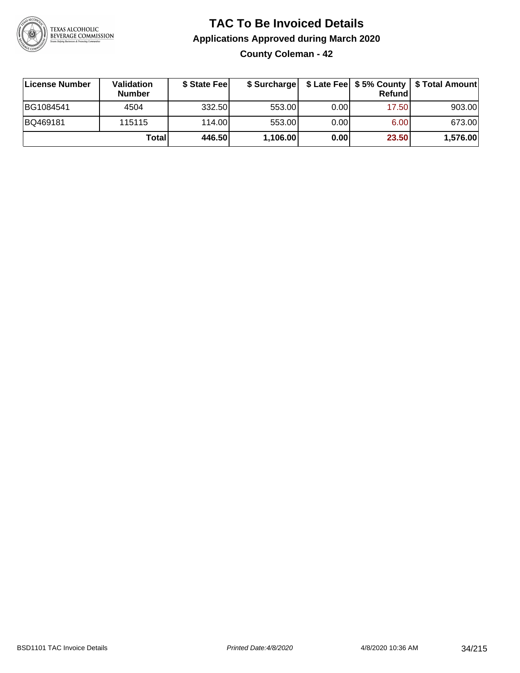

### **TAC To Be Invoiced Details Applications Approved during March 2020 County Coleman - 42**

**License Number Validation Number \$ State Fee \$ Surcharge \$ Late Fee \$ 5% County Refund \$ Total Amount** BG1084541 | 4504 | 332.50| 553.00| 0.00| 17.50| 903.00 BQ469181 115115 114.00 553.00 0.00 6.00 673.00 **Total 446.50 1,106.00 0.00 23.50 1,576.00**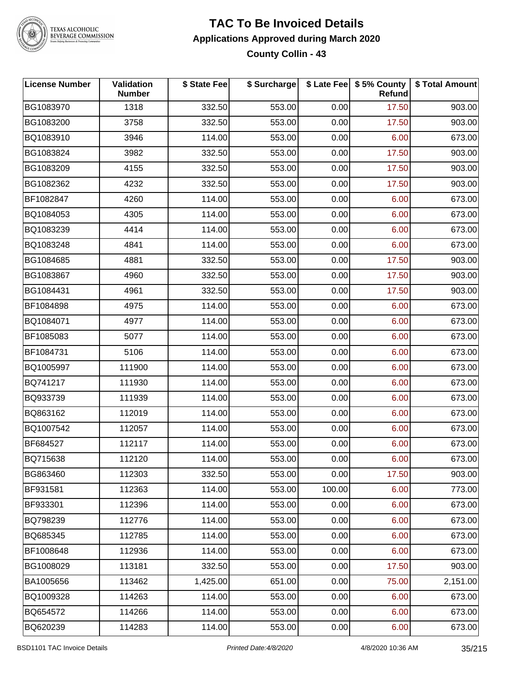

### **TAC To Be Invoiced Details Applications Approved during March 2020 County Collin - 43**

| <b>License Number</b> | Validation<br><b>Number</b> | \$ State Fee | \$ Surcharge |        | \$ Late Fee   \$5% County<br>Refund | \$ Total Amount |
|-----------------------|-----------------------------|--------------|--------------|--------|-------------------------------------|-----------------|
| BG1083970             | 1318                        | 332.50       | 553.00       | 0.00   | 17.50                               | 903.00          |
| BG1083200             | 3758                        | 332.50       | 553.00       | 0.00   | 17.50                               | 903.00          |
| BQ1083910             | 3946                        | 114.00       | 553.00       | 0.00   | 6.00                                | 673.00          |
| BG1083824             | 3982                        | 332.50       | 553.00       | 0.00   | 17.50                               | 903.00          |
| BG1083209             | 4155                        | 332.50       | 553.00       | 0.00   | 17.50                               | 903.00          |
| BG1082362             | 4232                        | 332.50       | 553.00       | 0.00   | 17.50                               | 903.00          |
| BF1082847             | 4260                        | 114.00       | 553.00       | 0.00   | 6.00                                | 673.00          |
| BQ1084053             | 4305                        | 114.00       | 553.00       | 0.00   | 6.00                                | 673.00          |
| BQ1083239             | 4414                        | 114.00       | 553.00       | 0.00   | 6.00                                | 673.00          |
| BQ1083248             | 4841                        | 114.00       | 553.00       | 0.00   | 6.00                                | 673.00          |
| BG1084685             | 4881                        | 332.50       | 553.00       | 0.00   | 17.50                               | 903.00          |
| BG1083867             | 4960                        | 332.50       | 553.00       | 0.00   | 17.50                               | 903.00          |
| BG1084431             | 4961                        | 332.50       | 553.00       | 0.00   | 17.50                               | 903.00          |
| BF1084898             | 4975                        | 114.00       | 553.00       | 0.00   | 6.00                                | 673.00          |
| BQ1084071             | 4977                        | 114.00       | 553.00       | 0.00   | 6.00                                | 673.00          |
| BF1085083             | 5077                        | 114.00       | 553.00       | 0.00   | 6.00                                | 673.00          |
| BF1084731             | 5106                        | 114.00       | 553.00       | 0.00   | 6.00                                | 673.00          |
| BQ1005997             | 111900                      | 114.00       | 553.00       | 0.00   | 6.00                                | 673.00          |
| BQ741217              | 111930                      | 114.00       | 553.00       | 0.00   | 6.00                                | 673.00          |
| BQ933739              | 111939                      | 114.00       | 553.00       | 0.00   | 6.00                                | 673.00          |
| BQ863162              | 112019                      | 114.00       | 553.00       | 0.00   | 6.00                                | 673.00          |
| BQ1007542             | 112057                      | 114.00       | 553.00       | 0.00   | 6.00                                | 673.00          |
| BF684527              | 112117                      | 114.00       | 553.00       | 0.00   | 6.00                                | 673.00          |
| BQ715638              | 112120                      | 114.00       | 553.00       | 0.00   | 6.00                                | 673.00          |
| BG863460              | 112303                      | 332.50       | 553.00       | 0.00   | 17.50                               | 903.00          |
| BF931581              | 112363                      | 114.00       | 553.00       | 100.00 | 6.00                                | 773.00          |
| BF933301              | 112396                      | 114.00       | 553.00       | 0.00   | 6.00                                | 673.00          |
| BQ798239              | 112776                      | 114.00       | 553.00       | 0.00   | 6.00                                | 673.00          |
| BQ685345              | 112785                      | 114.00       | 553.00       | 0.00   | 6.00                                | 673.00          |
| BF1008648             | 112936                      | 114.00       | 553.00       | 0.00   | 6.00                                | 673.00          |
| BG1008029             | 113181                      | 332.50       | 553.00       | 0.00   | 17.50                               | 903.00          |
| BA1005656             | 113462                      | 1,425.00     | 651.00       | 0.00   | 75.00                               | 2,151.00        |
| BQ1009328             | 114263                      | 114.00       | 553.00       | 0.00   | 6.00                                | 673.00          |
| BQ654572              | 114266                      | 114.00       | 553.00       | 0.00   | 6.00                                | 673.00          |
| BQ620239              | 114283                      | 114.00       | 553.00       | 0.00   | 6.00                                | 673.00          |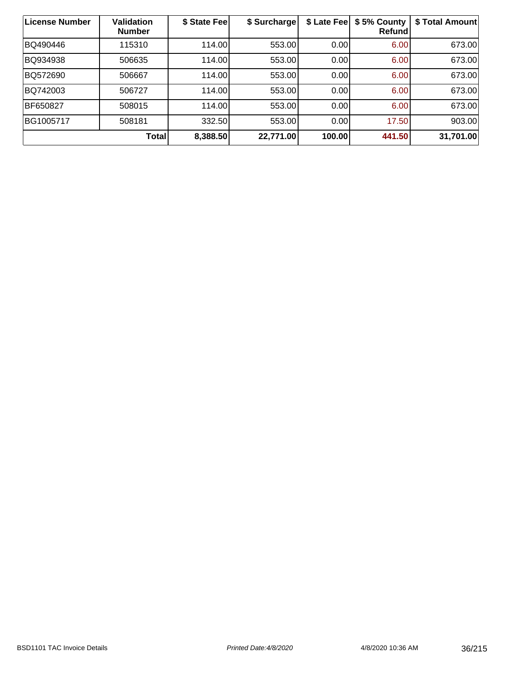| <b>License Number</b> | <b>Validation</b><br><b>Number</b> | \$ State Fee | \$ Surcharge | \$ Late Fee | \$5% County<br><b>Refund</b> | \$ Total Amount |
|-----------------------|------------------------------------|--------------|--------------|-------------|------------------------------|-----------------|
| BQ490446              | 115310                             | 114.00       | 553.00       | 0.00        | 6.00                         | 673.00          |
| BQ934938              | 506635                             | 114.00       | 553.00       | 0.00        | 6.00                         | 673.00          |
| BQ572690              | 506667                             | 114.00       | 553.00       | 0.00        | 6.00                         | 673.00          |
| BQ742003              | 506727                             | 114.00       | 553.00       | 0.00        | 6.00                         | 673.00          |
| BF650827              | 508015                             | 114.00       | 553.00       | 0.00        | 6.00                         | 673.00          |
| BG1005717             | 508181                             | 332.50       | 553.00       | 0.00        | 17.50                        | 903.00          |
|                       | <b>Total</b>                       | 8,388.50     | 22,771.00    | 100.00      | 441.50                       | 31,701.00       |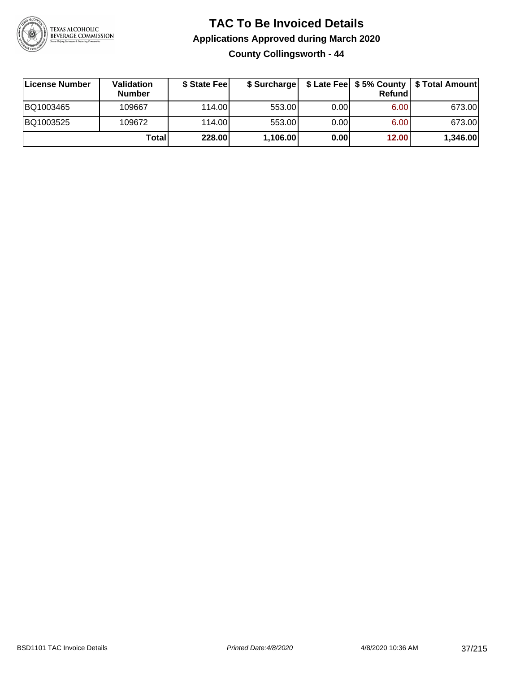

**County Collingsworth - 44**

| ∣License Number | Validation<br><b>Number</b> | \$ State Fee |          |      | <b>Refund</b> | \$ Surcharge   \$ Late Fee   \$5% County   \$ Total Amount |
|-----------------|-----------------------------|--------------|----------|------|---------------|------------------------------------------------------------|
| BQ1003465       | 109667                      | 114.00       | 553.00   | 0.00 | 6.00          | 673.00                                                     |
| BQ1003525       | 109672                      | 114.00       | 553.00   | 0.00 | 6.00          | 673.00                                                     |
|                 | Total                       | 228.00       | 1,106.00 | 0.00 | 12.00         | 1,346.00                                                   |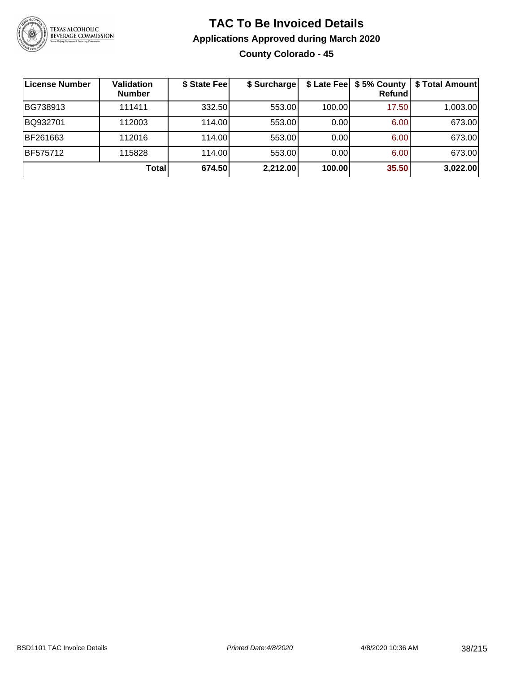

## **TAC To Be Invoiced Details Applications Approved during March 2020 County Colorado - 45**

| License Number  | <b>Validation</b><br><b>Number</b> | \$ State Fee | \$ Surcharge |        | Refundl | \$ Late Fee   \$5% County   \$ Total Amount |
|-----------------|------------------------------------|--------------|--------------|--------|---------|---------------------------------------------|
| BG738913        | 111411                             | 332.50       | 553.00       | 100.00 | 17.50   | 1,003.00                                    |
| BQ932701        | 112003                             | 114.00L      | 553.00       | 0.00   | 6.00    | 673.00                                      |
| BF261663        | 112016                             | 114.00       | 553.00       | 0.00   | 6.00    | 673.00                                      |
| <b>BF575712</b> | 115828                             | 114.00L      | 553.00       | 0.00   | 6.00    | 673.00                                      |
|                 | Total                              | 674.50       | 2,212.00     | 100.00 | 35.50   | 3,022.00                                    |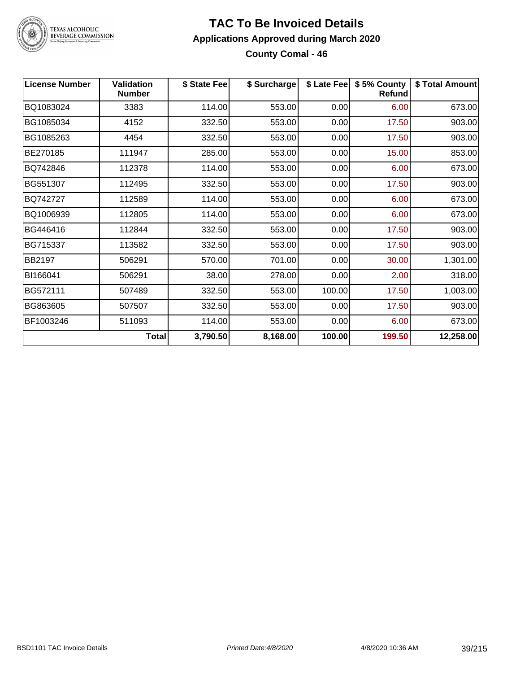

#### **TAC To Be Invoiced Details Applications Approved during March 2020 County Comal - 46**

| <b>License Number</b> | <b>Validation</b><br><b>Number</b> | \$ State Fee | \$ Surcharge |        | \$ Late Fee   \$5% County<br><b>Refund</b> | \$ Total Amount |
|-----------------------|------------------------------------|--------------|--------------|--------|--------------------------------------------|-----------------|
| BQ1083024             | 3383                               | 114.00       | 553.00       | 0.00   | 6.00                                       | 673.00          |
| BG1085034             | 4152                               | 332.50       | 553.00       | 0.00   | 17.50                                      | 903.00          |
| BG1085263             | 4454                               | 332.50       | 553.00       | 0.00   | 17.50                                      | 903.00          |
| BE270185              | 111947                             | 285.00       | 553.00       | 0.00   | 15.00                                      | 853.00          |
| BQ742846              | 112378                             | 114.00       | 553.00       | 0.00   | 6.00                                       | 673.00          |
| BG551307              | 112495                             | 332.50       | 553.00       | 0.00   | 17.50                                      | 903.00          |
| BQ742727              | 112589                             | 114.00       | 553.00       | 0.00   | 6.00                                       | 673.00          |
| BQ1006939             | 112805                             | 114.00       | 553.00       | 0.00   | 6.00                                       | 673.00          |
| BG446416              | 112844                             | 332.50       | 553.00       | 0.00   | 17.50                                      | 903.00          |
| BG715337              | 113582                             | 332.50       | 553.00       | 0.00   | 17.50                                      | 903.00          |
| BB2197                | 506291                             | 570.00       | 701.00       | 0.00   | 30.00                                      | 1,301.00        |
| BI166041              | 506291                             | 38.00        | 278.00       | 0.00   | 2.00                                       | 318.00          |
| BG572111              | 507489                             | 332.50       | 553.00       | 100.00 | 17.50                                      | 1,003.00        |
| BG863605              | 507507                             | 332.50       | 553.00       | 0.00   | 17.50                                      | 903.00          |
| BF1003246             | 511093                             | 114.00       | 553.00       | 0.00   | 6.00                                       | 673.00          |
|                       | Total                              | 3,790.50     | 8,168.00     | 100.00 | 199.50                                     | 12,258.00       |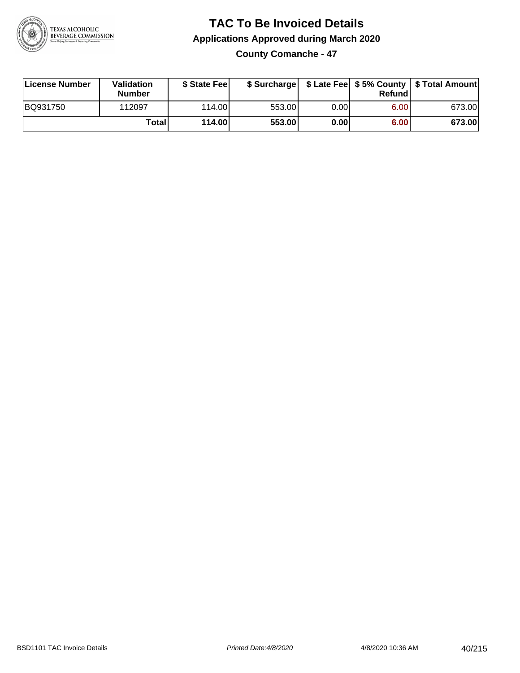

**County Comanche - 47**

| License Number | Validation<br><b>Number</b> | \$ State Feel |        |      | Refundl | \$ Surcharge   \$ Late Fee   \$5% County   \$ Total Amount |
|----------------|-----------------------------|---------------|--------|------|---------|------------------------------------------------------------|
| BQ931750       | 112097                      | 114.00        | 553.00 | 0.00 | 6.00    | 673.00                                                     |
|                | Totall                      | 114.00        | 553.00 | 0.00 | 6.00    | 673.00                                                     |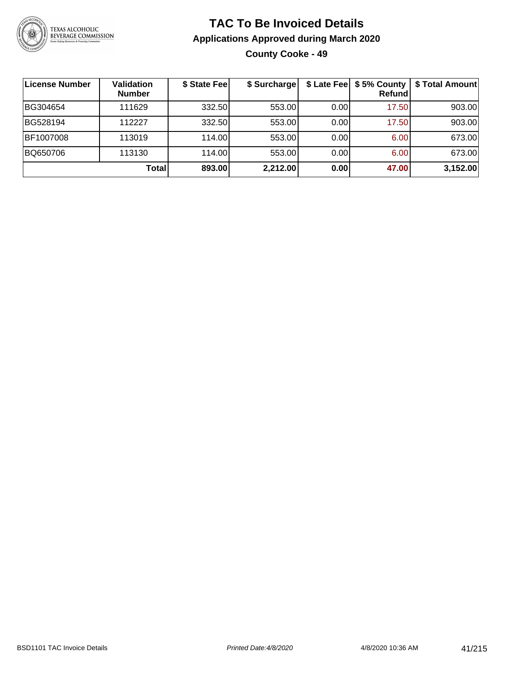

## **TAC To Be Invoiced Details Applications Approved during March 2020 County Cooke - 49**

| License Number | Validation<br><b>Number</b> | \$ State Fee | \$ Surcharge |      | \$ Late Fee   \$5% County  <br>Refundl | \$ Total Amount |
|----------------|-----------------------------|--------------|--------------|------|----------------------------------------|-----------------|
| BG304654       | 111629                      | 332.50       | 553.00       | 0.00 | 17.50                                  | 903.00          |
| BG528194       | 112227                      | 332.50       | 553.00       | 0.00 | 17.50                                  | 903.00          |
| BF1007008      | 113019                      | 114.00       | 553.00       | 0.00 | 6.00                                   | 673.00          |
| BQ650706       | 113130                      | 114.00       | 553.00       | 0.00 | 6.00                                   | 673.00          |
|                | Total                       | 893.00       | 2,212.00     | 0.00 | 47.00                                  | 3,152.00        |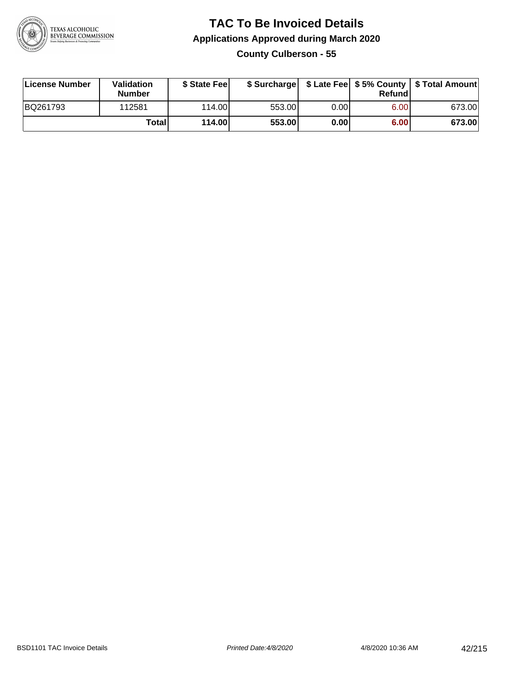

**County Culberson - 55**

| License Number | <b>Validation</b><br><b>Number</b> | \$ State Fee | \$ Surcharge |             | Refundl |        |
|----------------|------------------------------------|--------------|--------------|-------------|---------|--------|
| BQ261793       | 112581                             | 114.00       | 553.00       | $0.00\vert$ | 6.00    | 673.00 |
|                | Total                              | 114.00       | 553.00       | 0.00        | 6.00    | 673.00 |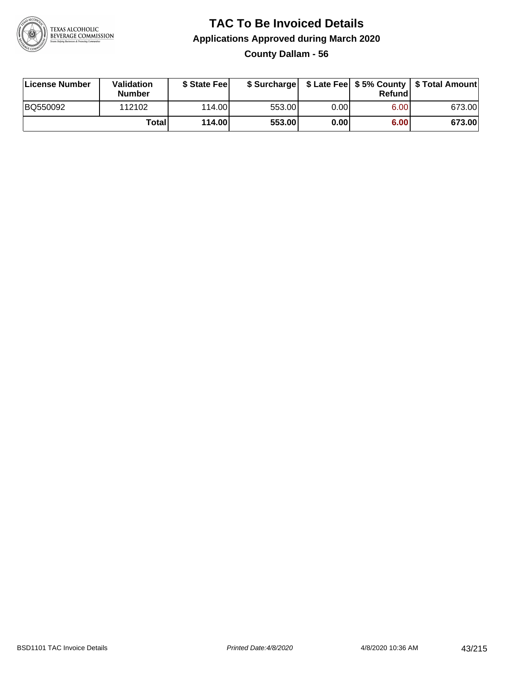

**County Dallam - 56**

| License Number | <b>Validation</b><br><b>Number</b> | \$ State Feel | \$ Surcharge |       | Refundl |        |
|----------------|------------------------------------|---------------|--------------|-------|---------|--------|
| BQ550092       | 112102                             | 114.00L       | 553.00       | 0.001 | 6.00    | 673.00 |
|                | Totall                             | 114.00        | 553.00       | 0.00  | 6.00    | 673.00 |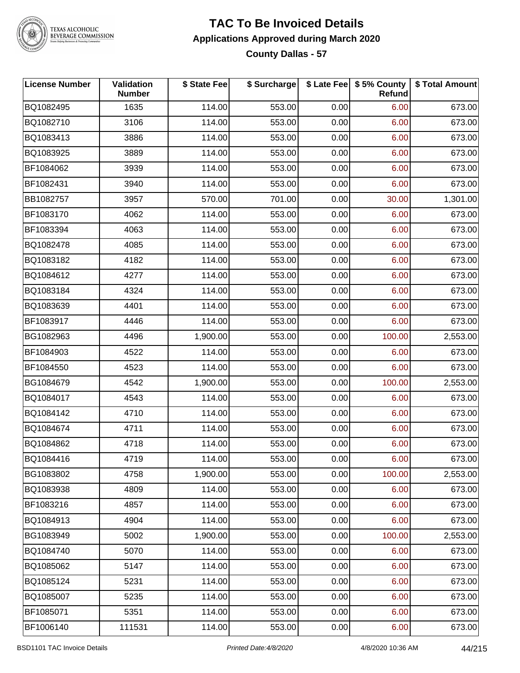

#### **TAC To Be Invoiced Details Applications Approved during March 2020 County Dallas - 57**

| <b>License Number</b> | <b>Validation</b><br><b>Number</b> | \$ State Fee | \$ Surcharge |      | \$ Late Fee   \$5% County<br>Refund | \$ Total Amount |
|-----------------------|------------------------------------|--------------|--------------|------|-------------------------------------|-----------------|
| BQ1082495             | 1635                               | 114.00       | 553.00       | 0.00 | 6.00                                | 673.00          |
| BQ1082710             | 3106                               | 114.00       | 553.00       | 0.00 | 6.00                                | 673.00          |
| BQ1083413             | 3886                               | 114.00       | 553.00       | 0.00 | 6.00                                | 673.00          |
| BQ1083925             | 3889                               | 114.00       | 553.00       | 0.00 | 6.00                                | 673.00          |
| BF1084062             | 3939                               | 114.00       | 553.00       | 0.00 | 6.00                                | 673.00          |
| BF1082431             | 3940                               | 114.00       | 553.00       | 0.00 | 6.00                                | 673.00          |
| BB1082757             | 3957                               | 570.00       | 701.00       | 0.00 | 30.00                               | 1,301.00        |
| BF1083170             | 4062                               | 114.00       | 553.00       | 0.00 | 6.00                                | 673.00          |
| BF1083394             | 4063                               | 114.00       | 553.00       | 0.00 | 6.00                                | 673.00          |
| BQ1082478             | 4085                               | 114.00       | 553.00       | 0.00 | 6.00                                | 673.00          |
| BQ1083182             | 4182                               | 114.00       | 553.00       | 0.00 | 6.00                                | 673.00          |
| BQ1084612             | 4277                               | 114.00       | 553.00       | 0.00 | 6.00                                | 673.00          |
| BQ1083184             | 4324                               | 114.00       | 553.00       | 0.00 | 6.00                                | 673.00          |
| BQ1083639             | 4401                               | 114.00       | 553.00       | 0.00 | 6.00                                | 673.00          |
| BF1083917             | 4446                               | 114.00       | 553.00       | 0.00 | 6.00                                | 673.00          |
| BG1082963             | 4496                               | 1,900.00     | 553.00       | 0.00 | 100.00                              | 2,553.00        |
| BF1084903             | 4522                               | 114.00       | 553.00       | 0.00 | 6.00                                | 673.00          |
| BF1084550             | 4523                               | 114.00       | 553.00       | 0.00 | 6.00                                | 673.00          |
| BG1084679             | 4542                               | 1,900.00     | 553.00       | 0.00 | 100.00                              | 2,553.00        |
| BQ1084017             | 4543                               | 114.00       | 553.00       | 0.00 | 6.00                                | 673.00          |
| BQ1084142             | 4710                               | 114.00       | 553.00       | 0.00 | 6.00                                | 673.00          |
| BQ1084674             | 4711                               | 114.00       | 553.00       | 0.00 | 6.00                                | 673.00          |
| BQ1084862             | 4718                               | 114.00       | 553.00       | 0.00 | 6.00                                | 673.00          |
| BQ1084416             | 4719                               | 114.00       | 553.00       | 0.00 | 6.00                                | 673.00          |
| BG1083802             | 4758                               | 1,900.00     | 553.00       | 0.00 | 100.00                              | 2,553.00        |
| BQ1083938             | 4809                               | 114.00       | 553.00       | 0.00 | 6.00                                | 673.00          |
| BF1083216             | 4857                               | 114.00       | 553.00       | 0.00 | 6.00                                | 673.00          |
| BQ1084913             | 4904                               | 114.00       | 553.00       | 0.00 | 6.00                                | 673.00          |
| BG1083949             | 5002                               | 1,900.00     | 553.00       | 0.00 | 100.00                              | 2,553.00        |
| BQ1084740             | 5070                               | 114.00       | 553.00       | 0.00 | 6.00                                | 673.00          |
| BQ1085062             | 5147                               | 114.00       | 553.00       | 0.00 | 6.00                                | 673.00          |
| BQ1085124             | 5231                               | 114.00       | 553.00       | 0.00 | 6.00                                | 673.00          |
| BQ1085007             | 5235                               | 114.00       | 553.00       | 0.00 | 6.00                                | 673.00          |
| BF1085071             | 5351                               | 114.00       | 553.00       | 0.00 | 6.00                                | 673.00          |
| BF1006140             | 111531                             | 114.00       | 553.00       | 0.00 | 6.00                                | 673.00          |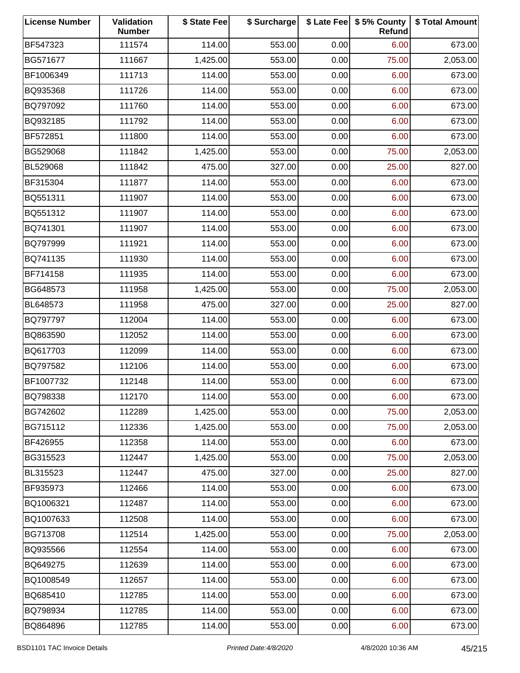| <b>License Number</b> | Validation<br><b>Number</b> | \$ State Fee | \$ Surcharge |      | \$ Late Fee   \$5% County<br>Refund | \$ Total Amount |
|-----------------------|-----------------------------|--------------|--------------|------|-------------------------------------|-----------------|
| BF547323              | 111574                      | 114.00       | 553.00       | 0.00 | 6.00                                | 673.00          |
| BG571677              | 111667                      | 1,425.00     | 553.00       | 0.00 | 75.00                               | 2,053.00        |
| BF1006349             | 111713                      | 114.00       | 553.00       | 0.00 | 6.00                                | 673.00          |
| BQ935368              | 111726                      | 114.00       | 553.00       | 0.00 | 6.00                                | 673.00          |
| BQ797092              | 111760                      | 114.00       | 553.00       | 0.00 | 6.00                                | 673.00          |
| BQ932185              | 111792                      | 114.00       | 553.00       | 0.00 | 6.00                                | 673.00          |
| BF572851              | 111800                      | 114.00       | 553.00       | 0.00 | 6.00                                | 673.00          |
| BG529068              | 111842                      | 1,425.00     | 553.00       | 0.00 | 75.00                               | 2,053.00        |
| BL529068              | 111842                      | 475.00       | 327.00       | 0.00 | 25.00                               | 827.00          |
| BF315304              | 111877                      | 114.00       | 553.00       | 0.00 | 6.00                                | 673.00          |
| BQ551311              | 111907                      | 114.00       | 553.00       | 0.00 | 6.00                                | 673.00          |
| BQ551312              | 111907                      | 114.00       | 553.00       | 0.00 | 6.00                                | 673.00          |
| BQ741301              | 111907                      | 114.00       | 553.00       | 0.00 | 6.00                                | 673.00          |
| BQ797999              | 111921                      | 114.00       | 553.00       | 0.00 | 6.00                                | 673.00          |
| BQ741135              | 111930                      | 114.00       | 553.00       | 0.00 | 6.00                                | 673.00          |
| BF714158              | 111935                      | 114.00       | 553.00       | 0.00 | 6.00                                | 673.00          |
| BG648573              | 111958                      | 1,425.00     | 553.00       | 0.00 | 75.00                               | 2,053.00        |
| BL648573              | 111958                      | 475.00       | 327.00       | 0.00 | 25.00                               | 827.00          |
| BQ797797              | 112004                      | 114.00       | 553.00       | 0.00 | 6.00                                | 673.00          |
| BQ863590              | 112052                      | 114.00       | 553.00       | 0.00 | 6.00                                | 673.00          |
| BQ617703              | 112099                      | 114.00       | 553.00       | 0.00 | 6.00                                | 673.00          |
| BQ797582              | 112106                      | 114.00       | 553.00       | 0.00 | 6.00                                | 673.00          |
| BF1007732             | 112148                      | 114.00       | 553.00       | 0.00 | 6.00                                | 673.00          |
| BQ798338              | 112170                      | 114.00       | 553.00       | 0.00 | 6.00                                | 673.00          |
| BG742602              | 112289                      | 1,425.00     | 553.00       | 0.00 | 75.00                               | 2,053.00        |
| BG715112              | 112336                      | 1,425.00     | 553.00       | 0.00 | 75.00                               | 2,053.00        |
| BF426955              | 112358                      | 114.00       | 553.00       | 0.00 | 6.00                                | 673.00          |
| BG315523              | 112447                      | 1,425.00     | 553.00       | 0.00 | 75.00                               | 2,053.00        |
| BL315523              | 112447                      | 475.00       | 327.00       | 0.00 | 25.00                               | 827.00          |
| BF935973              | 112466                      | 114.00       | 553.00       | 0.00 | 6.00                                | 673.00          |
| BQ1006321             | 112487                      | 114.00       | 553.00       | 0.00 | 6.00                                | 673.00          |
| BQ1007633             | 112508                      | 114.00       | 553.00       | 0.00 | 6.00                                | 673.00          |
| BG713708              | 112514                      | 1,425.00     | 553.00       | 0.00 | 75.00                               | 2,053.00        |
| BQ935566              | 112554                      | 114.00       | 553.00       | 0.00 | 6.00                                | 673.00          |
| BQ649275              | 112639                      | 114.00       | 553.00       | 0.00 | 6.00                                | 673.00          |
| BQ1008549             | 112657                      | 114.00       | 553.00       | 0.00 | 6.00                                | 673.00          |
| BQ685410              | 112785                      | 114.00       | 553.00       | 0.00 | 6.00                                | 673.00          |
| BQ798934              | 112785                      | 114.00       | 553.00       | 0.00 | 6.00                                | 673.00          |
| BQ864896              | 112785                      | 114.00       | 553.00       | 0.00 | 6.00                                | 673.00          |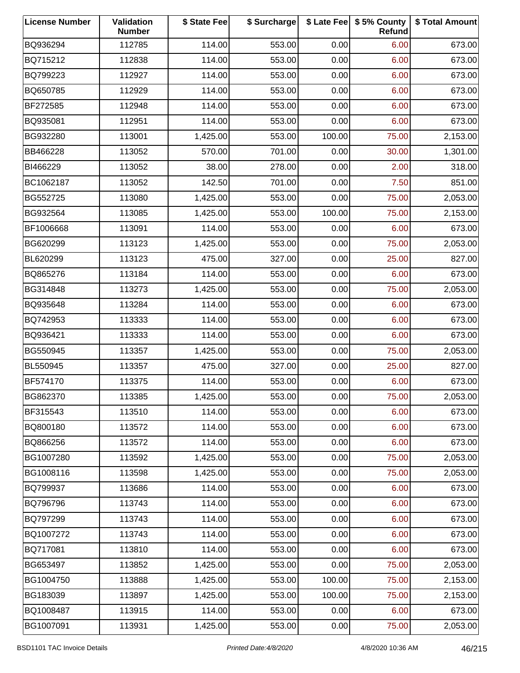| <b>License Number</b> | Validation<br><b>Number</b> | \$ State Fee | \$ Surcharge |        | \$ Late Fee   \$5% County<br>Refund | \$ Total Amount |
|-----------------------|-----------------------------|--------------|--------------|--------|-------------------------------------|-----------------|
| BQ936294              | 112785                      | 114.00       | 553.00       | 0.00   | 6.00                                | 673.00          |
| BQ715212              | 112838                      | 114.00       | 553.00       | 0.00   | 6.00                                | 673.00          |
| BQ799223              | 112927                      | 114.00       | 553.00       | 0.00   | 6.00                                | 673.00          |
| BQ650785              | 112929                      | 114.00       | 553.00       | 0.00   | 6.00                                | 673.00          |
| BF272585              | 112948                      | 114.00       | 553.00       | 0.00   | 6.00                                | 673.00          |
| BQ935081              | 112951                      | 114.00       | 553.00       | 0.00   | 6.00                                | 673.00          |
| BG932280              | 113001                      | 1,425.00     | 553.00       | 100.00 | 75.00                               | 2,153.00        |
| BB466228              | 113052                      | 570.00       | 701.00       | 0.00   | 30.00                               | 1,301.00        |
| BI466229              | 113052                      | 38.00        | 278.00       | 0.00   | 2.00                                | 318.00          |
| BC1062187             | 113052                      | 142.50       | 701.00       | 0.00   | 7.50                                | 851.00          |
| BG552725              | 113080                      | 1,425.00     | 553.00       | 0.00   | 75.00                               | 2,053.00        |
| BG932564              | 113085                      | 1,425.00     | 553.00       | 100.00 | 75.00                               | 2,153.00        |
| BF1006668             | 113091                      | 114.00       | 553.00       | 0.00   | 6.00                                | 673.00          |
| BG620299              | 113123                      | 1,425.00     | 553.00       | 0.00   | 75.00                               | 2,053.00        |
| BL620299              | 113123                      | 475.00       | 327.00       | 0.00   | 25.00                               | 827.00          |
| BQ865276              | 113184                      | 114.00       | 553.00       | 0.00   | 6.00                                | 673.00          |
| BG314848              | 113273                      | 1,425.00     | 553.00       | 0.00   | 75.00                               | 2,053.00        |
| BQ935648              | 113284                      | 114.00       | 553.00       | 0.00   | 6.00                                | 673.00          |
| BQ742953              | 113333                      | 114.00       | 553.00       | 0.00   | 6.00                                | 673.00          |
| BQ936421              | 113333                      | 114.00       | 553.00       | 0.00   | 6.00                                | 673.00          |
| BG550945              | 113357                      | 1,425.00     | 553.00       | 0.00   | 75.00                               | 2,053.00        |
| BL550945              | 113357                      | 475.00       | 327.00       | 0.00   | 25.00                               | 827.00          |
| BF574170              | 113375                      | 114.00       | 553.00       | 0.00   | 6.00                                | 673.00          |
| BG862370              | 113385                      | 1,425.00     | 553.00       | 0.00   | 75.00                               | 2,053.00        |
| BF315543              | 113510                      | 114.00       | 553.00       | 0.00   | 6.00                                | 673.00          |
| BQ800180              | 113572                      | 114.00       | 553.00       | 0.00   | 6.00                                | 673.00          |
| BQ866256              | 113572                      | 114.00       | 553.00       | 0.00   | 6.00                                | 673.00          |
| BG1007280             | 113592                      | 1,425.00     | 553.00       | 0.00   | 75.00                               | 2,053.00        |
| BG1008116             | 113598                      | 1,425.00     | 553.00       | 0.00   | 75.00                               | 2,053.00        |
| BQ799937              | 113686                      | 114.00       | 553.00       | 0.00   | 6.00                                | 673.00          |
| BQ796796              | 113743                      | 114.00       | 553.00       | 0.00   | 6.00                                | 673.00          |
| BQ797299              | 113743                      | 114.00       | 553.00       | 0.00   | 6.00                                | 673.00          |
| BQ1007272             | 113743                      | 114.00       | 553.00       | 0.00   | 6.00                                | 673.00          |
| BQ717081              | 113810                      | 114.00       | 553.00       | 0.00   | 6.00                                | 673.00          |
| BG653497              | 113852                      | 1,425.00     | 553.00       | 0.00   | 75.00                               | 2,053.00        |
| BG1004750             | 113888                      | 1,425.00     | 553.00       | 100.00 | 75.00                               | 2,153.00        |
| BG183039              | 113897                      | 1,425.00     | 553.00       | 100.00 | 75.00                               | 2,153.00        |
| BQ1008487             | 113915                      | 114.00       | 553.00       | 0.00   | 6.00                                | 673.00          |
| BG1007091             | 113931                      | 1,425.00     | 553.00       | 0.00   | 75.00                               | 2,053.00        |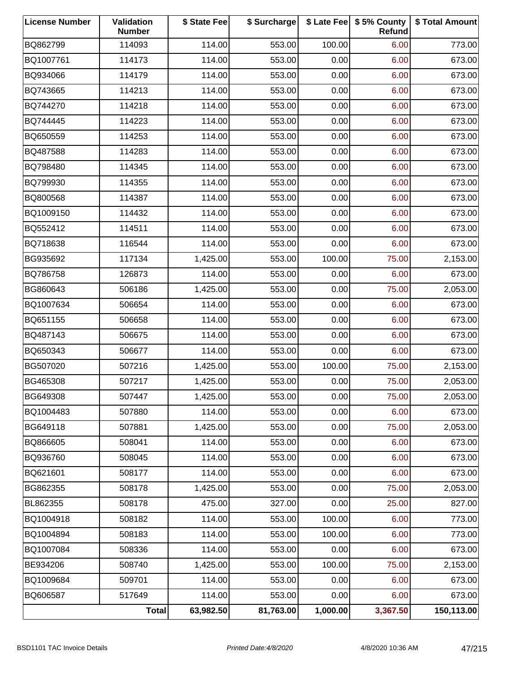| <b>License Number</b> | Validation<br><b>Number</b> | \$ State Fee | \$ Surcharge |          | \$ Late Fee   \$5% County<br>Refund | \$ Total Amount |
|-----------------------|-----------------------------|--------------|--------------|----------|-------------------------------------|-----------------|
| BQ862799              | 114093                      | 114.00       | 553.00       | 100.00   | 6.00                                | 773.00          |
| BQ1007761             | 114173                      | 114.00       | 553.00       | 0.00     | 6.00                                | 673.00          |
| BQ934066              | 114179                      | 114.00       | 553.00       | 0.00     | 6.00                                | 673.00          |
| BQ743665              | 114213                      | 114.00       | 553.00       | 0.00     | 6.00                                | 673.00          |
| BQ744270              | 114218                      | 114.00       | 553.00       | 0.00     | 6.00                                | 673.00          |
| BQ744445              | 114223                      | 114.00       | 553.00       | 0.00     | 6.00                                | 673.00          |
| BQ650559              | 114253                      | 114.00       | 553.00       | 0.00     | 6.00                                | 673.00          |
| BQ487588              | 114283                      | 114.00       | 553.00       | 0.00     | 6.00                                | 673.00          |
| BQ798480              | 114345                      | 114.00       | 553.00       | 0.00     | 6.00                                | 673.00          |
| BQ799930              | 114355                      | 114.00       | 553.00       | 0.00     | 6.00                                | 673.00          |
| BQ800568              | 114387                      | 114.00       | 553.00       | 0.00     | 6.00                                | 673.00          |
| BQ1009150             | 114432                      | 114.00       | 553.00       | 0.00     | 6.00                                | 673.00          |
| BQ552412              | 114511                      | 114.00       | 553.00       | 0.00     | 6.00                                | 673.00          |
| BQ718638              | 116544                      | 114.00       | 553.00       | 0.00     | 6.00                                | 673.00          |
| BG935692              | 117134                      | 1,425.00     | 553.00       | 100.00   | 75.00                               | 2,153.00        |
| BQ786758              | 126873                      | 114.00       | 553.00       | 0.00     | 6.00                                | 673.00          |
| BG860643              | 506186                      | 1,425.00     | 553.00       | 0.00     | 75.00                               | 2,053.00        |
| BQ1007634             | 506654                      | 114.00       | 553.00       | 0.00     | 6.00                                | 673.00          |
| BQ651155              | 506658                      | 114.00       | 553.00       | 0.00     | 6.00                                | 673.00          |
| BQ487143              | 506675                      | 114.00       | 553.00       | 0.00     | 6.00                                | 673.00          |
| BQ650343              | 506677                      | 114.00       | 553.00       | 0.00     | 6.00                                | 673.00          |
| BG507020              | 507216                      | 1,425.00     | 553.00       | 100.00   | 75.00                               | 2,153.00        |
| BG465308              | 507217                      | 1,425.00     | 553.00       | 0.00     | 75.00                               | 2,053.00        |
| BG649308              | 507447                      | 1,425.00     | 553.00       | 0.00     | 75.00                               | 2,053.00        |
| BQ1004483             | 507880                      | 114.00       | 553.00       | 0.00     | 6.00                                | 673.00          |
| BG649118              | 507881                      | 1,425.00     | 553.00       | 0.00     | 75.00                               | 2,053.00        |
| BQ866605              | 508041                      | 114.00       | 553.00       | 0.00     | 6.00                                | 673.00          |
| BQ936760              | 508045                      | 114.00       | 553.00       | 0.00     | 6.00                                | 673.00          |
| BQ621601              | 508177                      | 114.00       | 553.00       | 0.00     | 6.00                                | 673.00          |
| BG862355              | 508178                      | 1,425.00     | 553.00       | 0.00     | 75.00                               | 2,053.00        |
| BL862355              | 508178                      | 475.00       | 327.00       | 0.00     | 25.00                               | 827.00          |
| BQ1004918             | 508182                      | 114.00       | 553.00       | 100.00   | 6.00                                | 773.00          |
| BQ1004894             | 508183                      | 114.00       | 553.00       | 100.00   | 6.00                                | 773.00          |
| BQ1007084             | 508336                      | 114.00       | 553.00       | 0.00     | 6.00                                | 673.00          |
| BE934206              | 508740                      | 1,425.00     | 553.00       | 100.00   | 75.00                               | 2,153.00        |
| BQ1009684             | 509701                      | 114.00       | 553.00       | 0.00     | 6.00                                | 673.00          |
| BQ606587              | 517649                      | 114.00       | 553.00       | 0.00     | 6.00                                | 673.00          |
|                       | <b>Total</b>                | 63,982.50    | 81,763.00    | 1,000.00 | 3,367.50                            | 150,113.00      |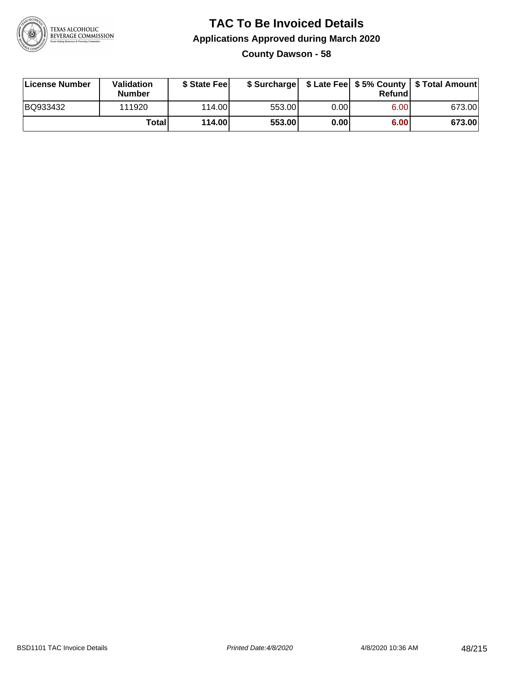

## **TAC To Be Invoiced Details Applications Approved during March 2020 County Dawson - 58**

| License Number | Validation<br><b>Number</b> | \$ State Feel |        |      | Refund | \$ Surcharge   \$ Late Fee   \$5% County   \$ Total Amount |
|----------------|-----------------------------|---------------|--------|------|--------|------------------------------------------------------------|
| BQ933432       | 111920                      | 114.00L       | 553.00 | 0.00 | 6.00   | 673.00                                                     |
|                | Totall                      | 114.00        | 553.00 | 0.00 | 6.00   | 673.00                                                     |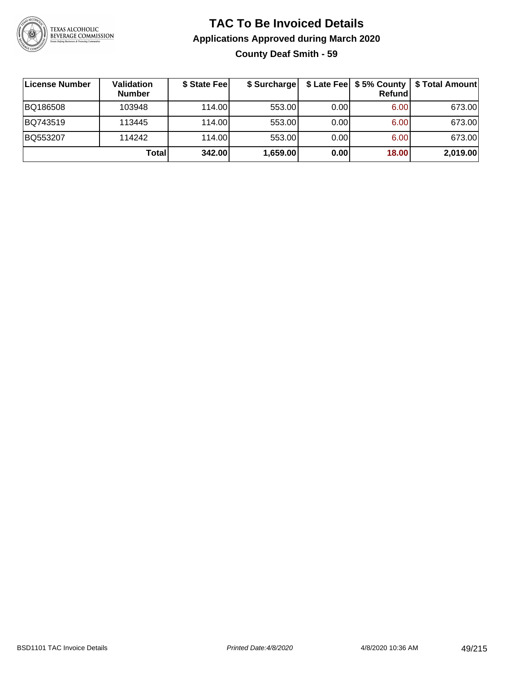

## **TAC To Be Invoiced Details Applications Approved during March 2020 County Deaf Smith - 59**

| License Number | Validation<br><b>Number</b> | \$ State Fee | \$ Surcharge |      | Refund | \$ Late Fee   \$5% County   \$ Total Amount |
|----------------|-----------------------------|--------------|--------------|------|--------|---------------------------------------------|
| BQ186508       | 103948                      | 114.00       | 553.00       | 0.00 | 6.00   | 673.00                                      |
| BQ743519       | 113445                      | 114.00       | 553.00       | 0.00 | 6.00   | 673.00                                      |
| BQ553207       | 114242                      | 114.00       | 553.00       | 0.00 | 6.00   | 673.00                                      |
|                | Total                       | 342.00       | 1,659.00     | 0.00 | 18.00  | 2,019.00                                    |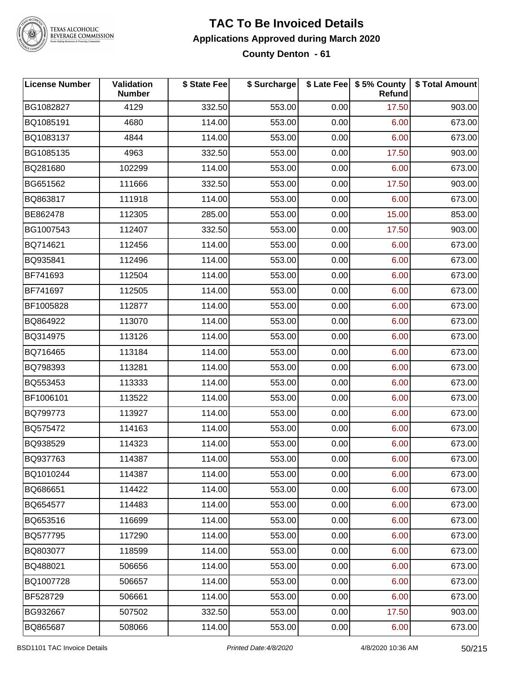

#### **TAC To Be Invoiced Details Applications Approved during March 2020 County Denton - 61**

| License Number | Validation<br><b>Number</b> | \$ State Fee | \$ Surcharge |      | \$ Late Fee   \$5% County<br>Refund | \$ Total Amount |
|----------------|-----------------------------|--------------|--------------|------|-------------------------------------|-----------------|
| BG1082827      | 4129                        | 332.50       | 553.00       | 0.00 | 17.50                               | 903.00          |
| BQ1085191      | 4680                        | 114.00       | 553.00       | 0.00 | 6.00                                | 673.00          |
| BQ1083137      | 4844                        | 114.00       | 553.00       | 0.00 | 6.00                                | 673.00          |
| BG1085135      | 4963                        | 332.50       | 553.00       | 0.00 | 17.50                               | 903.00          |
| BQ281680       | 102299                      | 114.00       | 553.00       | 0.00 | 6.00                                | 673.00          |
| BG651562       | 111666                      | 332.50       | 553.00       | 0.00 | 17.50                               | 903.00          |
| BQ863817       | 111918                      | 114.00       | 553.00       | 0.00 | 6.00                                | 673.00          |
| BE862478       | 112305                      | 285.00       | 553.00       | 0.00 | 15.00                               | 853.00          |
| BG1007543      | 112407                      | 332.50       | 553.00       | 0.00 | 17.50                               | 903.00          |
| BQ714621       | 112456                      | 114.00       | 553.00       | 0.00 | 6.00                                | 673.00          |
| BQ935841       | 112496                      | 114.00       | 553.00       | 0.00 | 6.00                                | 673.00          |
| BF741693       | 112504                      | 114.00       | 553.00       | 0.00 | 6.00                                | 673.00          |
| BF741697       | 112505                      | 114.00       | 553.00       | 0.00 | 6.00                                | 673.00          |
| BF1005828      | 112877                      | 114.00       | 553.00       | 0.00 | 6.00                                | 673.00          |
| BQ864922       | 113070                      | 114.00       | 553.00       | 0.00 | 6.00                                | 673.00          |
| BQ314975       | 113126                      | 114.00       | 553.00       | 0.00 | 6.00                                | 673.00          |
| BQ716465       | 113184                      | 114.00       | 553.00       | 0.00 | 6.00                                | 673.00          |
| BQ798393       | 113281                      | 114.00       | 553.00       | 0.00 | 6.00                                | 673.00          |
| BQ553453       | 113333                      | 114.00       | 553.00       | 0.00 | 6.00                                | 673.00          |
| BF1006101      | 113522                      | 114.00       | 553.00       | 0.00 | 6.00                                | 673.00          |
| BQ799773       | 113927                      | 114.00       | 553.00       | 0.00 | 6.00                                | 673.00          |
| BQ575472       | 114163                      | 114.00       | 553.00       | 0.00 | 6.00                                | 673.00          |
| BQ938529       | 114323                      | 114.00       | 553.00       | 0.00 | 6.00                                | 673.00          |
| BQ937763       | 114387                      | 114.00       | 553.00       | 0.00 | 6.00                                | 673.00          |
| BQ1010244      | 114387                      | 114.00       | 553.00       | 0.00 | 6.00                                | 673.00          |
| BQ686651       | 114422                      | 114.00       | 553.00       | 0.00 | 6.00                                | 673.00          |
| BQ654577       | 114483                      | 114.00       | 553.00       | 0.00 | 6.00                                | 673.00          |
| BQ653516       | 116699                      | 114.00       | 553.00       | 0.00 | 6.00                                | 673.00          |
| BQ577795       | 117290                      | 114.00       | 553.00       | 0.00 | 6.00                                | 673.00          |
| BQ803077       | 118599                      | 114.00       | 553.00       | 0.00 | 6.00                                | 673.00          |
| BQ488021       | 506656                      | 114.00       | 553.00       | 0.00 | 6.00                                | 673.00          |
| BQ1007728      | 506657                      | 114.00       | 553.00       | 0.00 | 6.00                                | 673.00          |
| BF528729       | 506661                      | 114.00       | 553.00       | 0.00 | 6.00                                | 673.00          |
| BG932667       | 507502                      | 332.50       | 553.00       | 0.00 | 17.50                               | 903.00          |
| BQ865687       | 508066                      | 114.00       | 553.00       | 0.00 | 6.00                                | 673.00          |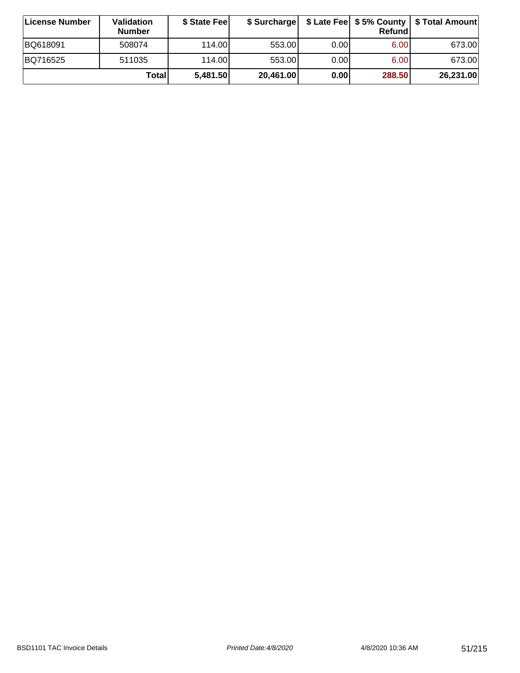| ∣License Number | <b>Validation</b><br><b>Number</b> | \$ State Feel | \$ Surcharge |       | Refundl | \$ Late Fee   \$5% County   \$ Total Amount |
|-----------------|------------------------------------|---------------|--------------|-------|---------|---------------------------------------------|
| BQ618091        | 508074                             | 114.00        | 553.00       | 0.00  | 6.00    | 673.00                                      |
| BQ716525        | 511035                             | 114.00        | 553.00       | 0.001 | 6.00    | 673.00                                      |
|                 | Totall                             | 5,481.50      | 20,461.00    | 0.00  | 288.50  | 26,231.00                                   |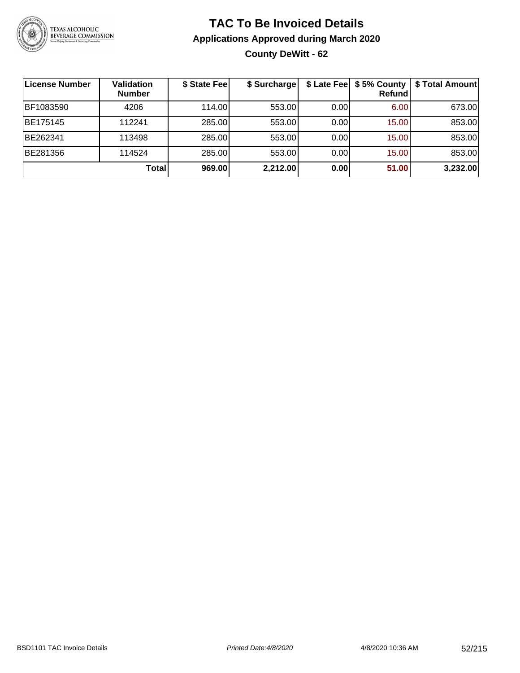

## **TAC To Be Invoiced Details Applications Approved during March 2020 County DeWitt - 62**

| License Number | Validation<br><b>Number</b> | \$ State Fee | \$ Surcharge |      | <b>Refund</b> | \$ Late Fee   \$5% County   \$ Total Amount |
|----------------|-----------------------------|--------------|--------------|------|---------------|---------------------------------------------|
| BF1083590      | 4206                        | 114.00       | 553.00       | 0.00 | 6.00          | 673.00                                      |
| BE175145       | 112241                      | 285.00       | 553.00       | 0.00 | 15.00         | 853.00                                      |
| BE262341       | 113498                      | 285.00       | 553.00       | 0.00 | 15.00         | 853.00                                      |
| BE281356       | 114524                      | 285.00       | 553.00       | 0.00 | 15.00         | 853.00                                      |
|                | Total                       | 969.00       | 2,212.00     | 0.00 | 51.00         | 3,232.00                                    |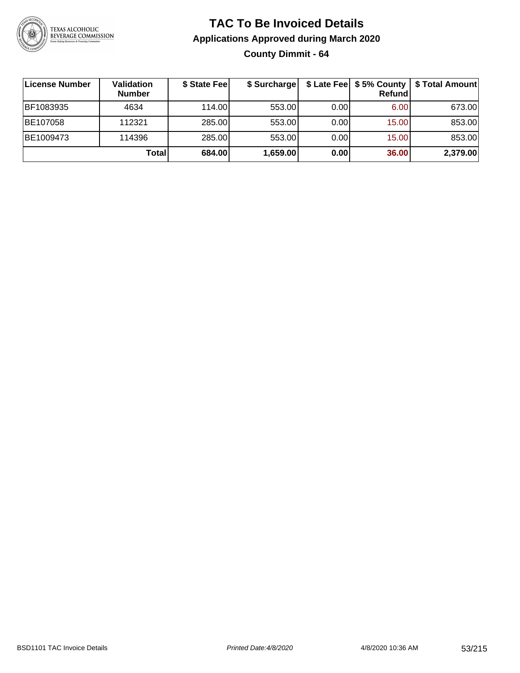

**County Dimmit - 64**

| License Number | Validation<br><b>Number</b> | \$ State Fee |          |       | Refundl | \$ Surcharge   \$ Late Fee   \$5% County   \$ Total Amount |
|----------------|-----------------------------|--------------|----------|-------|---------|------------------------------------------------------------|
| BF1083935      | 4634                        | 114.00       | 553.00   | 0.001 | 6.00    | 673.00                                                     |
| BE107058       | 112321                      | 285.00       | 553.00   | 0.00  | 15.00   | 853.00                                                     |
| BE1009473      | 114396                      | 285.00       | 553.00   | 0.001 | 15.00   | 853.00                                                     |
|                | Total                       | 684.00       | 1,659.00 | 0.00  | 36.00   | 2,379.00                                                   |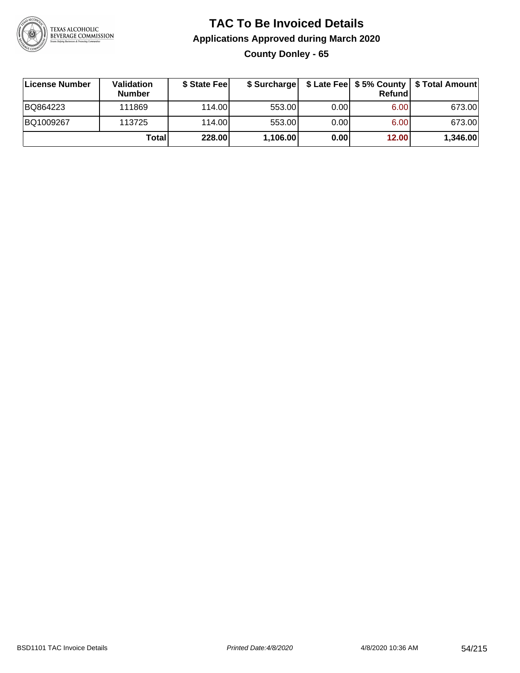

## **TAC To Be Invoiced Details Applications Approved during March 2020 County Donley - 65**

| <b>License Number</b> | Validation<br><b>Number</b> | \$ State Feel | \$ Surcharge |      | Refund | \$ Late Fee   \$5% County   \$ Total Amount |
|-----------------------|-----------------------------|---------------|--------------|------|--------|---------------------------------------------|
| BQ864223              | 111869                      | 114.00L       | 553.00       | 0.00 | 6.00   | 673.00                                      |
| BQ1009267             | 113725                      | 114.00        | 553.00       | 0.00 | 6.00   | 673.00                                      |
|                       | Total                       | 228.00        | 1,106.00     | 0.00 | 12.00  | 1,346.00                                    |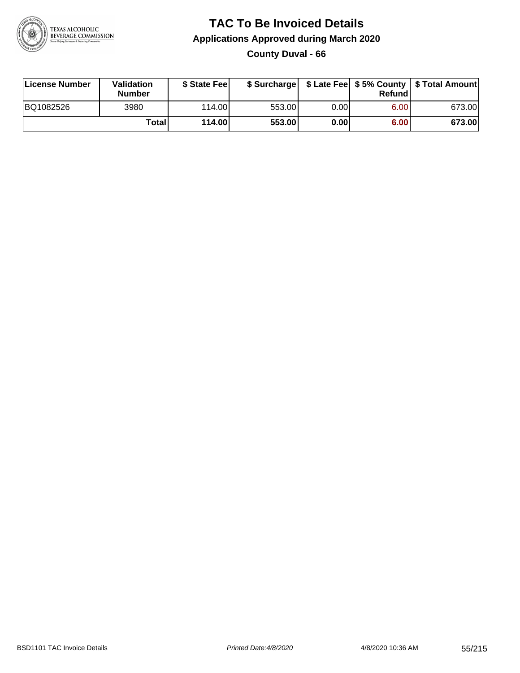

## **TAC To Be Invoiced Details Applications Approved during March 2020 County Duval - 66**

| License Number | Validation<br><b>Number</b> | \$ State Fee |        |       | Refundl | \$ Surcharge   \$ Late Fee   \$5% County   \$ Total Amount |
|----------------|-----------------------------|--------------|--------|-------|---------|------------------------------------------------------------|
| BQ1082526      | 3980                        | 114.00L      | 553.00 | 0.001 | 6.00    | 673.00                                                     |
|                | <b>Total</b>                | 114.00       | 553.00 | 0.00  | 6.00    | 673.00                                                     |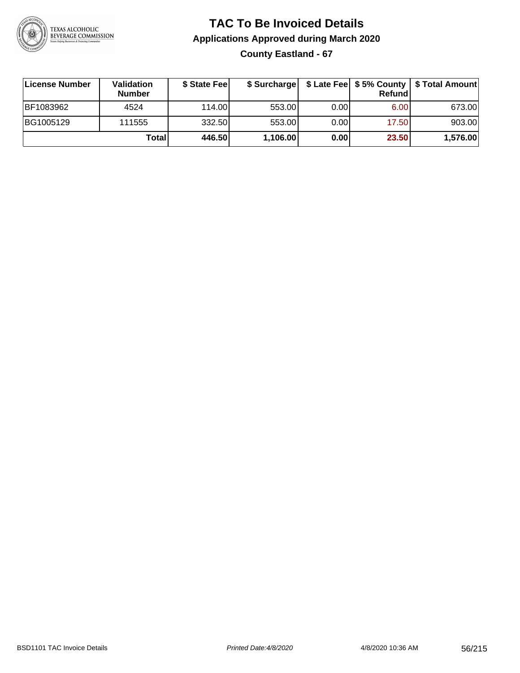

## **TAC To Be Invoiced Details Applications Approved during March 2020 County Eastland - 67**

| ∣License Number | Validation<br><b>Number</b> | \$ State Feel | \$ Surcharge |      | Refundl | \$ Late Fee   \$5% County   \$ Total Amount |
|-----------------|-----------------------------|---------------|--------------|------|---------|---------------------------------------------|
| BF1083962       | 4524                        | 114.00        | 553.00       | 0.00 | 6.00    | 673.00                                      |
| BG1005129       | 111555                      | 332.50        | 553.00       | 0.00 | 17.50   | 903.00                                      |
|                 | Totall                      | 446.50        | 1,106.00     | 0.00 | 23.50   | 1,576.00                                    |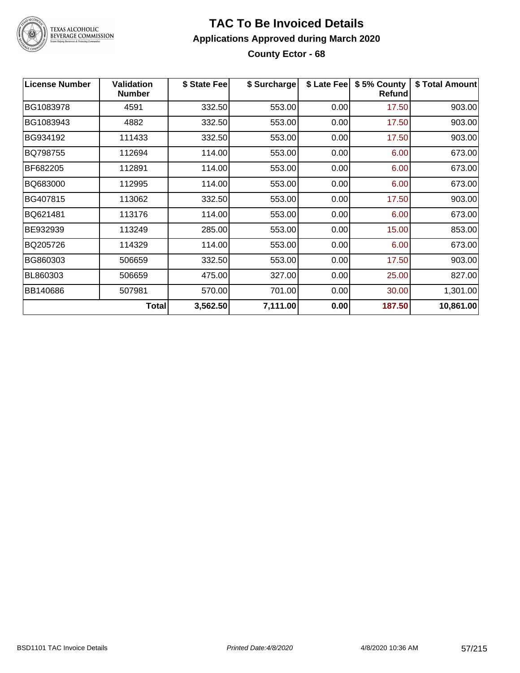

#### **TAC To Be Invoiced Details Applications Approved during March 2020 County Ector - 68**

| <b>License Number</b> | <b>Validation</b><br><b>Number</b> | \$ State Fee | \$ Surcharge | \$ Late Fee | \$5% County<br><b>Refund</b> | \$ Total Amount |
|-----------------------|------------------------------------|--------------|--------------|-------------|------------------------------|-----------------|
| BG1083978             | 4591                               | 332.50       | 553.00       | 0.00        | 17.50                        | 903.00          |
| BG1083943             | 4882                               | 332.50       | 553.00       | 0.00        | 17.50                        | 903.00          |
| BG934192              | 111433                             | 332.50       | 553.00       | 0.00        | 17.50                        | 903.00          |
| BQ798755              | 112694                             | 114.00       | 553.00       | 0.00        | 6.00                         | 673.00          |
| BF682205              | 112891                             | 114.00       | 553.00       | 0.00        | 6.00                         | 673.00          |
| BQ683000              | 112995                             | 114.00       | 553.00       | 0.00        | 6.00                         | 673.00          |
| BG407815              | 113062                             | 332.50       | 553.00       | 0.00        | 17.50                        | 903.00          |
| BQ621481              | 113176                             | 114.00       | 553.00       | 0.00        | 6.00                         | 673.00          |
| BE932939              | 113249                             | 285.00       | 553.00       | 0.00        | 15.00                        | 853.00          |
| BQ205726              | 114329                             | 114.00       | 553.00       | 0.00        | 6.00                         | 673.00          |
| BG860303              | 506659                             | 332.50       | 553.00       | 0.00        | 17.50                        | 903.00          |
| BL860303              | 506659                             | 475.00       | 327.00       | 0.00        | 25.00                        | 827.00          |
| BB140686              | 507981                             | 570.00       | 701.00       | 0.00        | 30.00                        | 1,301.00        |
|                       | Total                              | 3,562.50     | 7,111.00     | 0.00        | 187.50                       | 10,861.00       |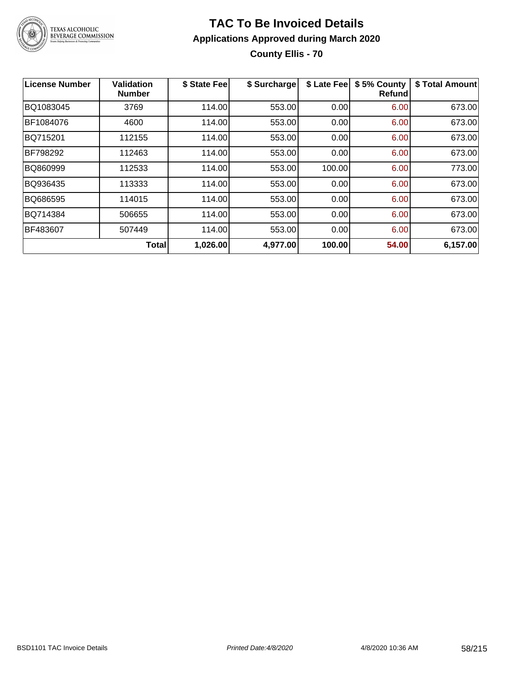

## **TAC To Be Invoiced Details Applications Approved during March 2020 County Ellis - 70**

| <b>License Number</b> | Validation<br><b>Number</b> | \$ State Fee | \$ Surcharge | \$ Late Fee | \$5% County<br><b>Refund</b> | \$ Total Amount |
|-----------------------|-----------------------------|--------------|--------------|-------------|------------------------------|-----------------|
| BQ1083045             | 3769                        | 114.00       | 553.00       | 0.00        | 6.00                         | 673.00          |
| BF1084076             | 4600                        | 114.00       | 553.00       | 0.00        | 6.00                         | 673.00          |
| BQ715201              | 112155                      | 114.00       | 553.00       | 0.00        | 6.00                         | 673.00          |
| <b>BF798292</b>       | 112463                      | 114.00       | 553.00       | 0.00        | 6.00                         | 673.00          |
| BQ860999              | 112533                      | 114.00       | 553.00       | 100.00      | 6.00                         | 773.00          |
| BQ936435              | 113333                      | 114.00       | 553.00       | 0.00        | 6.00                         | 673.00          |
| BQ686595              | 114015                      | 114.00       | 553.00       | 0.00        | 6.00                         | 673.00          |
| BQ714384              | 506655                      | 114.00       | 553.00       | 0.00        | 6.00                         | 673.00          |
| BF483607              | 507449                      | 114.00       | 553.00       | 0.00        | 6.00                         | 673.00          |
|                       | <b>Total</b>                | 1,026.00     | 4,977.00     | 100.00      | 54.00                        | 6,157.00        |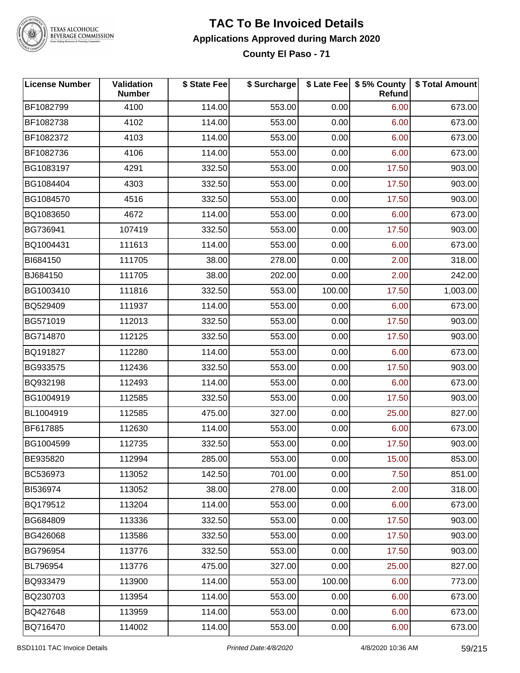

## **TAC To Be Invoiced Details Applications Approved during March 2020**

**County El Paso - 71**

| <b>License Number</b> | Validation<br><b>Number</b> | \$ State Fee | \$ Surcharge |        | \$ Late Fee   \$5% County<br>Refund | \$ Total Amount |
|-----------------------|-----------------------------|--------------|--------------|--------|-------------------------------------|-----------------|
| BF1082799             | 4100                        | 114.00       | 553.00       | 0.00   | 6.00                                | 673.00          |
| BF1082738             | 4102                        | 114.00       | 553.00       | 0.00   | 6.00                                | 673.00          |
| BF1082372             | 4103                        | 114.00       | 553.00       | 0.00   | 6.00                                | 673.00          |
| BF1082736             | 4106                        | 114.00       | 553.00       | 0.00   | 6.00                                | 673.00          |
| BG1083197             | 4291                        | 332.50       | 553.00       | 0.00   | 17.50                               | 903.00          |
| BG1084404             | 4303                        | 332.50       | 553.00       | 0.00   | 17.50                               | 903.00          |
| BG1084570             | 4516                        | 332.50       | 553.00       | 0.00   | 17.50                               | 903.00          |
| BQ1083650             | 4672                        | 114.00       | 553.00       | 0.00   | 6.00                                | 673.00          |
| BG736941              | 107419                      | 332.50       | 553.00       | 0.00   | 17.50                               | 903.00          |
| BQ1004431             | 111613                      | 114.00       | 553.00       | 0.00   | 6.00                                | 673.00          |
| BI684150              | 111705                      | 38.00        | 278.00       | 0.00   | 2.00                                | 318.00          |
| BJ684150              | 111705                      | 38.00        | 202.00       | 0.00   | 2.00                                | 242.00          |
| BG1003410             | 111816                      | 332.50       | 553.00       | 100.00 | 17.50                               | 1,003.00        |
| BQ529409              | 111937                      | 114.00       | 553.00       | 0.00   | 6.00                                | 673.00          |
| BG571019              | 112013                      | 332.50       | 553.00       | 0.00   | 17.50                               | 903.00          |
| BG714870              | 112125                      | 332.50       | 553.00       | 0.00   | 17.50                               | 903.00          |
| BQ191827              | 112280                      | 114.00       | 553.00       | 0.00   | 6.00                                | 673.00          |
| BG933575              | 112436                      | 332.50       | 553.00       | 0.00   | 17.50                               | 903.00          |
| BQ932198              | 112493                      | 114.00       | 553.00       | 0.00   | 6.00                                | 673.00          |
| BG1004919             | 112585                      | 332.50       | 553.00       | 0.00   | 17.50                               | 903.00          |
| BL1004919             | 112585                      | 475.00       | 327.00       | 0.00   | 25.00                               | 827.00          |
| BF617885              | 112630                      | 114.00       | 553.00       | 0.00   | 6.00                                | 673.00          |
| BG1004599             | 112735                      | 332.50       | 553.00       | 0.00   | 17.50                               | 903.00          |
| BE935820              | 112994                      | 285.00       | 553.00       | 0.00   | 15.00                               | 853.00          |
| BC536973              | 113052                      | 142.50       | 701.00       | 0.00   | 7.50                                | 851.00          |
| BI536974              | 113052                      | 38.00        | 278.00       | 0.00   | 2.00                                | 318.00          |
| BQ179512              | 113204                      | 114.00       | 553.00       | 0.00   | 6.00                                | 673.00          |
| BG684809              | 113336                      | 332.50       | 553.00       | 0.00   | 17.50                               | 903.00          |
| BG426068              | 113586                      | 332.50       | 553.00       | 0.00   | 17.50                               | 903.00          |
| BG796954              | 113776                      | 332.50       | 553.00       | 0.00   | 17.50                               | 903.00          |
| BL796954              | 113776                      | 475.00       | 327.00       | 0.00   | 25.00                               | 827.00          |
| BQ933479              | 113900                      | 114.00       | 553.00       | 100.00 | 6.00                                | 773.00          |
| BQ230703              | 113954                      | 114.00       | 553.00       | 0.00   | 6.00                                | 673.00          |
| BQ427648              | 113959                      | 114.00       | 553.00       | 0.00   | 6.00                                | 673.00          |
| BQ716470              | 114002                      | 114.00       | 553.00       | 0.00   | 6.00                                | 673.00          |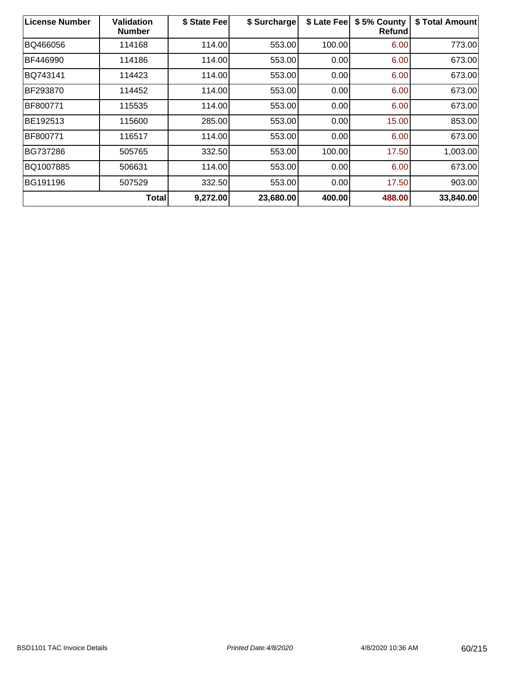| <b>License Number</b> | <b>Validation</b><br><b>Number</b> | \$ State Fee | \$ Surcharge | \$ Late Fee | \$5% County<br><b>Refund</b> | \$ Total Amount |
|-----------------------|------------------------------------|--------------|--------------|-------------|------------------------------|-----------------|
| BQ466056              | 114168                             | 114.00       | 553.00       | 100.00      | 6.00                         | 773.00          |
| BF446990              | 114186                             | 114.00       | 553.00       | 0.00        | 6.00                         | 673.00          |
| BQ743141              | 114423                             | 114.00       | 553.00       | 0.00        | 6.00                         | 673.00          |
| BF293870              | 114452                             | 114.00       | 553.00       | 0.00        | 6.00                         | 673.00          |
| BF800771              | 115535                             | 114.00       | 553.00       | 0.00        | 6.00                         | 673.00          |
| BE192513              | 115600                             | 285.00       | 553.00       | 0.00        | 15.00                        | 853.00          |
| BF800771              | 116517                             | 114.00       | 553.00       | 0.00        | 6.00                         | 673.00          |
| BG737286              | 505765                             | 332.50       | 553.00       | 100.00      | 17.50                        | 1,003.00        |
| BQ1007885             | 506631                             | 114.00       | 553.00       | 0.00        | 6.00                         | 673.00          |
| BG191196              | 507529                             | 332.50       | 553.00       | 0.00        | 17.50                        | 903.00          |
|                       | <b>Total</b>                       | 9,272.00     | 23,680.00    | 400.00      | 488.00                       | 33,840.00       |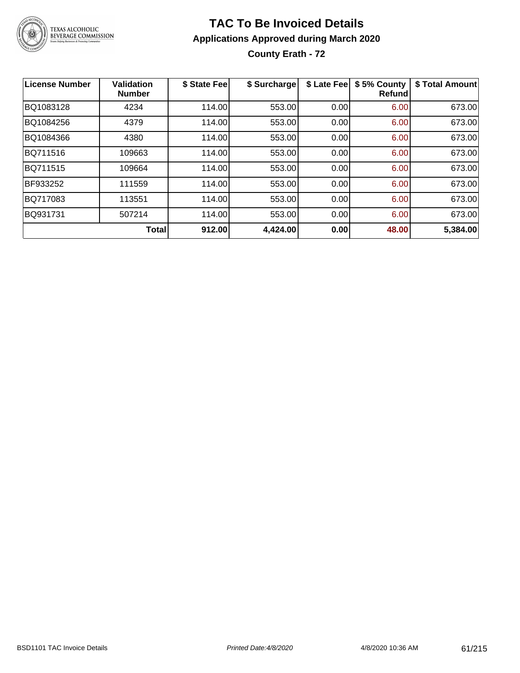

## **TAC To Be Invoiced Details Applications Approved during March 2020 County Erath - 72**

| License Number | <b>Validation</b><br><b>Number</b> | \$ State Fee | \$ Surcharge | \$ Late Fee | \$5% County<br><b>Refund</b> | \$ Total Amount |
|----------------|------------------------------------|--------------|--------------|-------------|------------------------------|-----------------|
| BQ1083128      | 4234                               | 114.00       | 553.00       | 0.00        | 6.00                         | 673.00          |
| BQ1084256      | 4379                               | 114.00       | 553.00       | 0.00        | 6.00                         | 673.00          |
| BQ1084366      | 4380                               | 114.00       | 553.00       | 0.00        | 6.00                         | 673.00          |
| BQ711516       | 109663                             | 114.00       | 553.00       | 0.00        | 6.00                         | 673.00          |
| BQ711515       | 109664                             | 114.00       | 553.00       | 0.00        | 6.00                         | 673.00          |
| BF933252       | 111559                             | 114.00       | 553.00       | 0.00        | 6.00                         | 673.00          |
| BQ717083       | 113551                             | 114.00       | 553.00       | 0.00        | 6.00                         | 673.00          |
| BQ931731       | 507214                             | 114.00       | 553.00       | 0.00        | 6.00                         | 673.00          |
|                | Total                              | 912.00       | 4,424.00     | 0.00        | 48.00                        | 5,384.00        |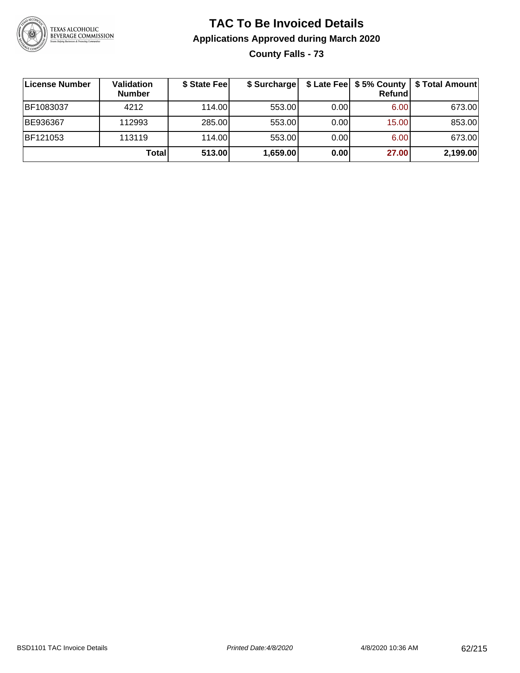

## **TAC To Be Invoiced Details Applications Approved during March 2020 County Falls - 73**

| License Number | Validation<br><b>Number</b> | \$ State Fee | \$ Surcharge |      | \$ Late Fee   \$5% County  <br><b>Refund</b> | \$ Total Amount |
|----------------|-----------------------------|--------------|--------------|------|----------------------------------------------|-----------------|
| BF1083037      | 4212                        | 114.00       | 553.00       | 0.00 | 6.00                                         | 673.00          |
| BE936367       | 112993                      | 285.00       | 553.00       | 0.00 | 15.00                                        | 853.00          |
| BF121053       | 113119                      | 114.00       | 553.00       | 0.00 | 6.00                                         | 673.00          |
|                | Total                       | 513.00       | 1,659.00     | 0.00 | 27.00                                        | 2,199.00        |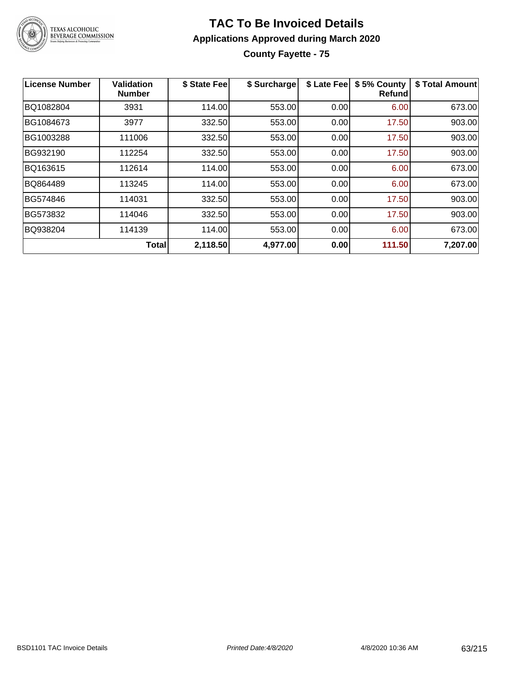

## **TAC To Be Invoiced Details Applications Approved during March 2020 County Fayette - 75**

| License Number | <b>Validation</b><br><b>Number</b> | \$ State Fee | \$ Surcharge | \$ Late Fee | \$5% County<br><b>Refund</b> | \$ Total Amount |
|----------------|------------------------------------|--------------|--------------|-------------|------------------------------|-----------------|
| BQ1082804      | 3931                               | 114.00       | 553.00       | 0.00        | 6.00                         | 673.00          |
| BG1084673      | 3977                               | 332.50       | 553.00       | 0.00        | 17.50                        | 903.00          |
| BG1003288      | 111006                             | 332.50       | 553.00       | 0.00        | 17.50                        | 903.00          |
| BG932190       | 112254                             | 332.50       | 553.00       | 0.00        | 17.50                        | 903.00          |
| BQ163615       | 112614                             | 114.00       | 553.00       | 0.00        | 6.00                         | 673.00          |
| BQ864489       | 113245                             | 114.00       | 553.00       | 0.00        | 6.00                         | 673.00          |
| BG574846       | 114031                             | 332.50       | 553.00       | 0.00        | 17.50                        | 903.00          |
| BG573832       | 114046                             | 332.50       | 553.00       | 0.00        | 17.50                        | 903.00          |
| BQ938204       | 114139                             | 114.00       | 553.00       | 0.00        | 6.00                         | 673.00          |
|                | <b>Total</b>                       | 2,118.50     | 4,977.00     | 0.00        | 111.50                       | 7,207.00        |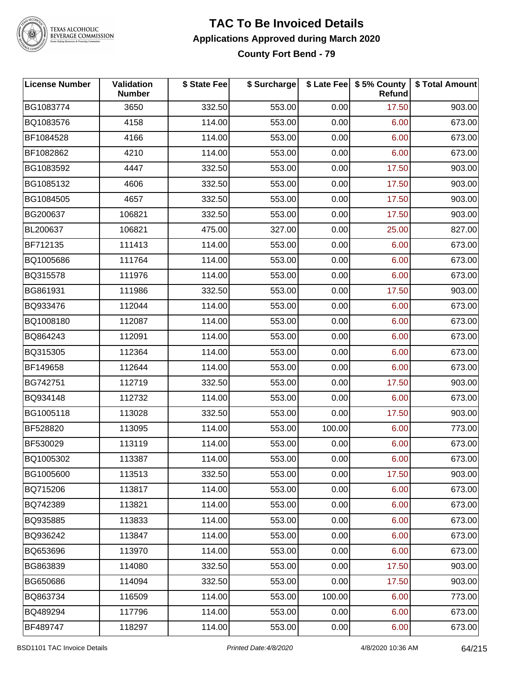

#### **TAC To Be Invoiced Details Applications Approved during March 2020 County Fort Bend - 79**

| <b>License Number</b> | <b>Validation</b><br><b>Number</b> | \$ State Fee | \$ Surcharge |        | \$ Late Fee   \$5% County  <br><b>Refund</b> | \$ Total Amount |
|-----------------------|------------------------------------|--------------|--------------|--------|----------------------------------------------|-----------------|
| BG1083774             | 3650                               | 332.50       | 553.00       | 0.00   | 17.50                                        | 903.00          |
| BQ1083576             | 4158                               | 114.00       | 553.00       | 0.00   | 6.00                                         | 673.00          |
| BF1084528             | 4166                               | 114.00       | 553.00       | 0.00   | 6.00                                         | 673.00          |
| BF1082862             | 4210                               | 114.00       | 553.00       | 0.00   | 6.00                                         | 673.00          |
| BG1083592             | 4447                               | 332.50       | 553.00       | 0.00   | 17.50                                        | 903.00          |
| BG1085132             | 4606                               | 332.50       | 553.00       | 0.00   | 17.50                                        | 903.00          |
| BG1084505             | 4657                               | 332.50       | 553.00       | 0.00   | 17.50                                        | 903.00          |
| BG200637              | 106821                             | 332.50       | 553.00       | 0.00   | 17.50                                        | 903.00          |
| BL200637              | 106821                             | 475.00       | 327.00       | 0.00   | 25.00                                        | 827.00          |
| BF712135              | 111413                             | 114.00       | 553.00       | 0.00   | 6.00                                         | 673.00          |
| BQ1005686             | 111764                             | 114.00       | 553.00       | 0.00   | 6.00                                         | 673.00          |
| BQ315578              | 111976                             | 114.00       | 553.00       | 0.00   | 6.00                                         | 673.00          |
| BG861931              | 111986                             | 332.50       | 553.00       | 0.00   | 17.50                                        | 903.00          |
| BQ933476              | 112044                             | 114.00       | 553.00       | 0.00   | 6.00                                         | 673.00          |
| BQ1008180             | 112087                             | 114.00       | 553.00       | 0.00   | 6.00                                         | 673.00          |
| BQ864243              | 112091                             | 114.00       | 553.00       | 0.00   | 6.00                                         | 673.00          |
| BQ315305              | 112364                             | 114.00       | 553.00       | 0.00   | 6.00                                         | 673.00          |
| BF149658              | 112644                             | 114.00       | 553.00       | 0.00   | 6.00                                         | 673.00          |
| BG742751              | 112719                             | 332.50       | 553.00       | 0.00   | 17.50                                        | 903.00          |
| BQ934148              | 112732                             | 114.00       | 553.00       | 0.00   | 6.00                                         | 673.00          |
| BG1005118             | 113028                             | 332.50       | 553.00       | 0.00   | 17.50                                        | 903.00          |
| BF528820              | 113095                             | 114.00       | 553.00       | 100.00 | 6.00                                         | 773.00          |
| BF530029              | 113119                             | 114.00       | 553.00       | 0.00   | 6.00                                         | 673.00          |
| BQ1005302             | 113387                             | 114.00       | 553.00       | 0.00   | 6.00                                         | 673.00          |
| BG1005600             | 113513                             | 332.50       | 553.00       | 0.00   | 17.50                                        | 903.00          |
| BQ715206              | 113817                             | 114.00       | 553.00       | 0.00   | 6.00                                         | 673.00          |
| BQ742389              | 113821                             | 114.00       | 553.00       | 0.00   | 6.00                                         | 673.00          |
| BQ935885              | 113833                             | 114.00       | 553.00       | 0.00   | 6.00                                         | 673.00          |
| BQ936242              | 113847                             | 114.00       | 553.00       | 0.00   | 6.00                                         | 673.00          |
| BQ653696              | 113970                             | 114.00       | 553.00       | 0.00   | 6.00                                         | 673.00          |
| BG863839              | 114080                             | 332.50       | 553.00       | 0.00   | 17.50                                        | 903.00          |
| BG650686              | 114094                             | 332.50       | 553.00       | 0.00   | 17.50                                        | 903.00          |
| BQ863734              | 116509                             | 114.00       | 553.00       | 100.00 | 6.00                                         | 773.00          |
| BQ489294              | 117796                             | 114.00       | 553.00       | 0.00   | 6.00                                         | 673.00          |
| BF489747              | 118297                             | 114.00       | 553.00       | 0.00   | 6.00                                         | 673.00          |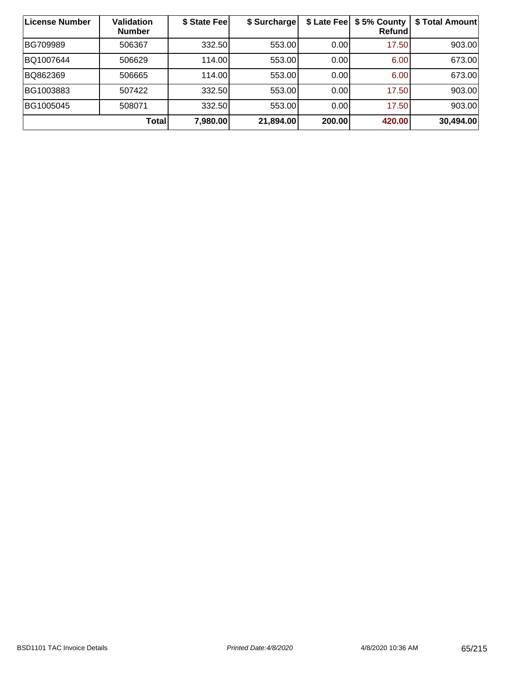| License Number | Validation<br><b>Number</b> | \$ State Fee | \$ Surcharge | \$ Late Fee | \$5% County<br>Refund | \$ Total Amount |
|----------------|-----------------------------|--------------|--------------|-------------|-----------------------|-----------------|
| BG709989       | 506367                      | 332.50       | 553.00       | 0.00        | 17.50                 | 903.00          |
| BQ1007644      | 506629                      | 114.00       | 553.00       | 0.00        | 6.00                  | 673.00          |
| BQ862369       | 506665                      | 114.00       | 553.00       | 0.00        | 6.00                  | 673.00          |
| BG1003883      | 507422                      | 332.50       | 553.00       | 0.00        | 17.50                 | 903.00          |
| BG1005045      | 508071                      | 332.50       | 553.00       | 0.00        | 17.50                 | 903.00          |
|                | Totall                      | 7,980.00     | 21,894.00    | 200.00      | 420.00                | 30,494.00       |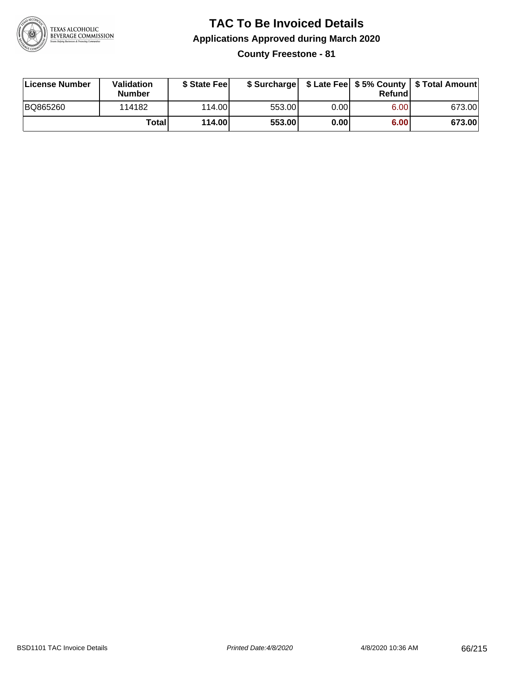

**County Freestone - 81**

| License Number | <b>Validation</b><br><b>Number</b> | \$ State Fee | \$ Surcharge |       | Refundl |        |
|----------------|------------------------------------|--------------|--------------|-------|---------|--------|
| BQ865260       | 114182                             | 114.00       | 553.00       | 0.001 | 6.00    | 673.00 |
|                | Totall                             | 114.00       | 553.00       | 0.00  | 6.00    | 673.00 |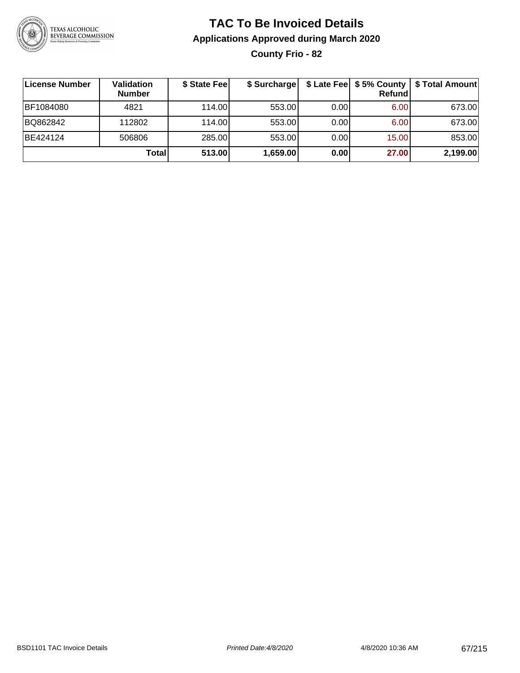

## **TAC To Be Invoiced Details Applications Approved during March 2020 County Frio - 82**

| ∣License Number | Validation<br><b>Number</b> | \$ State Fee | \$ Surcharge |      | \$ Late Fee   \$5% County<br>Refundl | \$ Total Amount |
|-----------------|-----------------------------|--------------|--------------|------|--------------------------------------|-----------------|
| BF1084080       | 4821                        | 114.00L      | 553.00       | 0.00 | 6.00                                 | 673.00          |
| BQ862842        | 112802                      | 114.00       | 553.00       | 0.00 | 6.00                                 | 673.00          |
| BE424124        | 506806                      | 285.00       | 553.00       | 0.00 | 15.00                                | 853.00          |
|                 | Total                       | 513.00       | 1,659.00     | 0.00 | 27.00                                | 2,199.00        |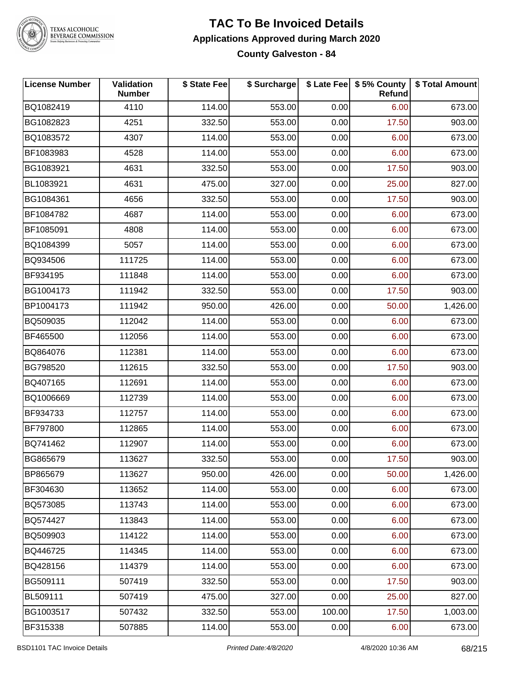

## **TAC To Be Invoiced Details Applications Approved during March 2020**

**County Galveston - 84**

| <b>License Number</b> | Validation<br><b>Number</b> | \$ State Fee | \$ Surcharge |        | \$ Late Fee   \$5% County<br>Refund | \$ Total Amount |
|-----------------------|-----------------------------|--------------|--------------|--------|-------------------------------------|-----------------|
| BQ1082419             | 4110                        | 114.00       | 553.00       | 0.00   | 6.00                                | 673.00          |
| BG1082823             | 4251                        | 332.50       | 553.00       | 0.00   | 17.50                               | 903.00          |
| BQ1083572             | 4307                        | 114.00       | 553.00       | 0.00   | 6.00                                | 673.00          |
| BF1083983             | 4528                        | 114.00       | 553.00       | 0.00   | 6.00                                | 673.00          |
| BG1083921             | 4631                        | 332.50       | 553.00       | 0.00   | 17.50                               | 903.00          |
| BL1083921             | 4631                        | 475.00       | 327.00       | 0.00   | 25.00                               | 827.00          |
| BG1084361             | 4656                        | 332.50       | 553.00       | 0.00   | 17.50                               | 903.00          |
| BF1084782             | 4687                        | 114.00       | 553.00       | 0.00   | 6.00                                | 673.00          |
| BF1085091             | 4808                        | 114.00       | 553.00       | 0.00   | 6.00                                | 673.00          |
| BQ1084399             | 5057                        | 114.00       | 553.00       | 0.00   | 6.00                                | 673.00          |
| BQ934506              | 111725                      | 114.00       | 553.00       | 0.00   | 6.00                                | 673.00          |
| BF934195              | 111848                      | 114.00       | 553.00       | 0.00   | 6.00                                | 673.00          |
| BG1004173             | 111942                      | 332.50       | 553.00       | 0.00   | 17.50                               | 903.00          |
| BP1004173             | 111942                      | 950.00       | 426.00       | 0.00   | 50.00                               | 1,426.00        |
| BQ509035              | 112042                      | 114.00       | 553.00       | 0.00   | 6.00                                | 673.00          |
| BF465500              | 112056                      | 114.00       | 553.00       | 0.00   | 6.00                                | 673.00          |
| BQ864076              | 112381                      | 114.00       | 553.00       | 0.00   | 6.00                                | 673.00          |
| BG798520              | 112615                      | 332.50       | 553.00       | 0.00   | 17.50                               | 903.00          |
| BQ407165              | 112691                      | 114.00       | 553.00       | 0.00   | 6.00                                | 673.00          |
| BQ1006669             | 112739                      | 114.00       | 553.00       | 0.00   | 6.00                                | 673.00          |
| BF934733              | 112757                      | 114.00       | 553.00       | 0.00   | 6.00                                | 673.00          |
| BF797800              | 112865                      | 114.00       | 553.00       | 0.00   | 6.00                                | 673.00          |
| BQ741462              | 112907                      | 114.00       | 553.00       | 0.00   | 6.00                                | 673.00          |
| BG865679              | 113627                      | 332.50       | 553.00       | 0.00   | 17.50                               | 903.00          |
| BP865679              | 113627                      | 950.00       | 426.00       | 0.00   | 50.00                               | 1,426.00        |
| BF304630              | 113652                      | 114.00       | 553.00       | 0.00   | 6.00                                | 673.00          |
| BQ573085              | 113743                      | 114.00       | 553.00       | 0.00   | 6.00                                | 673.00          |
| BQ574427              | 113843                      | 114.00       | 553.00       | 0.00   | 6.00                                | 673.00          |
| BQ509903              | 114122                      | 114.00       | 553.00       | 0.00   | 6.00                                | 673.00          |
| BQ446725              | 114345                      | 114.00       | 553.00       | 0.00   | 6.00                                | 673.00          |
| BQ428156              | 114379                      | 114.00       | 553.00       | 0.00   | 6.00                                | 673.00          |
| BG509111              | 507419                      | 332.50       | 553.00       | 0.00   | 17.50                               | 903.00          |
| BL509111              | 507419                      | 475.00       | 327.00       | 0.00   | 25.00                               | 827.00          |
| BG1003517             | 507432                      | 332.50       | 553.00       | 100.00 | 17.50                               | 1,003.00        |
| BF315338              | 507885                      | 114.00       | 553.00       | 0.00   | 6.00                                | 673.00          |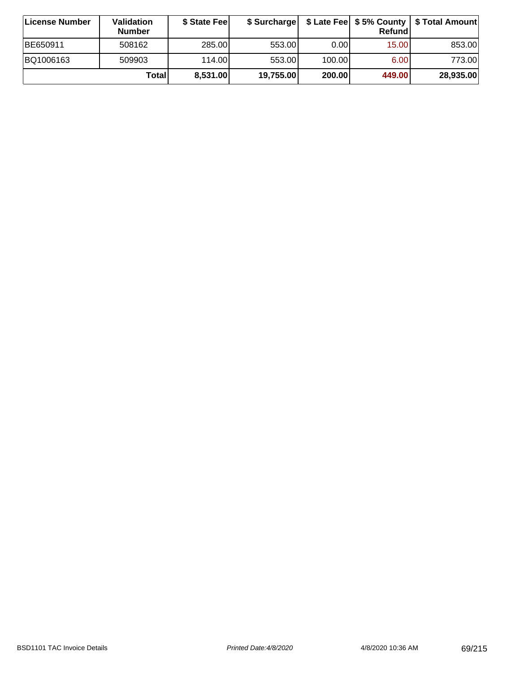| <b>∣License Number</b> | Validation<br><b>Number</b> | \$ State Fee | \$ Surcharge |        | Refundl |           |
|------------------------|-----------------------------|--------------|--------------|--------|---------|-----------|
| BE650911               | 508162                      | 285.00       | 553.00       | 0.001  | 15.00   | 853.00    |
| BQ1006163              | 509903                      | 114.00L      | 553.00       | 100.00 | 6.00    | 773.00    |
|                        | Totall                      | 8,531.00     | 19,755.00    | 200.00 | 449.00  | 28,935.00 |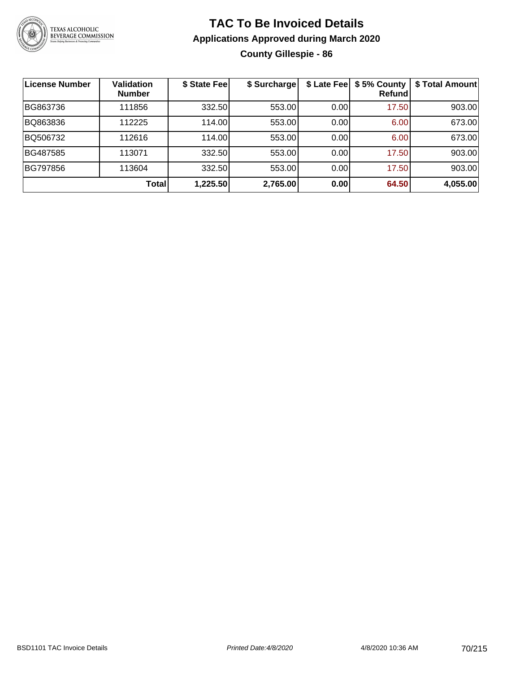

## **TAC To Be Invoiced Details Applications Approved during March 2020 County Gillespie - 86**

| License Number  | <b>Validation</b><br><b>Number</b> | \$ State Fee | \$ Surcharge |      | \$ Late Fee   \$5% County<br><b>Refund</b> | \$ Total Amount |
|-----------------|------------------------------------|--------------|--------------|------|--------------------------------------------|-----------------|
| BG863736        | 111856                             | 332.50       | 553.00       | 0.00 | 17.50                                      | 903.00          |
| BQ863836        | 112225                             | 114.00       | 553.00       | 0.00 | 6.00                                       | 673.00          |
| BQ506732        | 112616                             | 114.00       | 553.00       | 0.00 | 6.00                                       | 673.00          |
| BG487585        | 113071                             | 332.50       | 553.00       | 0.00 | 17.50                                      | 903.00          |
| <b>BG797856</b> | 113604                             | 332.50       | 553.00       | 0.00 | 17.50                                      | 903.00          |
|                 | <b>Total</b>                       | 1,225.50     | 2,765.00     | 0.00 | 64.50                                      | 4,055.00        |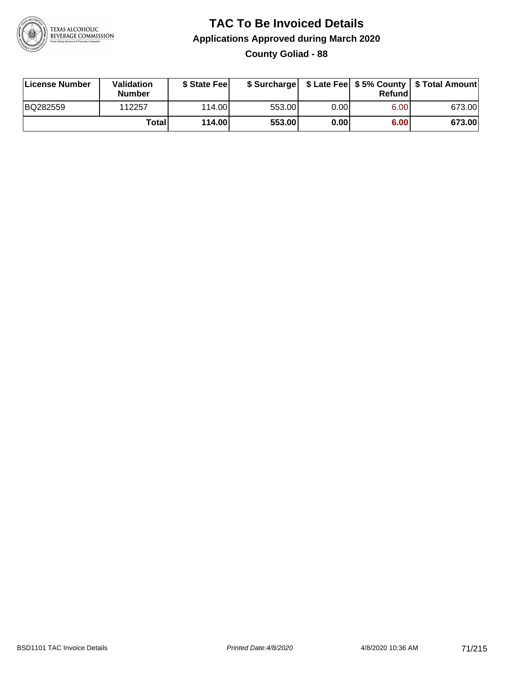

## **TAC To Be Invoiced Details Applications Approved during March 2020 County Goliad - 88**

| License Number | Validation<br><b>Number</b> | \$ State Feel |        |      | Refund | \$ Surcharge   \$ Late Fee   \$5% County   \$ Total Amount |
|----------------|-----------------------------|---------------|--------|------|--------|------------------------------------------------------------|
| BQ282559       | 112257                      | 114.00L       | 553.00 | 0.00 | 6.00   | 673.00                                                     |
|                | Totall                      | 114.00        | 553.00 | 0.00 | 6.00   | 673.00                                                     |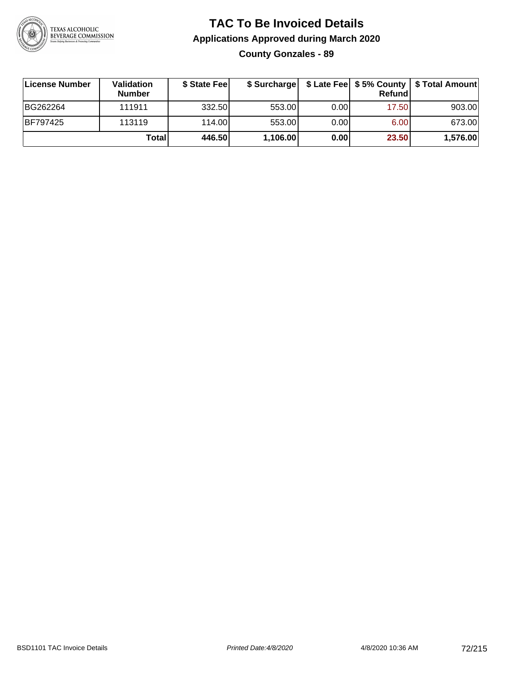

## **TAC To Be Invoiced Details Applications Approved during March 2020 County Gonzales - 89**

| License Number | Validation<br><b>Number</b> | \$ State Feel | \$ Surcharge |      | Refundl | \$ Late Fee   \$5% County   \$ Total Amount |
|----------------|-----------------------------|---------------|--------------|------|---------|---------------------------------------------|
| BG262264       | 111911                      | 332.50        | 553.00       | 0.00 | 17.50   | 903.00                                      |
| BF797425       | 113119                      | 114.00        | 553.00       | 0.00 | 6.00    | 673.00                                      |
|                | Total                       | 446.50        | 1,106.00     | 0.00 | 23.50   | 1,576.00                                    |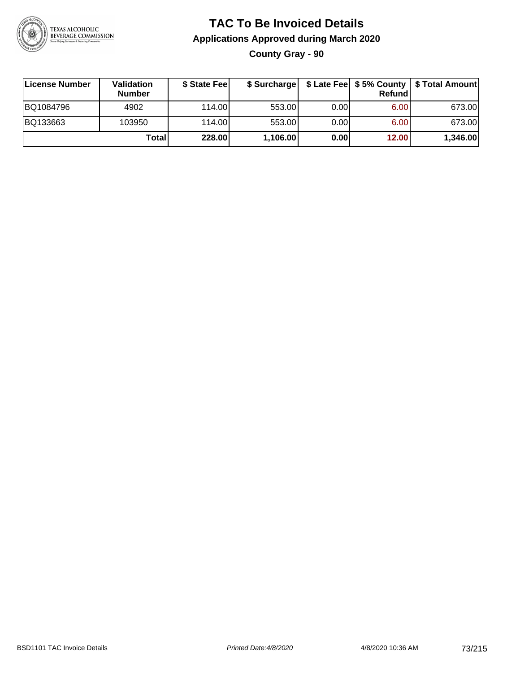

#### **TAC To Be Invoiced Details Applications Approved during March 2020 County Gray - 90**

| License Number | <b>Validation</b><br><b>Number</b> | \$ State Feel |          |       | Refundl | \$ Surcharge   \$ Late Fee   \$5% County   \$ Total Amount |
|----------------|------------------------------------|---------------|----------|-------|---------|------------------------------------------------------------|
| BQ1084796      | 4902                               | 114.00        | 553.00   | 0.001 | 6.00    | 673.00                                                     |
| BQ133663       | 103950                             | 114.00L       | 553.00   | 0.00  | 6.00    | 673.00                                                     |
|                | Total                              | 228.00        | 1,106.00 | 0.00  | 12.00   | 1,346.00                                                   |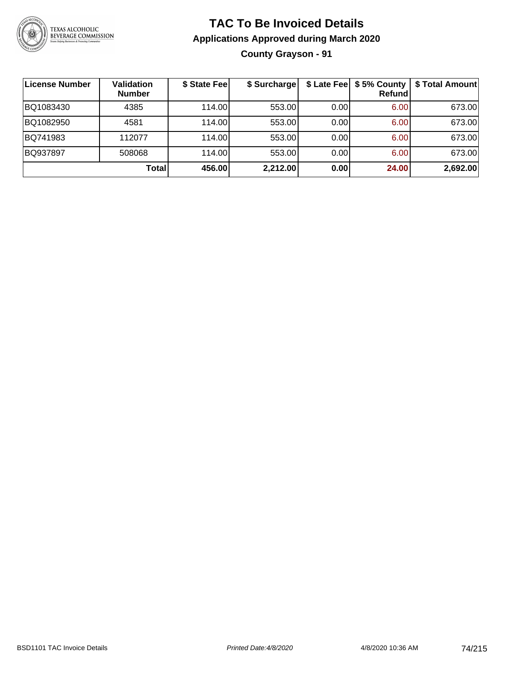

#### **TAC To Be Invoiced Details Applications Approved during March 2020 County Grayson - 91**

| License Number | <b>Validation</b><br><b>Number</b> | \$ State Fee | \$ Surcharge |      | \$ Late Fee   \$5% County  <br><b>Refund</b> | \$ Total Amount |
|----------------|------------------------------------|--------------|--------------|------|----------------------------------------------|-----------------|
| BQ1083430      | 4385                               | 114.00L      | 553.00       | 0.00 | 6.00                                         | 673.00          |
| BQ1082950      | 4581                               | 114.00L      | 553.00       | 0.00 | 6.00                                         | 673.00          |
| BQ741983       | 112077                             | 114.00       | 553.00       | 0.00 | 6.00                                         | 673.00          |
| BQ937897       | 508068                             | 114.00L      | 553.00       | 0.00 | 6.00                                         | 673.00          |
|                | Total                              | 456.00       | 2,212.00     | 0.00 | 24.00                                        | 2,692.00        |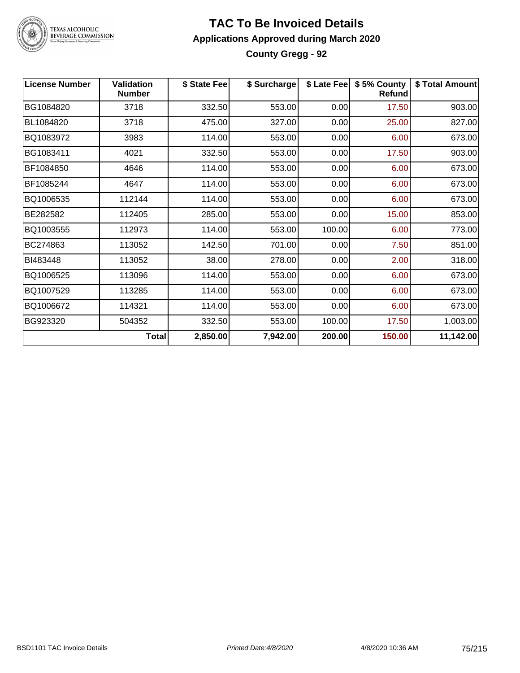

#### **TAC To Be Invoiced Details Applications Approved during March 2020 County Gregg - 92**

| <b>License Number</b> | <b>Validation</b><br><b>Number</b> | \$ State Fee | \$ Surcharge |        | \$ Late Fee   \$5% County<br><b>Refund</b> | \$ Total Amount |
|-----------------------|------------------------------------|--------------|--------------|--------|--------------------------------------------|-----------------|
| BG1084820             | 3718                               | 332.50       | 553.00       | 0.00   | 17.50                                      | 903.00          |
| BL1084820             | 3718                               | 475.00       | 327.00       | 0.00   | 25.00                                      | 827.00          |
| BQ1083972             | 3983                               | 114.00       | 553.00       | 0.00   | 6.00                                       | 673.00          |
| BG1083411             | 4021                               | 332.50       | 553.00       | 0.00   | 17.50                                      | 903.00          |
| BF1084850             | 4646                               | 114.00       | 553.00       | 0.00   | 6.00                                       | 673.00          |
| BF1085244             | 4647                               | 114.00       | 553.00       | 0.00   | 6.00                                       | 673.00          |
| BQ1006535             | 112144                             | 114.00       | 553.00       | 0.00   | 6.00                                       | 673.00          |
| BE282582              | 112405                             | 285.00       | 553.00       | 0.00   | 15.00                                      | 853.00          |
| BQ1003555             | 112973                             | 114.00       | 553.00       | 100.00 | 6.00                                       | 773.00          |
| BC274863              | 113052                             | 142.50       | 701.00       | 0.00   | 7.50                                       | 851.00          |
| BI483448              | 113052                             | 38.00        | 278.00       | 0.00   | 2.00                                       | 318.00          |
| BQ1006525             | 113096                             | 114.00       | 553.00       | 0.00   | 6.00                                       | 673.00          |
| BQ1007529             | 113285                             | 114.00       | 553.00       | 0.00   | 6.00                                       | 673.00          |
| BQ1006672             | 114321                             | 114.00       | 553.00       | 0.00   | 6.00                                       | 673.00          |
| BG923320              | 504352                             | 332.50       | 553.00       | 100.00 | 17.50                                      | 1,003.00        |
|                       | <b>Total</b>                       | 2,850.00     | 7,942.00     | 200.00 | 150.00                                     | 11,142.00       |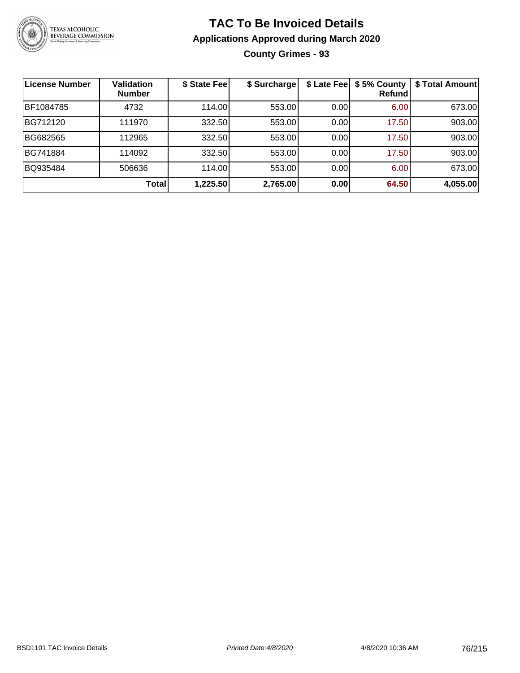

**County Grimes - 93**

| <b>License Number</b> | <b>Validation</b><br><b>Number</b> | \$ State Fee | \$ Surcharge | \$ Late Fee | \$5% County<br>Refundl | \$ Total Amount |
|-----------------------|------------------------------------|--------------|--------------|-------------|------------------------|-----------------|
| BF1084785             | 4732                               | 114.00       | 553.00       | 0.00        | 6.00                   | 673.00          |
| BG712120              | 111970                             | 332.50       | 553.00       | 0.00        | 17.50                  | 903.00          |
| BG682565              | 112965                             | 332.50       | 553.00       | 0.00        | 17.50                  | 903.00          |
| BG741884              | 114092                             | 332.50       | 553.00       | 0.00        | 17.50                  | 903.00          |
| BQ935484              | 506636                             | 114.00       | 553.00       | 0.00        | 6.00                   | 673.00          |
|                       | Total                              | 1,225.50     | 2,765.00     | 0.00        | 64.50                  | 4,055.00        |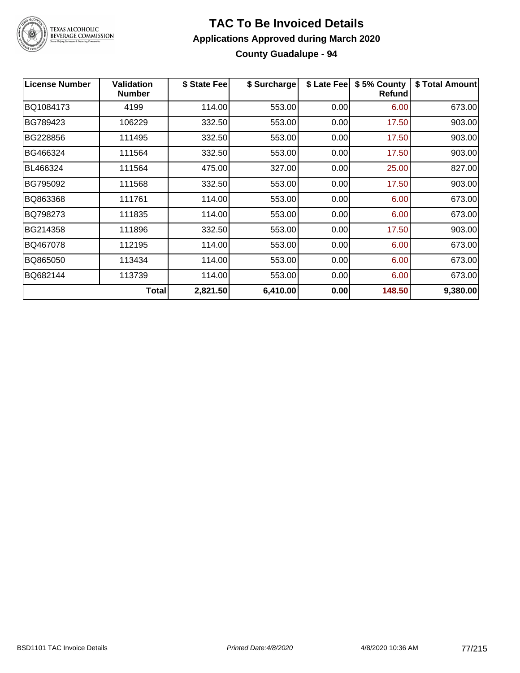

# TEXAS ALCOHOLIC<br>BEVERAGE COMMISSION

#### **TAC To Be Invoiced Details Applications Approved during March 2020 County Guadalupe - 94**

| <b>License Number</b> | Validation<br><b>Number</b> | \$ State Fee | \$ Surcharge | \$ Late Fee | \$5% County<br><b>Refund</b> | \$ Total Amount |
|-----------------------|-----------------------------|--------------|--------------|-------------|------------------------------|-----------------|
| BQ1084173             | 4199                        | 114.00       | 553.00       | 0.00        | 6.00                         | 673.00          |
| BG789423              | 106229                      | 332.50       | 553.00       | 0.00        | 17.50                        | 903.00          |
| BG228856              | 111495                      | 332.50       | 553.00       | 0.00        | 17.50                        | 903.00          |
| BG466324              | 111564                      | 332.50       | 553.00       | 0.00        | 17.50                        | 903.00          |
| BL466324              | 111564                      | 475.00       | 327.00       | 0.00        | 25.00                        | 827.00          |
| BG795092              | 111568                      | 332.50       | 553.00       | 0.00        | 17.50                        | 903.00          |
| BQ863368              | 111761                      | 114.00       | 553.00       | 0.00        | 6.00                         | 673.00          |
| BQ798273              | 111835                      | 114.00       | 553.00       | 0.00        | 6.00                         | 673.00          |
| BG214358              | 111896                      | 332.50       | 553.00       | 0.00        | 17.50                        | 903.00          |
| BQ467078              | 112195                      | 114.00       | 553.00       | 0.00        | 6.00                         | 673.00          |
| BQ865050              | 113434                      | 114.00       | 553.00       | 0.00        | 6.00                         | 673.00          |
| BQ682144              | 113739                      | 114.00       | 553.00       | 0.00        | 6.00                         | 673.00          |
|                       | <b>Total</b>                | 2,821.50     | 6,410.00     | 0.00        | 148.50                       | 9,380.00        |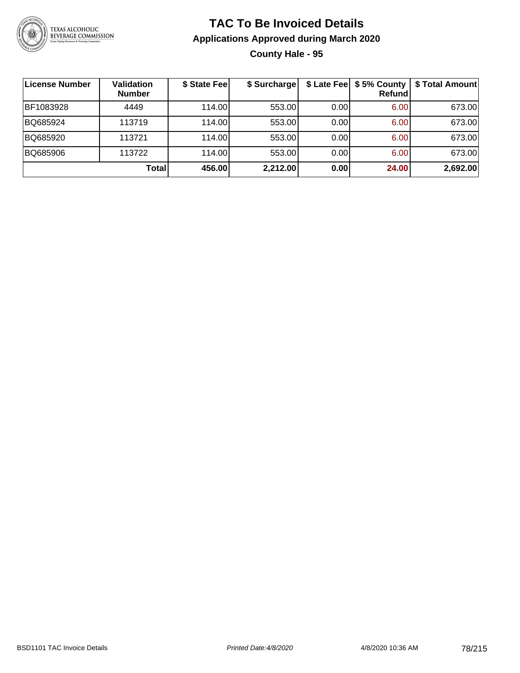

#### **TAC To Be Invoiced Details Applications Approved during March 2020 County Hale - 95**

| <b>License Number</b> | <b>Validation</b><br><b>Number</b> | \$ State Fee | \$ Surcharge |      | <b>Refund</b> | \$ Late Fee   \$5% County   \$ Total Amount |
|-----------------------|------------------------------------|--------------|--------------|------|---------------|---------------------------------------------|
| BF1083928             | 4449                               | 114.00       | 553.00       | 0.00 | 6.00          | 673.00                                      |
| BQ685924              | 113719                             | 114.00       | 553.00       | 0.00 | 6.00          | 673.00                                      |
| BQ685920              | 113721                             | 114.00       | 553.00       | 0.00 | 6.00          | 673.00                                      |
| BQ685906              | 113722                             | 114.00       | 553.00       | 0.00 | 6.00          | 673.00                                      |
|                       | Total                              | 456.00       | 2,212.00     | 0.00 | 24.00         | 2,692.00                                    |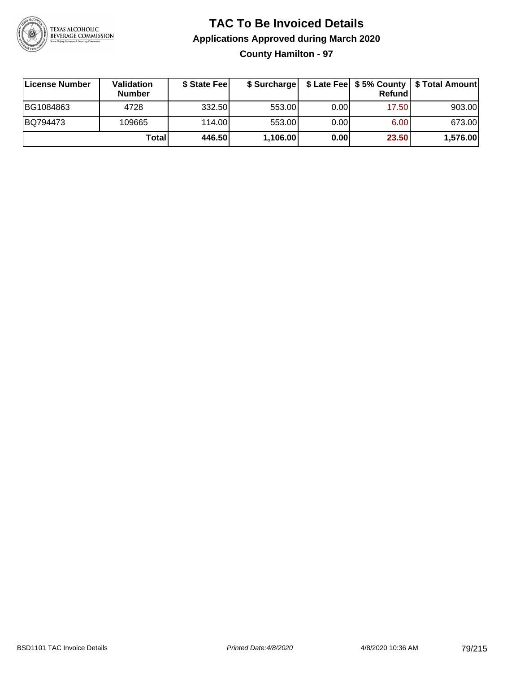

**County Hamilton - 97**

| License Number | <b>Validation</b><br><b>Number</b> | \$ State Feel |          |      | <b>Refund</b> | \$ Surcharge   \$ Late Fee   \$5% County   \$ Total Amount |
|----------------|------------------------------------|---------------|----------|------|---------------|------------------------------------------------------------|
| BG1084863      | 4728                               | 332.50        | 553.00   | 0.00 | 17.50         | 903.00                                                     |
| BQ794473       | 109665                             | 114.00        | 553.00   | 0.00 | 6.00          | 673.00                                                     |
|                | Totall                             | 446.50        | 1,106.00 | 0.00 | 23.50         | 1,576.00                                                   |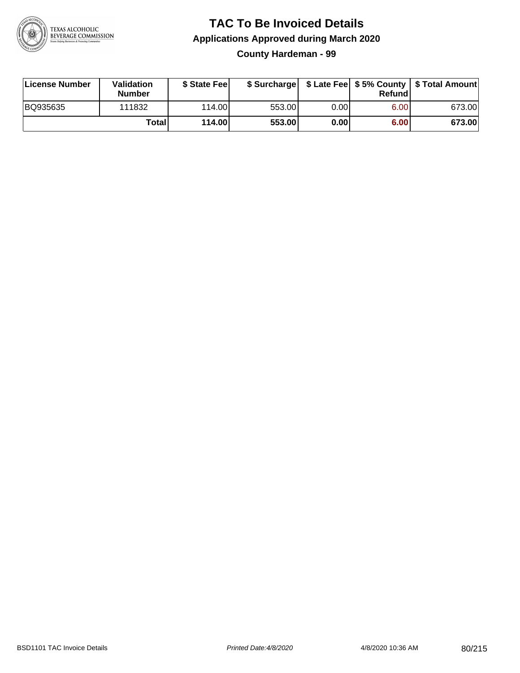

**County Hardeman - 99**

| License Number | Validation<br><b>Number</b> | \$ State Feel |        |      | Refundl | \$ Surcharge   \$ Late Fee   \$5% County   \$ Total Amount |
|----------------|-----------------------------|---------------|--------|------|---------|------------------------------------------------------------|
| BQ935635       | 111832                      | 114.00        | 553.00 | 0.00 | 6.00    | 673.00                                                     |
|                | Totall                      | 114.00        | 553.00 | 0.00 | 6.00    | 673.00                                                     |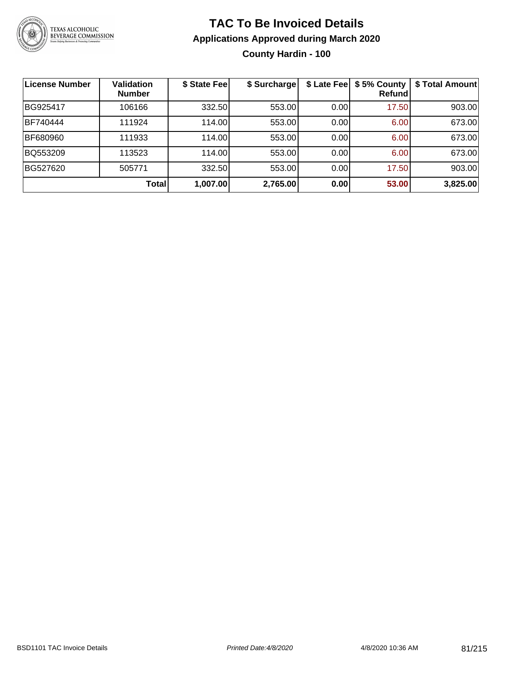

#### **TAC To Be Invoiced Details Applications Approved during March 2020 County Hardin - 100**

| <b>License Number</b> | <b>Validation</b><br><b>Number</b> | \$ State Fee | \$ Surcharge |      | \$ Late Fee   \$5% County<br>Refundl | \$ Total Amount |
|-----------------------|------------------------------------|--------------|--------------|------|--------------------------------------|-----------------|
| BG925417              | 106166                             | 332.50       | 553.00       | 0.00 | 17.50                                | 903.00          |
| BF740444              | 111924                             | 114.00       | 553.00       | 0.00 | 6.00                                 | 673.00          |
| BF680960              | 111933                             | 114.00       | 553.00       | 0.00 | 6.00                                 | 673.00          |
| BQ553209              | 113523                             | 114.00       | 553.00       | 0.00 | 6.00                                 | 673.00          |
| BG527620              | 505771                             | 332.50       | 553.00       | 0.00 | 17.50                                | 903.00          |
|                       | Total                              | 1,007.00     | 2,765.00     | 0.00 | 53.00                                | 3,825.00        |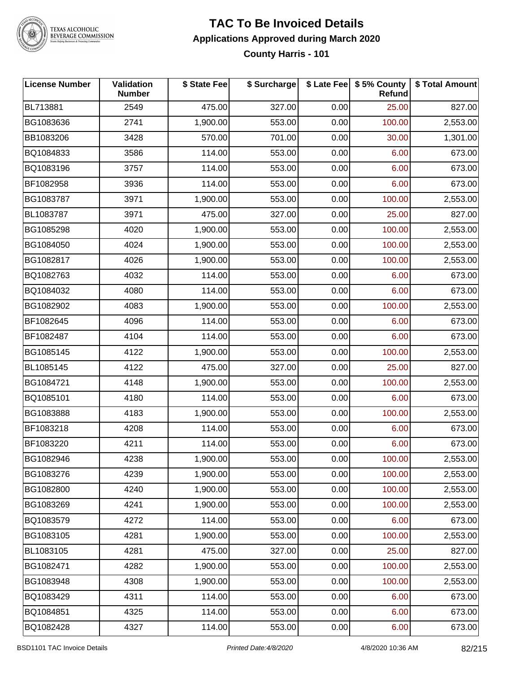

### TEXAS ALCOHOLIC<br>BEVERAGE COMMISSION

### **TAC To Be Invoiced Details Applications Approved during March 2020**

**County Harris - 101**

| <b>License Number</b> | <b>Validation</b><br><b>Number</b> | \$ State Fee | \$ Surcharge |      | \$ Late Fee   \$5% County<br>Refund | \$ Total Amount |
|-----------------------|------------------------------------|--------------|--------------|------|-------------------------------------|-----------------|
| BL713881              | 2549                               | 475.00       | 327.00       | 0.00 | 25.00                               | 827.00          |
| BG1083636             | 2741                               | 1,900.00     | 553.00       | 0.00 | 100.00                              | 2,553.00        |
| BB1083206             | 3428                               | 570.00       | 701.00       | 0.00 | 30.00                               | 1,301.00        |
| BQ1084833             | 3586                               | 114.00       | 553.00       | 0.00 | 6.00                                | 673.00          |
| BQ1083196             | 3757                               | 114.00       | 553.00       | 0.00 | 6.00                                | 673.00          |
| BF1082958             | 3936                               | 114.00       | 553.00       | 0.00 | 6.00                                | 673.00          |
| BG1083787             | 3971                               | 1,900.00     | 553.00       | 0.00 | 100.00                              | 2,553.00        |
| BL1083787             | 3971                               | 475.00       | 327.00       | 0.00 | 25.00                               | 827.00          |
| BG1085298             | 4020                               | 1,900.00     | 553.00       | 0.00 | 100.00                              | 2,553.00        |
| BG1084050             | 4024                               | 1,900.00     | 553.00       | 0.00 | 100.00                              | 2,553.00        |
| BG1082817             | 4026                               | 1,900.00     | 553.00       | 0.00 | 100.00                              | 2,553.00        |
| BQ1082763             | 4032                               | 114.00       | 553.00       | 0.00 | 6.00                                | 673.00          |
| BQ1084032             | 4080                               | 114.00       | 553.00       | 0.00 | 6.00                                | 673.00          |
| BG1082902             | 4083                               | 1,900.00     | 553.00       | 0.00 | 100.00                              | 2,553.00        |
| BF1082645             | 4096                               | 114.00       | 553.00       | 0.00 | 6.00                                | 673.00          |
| BF1082487             | 4104                               | 114.00       | 553.00       | 0.00 | 6.00                                | 673.00          |
| BG1085145             | 4122                               | 1,900.00     | 553.00       | 0.00 | 100.00                              | 2,553.00        |
| BL1085145             | 4122                               | 475.00       | 327.00       | 0.00 | 25.00                               | 827.00          |
| BG1084721             | 4148                               | 1,900.00     | 553.00       | 0.00 | 100.00                              | 2,553.00        |
| BQ1085101             | 4180                               | 114.00       | 553.00       | 0.00 | 6.00                                | 673.00          |
| BG1083888             | 4183                               | 1,900.00     | 553.00       | 0.00 | 100.00                              | 2,553.00        |
| BF1083218             | 4208                               | 114.00       | 553.00       | 0.00 | 6.00                                | 673.00          |
| BF1083220             | 4211                               | 114.00       | 553.00       | 0.00 | 6.00                                | 673.00          |
| BG1082946             | 4238                               | 1,900.00     | 553.00       | 0.00 | 100.00                              | 2,553.00        |
| BG1083276             | 4239                               | 1,900.00     | 553.00       | 0.00 | 100.00                              | 2,553.00        |
| BG1082800             | 4240                               | 1,900.00     | 553.00       | 0.00 | 100.00                              | 2,553.00        |
| BG1083269             | 4241                               | 1,900.00     | 553.00       | 0.00 | 100.00                              | 2,553.00        |
| BQ1083579             | 4272                               | 114.00       | 553.00       | 0.00 | 6.00                                | 673.00          |
| BG1083105             | 4281                               | 1,900.00     | 553.00       | 0.00 | 100.00                              | 2,553.00        |
| BL1083105             | 4281                               | 475.00       | 327.00       | 0.00 | 25.00                               | 827.00          |
| BG1082471             | 4282                               | 1,900.00     | 553.00       | 0.00 | 100.00                              | 2,553.00        |
| BG1083948             | 4308                               | 1,900.00     | 553.00       | 0.00 | 100.00                              | 2,553.00        |
| BQ1083429             | 4311                               | 114.00       | 553.00       | 0.00 | 6.00                                | 673.00          |
| BQ1084851             | 4325                               | 114.00       | 553.00       | 0.00 | 6.00                                | 673.00          |
| BQ1082428             | 4327                               | 114.00       | 553.00       | 0.00 | 6.00                                | 673.00          |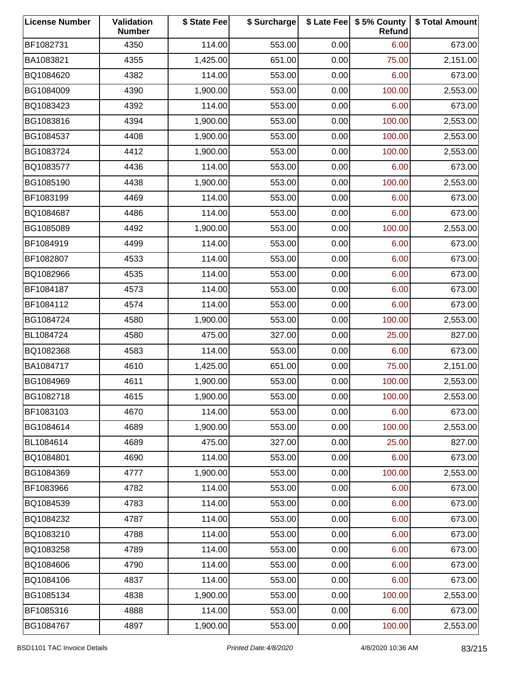| <b>License Number</b> | Validation<br><b>Number</b> | \$ State Fee | \$ Surcharge |      | \$ Late Fee   \$5% County<br>Refund | \$ Total Amount |
|-----------------------|-----------------------------|--------------|--------------|------|-------------------------------------|-----------------|
| BF1082731             | 4350                        | 114.00       | 553.00       | 0.00 | 6.00                                | 673.00          |
| BA1083821             | 4355                        | 1,425.00     | 651.00       | 0.00 | 75.00                               | 2,151.00        |
| BQ1084620             | 4382                        | 114.00       | 553.00       | 0.00 | 6.00                                | 673.00          |
| BG1084009             | 4390                        | 1,900.00     | 553.00       | 0.00 | 100.00                              | 2,553.00        |
| BQ1083423             | 4392                        | 114.00       | 553.00       | 0.00 | 6.00                                | 673.00          |
| BG1083816             | 4394                        | 1,900.00     | 553.00       | 0.00 | 100.00                              | 2,553.00        |
| BG1084537             | 4408                        | 1,900.00     | 553.00       | 0.00 | 100.00                              | 2,553.00        |
| BG1083724             | 4412                        | 1,900.00     | 553.00       | 0.00 | 100.00                              | 2,553.00        |
| BQ1083577             | 4436                        | 114.00       | 553.00       | 0.00 | 6.00                                | 673.00          |
| BG1085190             | 4438                        | 1,900.00     | 553.00       | 0.00 | 100.00                              | 2,553.00        |
| BF1083199             | 4469                        | 114.00       | 553.00       | 0.00 | 6.00                                | 673.00          |
| BQ1084687             | 4486                        | 114.00       | 553.00       | 0.00 | 6.00                                | 673.00          |
| BG1085089             | 4492                        | 1,900.00     | 553.00       | 0.00 | 100.00                              | 2,553.00        |
| BF1084919             | 4499                        | 114.00       | 553.00       | 0.00 | 6.00                                | 673.00          |
| BF1082807             | 4533                        | 114.00       | 553.00       | 0.00 | 6.00                                | 673.00          |
| BQ1082966             | 4535                        | 114.00       | 553.00       | 0.00 | 6.00                                | 673.00          |
| BF1084187             | 4573                        | 114.00       | 553.00       | 0.00 | 6.00                                | 673.00          |
| BF1084112             | 4574                        | 114.00       | 553.00       | 0.00 | 6.00                                | 673.00          |
| BG1084724             | 4580                        | 1,900.00     | 553.00       | 0.00 | 100.00                              | 2,553.00        |
| BL1084724             | 4580                        | 475.00       | 327.00       | 0.00 | 25.00                               | 827.00          |
| BQ1082368             | 4583                        | 114.00       | 553.00       | 0.00 | 6.00                                | 673.00          |
| BA1084717             | 4610                        | 1,425.00     | 651.00       | 0.00 | 75.00                               | 2,151.00        |
| BG1084969             | 4611                        | 1,900.00     | 553.00       | 0.00 | 100.00                              | 2,553.00        |
| BG1082718             | 4615                        | 1,900.00     | 553.00       | 0.00 | 100.00                              | 2,553.00        |
| BF1083103             | 4670                        | 114.00       | 553.00       | 0.00 | 6.00                                | 673.00          |
| BG1084614             | 4689                        | 1,900.00     | 553.00       | 0.00 | 100.00                              | 2,553.00        |
| BL1084614             | 4689                        | 475.00       | 327.00       | 0.00 | 25.00                               | 827.00          |
| BQ1084801             | 4690                        | 114.00       | 553.00       | 0.00 | 6.00                                | 673.00          |
| BG1084369             | 4777                        | 1,900.00     | 553.00       | 0.00 | 100.00                              | 2,553.00        |
| BF1083966             | 4782                        | 114.00       | 553.00       | 0.00 | 6.00                                | 673.00          |
| BQ1084539             | 4783                        | 114.00       | 553.00       | 0.00 | 6.00                                | 673.00          |
| BQ1084232             | 4787                        | 114.00       | 553.00       | 0.00 | 6.00                                | 673.00          |
| BQ1083210             | 4788                        | 114.00       | 553.00       | 0.00 | 6.00                                | 673.00          |
| BQ1083258             | 4789                        | 114.00       | 553.00       | 0.00 | 6.00                                | 673.00          |
| BQ1084606             | 4790                        | 114.00       | 553.00       | 0.00 | 6.00                                | 673.00          |
| BQ1084106             | 4837                        | 114.00       | 553.00       | 0.00 | 6.00                                | 673.00          |
| BG1085134             | 4838                        | 1,900.00     | 553.00       | 0.00 | 100.00                              | 2,553.00        |
| BF1085316             | 4888                        | 114.00       | 553.00       | 0.00 | 6.00                                | 673.00          |
| BG1084767             | 4897                        | 1,900.00     | 553.00       | 0.00 | 100.00                              | 2,553.00        |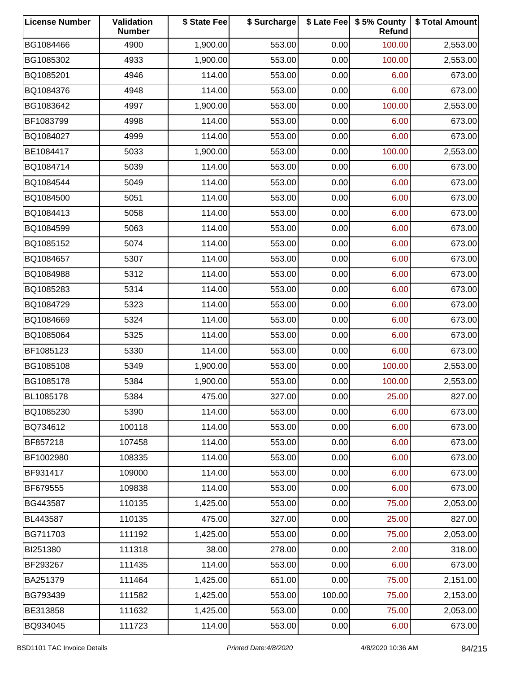| <b>License Number</b> | Validation<br><b>Number</b> | \$ State Fee | \$ Surcharge |        | \$ Late Fee   \$5% County<br>Refund | \$ Total Amount |
|-----------------------|-----------------------------|--------------|--------------|--------|-------------------------------------|-----------------|
| BG1084466             | 4900                        | 1,900.00     | 553.00       | 0.00   | 100.00                              | 2,553.00        |
| BG1085302             | 4933                        | 1,900.00     | 553.00       | 0.00   | 100.00                              | 2,553.00        |
| BQ1085201             | 4946                        | 114.00       | 553.00       | 0.00   | 6.00                                | 673.00          |
| BQ1084376             | 4948                        | 114.00       | 553.00       | 0.00   | 6.00                                | 673.00          |
| BG1083642             | 4997                        | 1,900.00     | 553.00       | 0.00   | 100.00                              | 2,553.00        |
| BF1083799             | 4998                        | 114.00       | 553.00       | 0.00   | 6.00                                | 673.00          |
| BQ1084027             | 4999                        | 114.00       | 553.00       | 0.00   | 6.00                                | 673.00          |
| BE1084417             | 5033                        | 1,900.00     | 553.00       | 0.00   | 100.00                              | 2,553.00        |
| BQ1084714             | 5039                        | 114.00       | 553.00       | 0.00   | 6.00                                | 673.00          |
| BQ1084544             | 5049                        | 114.00       | 553.00       | 0.00   | 6.00                                | 673.00          |
| BQ1084500             | 5051                        | 114.00       | 553.00       | 0.00   | 6.00                                | 673.00          |
| BQ1084413             | 5058                        | 114.00       | 553.00       | 0.00   | 6.00                                | 673.00          |
| BQ1084599             | 5063                        | 114.00       | 553.00       | 0.00   | 6.00                                | 673.00          |
| BQ1085152             | 5074                        | 114.00       | 553.00       | 0.00   | 6.00                                | 673.00          |
| BQ1084657             | 5307                        | 114.00       | 553.00       | 0.00   | 6.00                                | 673.00          |
| BQ1084988             | 5312                        | 114.00       | 553.00       | 0.00   | 6.00                                | 673.00          |
| BQ1085283             | 5314                        | 114.00       | 553.00       | 0.00   | 6.00                                | 673.00          |
| BQ1084729             | 5323                        | 114.00       | 553.00       | 0.00   | 6.00                                | 673.00          |
| BQ1084669             | 5324                        | 114.00       | 553.00       | 0.00   | 6.00                                | 673.00          |
| BQ1085064             | 5325                        | 114.00       | 553.00       | 0.00   | 6.00                                | 673.00          |
| BF1085123             | 5330                        | 114.00       | 553.00       | 0.00   | 6.00                                | 673.00          |
| BG1085108             | 5349                        | 1,900.00     | 553.00       | 0.00   | 100.00                              | 2,553.00        |
| BG1085178             | 5384                        | 1,900.00     | 553.00       | 0.00   | 100.00                              | 2,553.00        |
| BL1085178             | 5384                        | 475.00       | 327.00       | 0.00   | 25.00                               | 827.00          |
| BQ1085230             | 5390                        | 114.00       | 553.00       | 0.00   | 6.00                                | 673.00          |
| BQ734612              | 100118                      | 114.00       | 553.00       | 0.00   | 6.00                                | 673.00          |
| BF857218              | 107458                      | 114.00       | 553.00       | 0.00   | 6.00                                | 673.00          |
| BF1002980             | 108335                      | 114.00       | 553.00       | 0.00   | 6.00                                | 673.00          |
| BF931417              | 109000                      | 114.00       | 553.00       | 0.00   | 6.00                                | 673.00          |
| BF679555              | 109838                      | 114.00       | 553.00       | 0.00   | 6.00                                | 673.00          |
| BG443587              | 110135                      | 1,425.00     | 553.00       | 0.00   | 75.00                               | 2,053.00        |
| BL443587              | 110135                      | 475.00       | 327.00       | 0.00   | 25.00                               | 827.00          |
| BG711703              | 111192                      | 1,425.00     | 553.00       | 0.00   | 75.00                               | 2,053.00        |
| BI251380              | 111318                      | 38.00        | 278.00       | 0.00   | 2.00                                | 318.00          |
| BF293267              | 111435                      | 114.00       | 553.00       | 0.00   | 6.00                                | 673.00          |
| BA251379              | 111464                      | 1,425.00     | 651.00       | 0.00   | 75.00                               | 2,151.00        |
| BG793439              | 111582                      | 1,425.00     | 553.00       | 100.00 | 75.00                               | 2,153.00        |
| BE313858              | 111632                      | 1,425.00     | 553.00       | 0.00   | 75.00                               | 2,053.00        |
| BQ934045              | 111723                      | 114.00       | 553.00       | 0.00   | 6.00                                | 673.00          |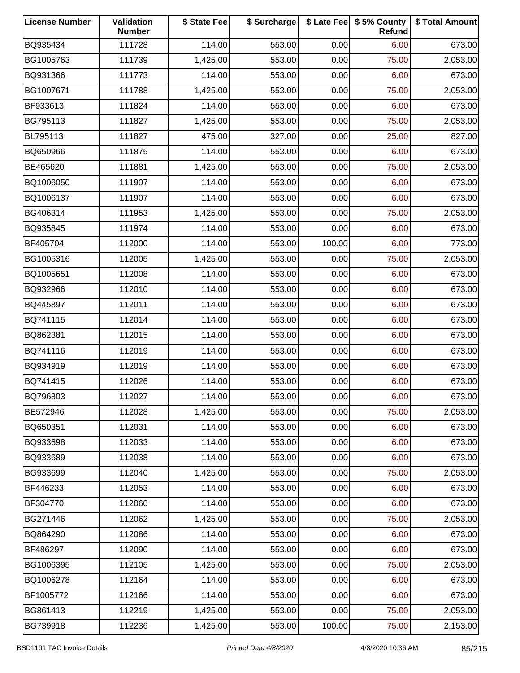| <b>License Number</b> | Validation<br><b>Number</b> | \$ State Fee | \$ Surcharge |        | \$ Late Fee   \$5% County<br>Refund | \$ Total Amount |
|-----------------------|-----------------------------|--------------|--------------|--------|-------------------------------------|-----------------|
| BQ935434              | 111728                      | 114.00       | 553.00       | 0.00   | 6.00                                | 673.00          |
| BG1005763             | 111739                      | 1,425.00     | 553.00       | 0.00   | 75.00                               | 2,053.00        |
| BQ931366              | 111773                      | 114.00       | 553.00       | 0.00   | 6.00                                | 673.00          |
| BG1007671             | 111788                      | 1,425.00     | 553.00       | 0.00   | 75.00                               | 2,053.00        |
| BF933613              | 111824                      | 114.00       | 553.00       | 0.00   | 6.00                                | 673.00          |
| BG795113              | 111827                      | 1,425.00     | 553.00       | 0.00   | 75.00                               | 2,053.00        |
| BL795113              | 111827                      | 475.00       | 327.00       | 0.00   | 25.00                               | 827.00          |
| BQ650966              | 111875                      | 114.00       | 553.00       | 0.00   | 6.00                                | 673.00          |
| BE465620              | 111881                      | 1,425.00     | 553.00       | 0.00   | 75.00                               | 2,053.00        |
| BQ1006050             | 111907                      | 114.00       | 553.00       | 0.00   | 6.00                                | 673.00          |
| BQ1006137             | 111907                      | 114.00       | 553.00       | 0.00   | 6.00                                | 673.00          |
| BG406314              | 111953                      | 1,425.00     | 553.00       | 0.00   | 75.00                               | 2,053.00        |
| BQ935845              | 111974                      | 114.00       | 553.00       | 0.00   | 6.00                                | 673.00          |
| BF405704              | 112000                      | 114.00       | 553.00       | 100.00 | 6.00                                | 773.00          |
| BG1005316             | 112005                      | 1,425.00     | 553.00       | 0.00   | 75.00                               | 2,053.00        |
| BQ1005651             | 112008                      | 114.00       | 553.00       | 0.00   | 6.00                                | 673.00          |
| BQ932966              | 112010                      | 114.00       | 553.00       | 0.00   | 6.00                                | 673.00          |
| BQ445897              | 112011                      | 114.00       | 553.00       | 0.00   | 6.00                                | 673.00          |
| BQ741115              | 112014                      | 114.00       | 553.00       | 0.00   | 6.00                                | 673.00          |
| BQ862381              | 112015                      | 114.00       | 553.00       | 0.00   | 6.00                                | 673.00          |
| BQ741116              | 112019                      | 114.00       | 553.00       | 0.00   | 6.00                                | 673.00          |
| BQ934919              | 112019                      | 114.00       | 553.00       | 0.00   | 6.00                                | 673.00          |
| BQ741415              | 112026                      | 114.00       | 553.00       | 0.00   | 6.00                                | 673.00          |
| BQ796803              | 112027                      | 114.00       | 553.00       | 0.00   | 6.00                                | 673.00          |
| BE572946              | 112028                      | 1,425.00     | 553.00       | 0.00   | 75.00                               | 2,053.00        |
| BQ650351              | 112031                      | 114.00       | 553.00       | 0.00   | 6.00                                | 673.00          |
| BQ933698              | 112033                      | 114.00       | 553.00       | 0.00   | 6.00                                | 673.00          |
| BQ933689              | 112038                      | 114.00       | 553.00       | 0.00   | 6.00                                | 673.00          |
| BG933699              | 112040                      | 1,425.00     | 553.00       | 0.00   | 75.00                               | 2,053.00        |
| BF446233              | 112053                      | 114.00       | 553.00       | 0.00   | 6.00                                | 673.00          |
| BF304770              | 112060                      | 114.00       | 553.00       | 0.00   | 6.00                                | 673.00          |
| BG271446              | 112062                      | 1,425.00     | 553.00       | 0.00   | 75.00                               | 2,053.00        |
| BQ864290              | 112086                      | 114.00       | 553.00       | 0.00   | 6.00                                | 673.00          |
| BF486297              | 112090                      | 114.00       | 553.00       | 0.00   | 6.00                                | 673.00          |
| BG1006395             | 112105                      | 1,425.00     | 553.00       | 0.00   | 75.00                               | 2,053.00        |
| BQ1006278             | 112164                      | 114.00       | 553.00       | 0.00   | 6.00                                | 673.00          |
| BF1005772             | 112166                      | 114.00       | 553.00       | 0.00   | 6.00                                | 673.00          |
| BG861413              | 112219                      | 1,425.00     | 553.00       | 0.00   | 75.00                               | 2,053.00        |
| BG739918              | 112236                      | 1,425.00     | 553.00       | 100.00 | 75.00                               | 2,153.00        |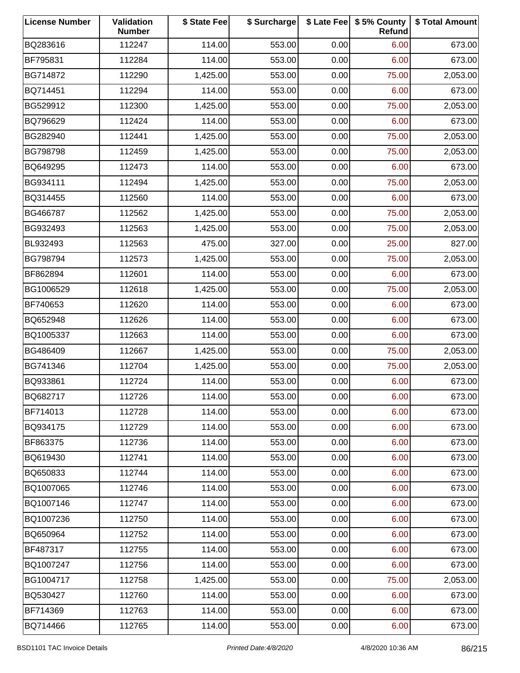| <b>License Number</b> | Validation<br><b>Number</b> | \$ State Fee | \$ Surcharge |      | \$ Late Fee   \$5% County<br>Refund | \$ Total Amount |
|-----------------------|-----------------------------|--------------|--------------|------|-------------------------------------|-----------------|
| BQ283616              | 112247                      | 114.00       | 553.00       | 0.00 | 6.00                                | 673.00          |
| BF795831              | 112284                      | 114.00       | 553.00       | 0.00 | 6.00                                | 673.00          |
| BG714872              | 112290                      | 1,425.00     | 553.00       | 0.00 | 75.00                               | 2,053.00        |
| BQ714451              | 112294                      | 114.00       | 553.00       | 0.00 | 6.00                                | 673.00          |
| BG529912              | 112300                      | 1,425.00     | 553.00       | 0.00 | 75.00                               | 2,053.00        |
| BQ796629              | 112424                      | 114.00       | 553.00       | 0.00 | 6.00                                | 673.00          |
| BG282940              | 112441                      | 1,425.00     | 553.00       | 0.00 | 75.00                               | 2,053.00        |
| BG798798              | 112459                      | 1,425.00     | 553.00       | 0.00 | 75.00                               | 2,053.00        |
| BQ649295              | 112473                      | 114.00       | 553.00       | 0.00 | 6.00                                | 673.00          |
| BG934111              | 112494                      | 1,425.00     | 553.00       | 0.00 | 75.00                               | 2,053.00        |
| BQ314455              | 112560                      | 114.00       | 553.00       | 0.00 | 6.00                                | 673.00          |
| BG466787              | 112562                      | 1,425.00     | 553.00       | 0.00 | 75.00                               | 2,053.00        |
| BG932493              | 112563                      | 1,425.00     | 553.00       | 0.00 | 75.00                               | 2,053.00        |
| BL932493              | 112563                      | 475.00       | 327.00       | 0.00 | 25.00                               | 827.00          |
| BG798794              | 112573                      | 1,425.00     | 553.00       | 0.00 | 75.00                               | 2,053.00        |
| BF862894              | 112601                      | 114.00       | 553.00       | 0.00 | 6.00                                | 673.00          |
| BG1006529             | 112618                      | 1,425.00     | 553.00       | 0.00 | 75.00                               | 2,053.00        |
| BF740653              | 112620                      | 114.00       | 553.00       | 0.00 | 6.00                                | 673.00          |
| BQ652948              | 112626                      | 114.00       | 553.00       | 0.00 | 6.00                                | 673.00          |
| BQ1005337             | 112663                      | 114.00       | 553.00       | 0.00 | 6.00                                | 673.00          |
| BG486409              | 112667                      | 1,425.00     | 553.00       | 0.00 | 75.00                               | 2,053.00        |
| BG741346              | 112704                      | 1,425.00     | 553.00       | 0.00 | 75.00                               | 2,053.00        |
| BQ933861              | 112724                      | 114.00       | 553.00       | 0.00 | 6.00                                | 673.00          |
| BQ682717              | 112726                      | 114.00       | 553.00       | 0.00 | 6.00                                | 673.00          |
| BF714013              | 112728                      | 114.00       | 553.00       | 0.00 | 6.00                                | 673.00          |
| BQ934175              | 112729                      | 114.00       | 553.00       | 0.00 | 6.00                                | 673.00          |
| BF863375              | 112736                      | 114.00       | 553.00       | 0.00 | 6.00                                | 673.00          |
| BQ619430              | 112741                      | 114.00       | 553.00       | 0.00 | 6.00                                | 673.00          |
| BQ650833              | 112744                      | 114.00       | 553.00       | 0.00 | 6.00                                | 673.00          |
| BQ1007065             | 112746                      | 114.00       | 553.00       | 0.00 | 6.00                                | 673.00          |
| BQ1007146             | 112747                      | 114.00       | 553.00       | 0.00 | 6.00                                | 673.00          |
| BQ1007236             | 112750                      | 114.00       | 553.00       | 0.00 | 6.00                                | 673.00          |
| BQ650964              | 112752                      | 114.00       | 553.00       | 0.00 | 6.00                                | 673.00          |
| BF487317              | 112755                      | 114.00       | 553.00       | 0.00 | 6.00                                | 673.00          |
| BQ1007247             | 112756                      | 114.00       | 553.00       | 0.00 | 6.00                                | 673.00          |
| BG1004717             | 112758                      | 1,425.00     | 553.00       | 0.00 | 75.00                               | 2,053.00        |
| BQ530427              | 112760                      | 114.00       | 553.00       | 0.00 | 6.00                                | 673.00          |
| BF714369              | 112763                      | 114.00       | 553.00       | 0.00 | 6.00                                | 673.00          |
| BQ714466              | 112765                      | 114.00       | 553.00       | 0.00 | 6.00                                | 673.00          |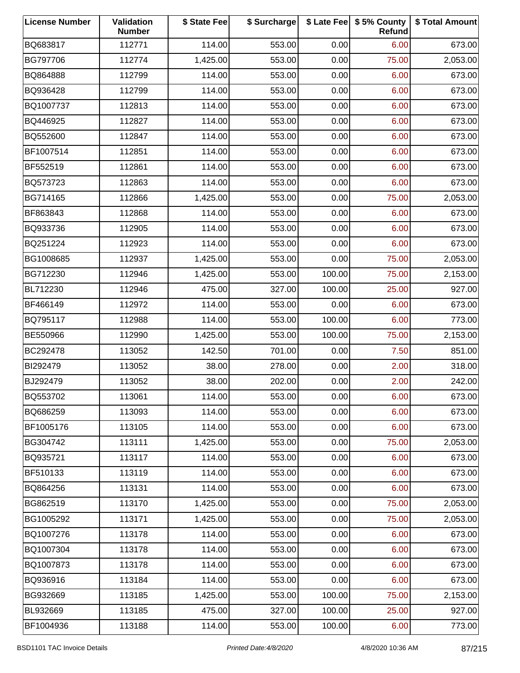| <b>License Number</b> | Validation<br><b>Number</b> | \$ State Fee | \$ Surcharge |        | \$ Late Fee   \$5% County<br>Refund | \$ Total Amount |
|-----------------------|-----------------------------|--------------|--------------|--------|-------------------------------------|-----------------|
| BQ683817              | 112771                      | 114.00       | 553.00       | 0.00   | 6.00                                | 673.00          |
| BG797706              | 112774                      | 1,425.00     | 553.00       | 0.00   | 75.00                               | 2,053.00        |
| BQ864888              | 112799                      | 114.00       | 553.00       | 0.00   | 6.00                                | 673.00          |
| BQ936428              | 112799                      | 114.00       | 553.00       | 0.00   | 6.00                                | 673.00          |
| BQ1007737             | 112813                      | 114.00       | 553.00       | 0.00   | 6.00                                | 673.00          |
| BQ446925              | 112827                      | 114.00       | 553.00       | 0.00   | 6.00                                | 673.00          |
| BQ552600              | 112847                      | 114.00       | 553.00       | 0.00   | 6.00                                | 673.00          |
| BF1007514             | 112851                      | 114.00       | 553.00       | 0.00   | 6.00                                | 673.00          |
| BF552519              | 112861                      | 114.00       | 553.00       | 0.00   | 6.00                                | 673.00          |
| BQ573723              | 112863                      | 114.00       | 553.00       | 0.00   | 6.00                                | 673.00          |
| BG714165              | 112866                      | 1,425.00     | 553.00       | 0.00   | 75.00                               | 2,053.00        |
| BF863843              | 112868                      | 114.00       | 553.00       | 0.00   | 6.00                                | 673.00          |
| BQ933736              | 112905                      | 114.00       | 553.00       | 0.00   | 6.00                                | 673.00          |
| BQ251224              | 112923                      | 114.00       | 553.00       | 0.00   | 6.00                                | 673.00          |
| BG1008685             | 112937                      | 1,425.00     | 553.00       | 0.00   | 75.00                               | 2,053.00        |
| BG712230              | 112946                      | 1,425.00     | 553.00       | 100.00 | 75.00                               | 2,153.00        |
| BL712230              | 112946                      | 475.00       | 327.00       | 100.00 | 25.00                               | 927.00          |
| BF466149              | 112972                      | 114.00       | 553.00       | 0.00   | 6.00                                | 673.00          |
| BQ795117              | 112988                      | 114.00       | 553.00       | 100.00 | 6.00                                | 773.00          |
| BE550966              | 112990                      | 1,425.00     | 553.00       | 100.00 | 75.00                               | 2,153.00        |
| BC292478              | 113052                      | 142.50       | 701.00       | 0.00   | 7.50                                | 851.00          |
| BI292479              | 113052                      | 38.00        | 278.00       | 0.00   | 2.00                                | 318.00          |
| BJ292479              | 113052                      | 38.00        | 202.00       | 0.00   | 2.00                                | 242.00          |
| BQ553702              | 113061                      | 114.00       | 553.00       | 0.00   | 6.00                                | 673.00          |
| BQ686259              | 113093                      | 114.00       | 553.00       | 0.00   | 6.00                                | 673.00          |
| BF1005176             | 113105                      | 114.00       | 553.00       | 0.00   | 6.00                                | 673.00          |
| BG304742              | 113111                      | 1,425.00     | 553.00       | 0.00   | 75.00                               | 2,053.00        |
| BQ935721              | 113117                      | 114.00       | 553.00       | 0.00   | 6.00                                | 673.00          |
| BF510133              | 113119                      | 114.00       | 553.00       | 0.00   | 6.00                                | 673.00          |
| BQ864256              | 113131                      | 114.00       | 553.00       | 0.00   | 6.00                                | 673.00          |
| BG862519              | 113170                      | 1,425.00     | 553.00       | 0.00   | 75.00                               | 2,053.00        |
| BG1005292             | 113171                      | 1,425.00     | 553.00       | 0.00   | 75.00                               | 2,053.00        |
| BQ1007276             | 113178                      | 114.00       | 553.00       | 0.00   | 6.00                                | 673.00          |
| BQ1007304             | 113178                      | 114.00       | 553.00       | 0.00   | 6.00                                | 673.00          |
| BQ1007873             | 113178                      | 114.00       | 553.00       | 0.00   | 6.00                                | 673.00          |
| BQ936916              | 113184                      | 114.00       | 553.00       | 0.00   | 6.00                                | 673.00          |
| BG932669              | 113185                      | 1,425.00     | 553.00       | 100.00 | 75.00                               | 2,153.00        |
| BL932669              | 113185                      | 475.00       | 327.00       | 100.00 | 25.00                               | 927.00          |
| BF1004936             | 113188                      | 114.00       | 553.00       | 100.00 | 6.00                                | 773.00          |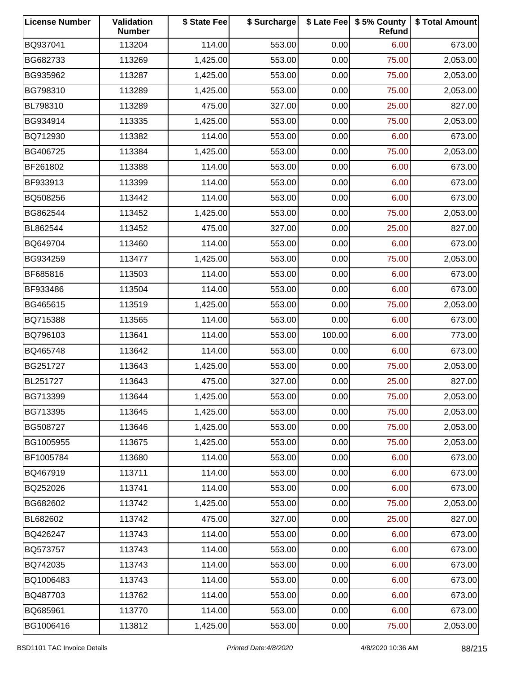| <b>License Number</b> | Validation<br><b>Number</b> | \$ State Fee | \$ Surcharge |        | \$ Late Fee   \$5% County<br>Refund | \$ Total Amount |
|-----------------------|-----------------------------|--------------|--------------|--------|-------------------------------------|-----------------|
| BQ937041              | 113204                      | 114.00       | 553.00       | 0.00   | 6.00                                | 673.00          |
| BG682733              | 113269                      | 1,425.00     | 553.00       | 0.00   | 75.00                               | 2,053.00        |
| BG935962              | 113287                      | 1,425.00     | 553.00       | 0.00   | 75.00                               | 2,053.00        |
| BG798310              | 113289                      | 1,425.00     | 553.00       | 0.00   | 75.00                               | 2,053.00        |
| BL798310              | 113289                      | 475.00       | 327.00       | 0.00   | 25.00                               | 827.00          |
| BG934914              | 113335                      | 1,425.00     | 553.00       | 0.00   | 75.00                               | 2,053.00        |
| BQ712930              | 113382                      | 114.00       | 553.00       | 0.00   | 6.00                                | 673.00          |
| BG406725              | 113384                      | 1,425.00     | 553.00       | 0.00   | 75.00                               | 2,053.00        |
| BF261802              | 113388                      | 114.00       | 553.00       | 0.00   | 6.00                                | 673.00          |
| BF933913              | 113399                      | 114.00       | 553.00       | 0.00   | 6.00                                | 673.00          |
| BQ508256              | 113442                      | 114.00       | 553.00       | 0.00   | 6.00                                | 673.00          |
| BG862544              | 113452                      | 1,425.00     | 553.00       | 0.00   | 75.00                               | 2,053.00        |
| BL862544              | 113452                      | 475.00       | 327.00       | 0.00   | 25.00                               | 827.00          |
| BQ649704              | 113460                      | 114.00       | 553.00       | 0.00   | 6.00                                | 673.00          |
| BG934259              | 113477                      | 1,425.00     | 553.00       | 0.00   | 75.00                               | 2,053.00        |
| BF685816              | 113503                      | 114.00       | 553.00       | 0.00   | 6.00                                | 673.00          |
| BF933486              | 113504                      | 114.00       | 553.00       | 0.00   | 6.00                                | 673.00          |
| BG465615              | 113519                      | 1,425.00     | 553.00       | 0.00   | 75.00                               | 2,053.00        |
| BQ715388              | 113565                      | 114.00       | 553.00       | 0.00   | 6.00                                | 673.00          |
| BQ796103              | 113641                      | 114.00       | 553.00       | 100.00 | 6.00                                | 773.00          |
| BQ465748              | 113642                      | 114.00       | 553.00       | 0.00   | 6.00                                | 673.00          |
| BG251727              | 113643                      | 1,425.00     | 553.00       | 0.00   | 75.00                               | 2,053.00        |
| BL251727              | 113643                      | 475.00       | 327.00       | 0.00   | 25.00                               | 827.00          |
| BG713399              | 113644                      | 1,425.00     | 553.00       | 0.00   | 75.00                               | 2,053.00        |
| BG713395              | 113645                      | 1,425.00     | 553.00       | 0.00   | 75.00                               | 2,053.00        |
| BG508727              | 113646                      | 1,425.00     | 553.00       | 0.00   | 75.00                               | 2,053.00        |
| BG1005955             | 113675                      | 1,425.00     | 553.00       | 0.00   | 75.00                               | 2,053.00        |
| BF1005784             | 113680                      | 114.00       | 553.00       | 0.00   | 6.00                                | 673.00          |
| BQ467919              | 113711                      | 114.00       | 553.00       | 0.00   | 6.00                                | 673.00          |
| BQ252026              | 113741                      | 114.00       | 553.00       | 0.00   | 6.00                                | 673.00          |
| BG682602              | 113742                      | 1,425.00     | 553.00       | 0.00   | 75.00                               | 2,053.00        |
| BL682602              | 113742                      | 475.00       | 327.00       | 0.00   | 25.00                               | 827.00          |
| BQ426247              | 113743                      | 114.00       | 553.00       | 0.00   | 6.00                                | 673.00          |
| BQ573757              | 113743                      | 114.00       | 553.00       | 0.00   | 6.00                                | 673.00          |
| BQ742035              | 113743                      | 114.00       | 553.00       | 0.00   | 6.00                                | 673.00          |
| BQ1006483             | 113743                      | 114.00       | 553.00       | 0.00   | 6.00                                | 673.00          |
| BQ487703              | 113762                      | 114.00       | 553.00       | 0.00   | 6.00                                | 673.00          |
| BQ685961              | 113770                      | 114.00       | 553.00       | 0.00   | 6.00                                | 673.00          |
| BG1006416             | 113812                      | 1,425.00     | 553.00       | 0.00   | 75.00                               | 2,053.00        |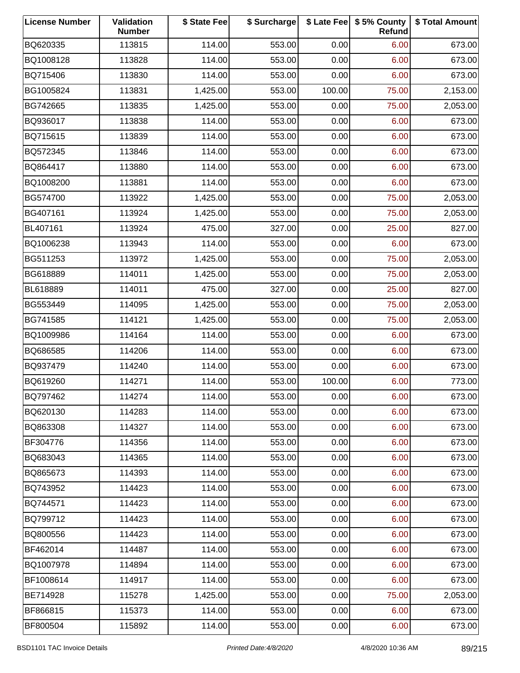| <b>License Number</b> | Validation<br><b>Number</b> | \$ State Fee | \$ Surcharge |        | \$ Late Fee   \$5% County<br>Refund | \$ Total Amount |
|-----------------------|-----------------------------|--------------|--------------|--------|-------------------------------------|-----------------|
| BQ620335              | 113815                      | 114.00       | 553.00       | 0.00   | 6.00                                | 673.00          |
| BQ1008128             | 113828                      | 114.00       | 553.00       | 0.00   | 6.00                                | 673.00          |
| BQ715406              | 113830                      | 114.00       | 553.00       | 0.00   | 6.00                                | 673.00          |
| BG1005824             | 113831                      | 1,425.00     | 553.00       | 100.00 | 75.00                               | 2,153.00        |
| BG742665              | 113835                      | 1,425.00     | 553.00       | 0.00   | 75.00                               | 2,053.00        |
| BQ936017              | 113838                      | 114.00       | 553.00       | 0.00   | 6.00                                | 673.00          |
| BQ715615              | 113839                      | 114.00       | 553.00       | 0.00   | 6.00                                | 673.00          |
| BQ572345              | 113846                      | 114.00       | 553.00       | 0.00   | 6.00                                | 673.00          |
| BQ864417              | 113880                      | 114.00       | 553.00       | 0.00   | 6.00                                | 673.00          |
| BQ1008200             | 113881                      | 114.00       | 553.00       | 0.00   | 6.00                                | 673.00          |
| BG574700              | 113922                      | 1,425.00     | 553.00       | 0.00   | 75.00                               | 2,053.00        |
| BG407161              | 113924                      | 1,425.00     | 553.00       | 0.00   | 75.00                               | 2,053.00        |
| BL407161              | 113924                      | 475.00       | 327.00       | 0.00   | 25.00                               | 827.00          |
| BQ1006238             | 113943                      | 114.00       | 553.00       | 0.00   | 6.00                                | 673.00          |
| BG511253              | 113972                      | 1,425.00     | 553.00       | 0.00   | 75.00                               | 2,053.00        |
| BG618889              | 114011                      | 1,425.00     | 553.00       | 0.00   | 75.00                               | 2,053.00        |
| BL618889              | 114011                      | 475.00       | 327.00       | 0.00   | 25.00                               | 827.00          |
| BG553449              | 114095                      | 1,425.00     | 553.00       | 0.00   | 75.00                               | 2,053.00        |
| BG741585              | 114121                      | 1,425.00     | 553.00       | 0.00   | 75.00                               | 2,053.00        |
| BQ1009986             | 114164                      | 114.00       | 553.00       | 0.00   | 6.00                                | 673.00          |
| BQ686585              | 114206                      | 114.00       | 553.00       | 0.00   | 6.00                                | 673.00          |
| BQ937479              | 114240                      | 114.00       | 553.00       | 0.00   | 6.00                                | 673.00          |
| BQ619260              | 114271                      | 114.00       | 553.00       | 100.00 | 6.00                                | 773.00          |
| BQ797462              | 114274                      | 114.00       | 553.00       | 0.00   | 6.00                                | 673.00          |
| BQ620130              | 114283                      | 114.00       | 553.00       | 0.00   | 6.00                                | 673.00          |
| BQ863308              | 114327                      | 114.00       | 553.00       | 0.00   | 6.00                                | 673.00          |
| BF304776              | 114356                      | 114.00       | 553.00       | 0.00   | 6.00                                | 673.00          |
| BQ683043              | 114365                      | 114.00       | 553.00       | 0.00   | 6.00                                | 673.00          |
| BQ865673              | 114393                      | 114.00       | 553.00       | 0.00   | 6.00                                | 673.00          |
| BQ743952              | 114423                      | 114.00       | 553.00       | 0.00   | 6.00                                | 673.00          |
| BQ744571              | 114423                      | 114.00       | 553.00       | 0.00   | 6.00                                | 673.00          |
| BQ799712              | 114423                      | 114.00       | 553.00       | 0.00   | 6.00                                | 673.00          |
| BQ800556              | 114423                      | 114.00       | 553.00       | 0.00   | 6.00                                | 673.00          |
| BF462014              | 114487                      | 114.00       | 553.00       | 0.00   | 6.00                                | 673.00          |
| BQ1007978             | 114894                      | 114.00       | 553.00       | 0.00   | 6.00                                | 673.00          |
| BF1008614             | 114917                      | 114.00       | 553.00       | 0.00   | 6.00                                | 673.00          |
| BE714928              | 115278                      | 1,425.00     | 553.00       | 0.00   | 75.00                               | 2,053.00        |
| BF866815              | 115373                      | 114.00       | 553.00       | 0.00   | 6.00                                | 673.00          |
| BF800504              | 115892                      | 114.00       | 553.00       | 0.00   | 6.00                                | 673.00          |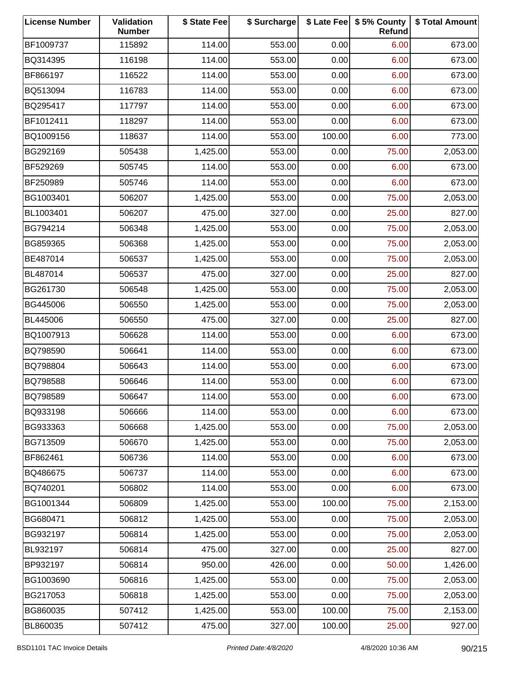| <b>License Number</b> | Validation<br><b>Number</b> | \$ State Fee | \$ Surcharge |        | \$ Late Fee   \$5% County<br>Refund | \$ Total Amount |
|-----------------------|-----------------------------|--------------|--------------|--------|-------------------------------------|-----------------|
| BF1009737             | 115892                      | 114.00       | 553.00       | 0.00   | 6.00                                | 673.00          |
| BQ314395              | 116198                      | 114.00       | 553.00       | 0.00   | 6.00                                | 673.00          |
| BF866197              | 116522                      | 114.00       | 553.00       | 0.00   | 6.00                                | 673.00          |
| BQ513094              | 116783                      | 114.00       | 553.00       | 0.00   | 6.00                                | 673.00          |
| BQ295417              | 117797                      | 114.00       | 553.00       | 0.00   | 6.00                                | 673.00          |
| BF1012411             | 118297                      | 114.00       | 553.00       | 0.00   | 6.00                                | 673.00          |
| BQ1009156             | 118637                      | 114.00       | 553.00       | 100.00 | 6.00                                | 773.00          |
| BG292169              | 505438                      | 1,425.00     | 553.00       | 0.00   | 75.00                               | 2,053.00        |
| BF529269              | 505745                      | 114.00       | 553.00       | 0.00   | 6.00                                | 673.00          |
| BF250989              | 505746                      | 114.00       | 553.00       | 0.00   | 6.00                                | 673.00          |
| BG1003401             | 506207                      | 1,425.00     | 553.00       | 0.00   | 75.00                               | 2,053.00        |
| BL1003401             | 506207                      | 475.00       | 327.00       | 0.00   | 25.00                               | 827.00          |
| BG794214              | 506348                      | 1,425.00     | 553.00       | 0.00   | 75.00                               | 2,053.00        |
| BG859365              | 506368                      | 1,425.00     | 553.00       | 0.00   | 75.00                               | 2,053.00        |
| BE487014              | 506537                      | 1,425.00     | 553.00       | 0.00   | 75.00                               | 2,053.00        |
| BL487014              | 506537                      | 475.00       | 327.00       | 0.00   | 25.00                               | 827.00          |
| BG261730              | 506548                      | 1,425.00     | 553.00       | 0.00   | 75.00                               | 2,053.00        |
| BG445006              | 506550                      | 1,425.00     | 553.00       | 0.00   | 75.00                               | 2,053.00        |
| BL445006              | 506550                      | 475.00       | 327.00       | 0.00   | 25.00                               | 827.00          |
| BQ1007913             | 506628                      | 114.00       | 553.00       | 0.00   | 6.00                                | 673.00          |
| BQ798590              | 506641                      | 114.00       | 553.00       | 0.00   | 6.00                                | 673.00          |
| BQ798804              | 506643                      | 114.00       | 553.00       | 0.00   | 6.00                                | 673.00          |
| BQ798588              | 506646                      | 114.00       | 553.00       | 0.00   | 6.00                                | 673.00          |
| BQ798589              | 506647                      | 114.00       | 553.00       | 0.00   | 6.00                                | 673.00          |
| BQ933198              | 506666                      | 114.00       | 553.00       | 0.00   | 6.00                                | 673.00          |
| BG933363              | 506668                      | 1,425.00     | 553.00       | 0.00   | 75.00                               | 2,053.00        |
| BG713509              | 506670                      | 1,425.00     | 553.00       | 0.00   | 75.00                               | 2,053.00        |
| BF862461              | 506736                      | 114.00       | 553.00       | 0.00   | 6.00                                | 673.00          |
| BQ486675              | 506737                      | 114.00       | 553.00       | 0.00   | 6.00                                | 673.00          |
| BQ740201              | 506802                      | 114.00       | 553.00       | 0.00   | 6.00                                | 673.00          |
| BG1001344             | 506809                      | 1,425.00     | 553.00       | 100.00 | 75.00                               | 2,153.00        |
| BG680471              | 506812                      | 1,425.00     | 553.00       | 0.00   | 75.00                               | 2,053.00        |
| BG932197              | 506814                      | 1,425.00     | 553.00       | 0.00   | 75.00                               | 2,053.00        |
| BL932197              | 506814                      | 475.00       | 327.00       | 0.00   | 25.00                               | 827.00          |
| BP932197              | 506814                      | 950.00       | 426.00       | 0.00   | 50.00                               | 1,426.00        |
| BG1003690             | 506816                      | 1,425.00     | 553.00       | 0.00   | 75.00                               | 2,053.00        |
| BG217053              | 506818                      | 1,425.00     | 553.00       | 0.00   | 75.00                               | 2,053.00        |
| BG860035              | 507412                      | 1,425.00     | 553.00       | 100.00 | 75.00                               | 2,153.00        |
| BL860035              | 507412                      | 475.00       | 327.00       | 100.00 | 25.00                               | 927.00          |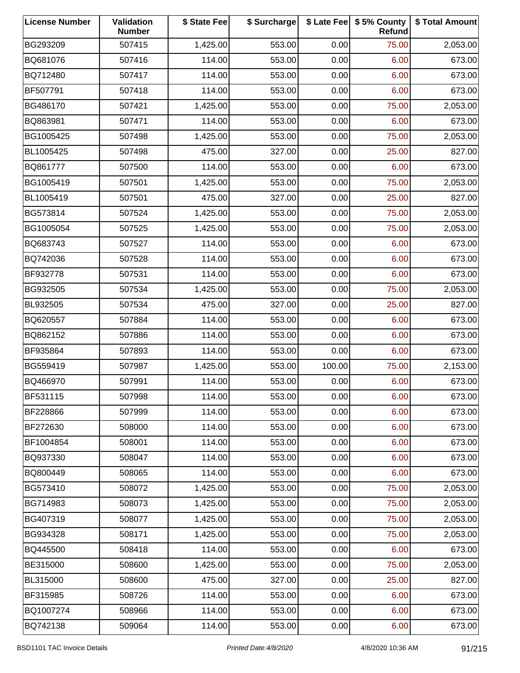| <b>License Number</b> | Validation<br><b>Number</b> | \$ State Fee | \$ Surcharge |        | \$ Late Fee   \$5% County<br>Refund | \$ Total Amount |
|-----------------------|-----------------------------|--------------|--------------|--------|-------------------------------------|-----------------|
| BG293209              | 507415                      | 1,425.00     | 553.00       | 0.00   | 75.00                               | 2,053.00        |
| BQ681076              | 507416                      | 114.00       | 553.00       | 0.00   | 6.00                                | 673.00          |
| BQ712480              | 507417                      | 114.00       | 553.00       | 0.00   | 6.00                                | 673.00          |
| BF507791              | 507418                      | 114.00       | 553.00       | 0.00   | 6.00                                | 673.00          |
| BG486170              | 507421                      | 1,425.00     | 553.00       | 0.00   | 75.00                               | 2,053.00        |
| BQ863981              | 507471                      | 114.00       | 553.00       | 0.00   | 6.00                                | 673.00          |
| BG1005425             | 507498                      | 1,425.00     | 553.00       | 0.00   | 75.00                               | 2,053.00        |
| BL1005425             | 507498                      | 475.00       | 327.00       | 0.00   | 25.00                               | 827.00          |
| BQ861777              | 507500                      | 114.00       | 553.00       | 0.00   | 6.00                                | 673.00          |
| BG1005419             | 507501                      | 1,425.00     | 553.00       | 0.00   | 75.00                               | 2,053.00        |
| BL1005419             | 507501                      | 475.00       | 327.00       | 0.00   | 25.00                               | 827.00          |
| BG573814              | 507524                      | 1,425.00     | 553.00       | 0.00   | 75.00                               | 2,053.00        |
| BG1005054             | 507525                      | 1,425.00     | 553.00       | 0.00   | 75.00                               | 2,053.00        |
| BQ683743              | 507527                      | 114.00       | 553.00       | 0.00   | 6.00                                | 673.00          |
| BQ742036              | 507528                      | 114.00       | 553.00       | 0.00   | 6.00                                | 673.00          |
| BF932778              | 507531                      | 114.00       | 553.00       | 0.00   | 6.00                                | 673.00          |
| BG932505              | 507534                      | 1,425.00     | 553.00       | 0.00   | 75.00                               | 2,053.00        |
| BL932505              | 507534                      | 475.00       | 327.00       | 0.00   | 25.00                               | 827.00          |
| BQ620557              | 507884                      | 114.00       | 553.00       | 0.00   | 6.00                                | 673.00          |
| BQ862152              | 507886                      | 114.00       | 553.00       | 0.00   | 6.00                                | 673.00          |
| BF935864              | 507893                      | 114.00       | 553.00       | 0.00   | 6.00                                | 673.00          |
| BG559419              | 507987                      | 1,425.00     | 553.00       | 100.00 | 75.00                               | 2,153.00        |
| BQ466970              | 507991                      | 114.00       | 553.00       | 0.00   | 6.00                                | 673.00          |
| BF531115              | 507998                      | 114.00       | 553.00       | 0.00   | 6.00                                | 673.00          |
| BF228866              | 507999                      | 114.00       | 553.00       | 0.00   | 6.00                                | 673.00          |
| BF272630              | 508000                      | 114.00       | 553.00       | 0.00   | 6.00                                | 673.00          |
| BF1004854             | 508001                      | 114.00       | 553.00       | 0.00   | 6.00                                | 673.00          |
| BQ937330              | 508047                      | 114.00       | 553.00       | 0.00   | 6.00                                | 673.00          |
| BQ800449              | 508065                      | 114.00       | 553.00       | 0.00   | 6.00                                | 673.00          |
| BG573410              | 508072                      | 1,425.00     | 553.00       | 0.00   | 75.00                               | 2,053.00        |
| BG714983              | 508073                      | 1,425.00     | 553.00       | 0.00   | 75.00                               | 2,053.00        |
| BG407319              | 508077                      | 1,425.00     | 553.00       | 0.00   | 75.00                               | 2,053.00        |
| BG934328              | 508171                      | 1,425.00     | 553.00       | 0.00   | 75.00                               | 2,053.00        |
| BQ445500              | 508418                      | 114.00       | 553.00       | 0.00   | 6.00                                | 673.00          |
| BE315000              | 508600                      | 1,425.00     | 553.00       | 0.00   | 75.00                               | 2,053.00        |
| BL315000              | 508600                      | 475.00       | 327.00       | 0.00   | 25.00                               | 827.00          |
| BF315985              | 508726                      | 114.00       | 553.00       | 0.00   | 6.00                                | 673.00          |
| BQ1007274             | 508966                      | 114.00       | 553.00       | 0.00   | 6.00                                | 673.00          |
| BQ742138              | 509064                      | 114.00       | 553.00       | 0.00   | 6.00                                | 673.00          |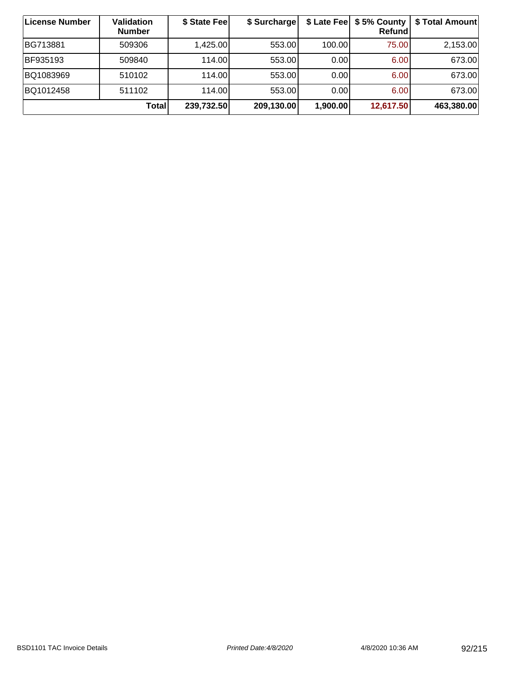| ∣License Number | <b>Validation</b><br><b>Number</b> | \$ State Fee | \$ Surcharge |          | \$ Late Fee   \$5% County  <br><b>Refund</b> | \$ Total Amount |
|-----------------|------------------------------------|--------------|--------------|----------|----------------------------------------------|-----------------|
| BG713881        | 509306                             | 1,425.00     | 553.00       | 100.00   | 75.00                                        | 2,153.00        |
| BF935193        | 509840                             | 114.00       | 553.00       | 0.00     | 6.00                                         | 673.00          |
| BQ1083969       | 510102                             | 114.00       | 553.00       | 0.00     | 6.00                                         | 673.00          |
| BQ1012458       | 511102                             | 114.00       | 553.00       | 0.00     | 6.00                                         | 673.00          |
|                 | Total                              | 239,732.50   | 209,130.00   | 1,900.00 | 12,617.50                                    | 463,380.00      |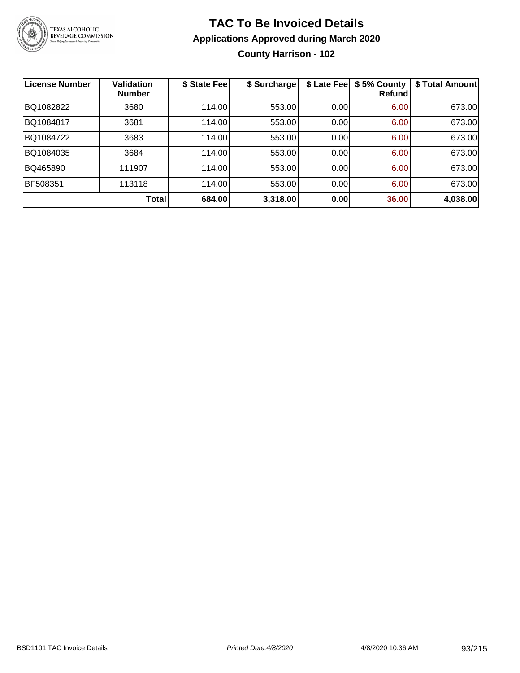

**County Harrison - 102**

| License Number | <b>Validation</b><br><b>Number</b> | \$ State Fee | \$ Surcharge | \$ Late Fee | \$5% County<br>Refundl | \$ Total Amount |
|----------------|------------------------------------|--------------|--------------|-------------|------------------------|-----------------|
| BQ1082822      | 3680                               | 114.00       | 553.00       | 0.00        | 6.00                   | 673.00          |
| BQ1084817      | 3681                               | 114.00       | 553.00       | 0.00        | 6.00                   | 673.00          |
| BQ1084722      | 3683                               | 114.00       | 553.00       | 0.00        | 6.00                   | 673.00          |
| BQ1084035      | 3684                               | 114.00       | 553.00       | 0.00        | 6.00                   | 673.00          |
| BQ465890       | 111907                             | 114.00       | 553.00       | 0.00        | 6.00                   | 673.00          |
| BF508351       | 113118                             | 114.00       | 553.00       | 0.00        | 6.00                   | 673.00          |
|                | Total                              | 684.00       | 3,318.00     | 0.00        | 36.00                  | 4,038.00        |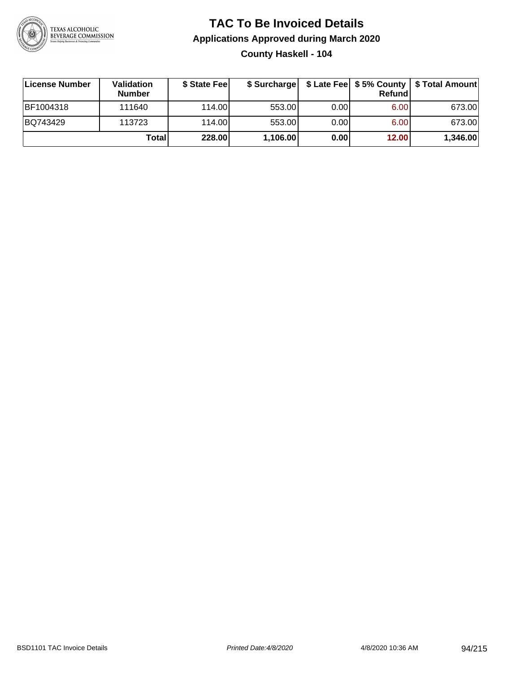

#### **TAC To Be Invoiced Details Applications Approved during March 2020 County Haskell - 104**

| License Number | Validation<br><b>Number</b> | \$ State Feel | \$ Surcharge |      | Refundl | \$ Late Fee   \$5% County   \$ Total Amount |
|----------------|-----------------------------|---------------|--------------|------|---------|---------------------------------------------|
| BF1004318      | 111640                      | 114.00L       | 553.00       | 0.00 | 6.00    | 673.00                                      |
| BQ743429       | 113723                      | 114.00L       | 553.00       | 0.00 | 6.00    | 673.00                                      |
|                | <b>Total</b>                | 228.00        | 1,106.00     | 0.00 | 12.00   | 1,346.00                                    |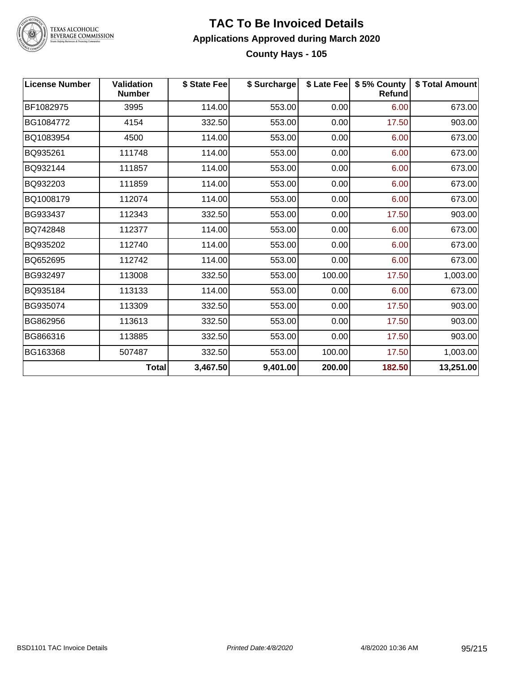

### TEXAS ALCOHOLIC<br>BEVERAGE COMMISSION

#### **TAC To Be Invoiced Details Applications Approved during March 2020 County Hays - 105**

| <b>License Number</b> | <b>Validation</b><br><b>Number</b> | \$ State Fee | \$ Surcharge |        | \$ Late Fee   \$5% County<br>Refund | \$ Total Amount |
|-----------------------|------------------------------------|--------------|--------------|--------|-------------------------------------|-----------------|
| BF1082975             | 3995                               | 114.00       | 553.00       | 0.00   | 6.00                                | 673.00          |
| BG1084772             | 4154                               | 332.50       | 553.00       | 0.00   | 17.50                               | 903.00          |
| BQ1083954             | 4500                               | 114.00       | 553.00       | 0.00   | 6.00                                | 673.00          |
| BQ935261              | 111748                             | 114.00       | 553.00       | 0.00   | 6.00                                | 673.00          |
| BQ932144              | 111857                             | 114.00       | 553.00       | 0.00   | 6.00                                | 673.00          |
| BQ932203              | 111859                             | 114.00       | 553.00       | 0.00   | 6.00                                | 673.00          |
| BQ1008179             | 112074                             | 114.00       | 553.00       | 0.00   | 6.00                                | 673.00          |
| BG933437              | 112343                             | 332.50       | 553.00       | 0.00   | 17.50                               | 903.00          |
| BQ742848              | 112377                             | 114.00       | 553.00       | 0.00   | 6.00                                | 673.00          |
| BQ935202              | 112740                             | 114.00       | 553.00       | 0.00   | 6.00                                | 673.00          |
| BQ652695              | 112742                             | 114.00       | 553.00       | 0.00   | 6.00                                | 673.00          |
| BG932497              | 113008                             | 332.50       | 553.00       | 100.00 | 17.50                               | 1,003.00        |
| BQ935184              | 113133                             | 114.00       | 553.00       | 0.00   | 6.00                                | 673.00          |
| BG935074              | 113309                             | 332.50       | 553.00       | 0.00   | 17.50                               | 903.00          |
| BG862956              | 113613                             | 332.50       | 553.00       | 0.00   | 17.50                               | 903.00          |
| BG866316              | 113885                             | 332.50       | 553.00       | 0.00   | 17.50                               | 903.00          |
| BG163368              | 507487                             | 332.50       | 553.00       | 100.00 | 17.50                               | 1,003.00        |
|                       | <b>Total</b>                       | 3,467.50     | 9,401.00     | 200.00 | 182.50                              | 13,251.00       |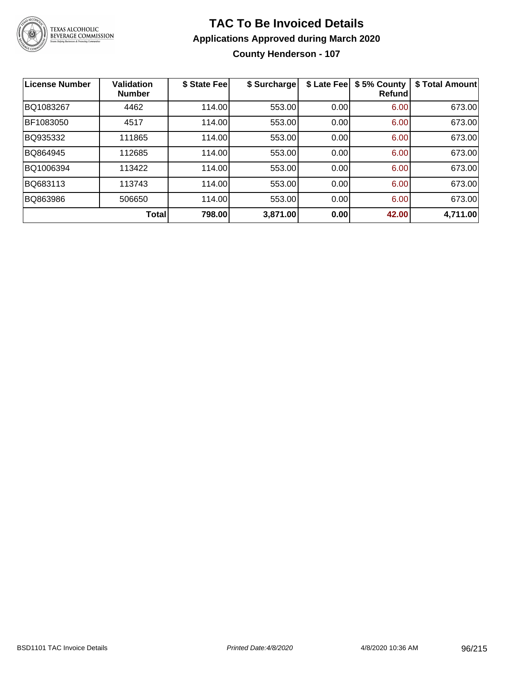

**County Henderson - 107**

| License Number | Validation<br><b>Number</b> | \$ State Fee | \$ Surcharge | \$ Late Fee | \$5% County<br>Refundl | \$ Total Amount |
|----------------|-----------------------------|--------------|--------------|-------------|------------------------|-----------------|
| BQ1083267      | 4462                        | 114.00       | 553.00       | 0.00        | 6.00                   | 673.00          |
| BF1083050      | 4517                        | 114.00       | 553.00       | 0.00        | 6.00                   | 673.00          |
| BQ935332       | 111865                      | 114.00       | 553.00       | 0.00        | 6.00                   | 673.00          |
| BQ864945       | 112685                      | 114.00       | 553.00       | 0.00        | 6.00                   | 673.00          |
| BQ1006394      | 113422                      | 114.00       | 553.00       | 0.00        | 6.00                   | 673.00          |
| BQ683113       | 113743                      | 114.00       | 553.00       | 0.00        | 6.00                   | 673.00          |
| BQ863986       | 506650                      | 114.00       | 553.00       | 0.00        | 6.00                   | 673.00          |
|                | Total                       | 798.00       | 3,871.00     | 0.00        | 42.00                  | 4,711.00        |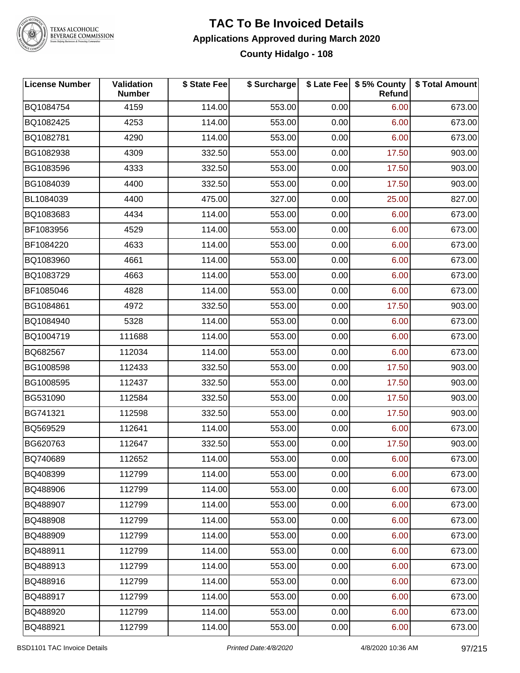

### TEXAS ALCOHOLIC<br>BEVERAGE COMMISSION

#### **TAC To Be Invoiced Details Applications Approved during March 2020 County Hidalgo - 108**

| <b>License Number</b> | <b>Validation</b><br><b>Number</b> | \$ State Fee | \$ Surcharge |      | \$ Late Fee \$5% County<br>Refund | \$ Total Amount |
|-----------------------|------------------------------------|--------------|--------------|------|-----------------------------------|-----------------|
| BQ1084754             | 4159                               | 114.00       | 553.00       | 0.00 | 6.00                              | 673.00          |
| BQ1082425             | 4253                               | 114.00       | 553.00       | 0.00 | 6.00                              | 673.00          |
| BQ1082781             | 4290                               | 114.00       | 553.00       | 0.00 | 6.00                              | 673.00          |
| BG1082938             | 4309                               | 332.50       | 553.00       | 0.00 | 17.50                             | 903.00          |
| BG1083596             | 4333                               | 332.50       | 553.00       | 0.00 | 17.50                             | 903.00          |
| BG1084039             | 4400                               | 332.50       | 553.00       | 0.00 | 17.50                             | 903.00          |
| BL1084039             | 4400                               | 475.00       | 327.00       | 0.00 | 25.00                             | 827.00          |
| BQ1083683             | 4434                               | 114.00       | 553.00       | 0.00 | 6.00                              | 673.00          |
| BF1083956             | 4529                               | 114.00       | 553.00       | 0.00 | 6.00                              | 673.00          |
| BF1084220             | 4633                               | 114.00       | 553.00       | 0.00 | 6.00                              | 673.00          |
| BQ1083960             | 4661                               | 114.00       | 553.00       | 0.00 | 6.00                              | 673.00          |
| BQ1083729             | 4663                               | 114.00       | 553.00       | 0.00 | 6.00                              | 673.00          |
| BF1085046             | 4828                               | 114.00       | 553.00       | 0.00 | 6.00                              | 673.00          |
| BG1084861             | 4972                               | 332.50       | 553.00       | 0.00 | 17.50                             | 903.00          |
| BQ1084940             | 5328                               | 114.00       | 553.00       | 0.00 | 6.00                              | 673.00          |
| BQ1004719             | 111688                             | 114.00       | 553.00       | 0.00 | 6.00                              | 673.00          |
| BQ682567              | 112034                             | 114.00       | 553.00       | 0.00 | 6.00                              | 673.00          |
| BG1008598             | 112433                             | 332.50       | 553.00       | 0.00 | 17.50                             | 903.00          |
| BG1008595             | 112437                             | 332.50       | 553.00       | 0.00 | 17.50                             | 903.00          |
| BG531090              | 112584                             | 332.50       | 553.00       | 0.00 | 17.50                             | 903.00          |
| BG741321              | 112598                             | 332.50       | 553.00       | 0.00 | 17.50                             | 903.00          |
| BQ569529              | 112641                             | 114.00       | 553.00       | 0.00 | 6.00                              | 673.00          |
| BG620763              | 112647                             | 332.50       | 553.00       | 0.00 | 17.50                             | 903.00          |
| BQ740689              | 112652                             | 114.00       | 553.00       | 0.00 | 6.00                              | 673.00          |
| BQ408399              | 112799                             | 114.00       | 553.00       | 0.00 | 6.00                              | 673.00          |
| BQ488906              | 112799                             | 114.00       | 553.00       | 0.00 | 6.00                              | 673.00          |
| BQ488907              | 112799                             | 114.00       | 553.00       | 0.00 | 6.00                              | 673.00          |
| BQ488908              | 112799                             | 114.00       | 553.00       | 0.00 | 6.00                              | 673.00          |
| BQ488909              | 112799                             | 114.00       | 553.00       | 0.00 | 6.00                              | 673.00          |
| BQ488911              | 112799                             | 114.00       | 553.00       | 0.00 | 6.00                              | 673.00          |
| BQ488913              | 112799                             | 114.00       | 553.00       | 0.00 | 6.00                              | 673.00          |
| BQ488916              | 112799                             | 114.00       | 553.00       | 0.00 | 6.00                              | 673.00          |
| BQ488917              | 112799                             | 114.00       | 553.00       | 0.00 | 6.00                              | 673.00          |
| BQ488920              | 112799                             | 114.00       | 553.00       | 0.00 | 6.00                              | 673.00          |
| BQ488921              | 112799                             | 114.00       | 553.00       | 0.00 | 6.00                              | 673.00          |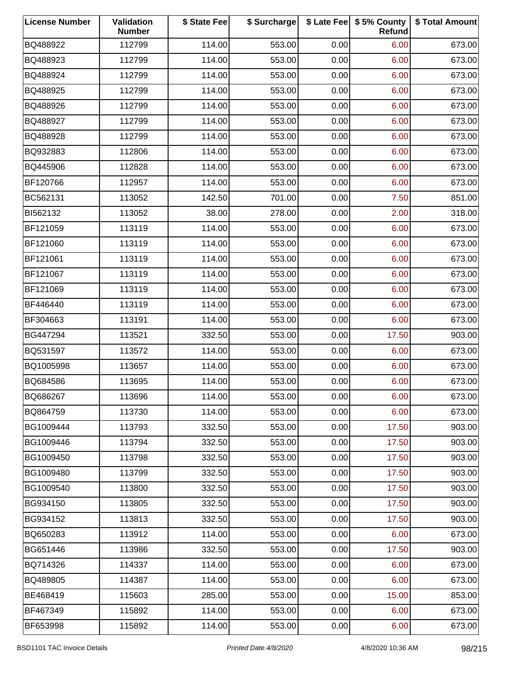| <b>License Number</b> | Validation<br><b>Number</b> | \$ State Fee | \$ Surcharge |      | \$ Late Fee   \$5% County<br>Refund | \$ Total Amount |
|-----------------------|-----------------------------|--------------|--------------|------|-------------------------------------|-----------------|
| BQ488922              | 112799                      | 114.00       | 553.00       | 0.00 | 6.00                                | 673.00          |
| BQ488923              | 112799                      | 114.00       | 553.00       | 0.00 | 6.00                                | 673.00          |
| BQ488924              | 112799                      | 114.00       | 553.00       | 0.00 | 6.00                                | 673.00          |
| BQ488925              | 112799                      | 114.00       | 553.00       | 0.00 | 6.00                                | 673.00          |
| BQ488926              | 112799                      | 114.00       | 553.00       | 0.00 | 6.00                                | 673.00          |
| BQ488927              | 112799                      | 114.00       | 553.00       | 0.00 | 6.00                                | 673.00          |
| BQ488928              | 112799                      | 114.00       | 553.00       | 0.00 | 6.00                                | 673.00          |
| BQ932883              | 112806                      | 114.00       | 553.00       | 0.00 | 6.00                                | 673.00          |
| BQ445906              | 112828                      | 114.00       | 553.00       | 0.00 | 6.00                                | 673.00          |
| BF120766              | 112957                      | 114.00       | 553.00       | 0.00 | 6.00                                | 673.00          |
| BC562131              | 113052                      | 142.50       | 701.00       | 0.00 | 7.50                                | 851.00          |
| BI562132              | 113052                      | 38.00        | 278.00       | 0.00 | 2.00                                | 318.00          |
| BF121059              | 113119                      | 114.00       | 553.00       | 0.00 | 6.00                                | 673.00          |
| BF121060              | 113119                      | 114.00       | 553.00       | 0.00 | 6.00                                | 673.00          |
| BF121061              | 113119                      | 114.00       | 553.00       | 0.00 | 6.00                                | 673.00          |
| BF121067              | 113119                      | 114.00       | 553.00       | 0.00 | 6.00                                | 673.00          |
| BF121069              | 113119                      | 114.00       | 553.00       | 0.00 | 6.00                                | 673.00          |
| BF446440              | 113119                      | 114.00       | 553.00       | 0.00 | 6.00                                | 673.00          |
| BF304663              | 113191                      | 114.00       | 553.00       | 0.00 | 6.00                                | 673.00          |
| BG447294              | 113521                      | 332.50       | 553.00       | 0.00 | 17.50                               | 903.00          |
| BQ531597              | 113572                      | 114.00       | 553.00       | 0.00 | 6.00                                | 673.00          |
| BQ1005998             | 113657                      | 114.00       | 553.00       | 0.00 | 6.00                                | 673.00          |
| BQ684586              | 113695                      | 114.00       | 553.00       | 0.00 | 6.00                                | 673.00          |
| BQ686267              | 113696                      | 114.00       | 553.00       | 0.00 | 6.00                                | 673.00          |
| BQ864759              | 113730                      | 114.00       | 553.00       | 0.00 | 6.00                                | 673.00          |
| BG1009444             | 113793                      | 332.50       | 553.00       | 0.00 | 17.50                               | 903.00          |
| BG1009446             | 113794                      | 332.50       | 553.00       | 0.00 | 17.50                               | 903.00          |
| BG1009450             | 113798                      | 332.50       | 553.00       | 0.00 | 17.50                               | 903.00          |
| BG1009480             | 113799                      | 332.50       | 553.00       | 0.00 | 17.50                               | 903.00          |
| BG1009540             | 113800                      | 332.50       | 553.00       | 0.00 | 17.50                               | 903.00          |
| BG934150              | 113805                      | 332.50       | 553.00       | 0.00 | 17.50                               | 903.00          |
| BG934152              | 113813                      | 332.50       | 553.00       | 0.00 | 17.50                               | 903.00          |
| BQ650283              | 113912                      | 114.00       | 553.00       | 0.00 | 6.00                                | 673.00          |
| BG651446              | 113986                      | 332.50       | 553.00       | 0.00 | 17.50                               | 903.00          |
| BQ714326              | 114337                      | 114.00       | 553.00       | 0.00 | 6.00                                | 673.00          |
| BQ489805              | 114387                      | 114.00       | 553.00       | 0.00 | 6.00                                | 673.00          |
| BE468419              | 115603                      | 285.00       | 553.00       | 0.00 | 15.00                               | 853.00          |
| BF467349              | 115892                      | 114.00       | 553.00       | 0.00 | 6.00                                | 673.00          |
| BF653998              | 115892                      | 114.00       | 553.00       | 0.00 | 6.00                                | 673.00          |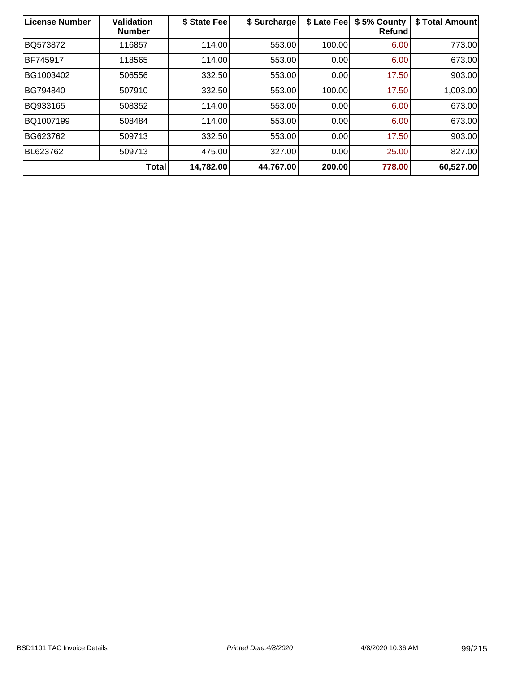| License Number | <b>Validation</b><br><b>Number</b> | \$ State Fee | \$ Surcharge | \$ Late Fee | \$5% County<br>Refund | \$ Total Amount |
|----------------|------------------------------------|--------------|--------------|-------------|-----------------------|-----------------|
| BQ573872       | 116857                             | 114.00       | 553.00       | 100.00      | 6.00                  | 773.00          |
| BF745917       | 118565                             | 114.00       | 553.00       | 0.00        | 6.00                  | 673.00          |
| BG1003402      | 506556                             | 332.50       | 553.00       | 0.00        | 17.50                 | 903.00          |
| BG794840       | 507910                             | 332.50       | 553.00       | 100.00      | 17.50                 | 1,003.00        |
| BQ933165       | 508352                             | 114.00       | 553.00       | 0.00        | 6.00                  | 673.00          |
| BQ1007199      | 508484                             | 114.00       | 553.00       | 0.00        | 6.00                  | 673.00          |
| BG623762       | 509713                             | 332.50       | 553.00       | 0.00        | 17.50                 | 903.00          |
| BL623762       | 509713                             | 475.00       | 327.00       | 0.00        | 25.00                 | 827.00          |
|                | <b>Total</b>                       | 14,782.00    | 44,767.00    | 200.00      | 778.00                | 60,527.00       |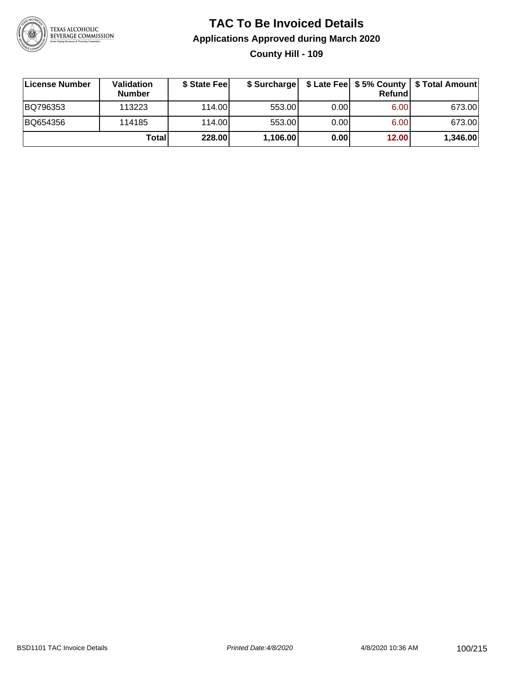

#### **TAC To Be Invoiced Details Applications Approved during March 2020 County Hill - 109**

| License Number | <b>Validation</b><br><b>Number</b> | \$ State Feel |          |       | Refund            | \$ Surcharge   \$ Late Fee   \$5% County   \$ Total Amount |
|----------------|------------------------------------|---------------|----------|-------|-------------------|------------------------------------------------------------|
| BQ796353       | 113223                             | 114.00        | 553.00   | 0.001 | 6.00              | 673.00                                                     |
| BQ654356       | 114185                             | 114.00        | 553.00   | 0.00  | 6.00 <sub>1</sub> | 673.00                                                     |
|                | Total                              | 228.00        | 1,106.00 | 0.00  | 12.00             | 1,346.00                                                   |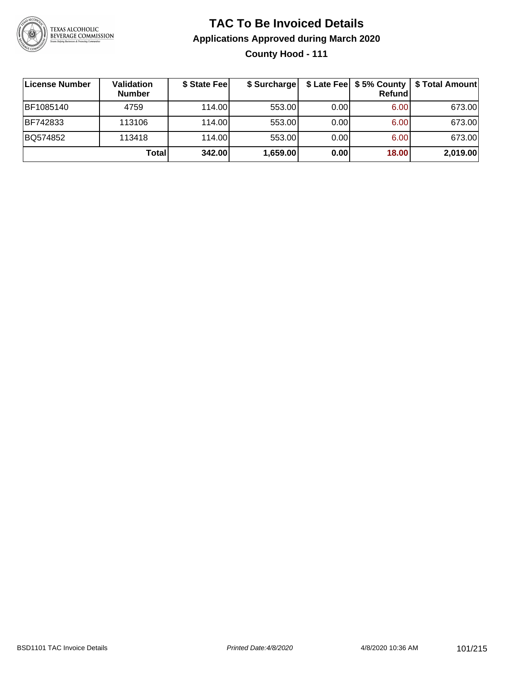

#### **TAC To Be Invoiced Details Applications Approved during March 2020 County Hood - 111**

| License Number | <b>Validation</b><br><b>Number</b> | \$ State Fee | \$ Surcharge |      | <b>Refund</b> | \$ Late Fee   \$5% County   \$ Total Amount |
|----------------|------------------------------------|--------------|--------------|------|---------------|---------------------------------------------|
| BF1085140      | 4759                               | 114.00       | 553.00       | 0.00 | 6.00          | 673.00                                      |
| BF742833       | 113106                             | 114.00       | 553.00       | 0.00 | 6.00          | 673.00                                      |
| BQ574852       | 113418                             | 114.00       | 553.00       | 0.00 | 6.00          | 673.00                                      |
|                | Total                              | 342.00       | 1,659.00     | 0.00 | 18.00         | 2,019.00                                    |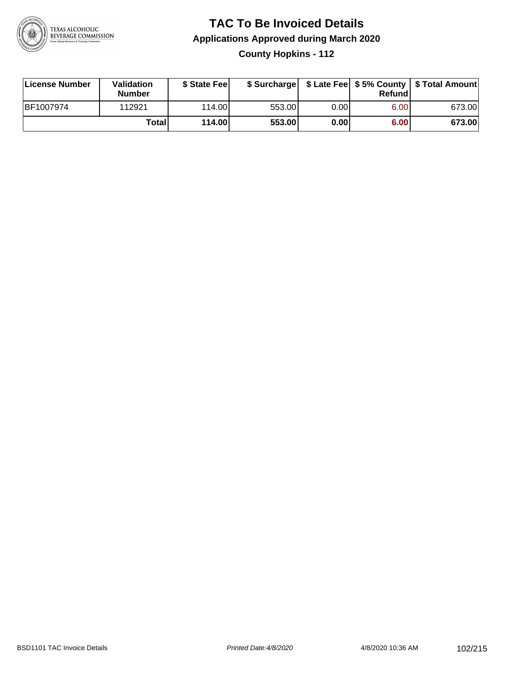

**County Hopkins - 112**

| License Number | Validation<br><b>Number</b> | \$ State Feel | \$ Surcharge |      | Refundl           |        |
|----------------|-----------------------------|---------------|--------------|------|-------------------|--------|
| BF1007974      | 112921                      | 114.00L       | 553.00       | 0.00 | 6.00 <sub>1</sub> | 673.00 |
|                | Totall                      | 114.00        | 553.00       | 0.00 | 6.00              | 673.00 |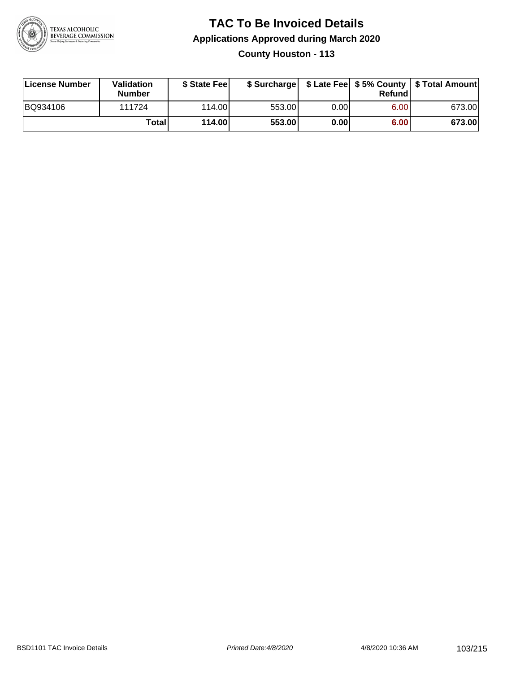

**County Houston - 113**

| License Number | <b>Validation</b><br><b>Number</b> | \$ State Fee | \$ Surcharge |       | Refundl |        |
|----------------|------------------------------------|--------------|--------------|-------|---------|--------|
| BQ934106       | 111724                             | 114.00L      | 553.00       | 0.001 | 6.00    | 673.00 |
|                | Totall                             | 114.00       | 553.00       | 0.00  | 6.00    | 673.00 |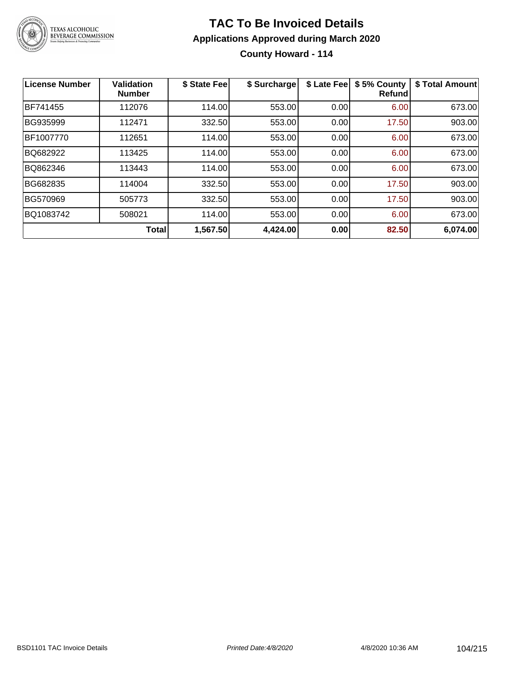

#### **TAC To Be Invoiced Details Applications Approved during March 2020 County Howard - 114**

| <b>License Number</b> | <b>Validation</b><br><b>Number</b> | \$ State Fee | \$ Surcharge | \$ Late Fee | \$5% County<br>Refund | \$ Total Amount |
|-----------------------|------------------------------------|--------------|--------------|-------------|-----------------------|-----------------|
| BF741455              | 112076                             | 114.00       | 553.00       | 0.00        | 6.00                  | 673.00          |
| BG935999              | 112471                             | 332.50       | 553.00       | 0.00        | 17.50                 | 903.00          |
| BF1007770             | 112651                             | 114.00       | 553.00       | 0.00        | 6.00                  | 673.00          |
| BQ682922              | 113425                             | 114.00       | 553.00       | 0.00        | 6.00                  | 673.00          |
| BQ862346              | 113443                             | 114.00       | 553.00       | 0.00        | 6.00                  | 673.00          |
| BG682835              | 114004                             | 332.50       | 553.00       | 0.00        | 17.50                 | 903.00          |
| BG570969              | 505773                             | 332.50       | 553.00       | 0.00        | 17.50                 | 903.00          |
| BQ1083742             | 508021                             | 114.00       | 553.00       | 0.00        | 6.00                  | 673.00          |
|                       | <b>Total</b>                       | 1,567.50     | 4,424.00     | 0.00        | 82.50                 | 6,074.00        |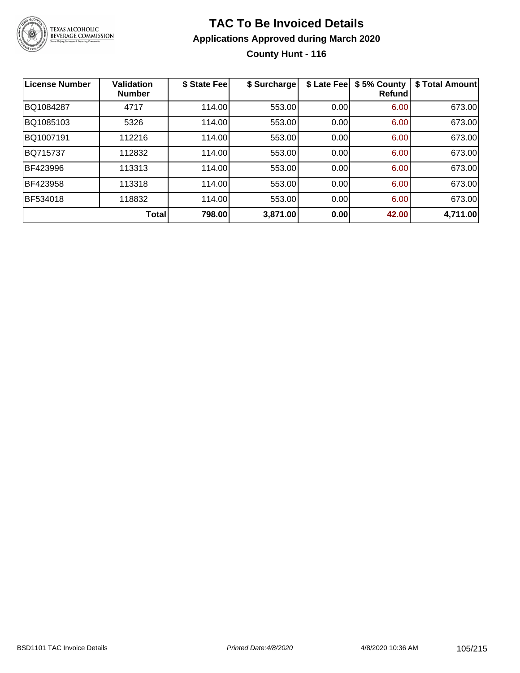

#### **TAC To Be Invoiced Details Applications Approved during March 2020 County Hunt - 116**

| <b>License Number</b> | <b>Validation</b><br><b>Number</b> | \$ State Fee | \$ Surcharge | \$ Late Fee | \$5% County<br><b>Refund</b> | \$ Total Amount |
|-----------------------|------------------------------------|--------------|--------------|-------------|------------------------------|-----------------|
| BQ1084287             | 4717                               | 114.00       | 553.00       | 0.00        | 6.00                         | 673.00          |
| BQ1085103             | 5326                               | 114.00       | 553.00       | 0.00        | 6.00                         | 673.00          |
| BQ1007191             | 112216                             | 114.00       | 553.00       | 0.00        | 6.00                         | 673.00          |
| <b>BQ715737</b>       | 112832                             | 114.00       | 553.00       | 0.00        | 6.00                         | 673.00          |
| BF423996              | 113313                             | 114.00       | 553.00       | 0.00        | 6.00                         | 673.00          |
| BF423958              | 113318                             | 114.00       | 553.00       | 0.00        | 6.00                         | 673.00          |
| BF534018              | 118832                             | 114.00       | 553.00       | 0.00        | 6.00                         | 673.00          |
|                       | Total                              | 798.00       | 3,871.00     | 0.00        | 42.00                        | 4,711.00        |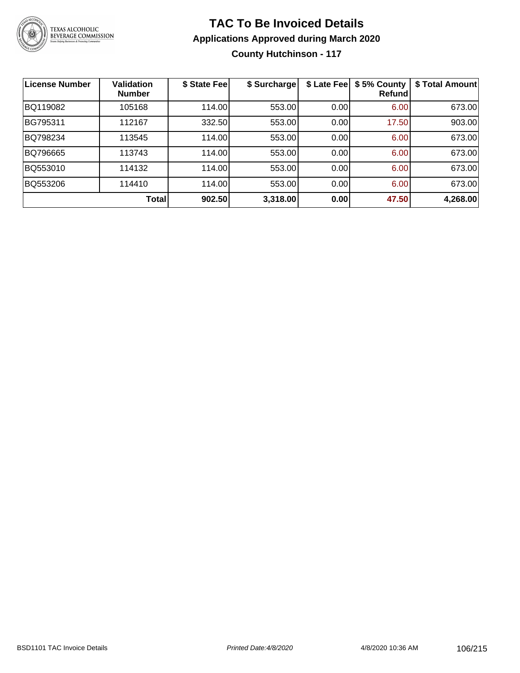

**County Hutchinson - 117**

| License Number | <b>Validation</b><br><b>Number</b> | \$ State Feel | \$ Surcharge | \$ Late Fee | \$5% County<br>Refundl | \$ Total Amount |
|----------------|------------------------------------|---------------|--------------|-------------|------------------------|-----------------|
| BQ119082       | 105168                             | 114.00        | 553.00       | 0.00        | 6.00                   | 673.00          |
| BG795311       | 112167                             | 332.50        | 553.00       | 0.00        | 17.50                  | 903.00          |
| BQ798234       | 113545                             | 114.00        | 553.00       | 0.00        | 6.00                   | 673.00          |
| BQ796665       | 113743                             | 114.00        | 553.00       | 0.00        | 6.00                   | 673.00          |
| BQ553010       | 114132                             | 114.00        | 553.00       | 0.00        | 6.00                   | 673.00          |
| BQ553206       | 114410                             | 114.00        | 553.00       | 0.00        | 6.00                   | 673.00          |
|                | Total                              | 902.50        | 3,318.00     | 0.00        | 47.50                  | 4,268.00        |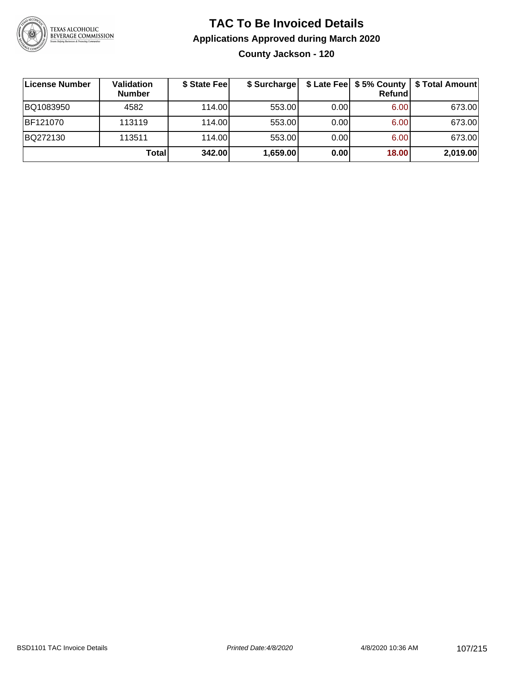

**County Jackson - 120**

| License Number | <b>Validation</b><br><b>Number</b> | \$ State Fee | \$ Surcharge |      | Refundl | \$ Late Fee   \$5% County   \$ Total Amount |
|----------------|------------------------------------|--------------|--------------|------|---------|---------------------------------------------|
| BQ1083950      | 4582                               | 114.00       | 553.00       | 0.00 | 6.00    | 673.00                                      |
| BF121070       | 113119                             | 114.00L      | 553.00       | 0.00 | 6.00    | 673.00                                      |
| BQ272130       | 113511                             | 114.00L      | 553.00       | 0.00 | 6.00    | 673.00                                      |
|                | Total                              | 342.00       | 1,659.00     | 0.00 | 18.00   | 2,019.00                                    |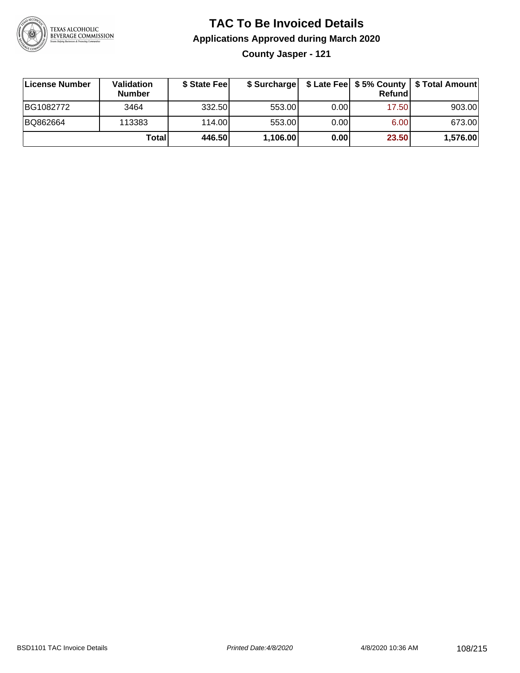

**County Jasper - 121**

| License Number | <b>Validation</b><br><b>Number</b> | \$ State Fee | \$ Surcharge |       | Refundl | \$ Late Fee   \$5% County   \$ Total Amount |
|----------------|------------------------------------|--------------|--------------|-------|---------|---------------------------------------------|
| BG1082772      | 3464                               | 332.50       | 553.00       | 0.001 | 17.50   | 903.00                                      |
| BQ862664       | 113383                             | 114.00       | 553.00       | 0.001 | 6.00    | 673.00                                      |
|                | Totall                             | 446.50       | 1,106.00     | 0.00  | 23.50   | 1,576.00                                    |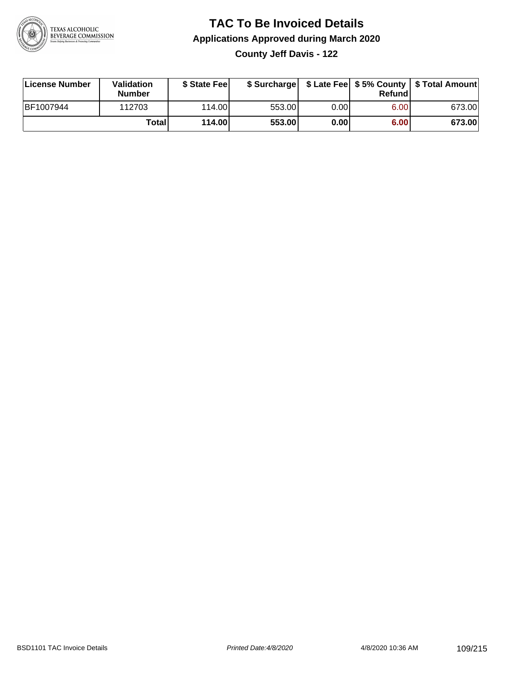

**County Jeff Davis - 122**

| License Number | <b>Validation</b><br><b>Number</b> | \$ State Feel | \$ Surcharge |       | Refundl |        |
|----------------|------------------------------------|---------------|--------------|-------|---------|--------|
| BF1007944      | 112703                             | 114.00L       | 553.00       | 0.001 | 6.00    | 673.00 |
|                | Totall                             | 114.00        | 553.00       | 0.00  | 6.00    | 673.00 |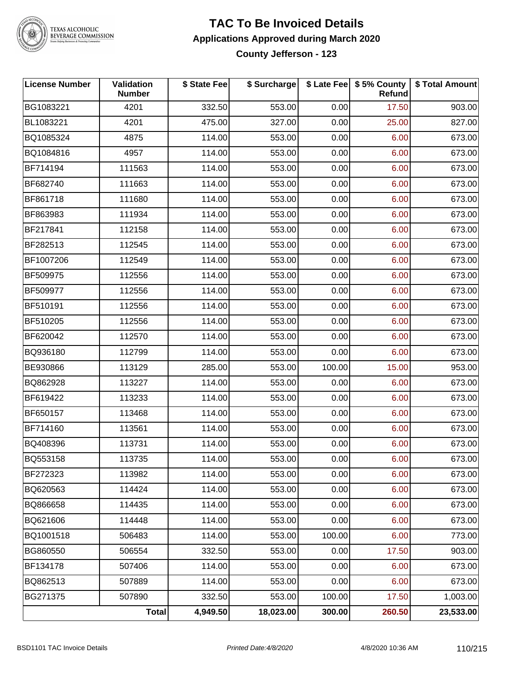

## TEXAS ALCOHOLIC<br>BEVERAGE COMMISSION

#### **TAC To Be Invoiced Details Applications Approved during March 2020 County Jefferson - 123**

| <b>License Number</b> | Validation<br><b>Number</b> | \$ State Fee | \$ Surcharge |        | \$ Late Fee   \$5% County<br>Refund | \$ Total Amount |
|-----------------------|-----------------------------|--------------|--------------|--------|-------------------------------------|-----------------|
| BG1083221             | 4201                        | 332.50       | 553.00       | 0.00   | 17.50                               | 903.00          |
| BL1083221             | 4201                        | 475.00       | 327.00       | 0.00   | 25.00                               | 827.00          |
| BQ1085324             | 4875                        | 114.00       | 553.00       | 0.00   | 6.00                                | 673.00          |
| BQ1084816             | 4957                        | 114.00       | 553.00       | 0.00   | 6.00                                | 673.00          |
| BF714194              | 111563                      | 114.00       | 553.00       | 0.00   | 6.00                                | 673.00          |
| BF682740              | 111663                      | 114.00       | 553.00       | 0.00   | 6.00                                | 673.00          |
| BF861718              | 111680                      | 114.00       | 553.00       | 0.00   | 6.00                                | 673.00          |
| BF863983              | 111934                      | 114.00       | 553.00       | 0.00   | 6.00                                | 673.00          |
| BF217841              | 112158                      | 114.00       | 553.00       | 0.00   | 6.00                                | 673.00          |
| BF282513              | 112545                      | 114.00       | 553.00       | 0.00   | 6.00                                | 673.00          |
| BF1007206             | 112549                      | 114.00       | 553.00       | 0.00   | 6.00                                | 673.00          |
| BF509975              | 112556                      | 114.00       | 553.00       | 0.00   | 6.00                                | 673.00          |
| BF509977              | 112556                      | 114.00       | 553.00       | 0.00   | 6.00                                | 673.00          |
| BF510191              | 112556                      | 114.00       | 553.00       | 0.00   | 6.00                                | 673.00          |
| BF510205              | 112556                      | 114.00       | 553.00       | 0.00   | 6.00                                | 673.00          |
| BF620042              | 112570                      | 114.00       | 553.00       | 0.00   | 6.00                                | 673.00          |
| BQ936180              | 112799                      | 114.00       | 553.00       | 0.00   | 6.00                                | 673.00          |
| BE930866              | 113129                      | 285.00       | 553.00       | 100.00 | 15.00                               | 953.00          |
| BQ862928              | 113227                      | 114.00       | 553.00       | 0.00   | 6.00                                | 673.00          |
| BF619422              | 113233                      | 114.00       | 553.00       | 0.00   | 6.00                                | 673.00          |
| BF650157              | 113468                      | 114.00       | 553.00       | 0.00   | 6.00                                | 673.00          |
| BF714160              | 113561                      | 114.00       | 553.00       | 0.00   | 6.00                                | 673.00          |
| BQ408396              | 113731                      | 114.00       | 553.00       | 0.00   | 6.00                                | 673.00          |
| BQ553158              | 113735                      | 114.00       | 553.00       | 0.00   | 6.00                                | 673.00          |
| BF272323              | 113982                      | 114.00       | 553.00       | 0.00   | 6.00                                | 673.00          |
| BQ620563              | 114424                      | 114.00       | 553.00       | 0.00   | 6.00                                | 673.00          |
| BQ866658              | 114435                      | 114.00       | 553.00       | 0.00   | 6.00                                | 673.00          |
| BQ621606              | 114448                      | 114.00       | 553.00       | 0.00   | 6.00                                | 673.00          |
| BQ1001518             | 506483                      | 114.00       | 553.00       | 100.00 | 6.00                                | 773.00          |
| BG860550              | 506554                      | 332.50       | 553.00       | 0.00   | 17.50                               | 903.00          |
| BF134178              | 507406                      | 114.00       | 553.00       | 0.00   | 6.00                                | 673.00          |
| BQ862513              | 507889                      | 114.00       | 553.00       | 0.00   | 6.00                                | 673.00          |
| BG271375              | 507890                      | 332.50       | 553.00       | 100.00 | 17.50                               | 1,003.00        |
|                       | Total                       | 4,949.50     | 18,023.00    | 300.00 | 260.50                              | 23,533.00       |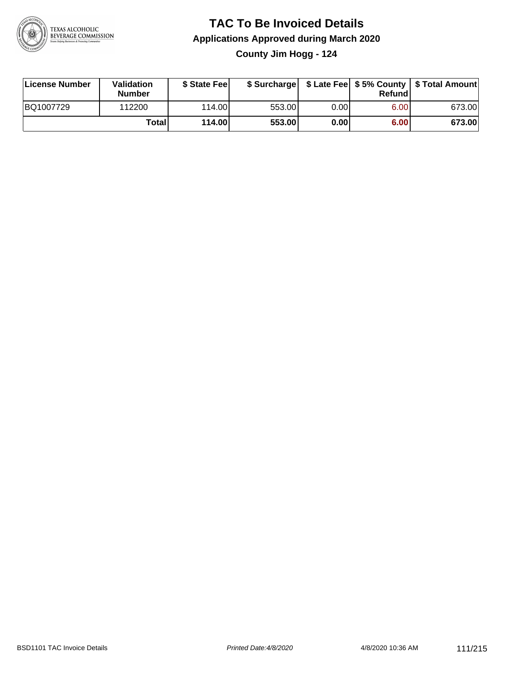

### **TAC To Be Invoiced Details Applications Approved during March 2020 County Jim Hogg - 124**

| License Number | Validation<br>Number | \$ State Feel |        |      | Refund | \$ Surcharge   \$ Late Fee   \$5% County   \$ Total Amount |
|----------------|----------------------|---------------|--------|------|--------|------------------------------------------------------------|
| BQ1007729      | 112200               | 114.00L       | 553.00 | 0.00 | 6.00   | 673.00                                                     |
|                | Totall               | 114.00        | 553.00 | 0.00 | 6.00   | 673.00                                                     |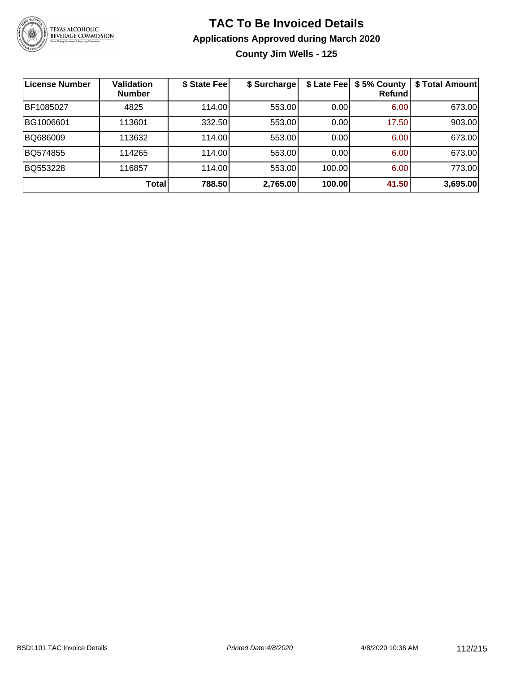

**County Jim Wells - 125**

| License Number | <b>Validation</b><br><b>Number</b> | \$ State Fee | \$ Surcharge | \$ Late Fee | \$5% County<br>Refundl | \$ Total Amount |
|----------------|------------------------------------|--------------|--------------|-------------|------------------------|-----------------|
| BF1085027      | 4825                               | 114.00       | 553.00       | 0.00        | 6.00                   | 673.00          |
| BG1006601      | 113601                             | 332.50       | 553.00       | 0.00        | 17.50                  | 903.00          |
| BQ686009       | 113632                             | 114.00       | 553.00       | 0.00        | 6.00                   | 673.00          |
| BQ574855       | 114265                             | 114.00       | 553.00       | 0.001       | 6.00                   | 673.00          |
| BQ553228       | 116857                             | 114.00       | 553.00       | 100.00      | 6.00                   | 773.00          |
|                | <b>Total</b>                       | 788.50       | 2,765.00     | 100.00      | 41.50                  | 3,695.00        |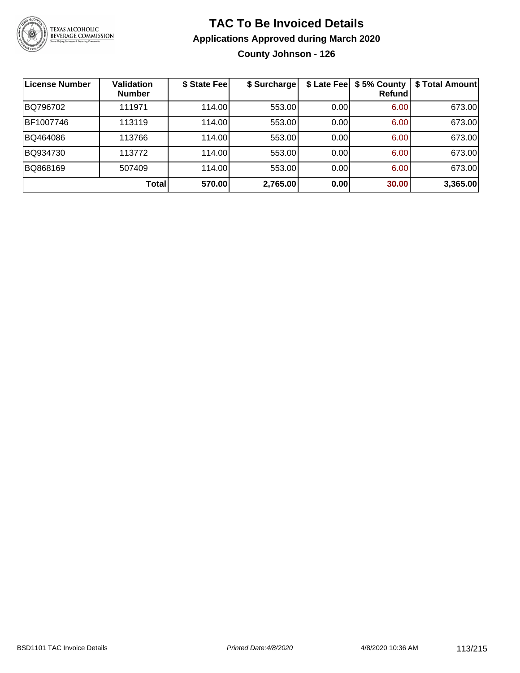

**County Johnson - 126**

| <b>License Number</b> | <b>Validation</b><br><b>Number</b> | \$ State Fee | \$ Surcharge |       | \$ Late Fee   \$5% County<br>Refundl | \$ Total Amount |
|-----------------------|------------------------------------|--------------|--------------|-------|--------------------------------------|-----------------|
| BQ796702              | 111971                             | 114.00       | 553.00       | 0.00  | 6.00                                 | 673.00          |
| BF1007746             | 113119                             | 114.00       | 553.00       | 0.00  | 6.00                                 | 673.00          |
| BQ464086              | 113766                             | 114.00       | 553.00       | 0.00  | 6.00                                 | 673.00          |
| BQ934730              | 113772                             | 114.00       | 553.00       | 0.00  | 6.00                                 | 673.00          |
| BQ868169              | 507409                             | 114.00       | 553.00       | 0.001 | 6.00                                 | 673.00          |
|                       | <b>Total</b>                       | 570.00       | 2,765.00     | 0.00  | 30.00                                | 3,365.00        |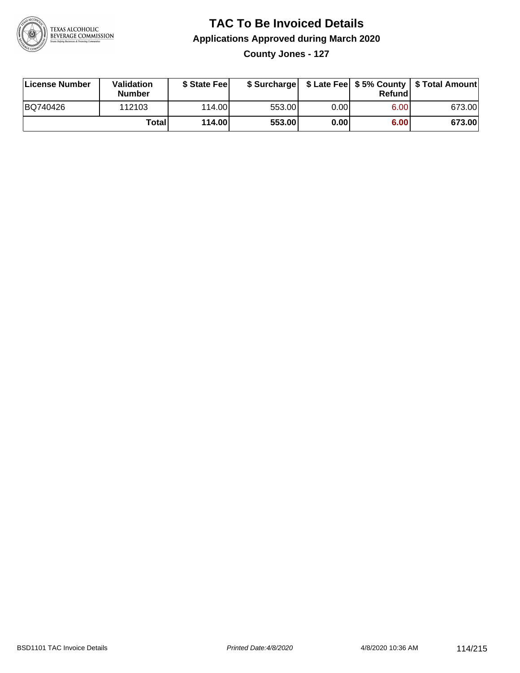

**County Jones - 127**

| License Number | Validation<br><b>Number</b> | \$ State Feel |        |      | Refundl | \$ Surcharge   \$ Late Fee   \$5% County   \$ Total Amount |
|----------------|-----------------------------|---------------|--------|------|---------|------------------------------------------------------------|
| BQ740426       | 112103                      | 114.00        | 553.00 | 0.00 | 6.00    | 673.00                                                     |
|                | Totall                      | 114.00        | 553.00 | 0.00 | 6.00    | 673.00                                                     |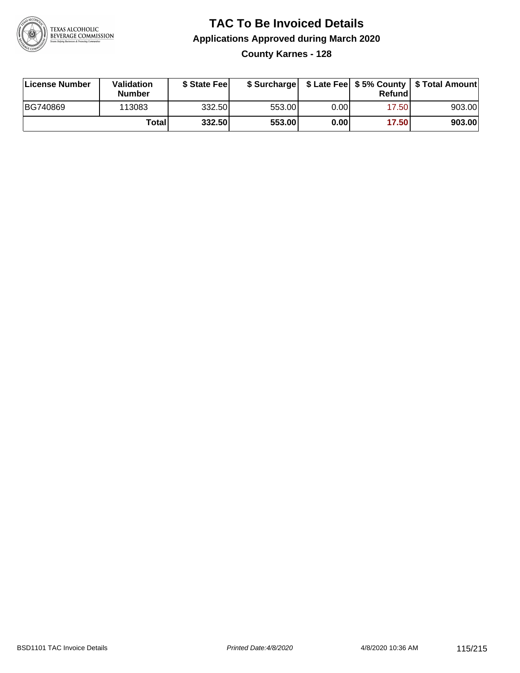

### **TAC To Be Invoiced Details Applications Approved during March 2020 County Karnes - 128**

| License Number | Validation<br><b>Number</b> | \$ State Fee |        |      | Refund | \$ Surcharge   \$ Late Fee   \$5% County   \$ Total Amount |
|----------------|-----------------------------|--------------|--------|------|--------|------------------------------------------------------------|
| BG740869       | 113083                      | 332.50       | 553.00 | 0.00 | 17.50  | 903.00                                                     |
|                | Totall                      | 332.50       | 553.00 | 0.00 | 17.50  | 903.00                                                     |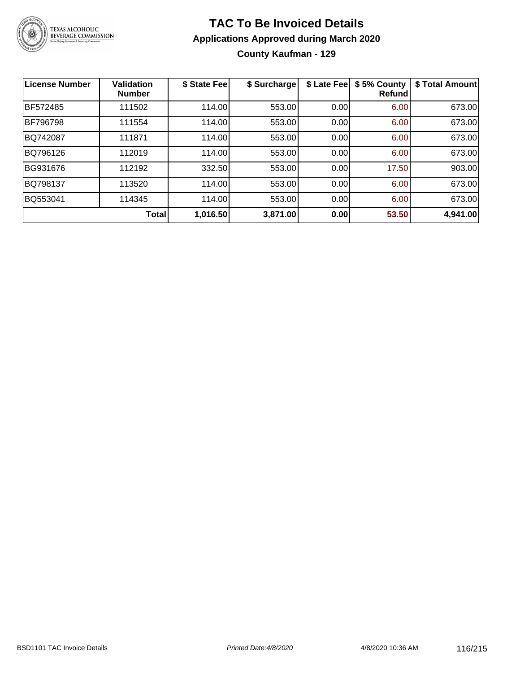

### **TAC To Be Invoiced Details Applications Approved during March 2020 County Kaufman - 129**

| <b>License Number</b> | <b>Validation</b><br><b>Number</b> | \$ State Fee | \$ Surcharge | \$ Late Fee | \$5% County<br><b>Refund</b> | \$ Total Amount |
|-----------------------|------------------------------------|--------------|--------------|-------------|------------------------------|-----------------|
| BF572485              | 111502                             | 114.00       | 553.00       | 0.00        | 6.00                         | 673.00          |
| <b>BF796798</b>       | 111554                             | 114.00       | 553.00       | 0.00        | 6.00                         | 673.00          |
| BQ742087              | 111871                             | 114.00       | 553.00       | 0.00        | 6.00                         | 673.00          |
| BQ796126              | 112019                             | 114.00       | 553.00       | 0.00        | 6.00                         | 673.00          |
| BG931676              | 112192                             | 332.50       | 553.00       | 0.00        | 17.50                        | 903.00          |
| BQ798137              | 113520                             | 114.00       | 553.00       | 0.00        | 6.00                         | 673.00          |
| BQ553041              | 114345                             | 114.00       | 553.00       | 0.00        | 6.00                         | 673.00          |
|                       | Total                              | 1,016.50     | 3,871.00     | 0.00        | 53.50                        | 4,941.00        |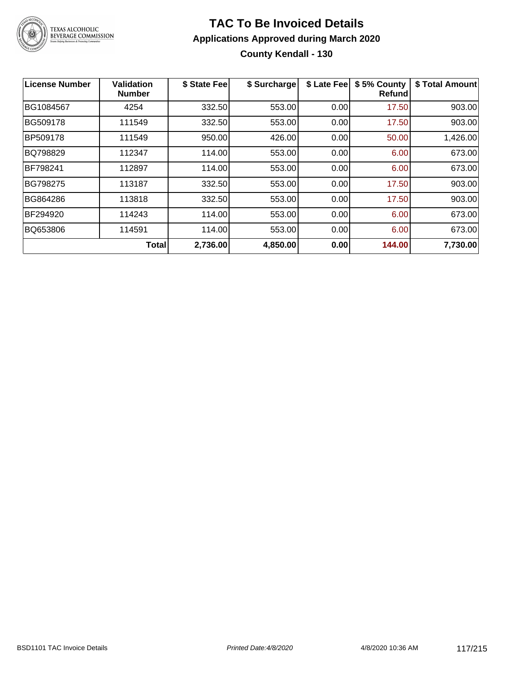

### **TAC To Be Invoiced Details Applications Approved during March 2020 County Kendall - 130**

| <b>License Number</b> | <b>Validation</b><br><b>Number</b> | \$ State Fee | \$ Surcharge | \$ Late Fee | \$5% County<br><b>Refund</b> | \$ Total Amount |
|-----------------------|------------------------------------|--------------|--------------|-------------|------------------------------|-----------------|
| BG1084567             | 4254                               | 332.50       | 553.00       | 0.00        | 17.50                        | 903.00          |
| BG509178              | 111549                             | 332.50       | 553.00       | 0.00        | 17.50                        | 903.00          |
| BP509178              | 111549                             | 950.00       | 426.00       | 0.00        | 50.00                        | 1,426.00        |
| BQ798829              | 112347                             | 114.00       | 553.00       | 0.00        | 6.00                         | 673.00          |
| <b>BF798241</b>       | 112897                             | 114.00       | 553.00       | 0.00        | 6.00                         | 673.00          |
| BG798275              | 113187                             | 332.50       | 553.00       | 0.00        | 17.50                        | 903.00          |
| BG864286              | 113818                             | 332.50       | 553.00       | 0.00        | 17.50                        | 903.00          |
| BF294920              | 114243                             | 114.00       | 553.00       | 0.00        | 6.00                         | 673.00          |
| BQ653806              | 114591                             | 114.00       | 553.00       | 0.00        | 6.00                         | 673.00          |
|                       | <b>Total</b>                       | 2,736.00     | 4,850.00     | 0.00        | 144.00                       | 7,730.00        |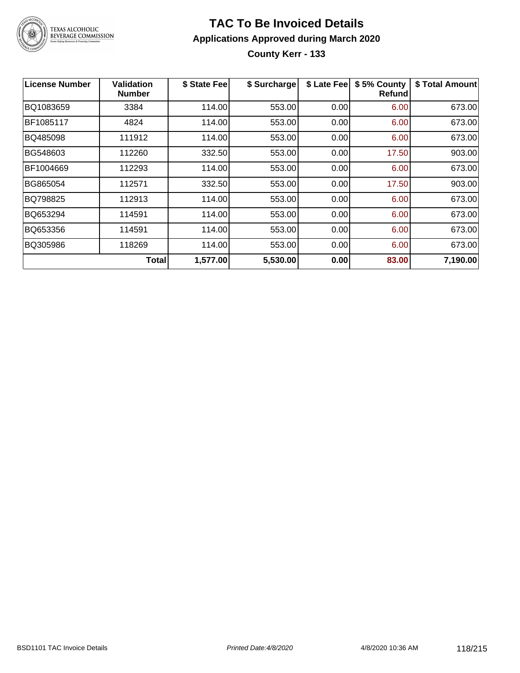

**County Kerr - 133**

| License Number | <b>Validation</b><br><b>Number</b> | \$ State Fee | \$ Surcharge |      | \$ Late Fee   \$5% County<br>Refundl | \$ Total Amount |
|----------------|------------------------------------|--------------|--------------|------|--------------------------------------|-----------------|
| BQ1083659      | 3384                               | 114.00       | 553.00       | 0.00 | 6.00                                 | 673.00          |
| BF1085117      | 4824                               | 114.00       | 553.00       | 0.00 | 6.00                                 | 673.00          |
| BQ485098       | 111912                             | 114.00       | 553.00       | 0.00 | 6.00                                 | 673.00          |
| BG548603       | 112260                             | 332.50       | 553.00       | 0.00 | 17.50                                | 903.00          |
| BF1004669      | 112293                             | 114.00       | 553.00       | 0.00 | 6.00                                 | 673.00          |
| BG865054       | 112571                             | 332.50       | 553.00       | 0.00 | 17.50                                | 903.00          |
| BQ798825       | 112913                             | 114.00       | 553.00       | 0.00 | 6.00                                 | 673.00          |
| BQ653294       | 114591                             | 114.00       | 553.00       | 0.00 | 6.00                                 | 673.00          |
| BQ653356       | 114591                             | 114.00       | 553.00       | 0.00 | 6.00                                 | 673.00          |
| BQ305986       | 118269                             | 114.00       | 553.00       | 0.00 | 6.00                                 | 673.00          |
|                | Total                              | 1,577.00     | 5,530.00     | 0.00 | 83.00                                | 7,190.00        |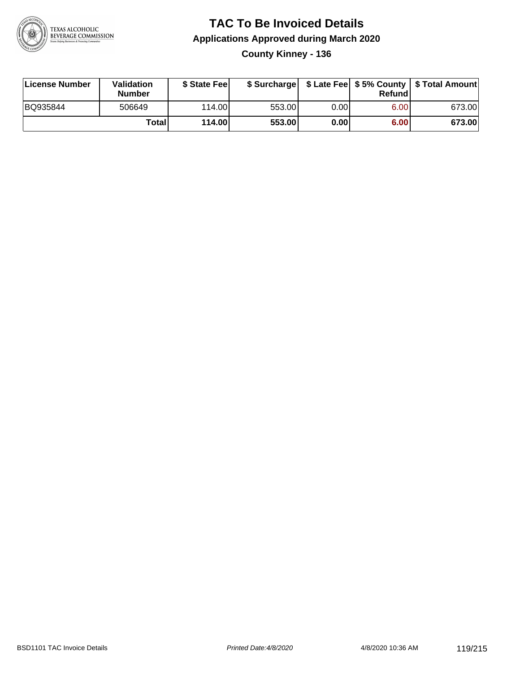

### **TAC To Be Invoiced Details Applications Approved during March 2020 County Kinney - 136**

| License Number | Validation<br><b>Number</b> | \$ State Fee |        |      | Refund | \$ Surcharge   \$ Late Fee   \$5% County   \$ Total Amount |
|----------------|-----------------------------|--------------|--------|------|--------|------------------------------------------------------------|
| BQ935844       | 506649                      | 114.00L      | 553.00 | 0.00 | 6.00   | 673.00                                                     |
|                | Total                       | 114.00       | 553.00 | 0.00 | 6.00   | 673.00                                                     |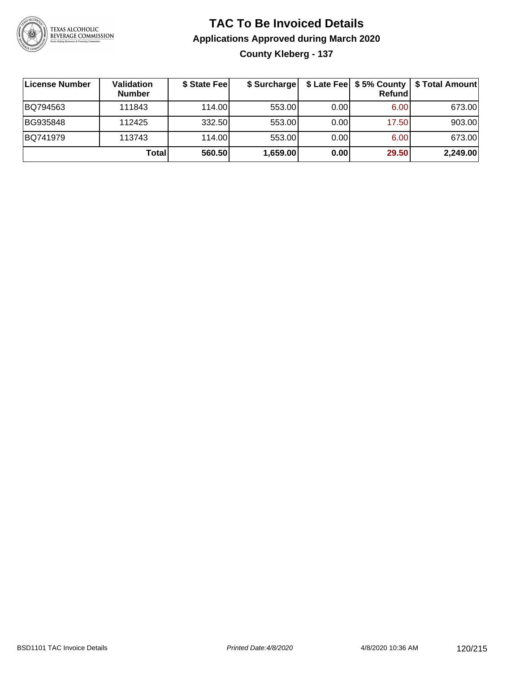

### **TAC To Be Invoiced Details Applications Approved during March 2020 County Kleberg - 137**

| ∣License Number | <b>Validation</b><br><b>Number</b> | \$ State Fee | \$ Surcharge |      | \$ Late Fee   \$5% County  <br>Refundl | \$Total Amount |
|-----------------|------------------------------------|--------------|--------------|------|----------------------------------------|----------------|
| BQ794563        | 111843                             | 114.00       | 553.00       | 0.00 | 6.00                                   | 673.00         |
| BG935848        | 112425                             | 332.50       | 553.00       | 0.00 | 17.50                                  | 903.00         |
| BQ741979        | 113743                             | 114.00       | 553.00       | 0.00 | 6.00                                   | 673.00         |
|                 | Total                              | 560.50       | 1,659.00     | 0.00 | 29.50                                  | 2,249.00       |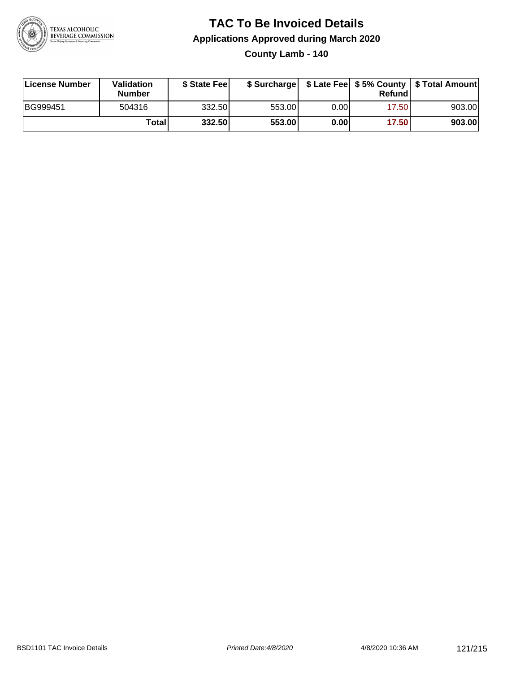

**County Lamb - 140**

| License Number | Validation<br><b>Number</b> | \$ State Feel |        |      | Refundl | \$ Surcharge   \$ Late Fee   \$5% County   \$ Total Amount |
|----------------|-----------------------------|---------------|--------|------|---------|------------------------------------------------------------|
| BG999451       | 504316                      | 332.50        | 553.00 | 0.00 | 17.50   | 903.00                                                     |
|                | <b>Total</b>                | 332.50        | 553.00 | 0.00 | 17.50   | 903.00                                                     |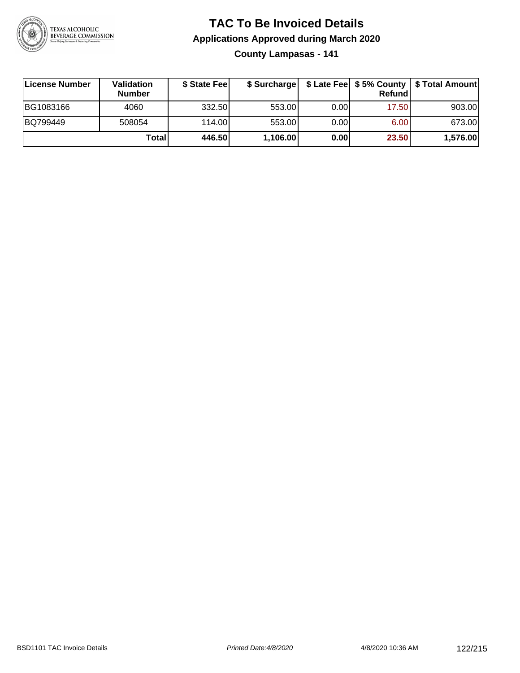

**County Lampasas - 141**

| License Number | <b>Validation</b><br><b>Number</b> | \$ State Feel |          |       | Refundl | \$ Surcharge   \$ Late Fee   \$5% County   \$ Total Amount |
|----------------|------------------------------------|---------------|----------|-------|---------|------------------------------------------------------------|
| BG1083166      | 4060                               | 332.50        | 553.00   | 0.001 | 17.50   | 903.00                                                     |
| BQ799449       | 508054                             | 114.00        | 553.00   | 0.001 | 6.00    | 673.00                                                     |
|                | Totall                             | 446.50        | 1,106.00 | 0.00  | 23.50   | 1,576.00                                                   |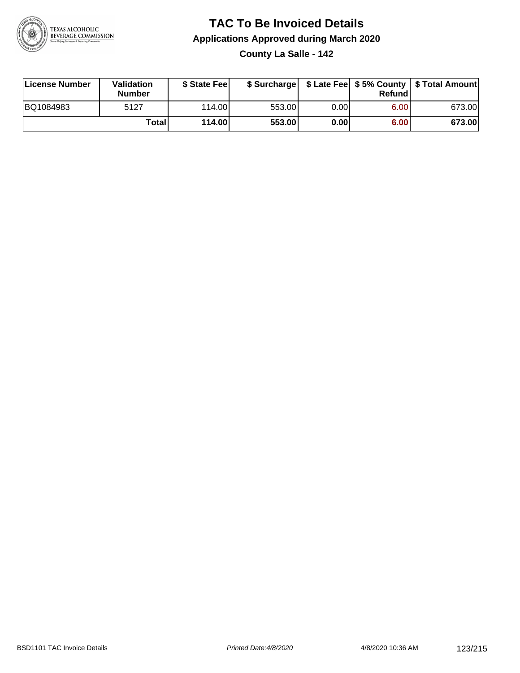

**County La Salle - 142**

| License Number | <b>Validation</b><br><b>Number</b> | \$ State Feel |        |      | Refundl | \$ Surcharge   \$ Late Fee   \$5% County   \$ Total Amount |
|----------------|------------------------------------|---------------|--------|------|---------|------------------------------------------------------------|
| BQ1084983      | 5127                               | 114.00        | 553.00 | 0.00 | 6.00    | 673.00                                                     |
|                | Totall                             | 114.00        | 553.00 | 0.00 | 6.00    | 673.00                                                     |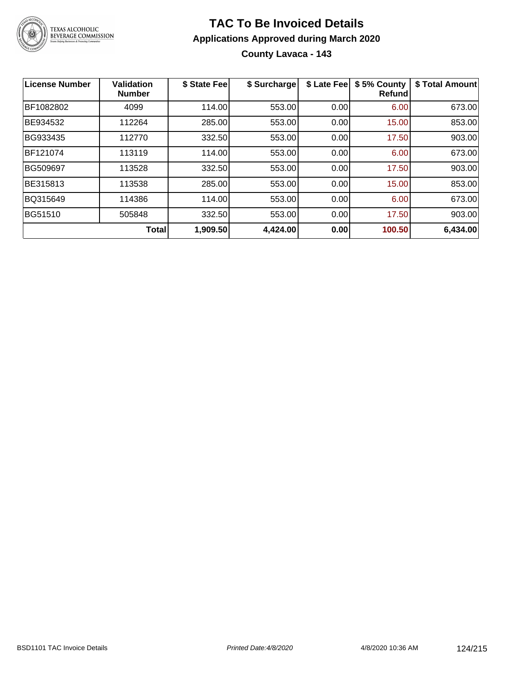

### **TAC To Be Invoiced Details Applications Approved during March 2020 County Lavaca - 143**

| <b>License Number</b> | <b>Validation</b><br><b>Number</b> | \$ State Fee | \$ Surcharge | \$ Late Fee | \$5% County<br><b>Refund</b> | \$ Total Amount |
|-----------------------|------------------------------------|--------------|--------------|-------------|------------------------------|-----------------|
| BF1082802             | 4099                               | 114.00       | 553.00       | 0.00        | 6.00                         | 673.00          |
| BE934532              | 112264                             | 285.00       | 553.00       | 0.00        | 15.00                        | 853.00          |
| BG933435              | 112770                             | 332.50       | 553.00       | 0.00        | 17.50                        | 903.00          |
| BF121074              | 113119                             | 114.00       | 553.00       | 0.00        | 6.00                         | 673.00          |
| BG509697              | 113528                             | 332.50       | 553.00       | 0.00        | 17.50                        | 903.00          |
| BE315813              | 113538                             | 285.00       | 553.00       | 0.00        | 15.00                        | 853.00          |
| BQ315649              | 114386                             | 114.00       | 553.00       | 0.00        | 6.00                         | 673.00          |
| <b>BG51510</b>        | 505848                             | 332.50       | 553.00       | 0.00        | 17.50                        | 903.00          |
|                       | <b>Total</b>                       | 1,909.50     | 4,424.00     | 0.00        | 100.50                       | 6,434.00        |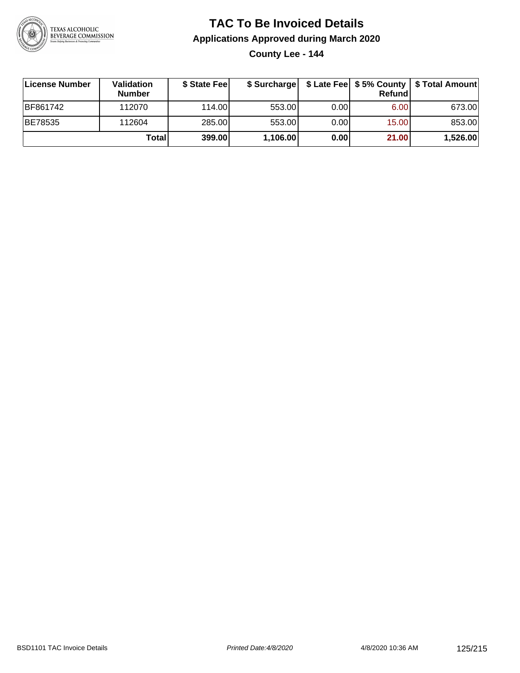

**County Lee - 144**

| License Number | <b>Validation</b><br><b>Number</b> | \$ State Feel |          |       | <b>Refund</b> | \$ Surcharge   \$ Late Fee   \$5% County   \$ Total Amount |
|----------------|------------------------------------|---------------|----------|-------|---------------|------------------------------------------------------------|
| BF861742       | 112070                             | 114.00        | 553.00   | 0.001 | 6.00          | 673.00                                                     |
| BE78535        | 112604                             | 285.00        | 553.00   | 0.00  | 15.00         | 853.00                                                     |
|                | Totall                             | 399.00        | 1,106.00 | 0.00  | 21.00         | 1,526.00                                                   |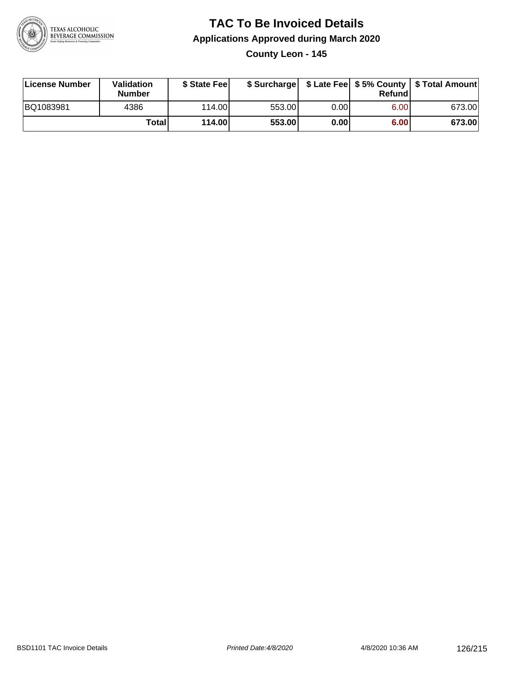

### **TAC To Be Invoiced Details Applications Approved during March 2020 County Leon - 145**

| License Number | Validation<br><b>Number</b> | \$ State Fee |        |      | Refund | \$ Surcharge   \$ Late Fee   \$5% County   \$ Total Amount |
|----------------|-----------------------------|--------------|--------|------|--------|------------------------------------------------------------|
| BQ1083981      | 4386                        | 114.00L      | 553.00 | 0.00 | 6.00   | 673.00                                                     |
|                | Total                       | 114.00       | 553.00 | 0.00 | 6.00   | 673.00                                                     |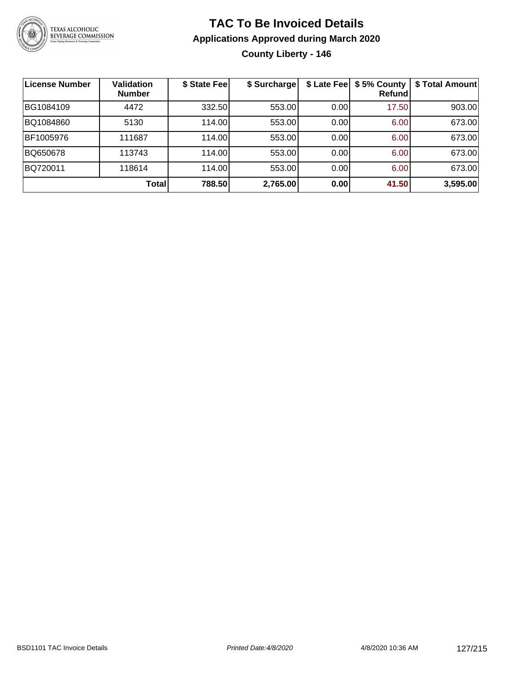

### **TAC To Be Invoiced Details Applications Approved during March 2020 County Liberty - 146**

| License Number | <b>Validation</b><br><b>Number</b> | \$ State Fee | \$ Surcharge |      | \$ Late Fee   \$5% County<br>Refundl | \$ Total Amount |
|----------------|------------------------------------|--------------|--------------|------|--------------------------------------|-----------------|
| BG1084109      | 4472                               | 332.50       | 553.00       | 0.00 | 17.50                                | 903.00          |
| BQ1084860      | 5130                               | 114.00       | 553.00       | 0.00 | 6.00                                 | 673.00          |
| BF1005976      | 111687                             | 114.00       | 553.00       | 0.00 | 6.00                                 | 673.00          |
| BQ650678       | 113743                             | 114.00       | 553.00       | 0.00 | 6.00                                 | 673.00          |
| BQ720011       | 118614                             | 114.00       | 553.00       | 0.00 | 6.00                                 | 673.00          |
|                | <b>Total</b>                       | 788.50       | 2,765.00     | 0.00 | 41.50                                | 3,595.00        |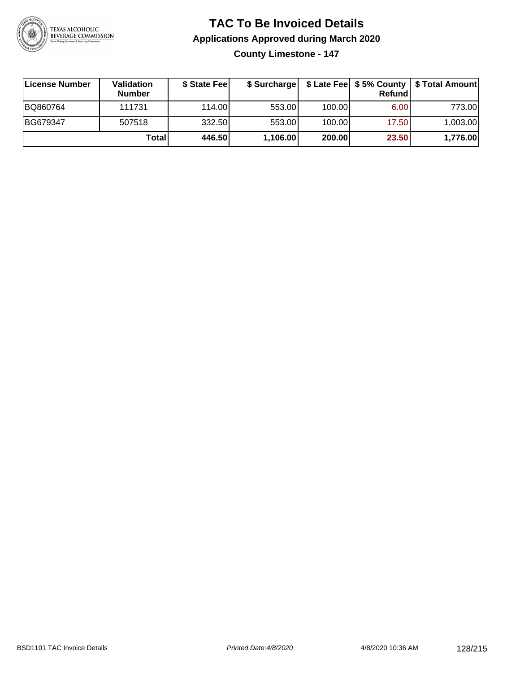

**County Limestone - 147**

| ∣License Number | <b>Validation</b><br><b>Number</b> | \$ State Fee |          |        | <b>Refund</b> | \$ Surcharge   \$ Late Fee   \$5% County   \$ Total Amount |
|-----------------|------------------------------------|--------------|----------|--------|---------------|------------------------------------------------------------|
| BQ860764        | 111731                             | 114.00       | 553.00   | 100.00 | 6.00          | 773.00                                                     |
| BG679347        | 507518                             | 332.50       | 553.00   | 100.00 | 17.50         | 1,003.00                                                   |
|                 | Totall                             | 446.50       | 1,106.00 | 200.00 | 23.50         | 1,776.00                                                   |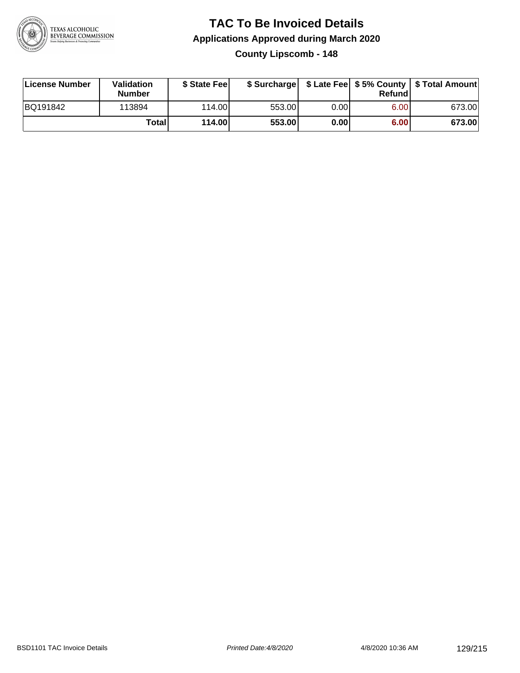

**County Lipscomb - 148**

| License Number | Validation<br><b>Number</b> | \$ State Feel |        |      | Refundl | \$ Surcharge   \$ Late Fee   \$5% County   \$ Total Amount |
|----------------|-----------------------------|---------------|--------|------|---------|------------------------------------------------------------|
| BQ191842       | 113894                      | 114.00        | 553.00 | 0.00 | 6.00    | 673.00                                                     |
|                | Totall                      | 114.00        | 553.00 | 0.00 | 6.00    | 673.00                                                     |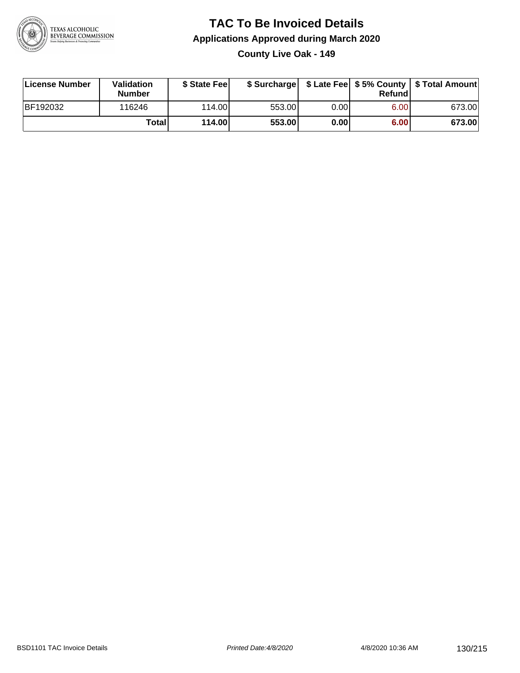

**County Live Oak - 149**

| License Number | <b>Validation</b><br><b>Number</b> | \$ State Fee | \$ Surcharge |        | Refundl |        |
|----------------|------------------------------------|--------------|--------------|--------|---------|--------|
| BF192032       | 116246                             | 114.00L      | 553.00       | 0.00 l | 6.00    | 673.00 |
|                | Totall                             | 114.00       | 553.00       | 0.00   | 6.00    | 673.00 |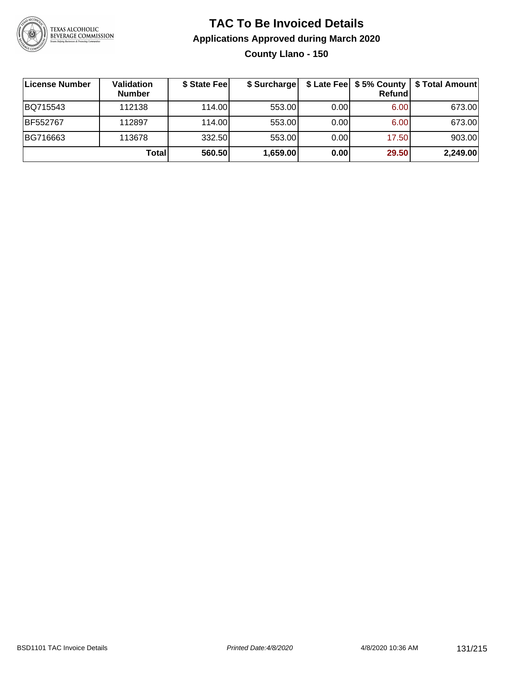

**County Llano - 150**

| <b>License Number</b> | Validation<br><b>Number</b> | \$ State Fee | \$ Surcharge |       | Refundl | \$ Late Fee   \$5% County   \$ Total Amount |
|-----------------------|-----------------------------|--------------|--------------|-------|---------|---------------------------------------------|
| BQ715543              | 112138                      | 114.00       | 553.00       | 0.001 | 6.00    | 673.00                                      |
| BF552767              | 112897                      | 114.00       | 553.00       | 0.00  | 6.00    | 673.00                                      |
| BG716663              | 113678                      | 332.50       | 553.00       | 0.00  | 17.50   | 903.00                                      |
|                       | Total                       | 560.50       | 1,659.00     | 0.00  | 29.50   | 2,249.00                                    |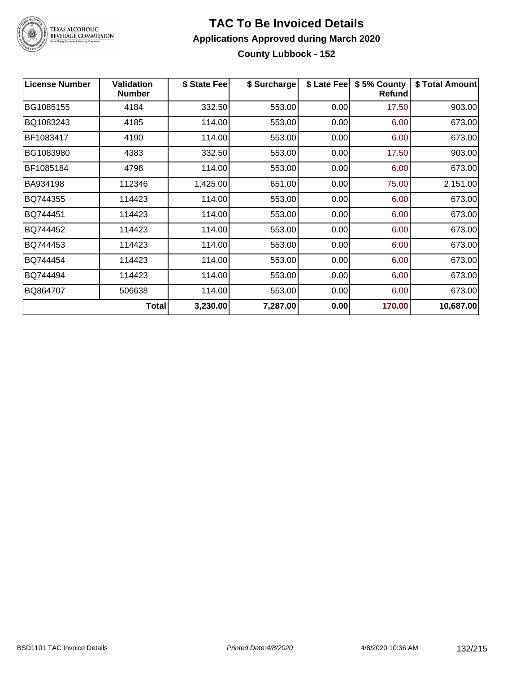

### **TAC To Be Invoiced Details Applications Approved during March 2020 County Lubbock - 152**

| <b>License Number</b> | <b>Validation</b><br><b>Number</b> | \$ State Fee | \$ Surcharge | \$ Late Fee | \$5% County<br><b>Refund</b> | \$ Total Amount |
|-----------------------|------------------------------------|--------------|--------------|-------------|------------------------------|-----------------|
| BG1085155             | 4184                               | 332.50       | 553.00       | 0.00        | 17.50                        | 903.00          |
| BQ1083243             | 4185                               | 114.00       | 553.00       | 0.00        | 6.00                         | 673.00          |
| BF1083417             | 4190                               | 114.00       | 553.00       | 0.00        | 6.00                         | 673.00          |
| BG1083980             | 4383                               | 332.50       | 553.00       | 0.00        | 17.50                        | 903.00          |
| BF1085184             | 4798                               | 114.00       | 553.00       | 0.00        | 6.00                         | 673.00          |
| BA934198              | 112346                             | 1,425.00     | 651.00       | 0.00        | 75.00                        | 2,151.00        |
| BQ744355              | 114423                             | 114.00       | 553.00       | 0.00        | 6.00                         | 673.00          |
| BQ744451              | 114423                             | 114.00       | 553.00       | 0.00        | 6.00                         | 673.00          |
| BQ744452              | 114423                             | 114.00       | 553.00       | 0.00        | 6.00                         | 673.00          |
| BQ744453              | 114423                             | 114.00       | 553.00       | 0.00        | 6.00                         | 673.00          |
| BQ744454              | 114423                             | 114.00       | 553.00       | 0.00        | 6.00                         | 673.00          |
| BQ744494              | 114423                             | 114.00       | 553.00       | 0.00        | 6.00                         | 673.00          |
| BQ864707              | 506638                             | 114.00       | 553.00       | 0.00        | 6.00                         | 673.00          |
|                       | <b>Total</b>                       | 3,230.00     | 7,287.00     | 0.00        | 170.00                       | 10,687.00       |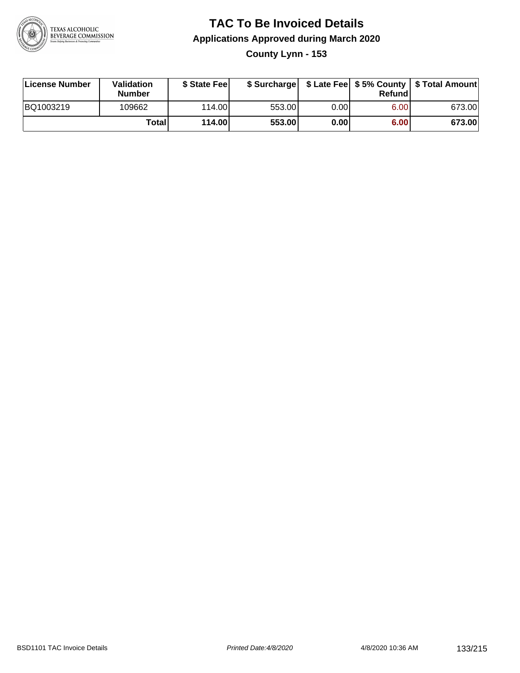

### **TAC To Be Invoiced Details Applications Approved during March 2020 County Lynn - 153**

| License Number | Validation<br><b>Number</b> | \$ State Fee |        |      | Refund | \$ Surcharge   \$ Late Fee   \$5% County   \$ Total Amount |
|----------------|-----------------------------|--------------|--------|------|--------|------------------------------------------------------------|
| BQ1003219      | 109662                      | 114.00L      | 553.00 | 0.00 | 6.00   | 673.00                                                     |
|                | Total                       | 114.00       | 553.00 | 0.00 | 6.00   | 673.00                                                     |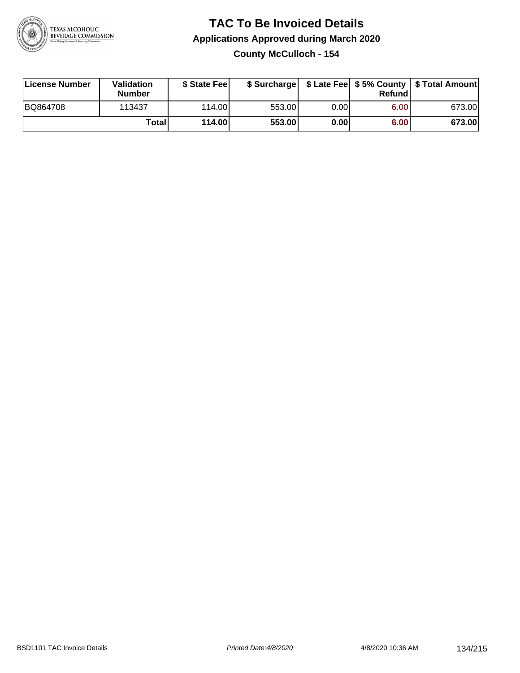

### **TAC To Be Invoiced Details Applications Approved during March 2020 County McCulloch - 154**

| License Number | Validation<br><b>Number</b> | \$ State Feel |        |      | Refund | \$ Surcharge   \$ Late Fee   \$5% County   \$ Total Amount |
|----------------|-----------------------------|---------------|--------|------|--------|------------------------------------------------------------|
| BQ864708       | 113437                      | 114.00L       | 553.00 | 0.00 | 6.00   | 673.00                                                     |
|                | Total                       | 114.00        | 553.00 | 0.00 | 6.00   | 673.00                                                     |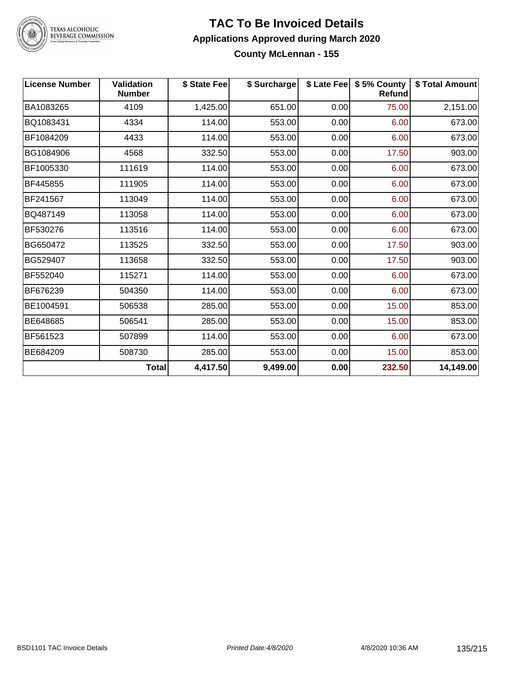

## TEXAS ALCOHOLIC<br>BEVERAGE COMMISSION

#### **TAC To Be Invoiced Details Applications Approved during March 2020 County McLennan - 155**

| <b>License Number</b> | <b>Validation</b><br><b>Number</b> | \$ State Fee | \$ Surcharge |      | \$ Late Fee   \$5% County<br>Refund | \$ Total Amount |
|-----------------------|------------------------------------|--------------|--------------|------|-------------------------------------|-----------------|
| BA1083265             | 4109                               | 1,425.00     | 651.00       | 0.00 | 75.00                               | 2,151.00        |
| BQ1083431             | 4334                               | 114.00       | 553.00       | 0.00 | 6.00                                | 673.00          |
| BF1084209             | 4433                               | 114.00       | 553.00       | 0.00 | 6.00                                | 673.00          |
| BG1084906             | 4568                               | 332.50       | 553.00       | 0.00 | 17.50                               | 903.00          |
| BF1005330             | 111619                             | 114.00       | 553.00       | 0.00 | 6.00                                | 673.00          |
| BF445855              | 111905                             | 114.00       | 553.00       | 0.00 | 6.00                                | 673.00          |
| BF241567              | 113049                             | 114.00       | 553.00       | 0.00 | 6.00                                | 673.00          |
| BQ487149              | 113058                             | 114.00       | 553.00       | 0.00 | 6.00                                | 673.00          |
| BF530276              | 113516                             | 114.00       | 553.00       | 0.00 | 6.00                                | 673.00          |
| BG650472              | 113525                             | 332.50       | 553.00       | 0.00 | 17.50                               | 903.00          |
| BG529407              | 113658                             | 332.50       | 553.00       | 0.00 | 17.50                               | 903.00          |
| BF552040              | 115271                             | 114.00       | 553.00       | 0.00 | 6.00                                | 673.00          |
| BF676239              | 504350                             | 114.00       | 553.00       | 0.00 | 6.00                                | 673.00          |
| BE1004591             | 506538                             | 285.00       | 553.00       | 0.00 | 15.00                               | 853.00          |
| BE648685              | 506541                             | 285.00       | 553.00       | 0.00 | 15.00                               | 853.00          |
| BF561523              | 507899                             | 114.00       | 553.00       | 0.00 | 6.00                                | 673.00          |
| BE684209              | 508730                             | 285.00       | 553.00       | 0.00 | 15.00                               | 853.00          |
|                       | <b>Total</b>                       | 4,417.50     | 9,499.00     | 0.00 | 232.50                              | 14,149.00       |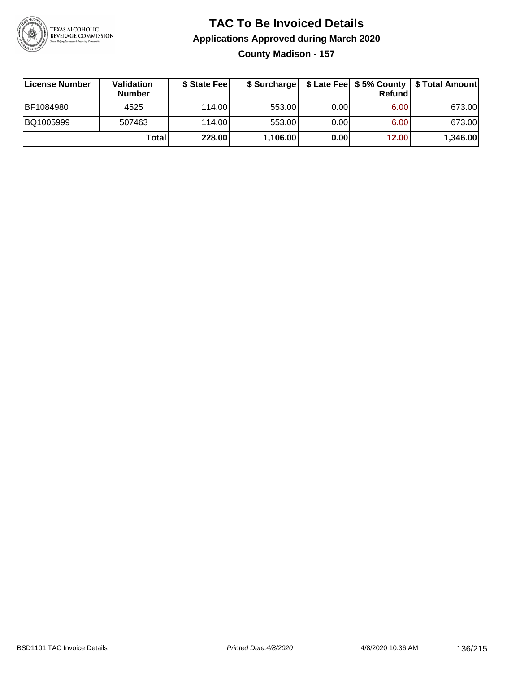

### **TAC To Be Invoiced Details Applications Approved during March 2020 County Madison - 157**

| License Number | Validation<br><b>Number</b> | \$ State Fee |          |      | Refundl | \$ Surcharge   \$ Late Fee   \$5% County   \$ Total Amount |
|----------------|-----------------------------|--------------|----------|------|---------|------------------------------------------------------------|
| BF1084980      | 4525                        | 114.00L      | 553.00   | 0.00 | 6.00    | 673.00                                                     |
| BQ1005999      | 507463                      | 114.00L      | 553.00   | 0.00 | 6.00    | 673.00                                                     |
|                | Totall                      | 228.00       | 1,106.00 | 0.00 | 12.00   | 1,346.00                                                   |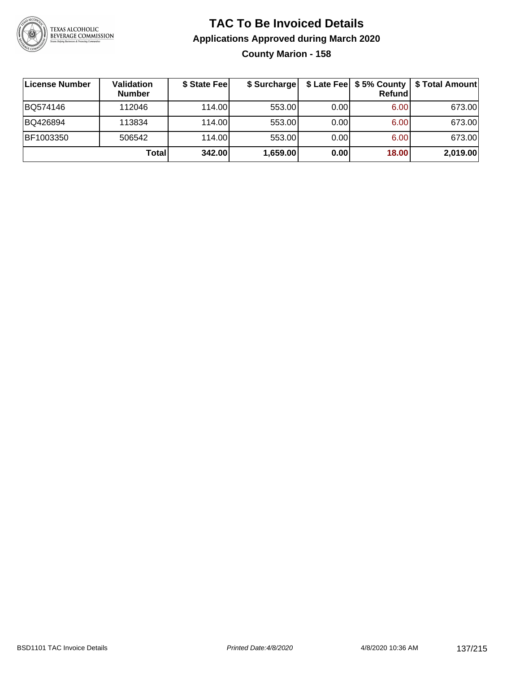

### **TAC To Be Invoiced Details Applications Approved during March 2020 County Marion - 158**

| License Number | Validation<br><b>Number</b> | \$ State Fee | \$ Surcharge |      | Refundl | \$ Late Fee   \$5% County   \$ Total Amount |
|----------------|-----------------------------|--------------|--------------|------|---------|---------------------------------------------|
| BQ574146       | 112046                      | 114.00       | 553.00       | 0.00 | 6.00    | 673.00                                      |
| BQ426894       | 113834                      | 114.00       | 553.00       | 0.00 | 6.00    | 673.00                                      |
| BF1003350      | 506542                      | 114.00       | 553.00       | 0.00 | 6.00    | 673.00                                      |
|                | Total                       | 342.00       | 1,659.00     | 0.00 | 18.00   | 2,019.00                                    |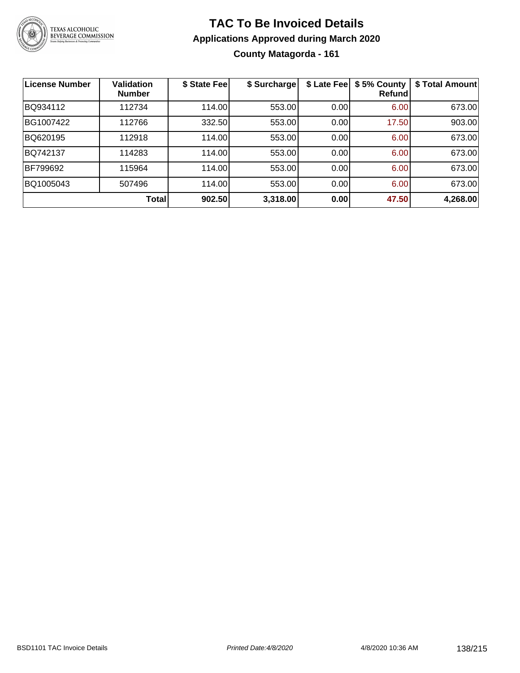

### **TAC To Be Invoiced Details Applications Approved during March 2020 County Matagorda - 161**

| <b>License Number</b> | <b>Validation</b><br><b>Number</b> | \$ State Fee | \$ Surcharge | \$ Late Fee | \$5% County<br>Refundl | \$ Total Amount |
|-----------------------|------------------------------------|--------------|--------------|-------------|------------------------|-----------------|
| BQ934112              | 112734                             | 114.00       | 553.00       | 0.00        | 6.00                   | 673.00          |
| BG1007422             | 112766                             | 332.50       | 553.00       | 0.00        | 17.50                  | 903.00          |
| BQ620195              | 112918                             | 114.00       | 553.00       | 0.00        | 6.00                   | 673.00          |
| BQ742137              | 114283                             | 114.00       | 553.00       | 0.00        | 6.00                   | 673.00          |
| BF799692              | 115964                             | 114.00       | 553.00       | 0.00        | 6.00                   | 673.00          |
| BQ1005043             | 507496                             | 114.00       | 553.00       | 0.00        | 6.00                   | 673.00          |
|                       | <b>Total</b>                       | 902.50       | 3,318.00     | 0.00        | 47.50                  | 4,268.00        |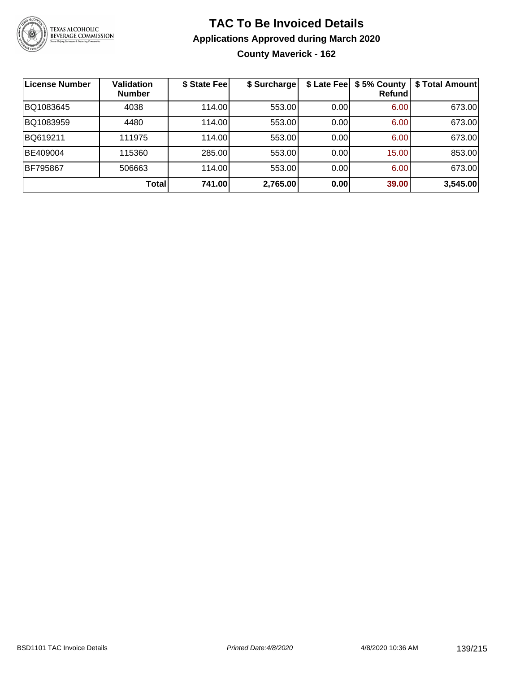

### **TAC To Be Invoiced Details Applications Approved during March 2020 County Maverick - 162**

| License Number | <b>Validation</b><br><b>Number</b> | \$ State Fee | \$ Surcharge |      | \$ Late Fee   \$5% County<br>Refundl | \$ Total Amount |
|----------------|------------------------------------|--------------|--------------|------|--------------------------------------|-----------------|
| BQ1083645      | 4038                               | 114.00       | 553.00       | 0.00 | 6.00                                 | 673.00          |
| BQ1083959      | 4480                               | 114.00       | 553.00       | 0.00 | 6.00                                 | 673.00          |
| BQ619211       | 111975                             | 114.00       | 553.00       | 0.00 | 6.00                                 | 673.00          |
| BE409004       | 115360                             | 285.00       | 553.00       | 0.00 | 15.00                                | 853.00          |
| BF795867       | 506663                             | 114.00       | 553.00       | 0.00 | 6.00                                 | 673.00          |
|                | Total                              | 741.00       | 2,765.00     | 0.00 | 39.00                                | 3,545.00        |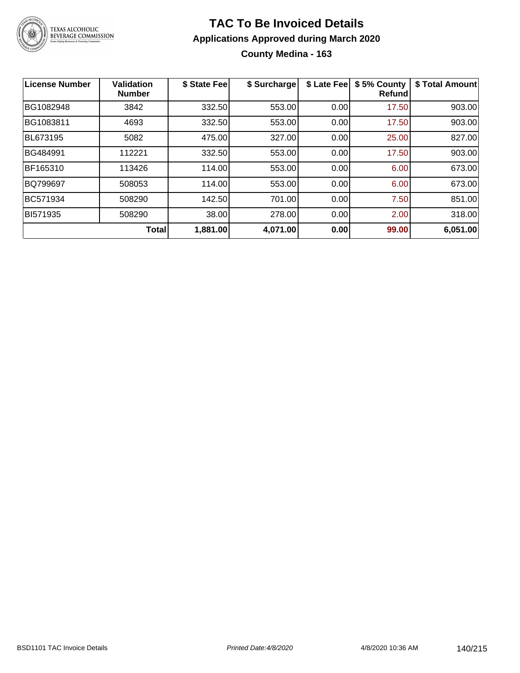

### **TAC To Be Invoiced Details Applications Approved during March 2020 County Medina - 163**

| <b>License Number</b> | <b>Validation</b><br><b>Number</b> | \$ State Fee | \$ Surcharge | \$ Late Fee | \$5% County<br><b>Refund</b> | \$ Total Amount |
|-----------------------|------------------------------------|--------------|--------------|-------------|------------------------------|-----------------|
| BG1082948             | 3842                               | 332.50       | 553.00       | 0.00        | 17.50                        | 903.00          |
| BG1083811             | 4693                               | 332.50       | 553.00       | 0.00        | 17.50                        | 903.00          |
| BL673195              | 5082                               | 475.00       | 327.00       | 0.00        | 25.00                        | 827.00          |
| BG484991              | 112221                             | 332.50       | 553.00       | 0.00        | 17.50                        | 903.00          |
| BF165310              | 113426                             | 114.00       | 553.00       | 0.00        | 6.00                         | 673.00          |
| <b>BQ799697</b>       | 508053                             | 114.00       | 553.00       | 0.00        | 6.00                         | 673.00          |
| BC571934              | 508290                             | 142.50       | 701.00       | 0.00        | 7.50                         | 851.00          |
| BI571935              | 508290                             | 38.00        | 278.00       | 0.00        | 2.00                         | 318.00          |
|                       | <b>Total</b>                       | 1,881.00     | 4,071.00     | 0.00        | 99.00                        | 6,051.00        |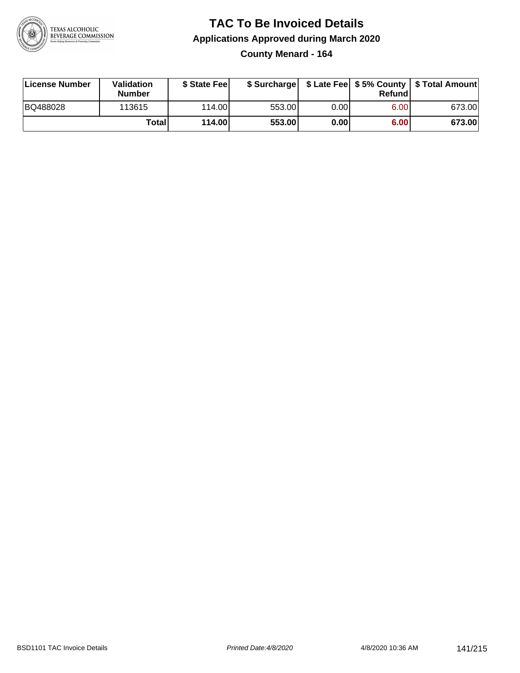

### **TAC To Be Invoiced Details Applications Approved during March 2020 County Menard - 164**

| License Number | Validation<br><b>Number</b> | \$ State Fee |        |       | Refundl | \$ Surcharge   \$ Late Fee   \$5% County   \$ Total Amount |
|----------------|-----------------------------|--------------|--------|-------|---------|------------------------------------------------------------|
| BQ488028       | 113615                      | 114.00L      | 553.00 | 0.001 | 6.00    | 673.00                                                     |
|                | Totall                      | 114.00       | 553.00 | 0.00  | 6.00    | 673.00                                                     |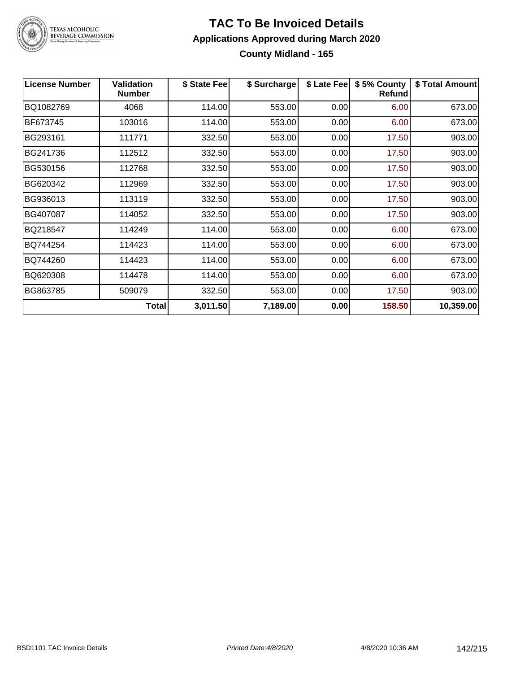

### **TAC To Be Invoiced Details Applications Approved during March 2020 County Midland - 165**

| <b>License Number</b> | <b>Validation</b><br><b>Number</b> | \$ State Feel | \$ Surcharge | \$ Late Fee | \$5% County<br><b>Refund</b> | \$ Total Amount |
|-----------------------|------------------------------------|---------------|--------------|-------------|------------------------------|-----------------|
| BQ1082769             | 4068                               | 114.00        | 553.00       | 0.00        | 6.00                         | 673.00          |
| BF673745              | 103016                             | 114.00        | 553.00       | 0.00        | 6.00                         | 673.00          |
| BG293161              | 111771                             | 332.50        | 553.00       | 0.00        | 17.50                        | 903.00          |
| BG241736              | 112512                             | 332.50        | 553.00       | 0.00        | 17.50                        | 903.00          |
| BG530156              | 112768                             | 332.50        | 553.00       | 0.00        | 17.50                        | 903.00          |
| BG620342              | 112969                             | 332.50        | 553.00       | 0.00        | 17.50                        | 903.00          |
| BG936013              | 113119                             | 332.50        | 553.00       | 0.00        | 17.50                        | 903.00          |
| BG407087              | 114052                             | 332.50        | 553.00       | 0.00        | 17.50                        | 903.00          |
| BQ218547              | 114249                             | 114.00        | 553.00       | 0.00        | 6.00                         | 673.00          |
| BQ744254              | 114423                             | 114.00        | 553.00       | 0.00        | 6.00                         | 673.00          |
| BQ744260              | 114423                             | 114.00        | 553.00       | 0.00        | 6.00                         | 673.00          |
| BQ620308              | 114478                             | 114.00        | 553.00       | 0.00        | 6.00                         | 673.00          |
| BG863785              | 509079                             | 332.50        | 553.00       | 0.00        | 17.50                        | 903.00          |
|                       | Total                              | 3,011.50      | 7,189.00     | 0.00        | 158.50                       | 10,359.00       |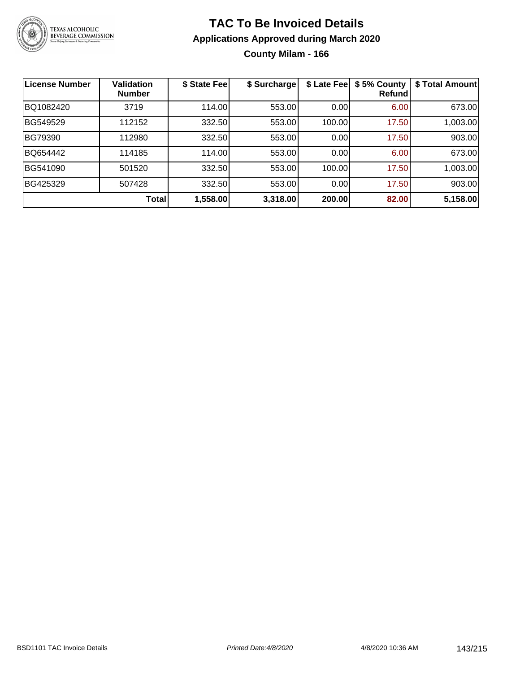

### **TAC To Be Invoiced Details Applications Approved during March 2020 County Milam - 166**

| <b>License Number</b> | <b>Validation</b><br><b>Number</b> | \$ State Fee | \$ Surcharge | \$ Late Fee | \$5% County<br>Refundl | \$ Total Amount |
|-----------------------|------------------------------------|--------------|--------------|-------------|------------------------|-----------------|
| BQ1082420             | 3719                               | 114.00       | 553.00       | 0.00        | 6.00                   | 673.00          |
| BG549529              | 112152                             | 332.50       | 553.00       | 100.00      | 17.50                  | 1,003.00        |
| BG79390               | 112980                             | 332.50       | 553.00       | 0.00        | 17.50                  | 903.00          |
| BQ654442              | 114185                             | 114.00       | 553.00       | 0.00        | 6.00                   | 673.00          |
| BG541090              | 501520                             | 332.50       | 553.00       | 100.00      | 17.50                  | 1,003.00        |
| BG425329              | 507428                             | 332.50       | 553.00       | 0.00        | 17.50                  | 903.00          |
|                       | <b>Total</b>                       | 1,558.00     | 3,318.00     | 200.00      | 82.00                  | 5,158.00        |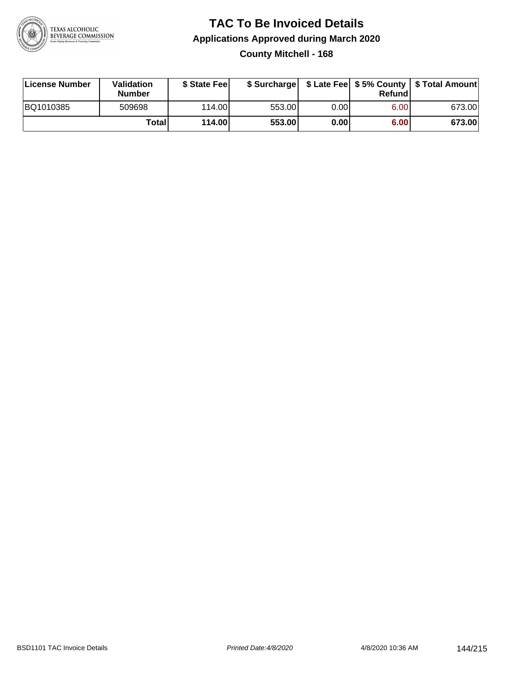

### **TAC To Be Invoiced Details Applications Approved during March 2020 County Mitchell - 168**

| License Number | Validation<br><b>Number</b> | \$ State Feel |        |       | Refundl | \$ Surcharge   \$ Late Fee   \$5% County   \$ Total Amount |
|----------------|-----------------------------|---------------|--------|-------|---------|------------------------------------------------------------|
| BQ1010385      | 509698                      | 114.00        | 553.00 | 0.00  | 6.00    | 673.00                                                     |
|                | Totall                      | 114.00        | 553.00 | 0.001 | 6.00    | 673.00                                                     |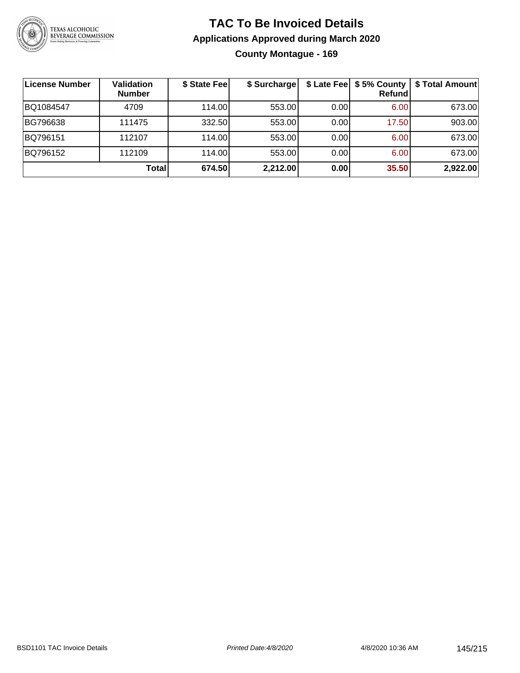

### **TAC To Be Invoiced Details Applications Approved during March 2020 County Montague - 169**

| License Number | <b>Validation</b><br><b>Number</b> | \$ State Fee | \$ Surcharge |      | \$ Late Fee   \$5% County  <br><b>Refund</b> | \$ Total Amount |
|----------------|------------------------------------|--------------|--------------|------|----------------------------------------------|-----------------|
| BQ1084547      | 4709                               | 114.00       | 553.00       | 0.00 | 6.00                                         | 673.00          |
| BG796638       | 111475                             | 332.50       | 553.00       | 0.00 | 17.50                                        | 903.00          |
| BQ796151       | 112107                             | 114.00       | 553.00       | 0.00 | 6.00                                         | 673.00          |
| BQ796152       | 112109                             | 114.00       | 553.00       | 0.00 | 6.00                                         | 673.00          |
|                | Total                              | 674.50       | 2,212.00     | 0.00 | 35.50                                        | 2,922.00        |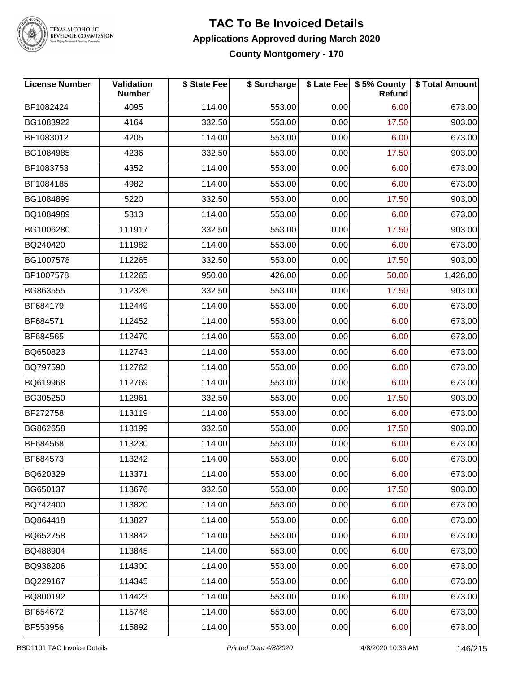

# TEXAS ALCOHOLIC<br>BEVERAGE COMMISSION

#### **TAC To Be Invoiced Details Applications Approved during March 2020 County Montgomery - 170**

| <b>License Number</b> | Validation<br><b>Number</b> | \$ State Fee | \$ Surcharge |      | \$ Late Fee   \$5% County  <br><b>Refund</b> | \$ Total Amount |
|-----------------------|-----------------------------|--------------|--------------|------|----------------------------------------------|-----------------|
| BF1082424             | 4095                        | 114.00       | 553.00       | 0.00 | 6.00                                         | 673.00          |
| BG1083922             | 4164                        | 332.50       | 553.00       | 0.00 | 17.50                                        | 903.00          |
| BF1083012             | 4205                        | 114.00       | 553.00       | 0.00 | 6.00                                         | 673.00          |
| BG1084985             | 4236                        | 332.50       | 553.00       | 0.00 | 17.50                                        | 903.00          |
| BF1083753             | 4352                        | 114.00       | 553.00       | 0.00 | 6.00                                         | 673.00          |
| BF1084185             | 4982                        | 114.00       | 553.00       | 0.00 | 6.00                                         | 673.00          |
| BG1084899             | 5220                        | 332.50       | 553.00       | 0.00 | 17.50                                        | 903.00          |
| BQ1084989             | 5313                        | 114.00       | 553.00       | 0.00 | 6.00                                         | 673.00          |
| BG1006280             | 111917                      | 332.50       | 553.00       | 0.00 | 17.50                                        | 903.00          |
| BQ240420              | 111982                      | 114.00       | 553.00       | 0.00 | 6.00                                         | 673.00          |
| BG1007578             | 112265                      | 332.50       | 553.00       | 0.00 | 17.50                                        | 903.00          |
| BP1007578             | 112265                      | 950.00       | 426.00       | 0.00 | 50.00                                        | 1,426.00        |
| BG863555              | 112326                      | 332.50       | 553.00       | 0.00 | 17.50                                        | 903.00          |
| BF684179              | 112449                      | 114.00       | 553.00       | 0.00 | 6.00                                         | 673.00          |
| BF684571              | 112452                      | 114.00       | 553.00       | 0.00 | 6.00                                         | 673.00          |
| BF684565              | 112470                      | 114.00       | 553.00       | 0.00 | 6.00                                         | 673.00          |
| BQ650823              | 112743                      | 114.00       | 553.00       | 0.00 | 6.00                                         | 673.00          |
| BQ797590              | 112762                      | 114.00       | 553.00       | 0.00 | 6.00                                         | 673.00          |
| BQ619968              | 112769                      | 114.00       | 553.00       | 0.00 | 6.00                                         | 673.00          |
| BG305250              | 112961                      | 332.50       | 553.00       | 0.00 | 17.50                                        | 903.00          |
| BF272758              | 113119                      | 114.00       | 553.00       | 0.00 | 6.00                                         | 673.00          |
| BG862658              | 113199                      | 332.50       | 553.00       | 0.00 | 17.50                                        | 903.00          |
| BF684568              | 113230                      | 114.00       | 553.00       | 0.00 | 6.00                                         | 673.00          |
| BF684573              | 113242                      | 114.00       | 553.00       | 0.00 | 6.00                                         | 673.00          |
| BQ620329              | 113371                      | 114.00       | 553.00       | 0.00 | 6.00                                         | 673.00          |
| BG650137              | 113676                      | 332.50       | 553.00       | 0.00 | 17.50                                        | 903.00          |
| BQ742400              | 113820                      | 114.00       | 553.00       | 0.00 | 6.00                                         | 673.00          |
| BQ864418              | 113827                      | 114.00       | 553.00       | 0.00 | 6.00                                         | 673.00          |
| BQ652758              | 113842                      | 114.00       | 553.00       | 0.00 | 6.00                                         | 673.00          |
| BQ488904              | 113845                      | 114.00       | 553.00       | 0.00 | 6.00                                         | 673.00          |
| BQ938206              | 114300                      | 114.00       | 553.00       | 0.00 | 6.00                                         | 673.00          |
| BQ229167              | 114345                      | 114.00       | 553.00       | 0.00 | 6.00                                         | 673.00          |
| BQ800192              | 114423                      | 114.00       | 553.00       | 0.00 | 6.00                                         | 673.00          |
| BF654672              | 115748                      | 114.00       | 553.00       | 0.00 | 6.00                                         | 673.00          |
| BF553956              | 115892                      | 114.00       | 553.00       | 0.00 | 6.00                                         | 673.00          |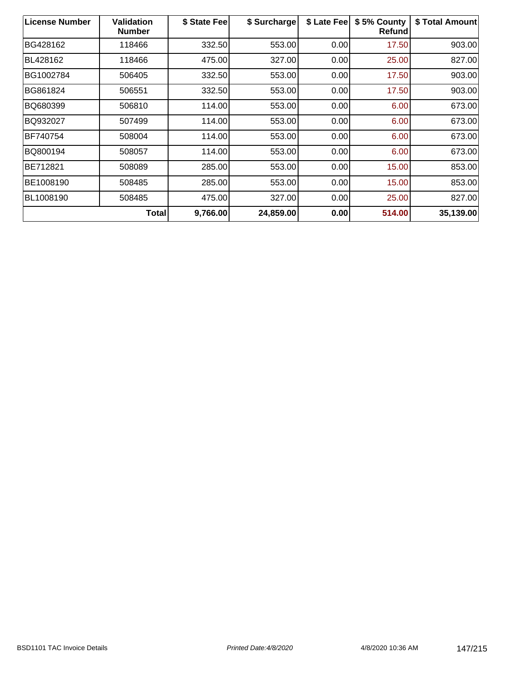| <b>License Number</b> | <b>Validation</b><br><b>Number</b> | \$ State Fee | \$ Surcharge | \$ Late Fee | \$5% County<br><b>Refund</b> | \$ Total Amount |
|-----------------------|------------------------------------|--------------|--------------|-------------|------------------------------|-----------------|
| BG428162              | 118466                             | 332.50       | 553.00       | 0.00        | 17.50                        | 903.00          |
| BL428162              | 118466                             | 475.00       | 327.00       | 0.00        | 25.00                        | 827.00          |
| BG1002784             | 506405                             | 332.50       | 553.00       | 0.00        | 17.50                        | 903.00          |
| BG861824              | 506551                             | 332.50       | 553.00       | 0.00        | 17.50                        | 903.00          |
| BQ680399              | 506810                             | 114.00       | 553.00       | 0.00        | 6.00                         | 673.00          |
| BQ932027              | 507499                             | 114.00       | 553.00       | 0.00        | 6.00                         | 673.00          |
| BF740754              | 508004                             | 114.00       | 553.00       | 0.00        | 6.00                         | 673.00          |
| BQ800194              | 508057                             | 114.00       | 553.00       | 0.00        | 6.00                         | 673.00          |
| BE712821              | 508089                             | 285.00       | 553.00       | 0.00        | 15.00                        | 853.00          |
| BE1008190             | 508485                             | 285.00       | 553.00       | 0.00        | 15.00                        | 853.00          |
| BL1008190             | 508485                             | 475.00       | 327.00       | 0.00        | 25.00                        | 827.00          |
|                       | <b>Total</b>                       | 9,766.00     | 24,859.00    | 0.00        | 514.00                       | 35,139.00       |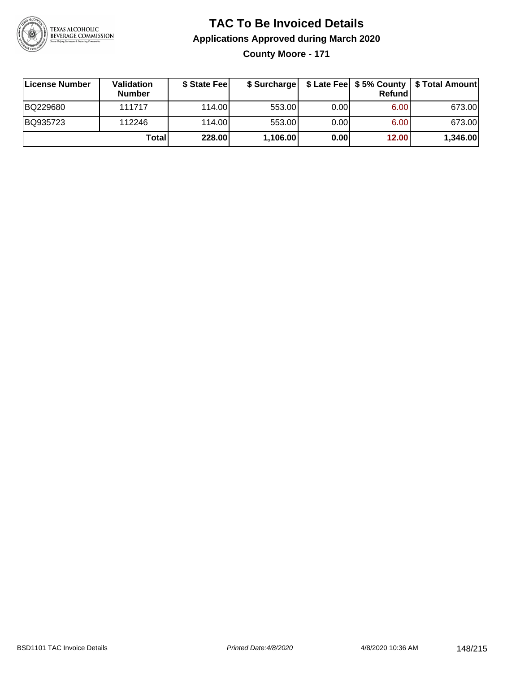

**County Moore - 171**

| License Number | <b>Validation</b><br><b>Number</b> | \$ State Fee |          |      | Refund | \$ Surcharge   \$ Late Fee   \$5% County   \$ Total Amount |
|----------------|------------------------------------|--------------|----------|------|--------|------------------------------------------------------------|
| BQ229680       | 111717                             | 114.00       | 553.00   | 0.00 | 6.00   | 673.00                                                     |
| BQ935723       | 112246                             | 114.00       | 553.00   | 0.00 | 6.00   | 673.00                                                     |
|                | Totall                             | 228.00       | 1,106.00 | 0.00 | 12.00  | 1,346.00                                                   |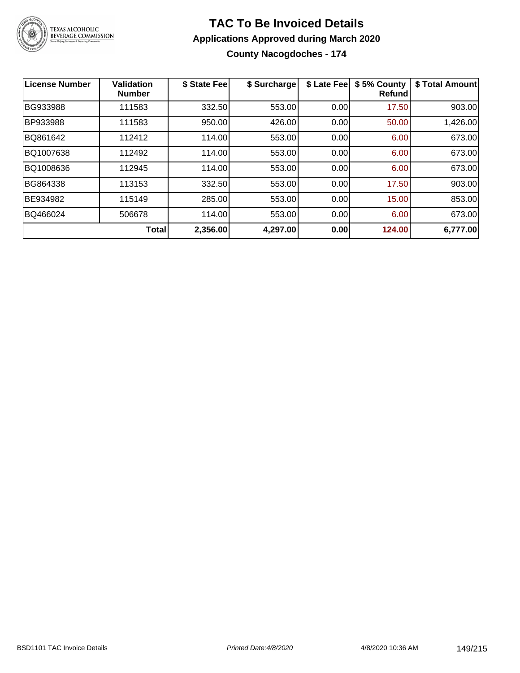

**County Nacogdoches - 174**

| License Number | <b>Validation</b><br><b>Number</b> | \$ State Fee | \$ Surcharge | \$ Late Fee | \$5% County<br>Refund | \$ Total Amount |
|----------------|------------------------------------|--------------|--------------|-------------|-----------------------|-----------------|
| BG933988       | 111583                             | 332.50       | 553.00       | 0.00        | 17.50                 | 903.00          |
| BP933988       | 111583                             | 950.00       | 426.00       | 0.00        | 50.00                 | 1,426.00        |
| BQ861642       | 112412                             | 114.00       | 553.00       | 0.00        | 6.00                  | 673.00          |
| BQ1007638      | 112492                             | 114.00       | 553.00       | 0.00        | 6.00                  | 673.00          |
| BQ1008636      | 112945                             | 114.00       | 553.00       | 0.00        | 6.00                  | 673.00          |
| BG864338       | 113153                             | 332.50       | 553.00       | 0.00        | 17.50                 | 903.00          |
| BE934982       | 115149                             | 285.00       | 553.00       | 0.00        | 15.00                 | 853.00          |
| BQ466024       | 506678                             | 114.00       | 553.00       | 0.00        | 6.00                  | 673.00          |
|                | <b>Total</b>                       | 2,356.00     | 4,297.00     | 0.00        | 124.00                | 6,777.00        |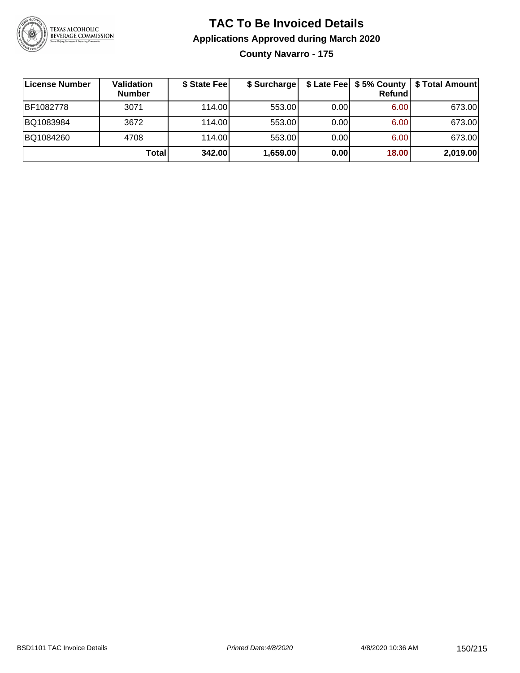

## **TAC To Be Invoiced Details Applications Approved during March 2020 County Navarro - 175**

| License Number | <b>Validation</b><br><b>Number</b> | \$ State Fee | \$ Surcharge |      | Refundl | \$ Late Fee   \$5% County   \$ Total Amount |
|----------------|------------------------------------|--------------|--------------|------|---------|---------------------------------------------|
| BF1082778      | 3071                               | 114.00L      | 553.00       | 0.00 | 6.00    | 673.00                                      |
| BQ1083984      | 3672                               | 114.00       | 553.00       | 0.00 | 6.00    | 673.00                                      |
| BQ1084260      | 4708                               | 114.00       | 553.00       | 0.00 | 6.00    | 673.00                                      |
|                | Total                              | 342.00       | 1,659.00     | 0.00 | 18.00   | 2,019.00                                    |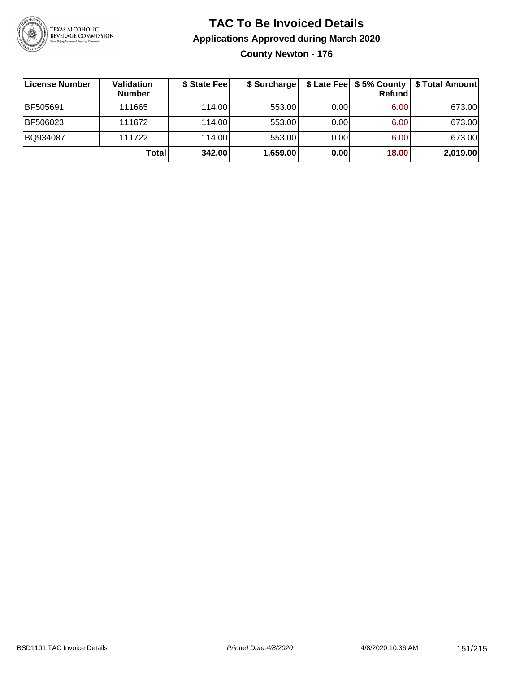

**County Newton - 176**

| License Number  | Validation<br><b>Number</b> | \$ State Fee | \$ Surcharge |       | <b>Refund</b> | \$ Late Fee   \$5% County   \$ Total Amount |
|-----------------|-----------------------------|--------------|--------------|-------|---------------|---------------------------------------------|
| <b>BF505691</b> | 111665                      | 114.00       | 553.00       | 0.001 | 6.00          | 673.00                                      |
| BF506023        | 111672                      | 114.00       | 553.00       | 0.00  | 6.00          | 673.00                                      |
| BQ934087        | 111722                      | 114.00L      | 553.00       | 0.00  | 6.00          | 673.00                                      |
|                 | Total                       | 342.00       | 1,659.00     | 0.00  | 18.00         | 2,019.00                                    |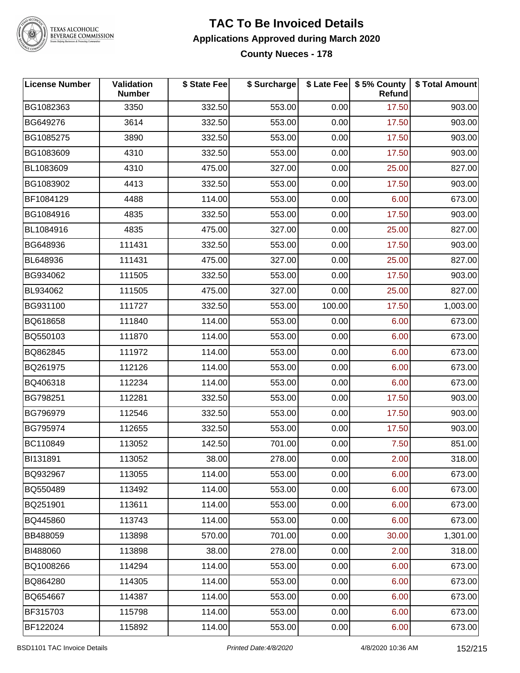

TEXAS ALCOHOLIC<br>BEVERAGE COMMISSION

#### **TAC To Be Invoiced Details Applications Approved during March 2020 County Nueces - 178**

| <b>License Number</b> | <b>Validation</b><br><b>Number</b> | \$ State Fee | \$ Surcharge |        | \$ Late Fee   \$5% County<br>Refund | \$ Total Amount |
|-----------------------|------------------------------------|--------------|--------------|--------|-------------------------------------|-----------------|
| BG1082363             | 3350                               | 332.50       | 553.00       | 0.00   | 17.50                               | 903.00          |
| <b>BG649276</b>       | 3614                               | 332.50       | 553.00       | 0.00   | 17.50                               | 903.00          |
| BG1085275             | 3890                               | 332.50       | 553.00       | 0.00   | 17.50                               | 903.00          |
| BG1083609             | 4310                               | 332.50       | 553.00       | 0.00   | 17.50                               | 903.00          |
| BL1083609             | 4310                               | 475.00       | 327.00       | 0.00   | 25.00                               | 827.00          |
| BG1083902             | 4413                               | 332.50       | 553.00       | 0.00   | 17.50                               | 903.00          |
| BF1084129             | 4488                               | 114.00       | 553.00       | 0.00   | 6.00                                | 673.00          |
| BG1084916             | 4835                               | 332.50       | 553.00       | 0.00   | 17.50                               | 903.00          |
| BL1084916             | 4835                               | 475.00       | 327.00       | 0.00   | 25.00                               | 827.00          |
| BG648936              | 111431                             | 332.50       | 553.00       | 0.00   | 17.50                               | 903.00          |
| <b>BL648936</b>       | 111431                             | 475.00       | 327.00       | 0.00   | 25.00                               | 827.00          |
| BG934062              | 111505                             | 332.50       | 553.00       | 0.00   | 17.50                               | 903.00          |
| BL934062              | 111505                             | 475.00       | 327.00       | 0.00   | 25.00                               | 827.00          |
| BG931100              | 111727                             | 332.50       | 553.00       | 100.00 | 17.50                               | 1,003.00        |
| BQ618658              | 111840                             | 114.00       | 553.00       | 0.00   | 6.00                                | 673.00          |
| BQ550103              | 111870                             | 114.00       | 553.00       | 0.00   | 6.00                                | 673.00          |
| BQ862845              | 111972                             | 114.00       | 553.00       | 0.00   | 6.00                                | 673.00          |
| BQ261975              | 112126                             | 114.00       | 553.00       | 0.00   | 6.00                                | 673.00          |
| BQ406318              | 112234                             | 114.00       | 553.00       | 0.00   | 6.00                                | 673.00          |
| BG798251              | 112281                             | 332.50       | 553.00       | 0.00   | 17.50                               | 903.00          |
| BG796979              | 112546                             | 332.50       | 553.00       | 0.00   | 17.50                               | 903.00          |
| BG795974              | 112655                             | 332.50       | 553.00       | 0.00   | 17.50                               | 903.00          |
| BC110849              | 113052                             | 142.50       | 701.00       | 0.00   | 7.50                                | 851.00          |
| BI131891              | 113052                             | 38.00        | 278.00       | 0.00   | 2.00                                | 318.00          |
| BQ932967              | 113055                             | 114.00       | 553.00       | 0.00   | 6.00                                | 673.00          |
| BQ550489              | 113492                             | 114.00       | 553.00       | 0.00   | 6.00                                | 673.00          |
| BQ251901              | 113611                             | 114.00       | 553.00       | 0.00   | 6.00                                | 673.00          |
| BQ445860              | 113743                             | 114.00       | 553.00       | 0.00   | 6.00                                | 673.00          |
| BB488059              | 113898                             | 570.00       | 701.00       | 0.00   | 30.00                               | 1,301.00        |
| BI488060              | 113898                             | 38.00        | 278.00       | 0.00   | 2.00                                | 318.00          |
| BQ1008266             | 114294                             | 114.00       | 553.00       | 0.00   | 6.00                                | 673.00          |
| BQ864280              | 114305                             | 114.00       | 553.00       | 0.00   | 6.00                                | 673.00          |
| BQ654667              | 114387                             | 114.00       | 553.00       | 0.00   | 6.00                                | 673.00          |
| BF315703              | 115798                             | 114.00       | 553.00       | 0.00   | 6.00                                | 673.00          |
| BF122024              | 115892                             | 114.00       | 553.00       | 0.00   | 6.00                                | 673.00          |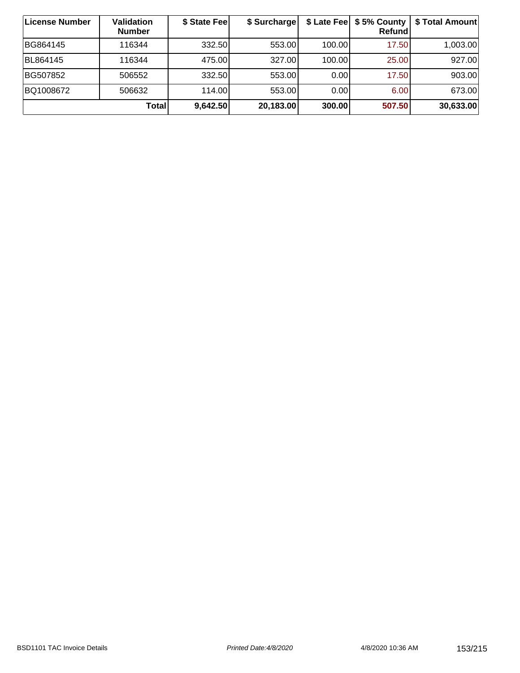| License Number | <b>Validation</b><br><b>Number</b> | \$ State Fee | \$ Surcharge |        | \$ Late Fee   \$5% County  <br>Refundl | \$ Total Amount |
|----------------|------------------------------------|--------------|--------------|--------|----------------------------------------|-----------------|
| BG864145       | 116344                             | 332.50       | 553.00       | 100.00 | 17.50                                  | 1,003.00        |
| BL864145       | 116344                             | 475.00       | 327.00       | 100.00 | 25.00                                  | 927.00          |
| BG507852       | 506552                             | 332.50       | 553.00       | 0.00   | 17.50                                  | 903.00          |
| BQ1008672      | 506632                             | 114.00       | 553.00       | 0.00   | 6.00                                   | 673.00          |
|                | <b>Total</b>                       | 9,642.50     | 20,183.00    | 300.00 | 507.50                                 | 30,633.00       |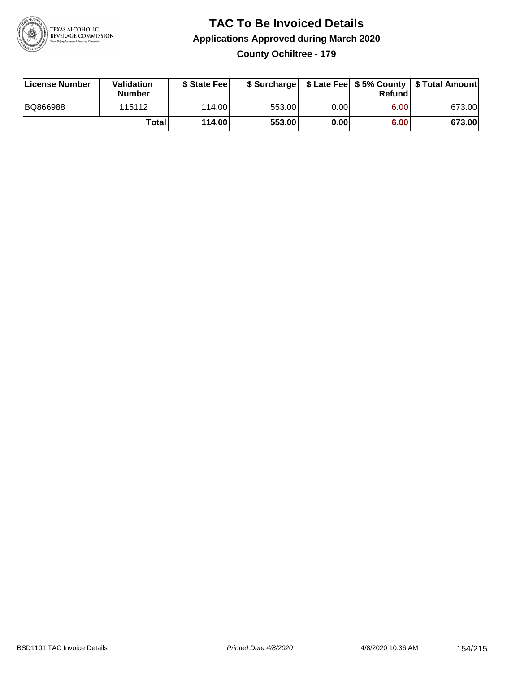

### **TAC To Be Invoiced Details Applications Approved during March 2020 County Ochiltree - 179**

| License Number | Validation<br><b>Number</b> | \$ State Feel |        |      | Refund | \$ Surcharge   \$ Late Fee   \$5% County   \$ Total Amount |
|----------------|-----------------------------|---------------|--------|------|--------|------------------------------------------------------------|
| BQ866988       | 115112                      | 114.00L       | 553.00 | 0.00 | 6.00   | 673.00                                                     |
|                | Totall                      | 114.00        | 553.00 | 0.00 | 6.00   | 673.00                                                     |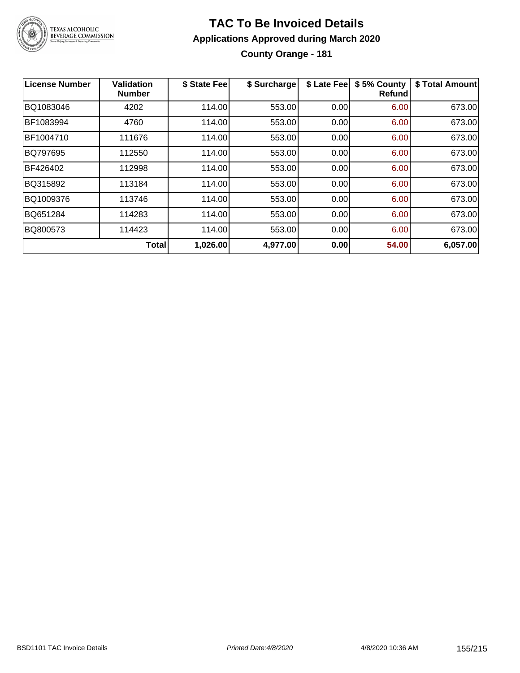

### **TAC To Be Invoiced Details Applications Approved during March 2020 County Orange - 181**

| <b>License Number</b> | <b>Validation</b><br><b>Number</b> | \$ State Fee | \$ Surcharge | \$ Late Fee | \$5% County<br><b>Refund</b> | \$ Total Amount |
|-----------------------|------------------------------------|--------------|--------------|-------------|------------------------------|-----------------|
| BQ1083046             | 4202                               | 114.00       | 553.00       | 0.00        | 6.00                         | 673.00          |
| BF1083994             | 4760                               | 114.00       | 553.00       | 0.00        | 6.00                         | 673.00          |
| BF1004710             | 111676                             | 114.00       | 553.00       | 0.00        | 6.00                         | 673.00          |
| BQ797695              | 112550                             | 114.00       | 553.00       | 0.00        | 6.00                         | 673.00          |
| BF426402              | 112998                             | 114.00       | 553.00       | 0.00        | 6.00                         | 673.00          |
| BQ315892              | 113184                             | 114.00       | 553.00       | 0.00        | 6.00                         | 673.00          |
| BQ1009376             | 113746                             | 114.00       | 553.00       | 0.00        | 6.00                         | 673.00          |
| BQ651284              | 114283                             | 114.00       | 553.00       | 0.00        | 6.00                         | 673.00          |
| BQ800573              | 114423                             | 114.00       | 553.00       | 0.00        | 6.00                         | 673.00          |
|                       | <b>Total</b>                       | 1,026.00     | 4,977.00     | 0.00        | 54.00                        | 6,057.00        |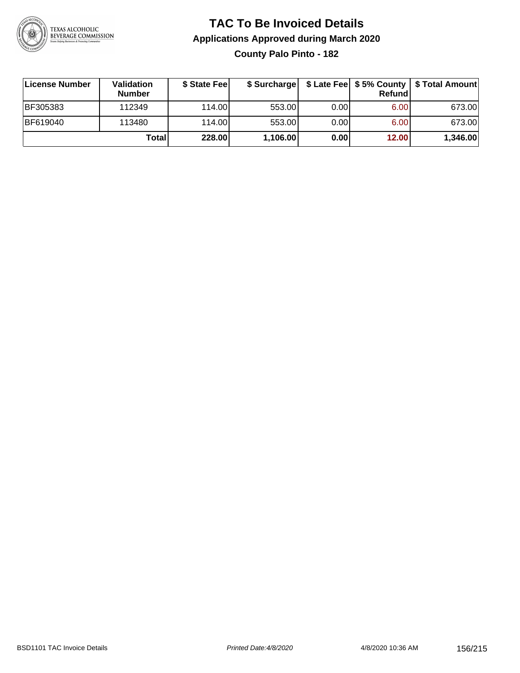

### **TAC To Be Invoiced Details Applications Approved during March 2020 County Palo Pinto - 182**

| License Number  | Validation<br><b>Number</b> | \$ State Feel | \$ Surcharge |      | Refund | \$ Late Fee   \$5% County   \$ Total Amount |
|-----------------|-----------------------------|---------------|--------------|------|--------|---------------------------------------------|
| <b>BF305383</b> | 112349                      | 114.00L       | 553.00       | 0.00 | 6.00   | 673.00                                      |
| <b>BF619040</b> | 113480                      | 114.00L       | 553.00       | 0.00 | 6.00   | 673.00                                      |
|                 | Total                       | 228.00        | 1,106.00     | 0.00 | 12.00  | 1,346.00                                    |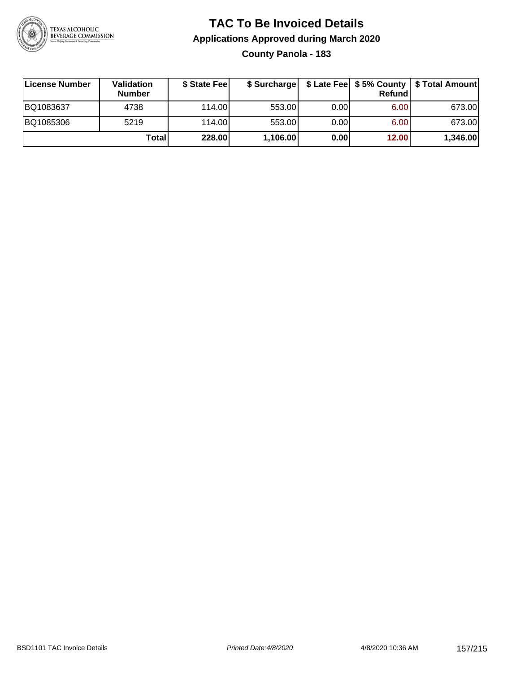

## **TAC To Be Invoiced Details Applications Approved during March 2020 County Panola - 183**

| License Number | <b>Validation</b><br><b>Number</b> | \$ State Feel |          |       | Refundl | \$ Surcharge   \$ Late Fee   \$5% County   \$ Total Amount |
|----------------|------------------------------------|---------------|----------|-------|---------|------------------------------------------------------------|
| BQ1083637      | 4738                               | 114.00        | 553.00   | 0.001 | 6.00    | 673.00                                                     |
| BQ1085306      | 5219                               | 114.00        | 553.00   | 0.00  | 6.00    | 673.00                                                     |
|                | Totall                             | 228.00        | 1,106.00 | 0.00  | 12.00   | 1,346.00                                                   |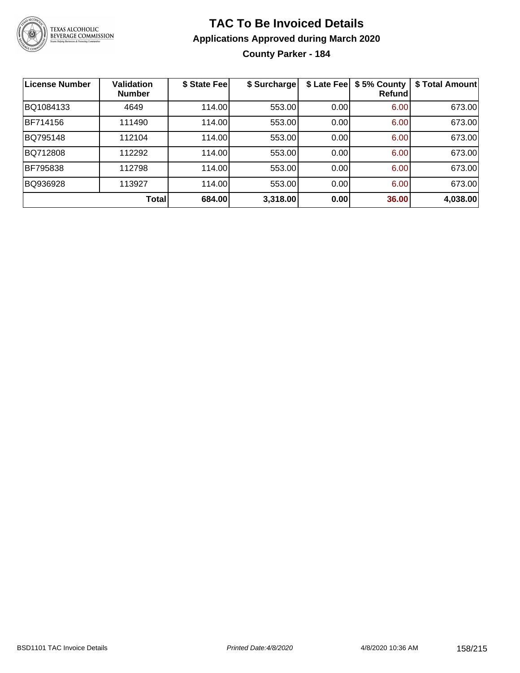

**County Parker - 184**

| License Number | <b>Validation</b><br><b>Number</b> | \$ State Fee | \$ Surcharge | \$ Late Fee | \$5% County<br>Refundl | \$ Total Amount |
|----------------|------------------------------------|--------------|--------------|-------------|------------------------|-----------------|
| BQ1084133      | 4649                               | 114.00       | 553.00       | 0.00        | 6.00                   | 673.00          |
| BF714156       | 111490                             | 114.00       | 553.00       | 0.00        | 6.00                   | 673.00          |
| BQ795148       | 112104                             | 114.00       | 553.00       | 0.00        | 6.00                   | 673.00          |
| BQ712808       | 112292                             | 114.00       | 553.00       | 0.00        | 6.00                   | 673.00          |
| BF795838       | 112798                             | 114.00       | 553.00       | 0.00        | 6.00                   | 673.00          |
| BQ936928       | 113927                             | 114.00       | 553.00       | 0.00        | 6.00                   | 673.00          |
|                | Total                              | 684.00       | 3,318.00     | 0.00        | 36.00                  | 4,038.00        |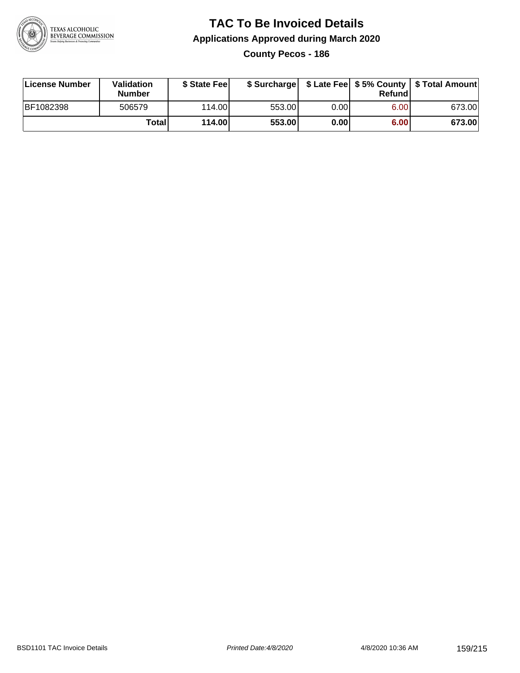

**County Pecos - 186**

| License Number | Validation<br><b>Number</b> | \$ State Feel |        |      | Refundl | \$ Surcharge   \$ Late Fee   \$5% County   \$ Total Amount |
|----------------|-----------------------------|---------------|--------|------|---------|------------------------------------------------------------|
| BF1082398      | 506579                      | 114.00        | 553.00 | 0.00 | 6.00    | 673.00                                                     |
|                | Totall                      | 114.00        | 553.00 | 0.00 | 6.00    | 673.00                                                     |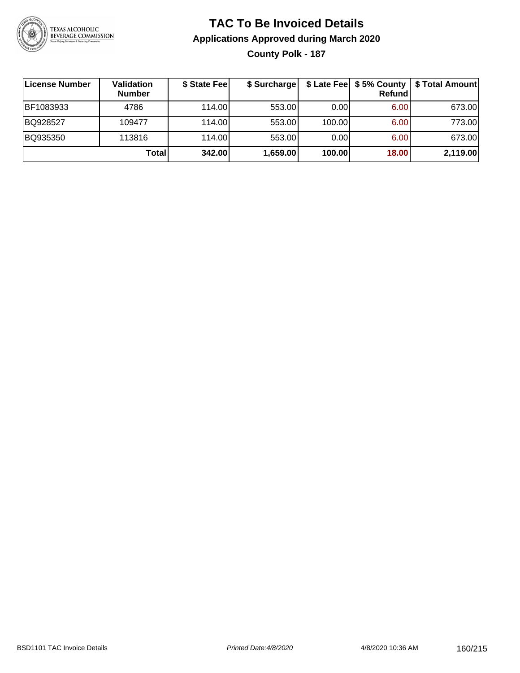

### **TAC To Be Invoiced Details Applications Approved during March 2020 County Polk - 187**

| ∣License Number | <b>Validation</b><br><b>Number</b> | \$ State Fee | \$ Surcharge |        | <b>Refund</b> | \$ Late Fee   \$5% County   \$ Total Amount |
|-----------------|------------------------------------|--------------|--------------|--------|---------------|---------------------------------------------|
| BF1083933       | 4786                               | 114.00       | 553.00       | 0.001  | 6.00          | 673.00                                      |
| BQ928527        | 109477                             | 114.00       | 553.00       | 100.00 | 6.00          | 773.00                                      |
| BQ935350        | 113816                             | 114.00       | 553.00       | 0.001  | 6.00          | 673.00                                      |
|                 | Total                              | 342.00       | 1,659.00     | 100.00 | 18.00         | 2,119.00                                    |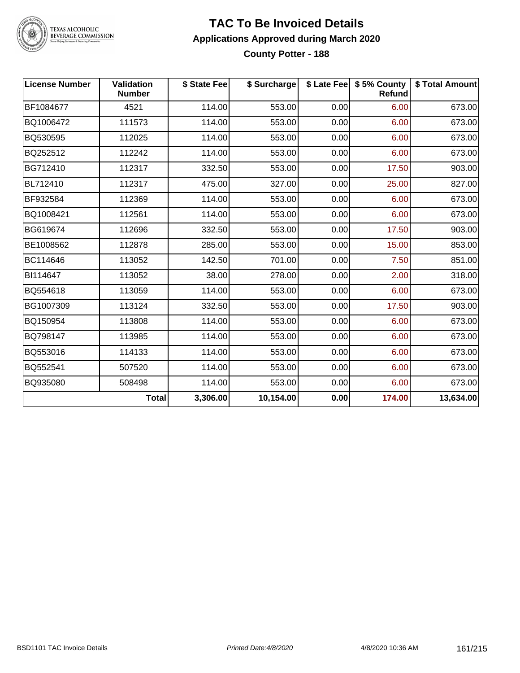

TEXAS ALCOHOLIC<br>BEVERAGE COMMISSION

#### **TAC To Be Invoiced Details Applications Approved during March 2020 County Potter - 188**

| <b>License Number</b> | <b>Validation</b><br><b>Number</b> | \$ State Fee | \$ Surcharge |      | \$ Late Fee   \$5% County<br><b>Refund</b> | \$ Total Amount |
|-----------------------|------------------------------------|--------------|--------------|------|--------------------------------------------|-----------------|
| BF1084677             | 4521                               | 114.00       | 553.00       | 0.00 | 6.00                                       | 673.00          |
| BQ1006472             | 111573                             | 114.00       | 553.00       | 0.00 | 6.00                                       | 673.00          |
| BQ530595              | 112025                             | 114.00       | 553.00       | 0.00 | 6.00                                       | 673.00          |
| BQ252512              | 112242                             | 114.00       | 553.00       | 0.00 | 6.00                                       | 673.00          |
| BG712410              | 112317                             | 332.50       | 553.00       | 0.00 | 17.50                                      | 903.00          |
| BL712410              | 112317                             | 475.00       | 327.00       | 0.00 | 25.00                                      | 827.00          |
| BF932584              | 112369                             | 114.00       | 553.00       | 0.00 | 6.00                                       | 673.00          |
| BQ1008421             | 112561                             | 114.00       | 553.00       | 0.00 | 6.00                                       | 673.00          |
| BG619674              | 112696                             | 332.50       | 553.00       | 0.00 | 17.50                                      | 903.00          |
| BE1008562             | 112878                             | 285.00       | 553.00       | 0.00 | 15.00                                      | 853.00          |
| BC114646              | 113052                             | 142.50       | 701.00       | 0.00 | 7.50                                       | 851.00          |
| BI114647              | 113052                             | 38.00        | 278.00       | 0.00 | 2.00                                       | 318.00          |
| BQ554618              | 113059                             | 114.00       | 553.00       | 0.00 | 6.00                                       | 673.00          |
| BG1007309             | 113124                             | 332.50       | 553.00       | 0.00 | 17.50                                      | 903.00          |
| BQ150954              | 113808                             | 114.00       | 553.00       | 0.00 | 6.00                                       | 673.00          |
| BQ798147              | 113985                             | 114.00       | 553.00       | 0.00 | 6.00                                       | 673.00          |
| BQ553016              | 114133                             | 114.00       | 553.00       | 0.00 | 6.00                                       | 673.00          |
| BQ552541              | 507520                             | 114.00       | 553.00       | 0.00 | 6.00                                       | 673.00          |
| BQ935080              | 508498                             | 114.00       | 553.00       | 0.00 | 6.00                                       | 673.00          |
|                       | <b>Total</b>                       | 3,306.00     | 10,154.00    | 0.00 | 174.00                                     | 13,634.00       |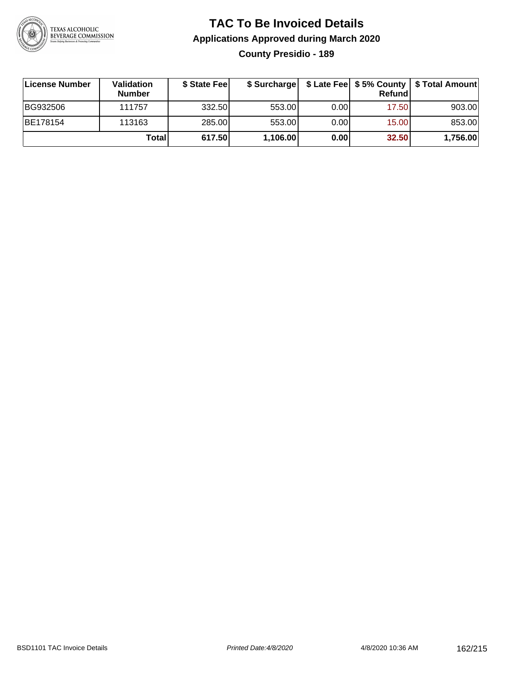

### **TAC To Be Invoiced Details Applications Approved during March 2020 County Presidio - 189**

| License Number  | <b>Validation</b><br><b>Number</b> | \$ State Feel |          |      | Refundl | \$ Surcharge   \$ Late Fee   \$5% County   \$ Total Amount |
|-----------------|------------------------------------|---------------|----------|------|---------|------------------------------------------------------------|
| BG932506        | 111757                             | 332.50        | 553.00   | 0.00 | 17.50   | 903.00                                                     |
| <b>BE178154</b> | 113163                             | 285.00        | 553.00   | 0.00 | 15.00   | 853.00                                                     |
|                 | Total                              | 617.50        | 1,106.00 | 0.00 | 32.50   | 1,756.00                                                   |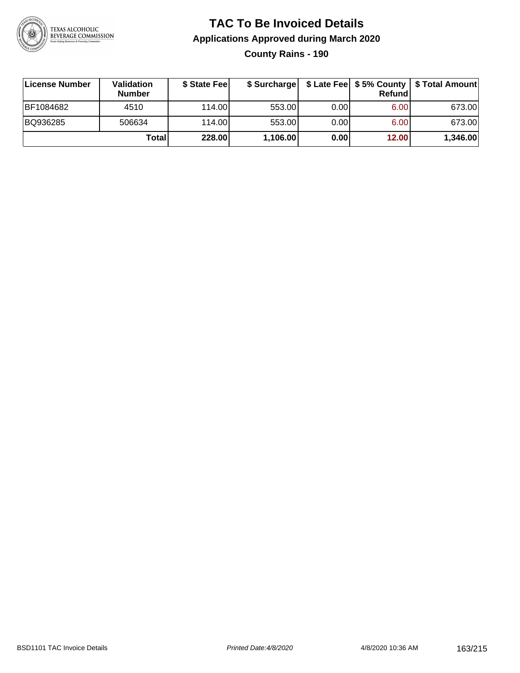

**County Rains - 190**

| ∣License Number | <b>Validation</b><br><b>Number</b> | \$ State Fee |          |      | <b>Refund</b> | \$ Surcharge   \$ Late Fee   \$5% County   \$ Total Amount |
|-----------------|------------------------------------|--------------|----------|------|---------------|------------------------------------------------------------|
| BF1084682       | 4510                               | 114.00       | 553.00   | 0.00 | 6.00          | 673.00                                                     |
| BQ936285        | 506634                             | 114.00       | 553.00   | 0.00 | 6.00          | 673.00                                                     |
|                 | Totall                             | 228.00       | 1,106.00 | 0.00 | 12.00         | 1,346.00                                                   |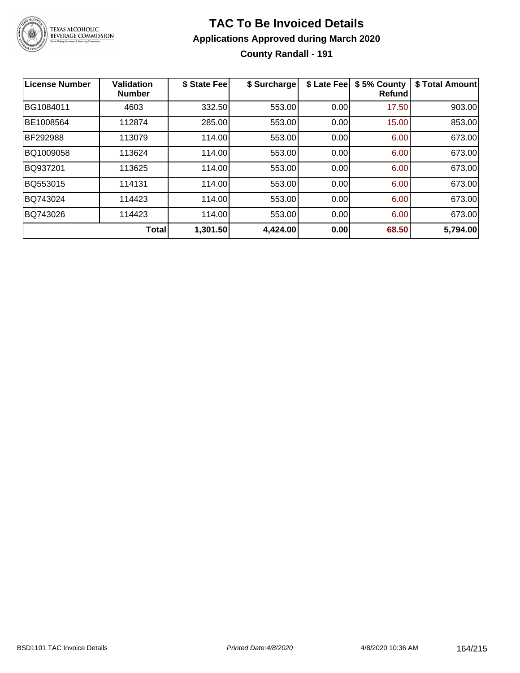

### **TAC To Be Invoiced Details Applications Approved during March 2020 County Randall - 191**

| License Number | <b>Validation</b><br><b>Number</b> | \$ State Fee | \$ Surcharge | \$ Late Fee | \$5% County<br>Refundl | \$ Total Amount |
|----------------|------------------------------------|--------------|--------------|-------------|------------------------|-----------------|
| BG1084011      | 4603                               | 332.50       | 553.00       | 0.00        | 17.50                  | 903.00          |
| BE1008564      | 112874                             | 285.00       | 553.00       | 0.00        | 15.00                  | 853.00          |
| BF292988       | 113079                             | 114.00       | 553.00       | 0.00        | 6.00                   | 673.00          |
| BQ1009058      | 113624                             | 114.00       | 553.00       | 0.00        | 6.00                   | 673.00          |
| BQ937201       | 113625                             | 114.00       | 553.00       | 0.00        | 6.00                   | 673.00          |
| BQ553015       | 114131                             | 114.00       | 553.00       | 0.00        | 6.00                   | 673.00          |
| BQ743024       | 114423                             | 114.00       | 553.00       | 0.00        | 6.00                   | 673.00          |
| BQ743026       | 114423                             | 114.00       | 553.00       | 0.00        | 6.00                   | 673.00          |
|                | <b>Total</b>                       | 1,301.50     | 4,424.00     | 0.00        | 68.50                  | 5,794.00        |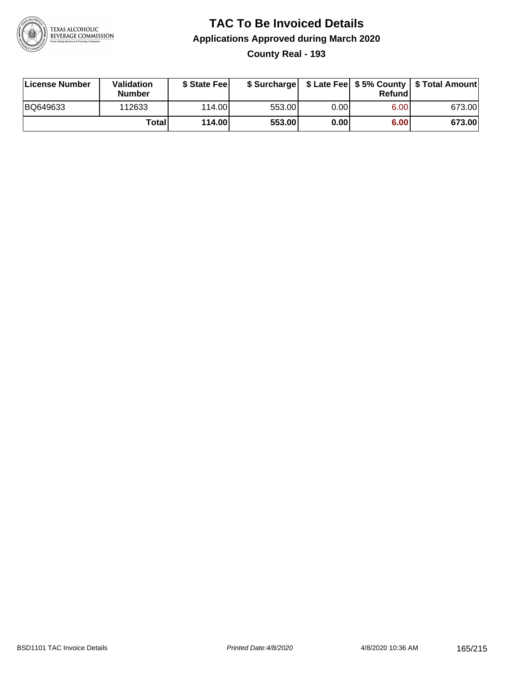

### **TAC To Be Invoiced Details Applications Approved during March 2020 County Real - 193**

| License Number | Validation<br><b>Number</b> | \$ State Feel |        |      | Refund | \$ Surcharge   \$ Late Fee   \$5% County   \$ Total Amount |
|----------------|-----------------------------|---------------|--------|------|--------|------------------------------------------------------------|
| BQ649633       | 112633                      | 114.00L       | 553.00 | 0.00 | 6.00   | 673.00                                                     |
|                | Totall                      | 114.00        | 553.00 | 0.00 | 6.00   | 673.00                                                     |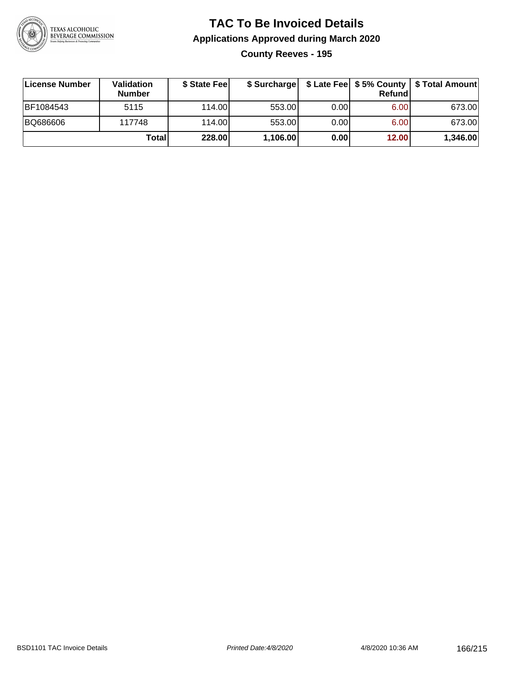

## **TAC To Be Invoiced Details Applications Approved during March 2020 County Reeves - 195**

| License Number | <b>Validation</b><br><b>Number</b> | \$ State Feel | \$ Surcharge |       | Refund |          |
|----------------|------------------------------------|---------------|--------------|-------|--------|----------|
| BF1084543      | 5115                               | 114.00        | 553.00       | 0.001 | 6.00   | 673.00   |
| BQ686606       | 117748                             | 114.00        | 553.00       | 0.00  | 6.00   | 673.00   |
|                | Total                              | 228.00        | 1,106.00     | 0.00  | 12.00  | 1,346.00 |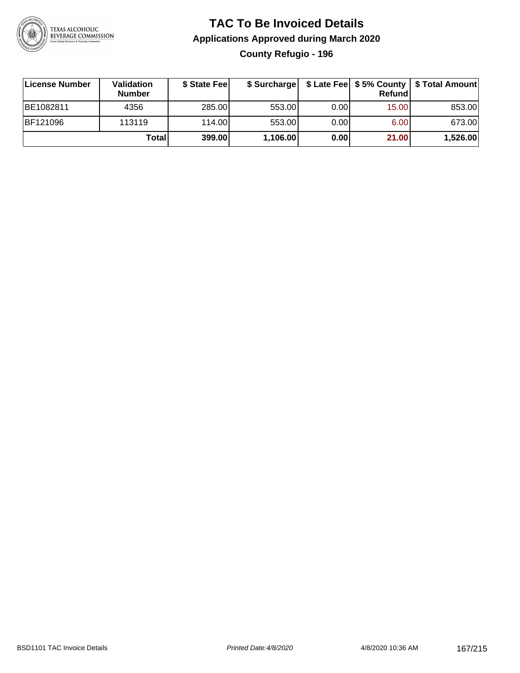

## **TAC To Be Invoiced Details Applications Approved during March 2020 County Refugio - 196**

| License Number  | <b>Validation</b><br><b>Number</b> | \$ State Feel |          |      | Refundl | \$ Surcharge   \$ Late Fee   \$5% County   \$ Total Amount |
|-----------------|------------------------------------|---------------|----------|------|---------|------------------------------------------------------------|
| BE1082811       | 4356                               | 285.00        | 553.00   | 0.00 | 15.00   | 853.00                                                     |
| <b>BF121096</b> | 113119                             | 114.00L       | 553.00   | 0.00 | 6.00    | 673.00                                                     |
|                 | Total                              | 399.00        | 1,106.00 | 0.00 | 21.00   | 1,526.00                                                   |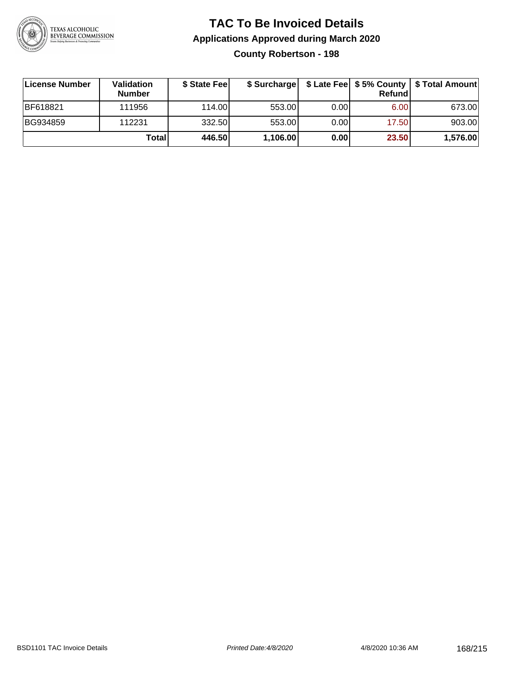

#### **TAC To Be Invoiced Details Applications Approved during March 2020 County Robertson - 198**

| License Number  | Validation<br><b>Number</b> | \$ State Feel | \$ Surcharge |      | Refund | \$ Late Fee   \$5% County   \$ Total Amount |
|-----------------|-----------------------------|---------------|--------------|------|--------|---------------------------------------------|
| <b>BF618821</b> | 111956                      | 114.00L       | 553.00       | 0.00 | 6.00   | 673.00                                      |
| BG934859        | 112231                      | 332.50        | 553.00       | 0.00 | 17.50  | 903.00                                      |
|                 | Totall                      | 446.50        | 1,106.00     | 0.00 | 23.50  | 1,576.00                                    |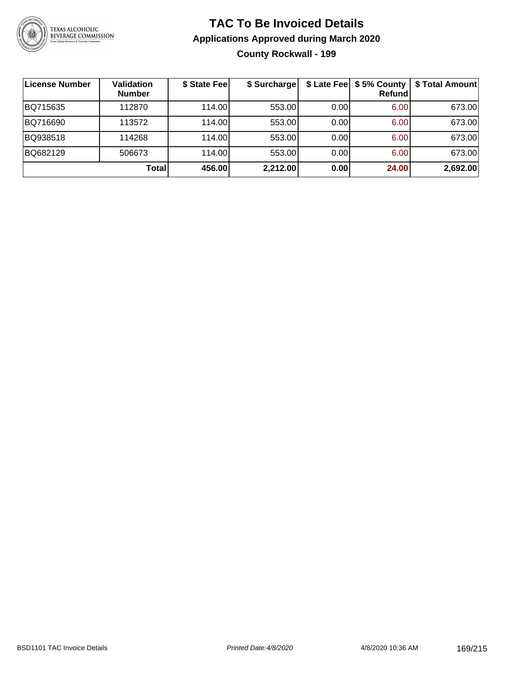

## **TAC To Be Invoiced Details Applications Approved during March 2020 County Rockwall - 199**

| ∣License Number | Validation<br><b>Number</b> | \$ State Fee | \$ Surcharge |      | \$ Late Fee   \$5% County  <br>Refundl | \$ Total Amount |
|-----------------|-----------------------------|--------------|--------------|------|----------------------------------------|-----------------|
| BQ715635        | 112870                      | 114.00       | 553.00       | 0.00 | 6.00                                   | 673.00          |
| BQ716690        | 113572                      | 114.00       | 553.00       | 0.00 | 6.00                                   | 673.00          |
| BQ938518        | 114268                      | 114.00       | 553.00       | 0.00 | 6.00                                   | 673.00          |
| BQ682129        | 506673                      | 114.00       | 553.00       | 0.00 | 6.00                                   | 673.00          |
|                 | <b>Total</b>                | 456.00       | 2,212.00     | 0.00 | 24.00                                  | 2,692.00        |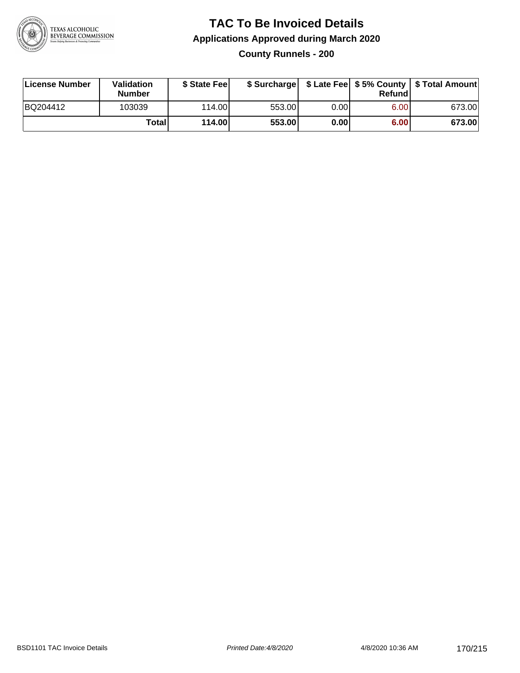

### **TAC To Be Invoiced Details Applications Approved during March 2020 County Runnels - 200**

| License Number | Validation<br><b>Number</b> | \$ State Fee |        |      | Refund | \$ Surcharge   \$ Late Fee   \$5% County   \$ Total Amount |
|----------------|-----------------------------|--------------|--------|------|--------|------------------------------------------------------------|
| BQ204412       | 103039                      | 114.00L      | 553.00 | 0.00 | 6.00   | 673.00                                                     |
|                | Totall                      | 114.00       | 553.00 | 0.00 | 6.00   | 673.00                                                     |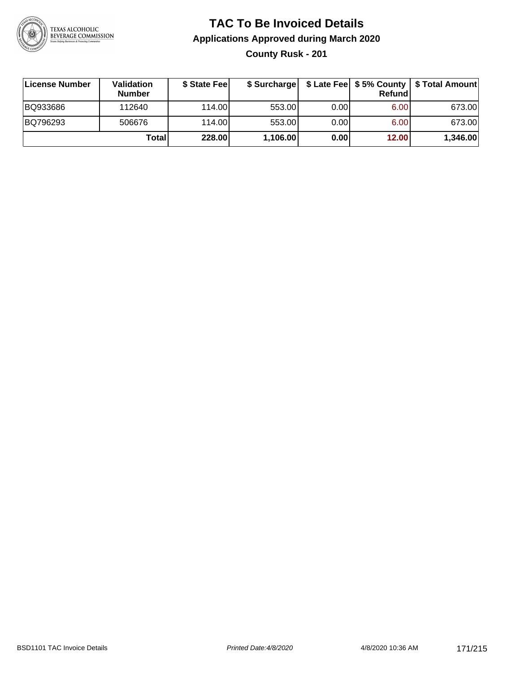

### **TAC To Be Invoiced Details Applications Approved during March 2020 County Rusk - 201**

| License Number | Validation<br><b>Number</b> | \$ State Fee |          |      | Refundl | \$ Surcharge   \$ Late Fee   \$5% County   \$ Total Amount |
|----------------|-----------------------------|--------------|----------|------|---------|------------------------------------------------------------|
| BQ933686       | 112640                      | 114.00L      | 553.00   | 0.00 | 6.00    | 673.00                                                     |
| BQ796293       | 506676                      | 114.00L      | 553.00   | 0.00 | 6.00    | 673.00                                                     |
|                | Totall                      | 228.00       | 1,106.00 | 0.00 | 12.00   | 1,346.00                                                   |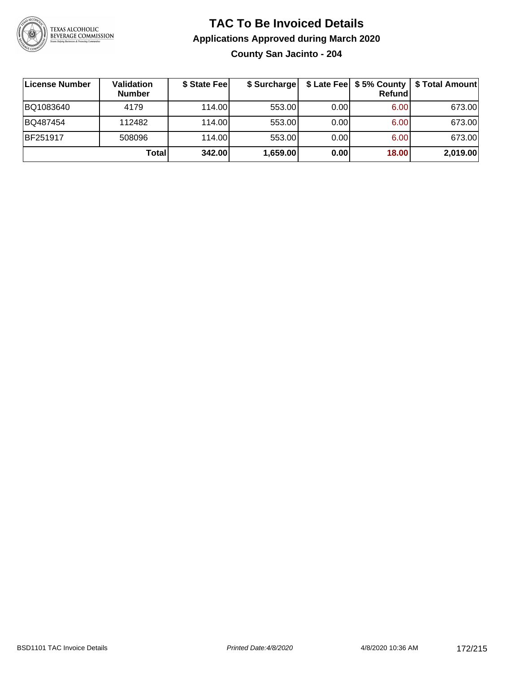

**County San Jacinto - 204**

| License Number  | <b>Validation</b><br><b>Number</b> | \$ State Feel | \$ Surcharge |      | Refundl | \$ Late Fee   \$5% County   \$ Total Amount |
|-----------------|------------------------------------|---------------|--------------|------|---------|---------------------------------------------|
| BQ1083640       | 4179                               | 114.00        | 553.00       | 0.00 | 6.00    | 673.00                                      |
| BQ487454        | 112482                             | 114.00        | 553.00       | 0.00 | 6.00    | 673.00                                      |
| <b>BF251917</b> | 508096                             | 114.00        | 553.00       | 0.00 | 6.00    | 673.00                                      |
|                 | Totall                             | 342.00        | 1,659.00     | 0.00 | 18.00   | 2,019.00                                    |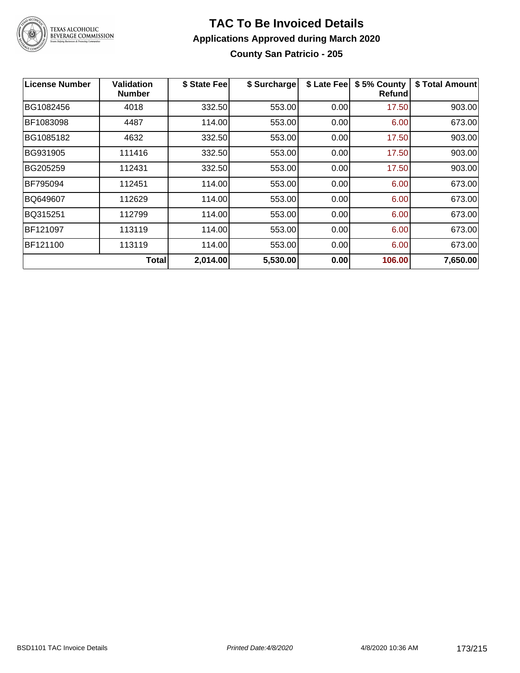

#### **TAC To Be Invoiced Details Applications Approved during March 2020 County San Patricio - 205**

| <b>License Number</b> | <b>Validation</b><br><b>Number</b> | \$ State Fee | \$ Surcharge | \$ Late Fee | \$5% County<br>Refundl | \$ Total Amount |
|-----------------------|------------------------------------|--------------|--------------|-------------|------------------------|-----------------|
| BG1082456             | 4018                               | 332.50       | 553.00       | 0.00        | 17.50                  | 903.00          |
| BF1083098             | 4487                               | 114.00       | 553.00       | 0.00        | 6.00                   | 673.00          |
| BG1085182             | 4632                               | 332.50       | 553.00       | 0.00        | 17.50                  | 903.00          |
| BG931905              | 111416                             | 332.50       | 553.00       | 0.00        | 17.50                  | 903.00          |
| BG205259              | 112431                             | 332.50       | 553.00       | 0.00        | 17.50                  | 903.00          |
| BF795094              | 112451                             | 114.00       | 553.00       | 0.00        | 6.00                   | 673.00          |
| BQ649607              | 112629                             | 114.00       | 553.00       | 0.00        | 6.00                   | 673.00          |
| BQ315251              | 112799                             | 114.00       | 553.00       | 0.00        | 6.00                   | 673.00          |
| BF121097              | 113119                             | 114.00       | 553.00       | 0.00        | 6.00                   | 673.00          |
| BF121100              | 113119                             | 114.00       | 553.00       | 0.00        | 6.00                   | 673.00          |
|                       | <b>Total</b>                       | 2,014.00     | 5,530.00     | 0.00        | 106.00                 | 7,650.00        |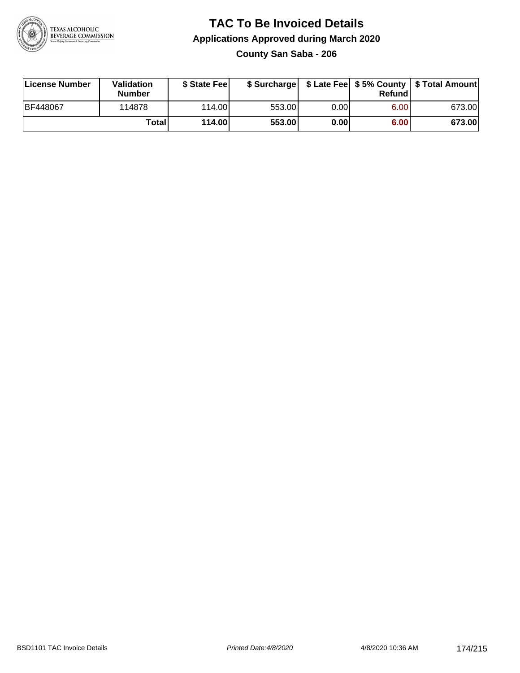

### **TAC To Be Invoiced Details Applications Approved during March 2020 County San Saba - 206**

| License Number  | Validation<br><b>Number</b> | \$ State Feel |        |      | Refund | \$ Surcharge   \$ Late Fee   \$5% County   \$ Total Amount |
|-----------------|-----------------------------|---------------|--------|------|--------|------------------------------------------------------------|
| <b>BF448067</b> | 114878                      | 114.00        | 553.00 | 0.00 | 6.00   | 673.00                                                     |
|                 | Total                       | 114.00        | 553.00 | 0.00 | 6.00   | 673.00                                                     |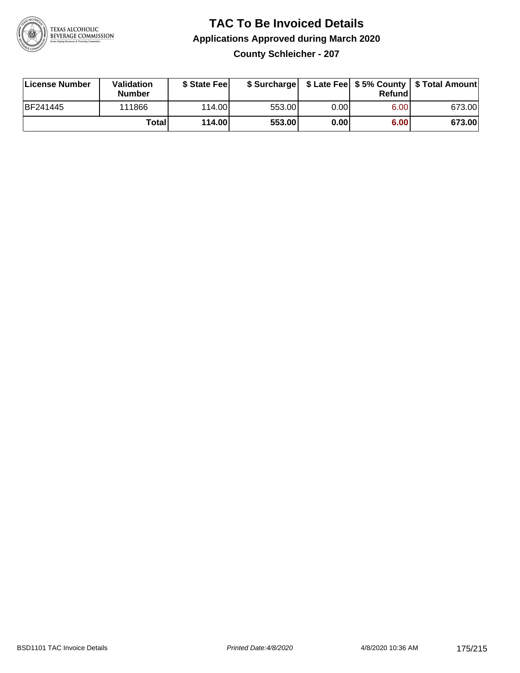

**County Schleicher - 207**

| License Number | <b>Validation</b><br><b>Number</b> | \$ State Fee | \$ Surcharge |       | Refundl |        |
|----------------|------------------------------------|--------------|--------------|-------|---------|--------|
| BF241445       | 111866                             | 114.00L      | 553.00       | 0.001 | 6.00    | 673.00 |
|                | Totall                             | 114.00       | 553.00       | 0.00  | 6.00    | 673.00 |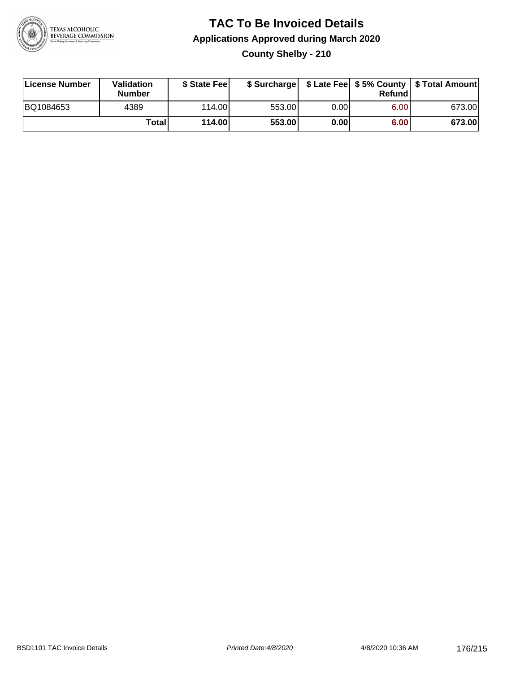

# **TAC To Be Invoiced Details Applications Approved during March 2020 County Shelby - 210**

| License Number | Validation<br><b>Number</b> | \$ State Feel |        |      | Refund | \$ Surcharge   \$ Late Fee   \$5% County   \$ Total Amount |
|----------------|-----------------------------|---------------|--------|------|--------|------------------------------------------------------------|
| BQ1084653      | 4389                        | 114.00L       | 553.00 | 0.00 | 6.00   | 673.00                                                     |
|                | <b>Total</b>                | 114.00        | 553.00 | 0.00 | 6.00   | 673.00                                                     |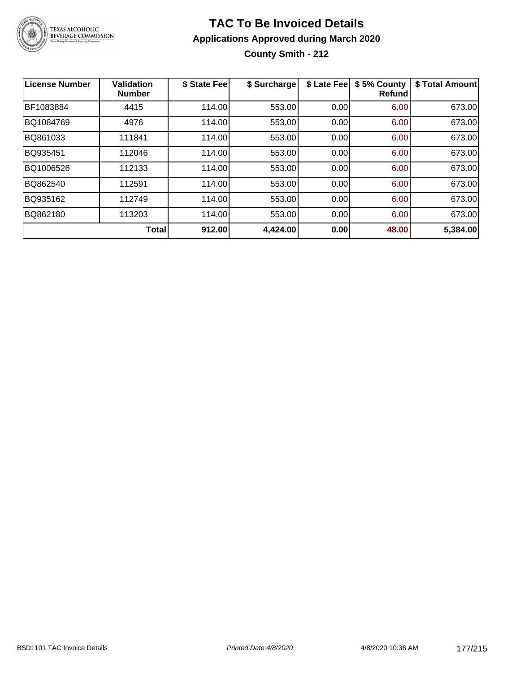

**County Smith - 212**

| <b>License Number</b> | <b>Validation</b><br><b>Number</b> | \$ State Fee | \$ Surcharge | \$ Late Fee | \$5% County<br>Refund | \$ Total Amount |
|-----------------------|------------------------------------|--------------|--------------|-------------|-----------------------|-----------------|
| BF1083884             | 4415                               | 114.00       | 553.00       | 0.00        | 6.00                  | 673.00          |
| BQ1084769             | 4976                               | 114.00       | 553.00       | 0.00        | 6.00                  | 673.00          |
| BQ861033              | 111841                             | 114.00       | 553.00       | 0.00        | 6.00                  | 673.00          |
| BQ935451              | 112046                             | 114.00       | 553.00       | 0.00        | 6.00                  | 673.00          |
| BQ1006526             | 112133                             | 114.00       | 553.00       | 0.00        | 6.00                  | 673.00          |
| BQ862540              | 112591                             | 114.00       | 553.00       | 0.00        | 6.00                  | 673.00          |
| BQ935162              | 112749                             | 114.00       | 553.00       | 0.00        | 6.00                  | 673.00          |
| BQ862180              | 113203                             | 114.00       | 553.00       | 0.00        | 6.00                  | 673.00          |
|                       | <b>Total</b>                       | 912.00       | 4,424.00     | 0.00        | 48.00                 | 5,384.00        |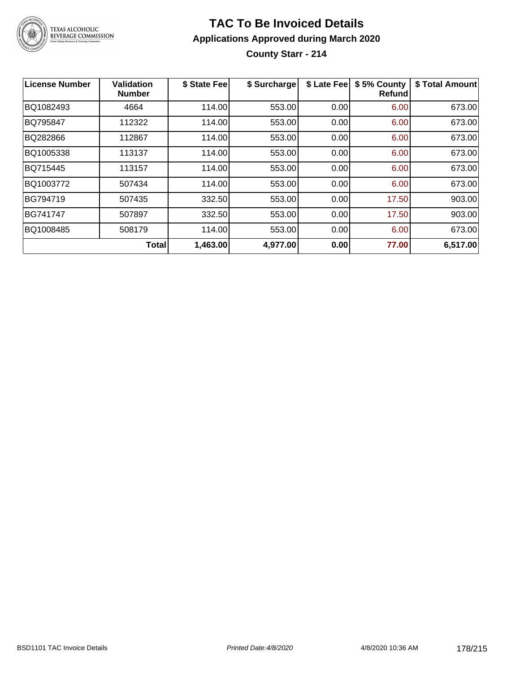

#### **TAC To Be Invoiced Details Applications Approved during March 2020 County Starr - 214**

**License Number Validation Number \$ State Fee \$ Surcharge \$ Late Fee \$ 5% County Refund \$ Total Amount** BQ1082493 4664 114.00 553.00 0.00 6.00 673.00 BQ795847 | 112322 | 114.00| 553.00| 0.00| 6.00| 673.00 BQ282866 112867 114.00 553.00 0.00 6.00 673.00 BQ1005338 113137 114.00 553.00 0.00 6.00 673.00 BQ715445 113157 114.00 553.00 0.00 6.00 673.00 BQ1003772 | 507434 | 114.00| 553.00| 0.00| 6.00| 673.00 BG794719 | 507435 | 332.50| 553.00| 0.00| 17.50| 903.00 BG741747 | 507897 | 332.50| 553.00| 0.00| 17.50| 903.00 BQ1008485 | 508179 | 114.00| 553.00| 0.00| 6.00| 673.00 **Total 1,463.00 4,977.00 0.00 77.00 6,517.00**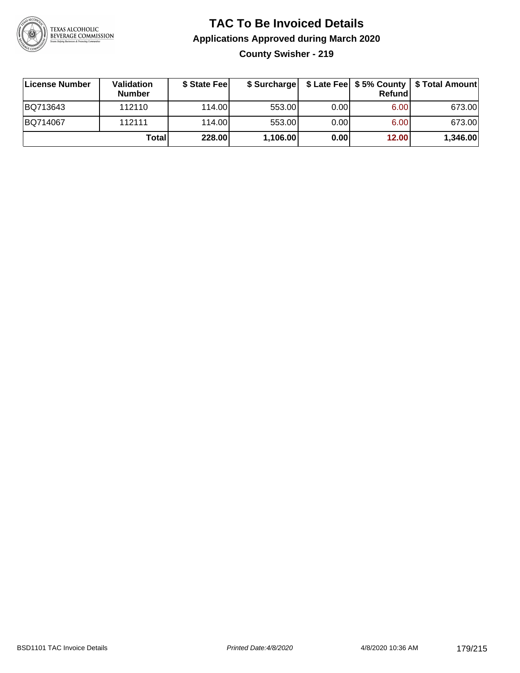

### **TAC To Be Invoiced Details Applications Approved during March 2020 County Swisher - 219**

| License Number | Validation<br><b>Number</b> | \$ State Fee | \$ Surcharge |      | Refund | \$ Late Fee   \$5% County   \$ Total Amount |
|----------------|-----------------------------|--------------|--------------|------|--------|---------------------------------------------|
| BQ713643       | 112110                      | 114.00L      | 553.00       | 0.00 | 6.00   | 673.00                                      |
| BQ714067       | 112111                      | 114.00L      | 553.00       | 0.00 | 6.00   | 673.00                                      |
|                | Total                       | 228.00       | 1,106.00     | 0.00 | 12.00  | 1,346.00                                    |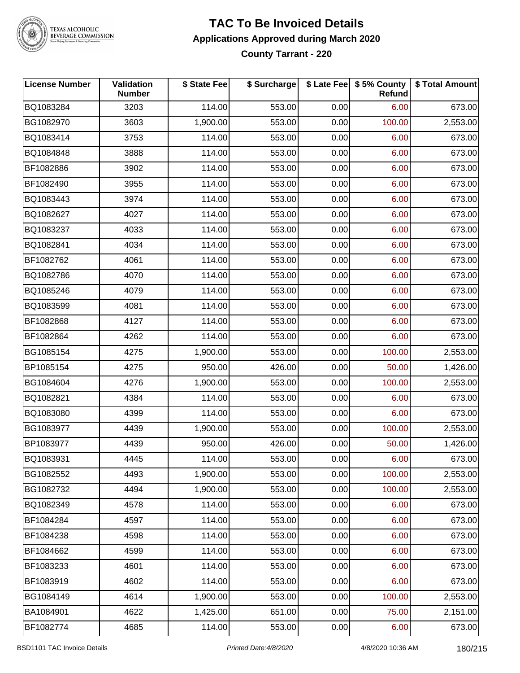

# TEXAS ALCOHOLIC<br>BEVERAGE COMMISSION

#### **TAC To Be Invoiced Details Applications Approved during March 2020 County Tarrant - 220**

| License Number | Validation<br><b>Number</b> | \$ State Fee | \$ Surcharge |      | \$ Late Fee \$ 5% County<br>Refund | \$ Total Amount |
|----------------|-----------------------------|--------------|--------------|------|------------------------------------|-----------------|
| BQ1083284      | 3203                        | 114.00       | 553.00       | 0.00 | 6.00                               | 673.00          |
| BG1082970      | 3603                        | 1,900.00     | 553.00       | 0.00 | 100.00                             | 2,553.00        |
| BQ1083414      | 3753                        | 114.00       | 553.00       | 0.00 | 6.00                               | 673.00          |
| BQ1084848      | 3888                        | 114.00       | 553.00       | 0.00 | 6.00                               | 673.00          |
| BF1082886      | 3902                        | 114.00       | 553.00       | 0.00 | 6.00                               | 673.00          |
| BF1082490      | 3955                        | 114.00       | 553.00       | 0.00 | 6.00                               | 673.00          |
| BQ1083443      | 3974                        | 114.00       | 553.00       | 0.00 | 6.00                               | 673.00          |
| BQ1082627      | 4027                        | 114.00       | 553.00       | 0.00 | 6.00                               | 673.00          |
| BQ1083237      | 4033                        | 114.00       | 553.00       | 0.00 | 6.00                               | 673.00          |
| BQ1082841      | 4034                        | 114.00       | 553.00       | 0.00 | 6.00                               | 673.00          |
| BF1082762      | 4061                        | 114.00       | 553.00       | 0.00 | 6.00                               | 673.00          |
| BQ1082786      | 4070                        | 114.00       | 553.00       | 0.00 | 6.00                               | 673.00          |
| BQ1085246      | 4079                        | 114.00       | 553.00       | 0.00 | 6.00                               | 673.00          |
| BQ1083599      | 4081                        | 114.00       | 553.00       | 0.00 | 6.00                               | 673.00          |
| BF1082868      | 4127                        | 114.00       | 553.00       | 0.00 | 6.00                               | 673.00          |
| BF1082864      | 4262                        | 114.00       | 553.00       | 0.00 | 6.00                               | 673.00          |
| BG1085154      | 4275                        | 1,900.00     | 553.00       | 0.00 | 100.00                             | 2,553.00        |
| BP1085154      | 4275                        | 950.00       | 426.00       | 0.00 | 50.00                              | 1,426.00        |
| BG1084604      | 4276                        | 1,900.00     | 553.00       | 0.00 | 100.00                             | 2,553.00        |
| BQ1082821      | 4384                        | 114.00       | 553.00       | 0.00 | 6.00                               | 673.00          |
| BQ1083080      | 4399                        | 114.00       | 553.00       | 0.00 | 6.00                               | 673.00          |
| BG1083977      | 4439                        | 1,900.00     | 553.00       | 0.00 | 100.00                             | 2,553.00        |
| BP1083977      | 4439                        | 950.00       | 426.00       | 0.00 | 50.00                              | 1,426.00        |
| BQ1083931      | 4445                        | 114.00       | 553.00       | 0.00 | 6.00                               | 673.00          |
| BG1082552      | 4493                        | 1,900.00     | 553.00       | 0.00 | 100.00                             | 2,553.00        |
| BG1082732      | 4494                        | 1,900.00     | 553.00       | 0.00 | 100.00                             | 2,553.00        |
| BQ1082349      | 4578                        | 114.00       | 553.00       | 0.00 | 6.00                               | 673.00          |
| BF1084284      | 4597                        | 114.00       | 553.00       | 0.00 | 6.00                               | 673.00          |
| BF1084238      | 4598                        | 114.00       | 553.00       | 0.00 | 6.00                               | 673.00          |
| BF1084662      | 4599                        | 114.00       | 553.00       | 0.00 | 6.00                               | 673.00          |
| BF1083233      | 4601                        | 114.00       | 553.00       | 0.00 | 6.00                               | 673.00          |
| BF1083919      | 4602                        | 114.00       | 553.00       | 0.00 | 6.00                               | 673.00          |
| BG1084149      | 4614                        | 1,900.00     | 553.00       | 0.00 | 100.00                             | 2,553.00        |
| BA1084901      | 4622                        | 1,425.00     | 651.00       | 0.00 | 75.00                              | 2,151.00        |
| BF1082774      | 4685                        | 114.00       | 553.00       | 0.00 | 6.00                               | 673.00          |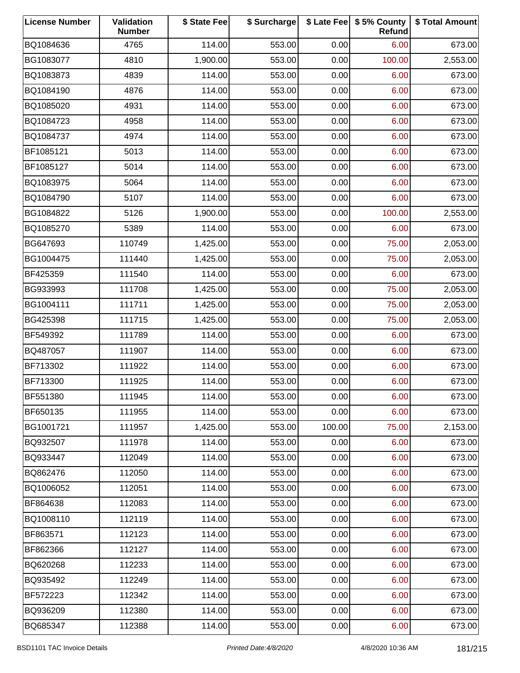| <b>License Number</b> | Validation<br><b>Number</b> | \$ State Fee | \$ Surcharge |        | \$ Late Fee   \$5% County<br>Refund | \$ Total Amount |
|-----------------------|-----------------------------|--------------|--------------|--------|-------------------------------------|-----------------|
| BQ1084636             | 4765                        | 114.00       | 553.00       | 0.00   | 6.00                                | 673.00          |
| BG1083077             | 4810                        | 1,900.00     | 553.00       | 0.00   | 100.00                              | 2,553.00        |
| BQ1083873             | 4839                        | 114.00       | 553.00       | 0.00   | 6.00                                | 673.00          |
| BQ1084190             | 4876                        | 114.00       | 553.00       | 0.00   | 6.00                                | 673.00          |
| BQ1085020             | 4931                        | 114.00       | 553.00       | 0.00   | 6.00                                | 673.00          |
| BQ1084723             | 4958                        | 114.00       | 553.00       | 0.00   | 6.00                                | 673.00          |
| BQ1084737             | 4974                        | 114.00       | 553.00       | 0.00   | 6.00                                | 673.00          |
| BF1085121             | 5013                        | 114.00       | 553.00       | 0.00   | 6.00                                | 673.00          |
| BF1085127             | 5014                        | 114.00       | 553.00       | 0.00   | 6.00                                | 673.00          |
| BQ1083975             | 5064                        | 114.00       | 553.00       | 0.00   | 6.00                                | 673.00          |
| BQ1084790             | 5107                        | 114.00       | 553.00       | 0.00   | 6.00                                | 673.00          |
| BG1084822             | 5126                        | 1,900.00     | 553.00       | 0.00   | 100.00                              | 2,553.00        |
| BQ1085270             | 5389                        | 114.00       | 553.00       | 0.00   | 6.00                                | 673.00          |
| BG647693              | 110749                      | 1,425.00     | 553.00       | 0.00   | 75.00                               | 2,053.00        |
| BG1004475             | 111440                      | 1,425.00     | 553.00       | 0.00   | 75.00                               | 2,053.00        |
| BF425359              | 111540                      | 114.00       | 553.00       | 0.00   | 6.00                                | 673.00          |
| BG933993              | 111708                      | 1,425.00     | 553.00       | 0.00   | 75.00                               | 2,053.00        |
| BG1004111             | 111711                      | 1,425.00     | 553.00       | 0.00   | 75.00                               | 2,053.00        |
| BG425398              | 111715                      | 1,425.00     | 553.00       | 0.00   | 75.00                               | 2,053.00        |
| BF549392              | 111789                      | 114.00       | 553.00       | 0.00   | 6.00                                | 673.00          |
| BQ487057              | 111907                      | 114.00       | 553.00       | 0.00   | 6.00                                | 673.00          |
| BF713302              | 111922                      | 114.00       | 553.00       | 0.00   | 6.00                                | 673.00          |
| BF713300              | 111925                      | 114.00       | 553.00       | 0.00   | 6.00                                | 673.00          |
| BF551380              | 111945                      | 114.00       | 553.00       | 0.00   | 6.00                                | 673.00          |
| BF650135              | 111955                      | 114.00       | 553.00       | 0.00   | 6.00                                | 673.00          |
| BG1001721             | 111957                      | 1,425.00     | 553.00       | 100.00 | 75.00                               | 2,153.00        |
| BQ932507              | 111978                      | 114.00       | 553.00       | 0.00   | 6.00                                | 673.00          |
| BQ933447              | 112049                      | 114.00       | 553.00       | 0.00   | 6.00                                | 673.00          |
| BQ862476              | 112050                      | 114.00       | 553.00       | 0.00   | 6.00                                | 673.00          |
| BQ1006052             | 112051                      | 114.00       | 553.00       | 0.00   | 6.00                                | 673.00          |
| BF864638              | 112083                      | 114.00       | 553.00       | 0.00   | 6.00                                | 673.00          |
| BQ1008110             | 112119                      | 114.00       | 553.00       | 0.00   | 6.00                                | 673.00          |
| BF863571              | 112123                      | 114.00       | 553.00       | 0.00   | 6.00                                | 673.00          |
| BF862366              | 112127                      | 114.00       | 553.00       | 0.00   | 6.00                                | 673.00          |
| BQ620268              | 112233                      | 114.00       | 553.00       | 0.00   | 6.00                                | 673.00          |
| BQ935492              | 112249                      | 114.00       | 553.00       | 0.00   | 6.00                                | 673.00          |
| BF572223              | 112342                      | 114.00       | 553.00       | 0.00   | 6.00                                | 673.00          |
| BQ936209              | 112380                      | 114.00       | 553.00       | 0.00   | 6.00                                | 673.00          |
| BQ685347              | 112388                      | 114.00       | 553.00       | 0.00   | 6.00                                | 673.00          |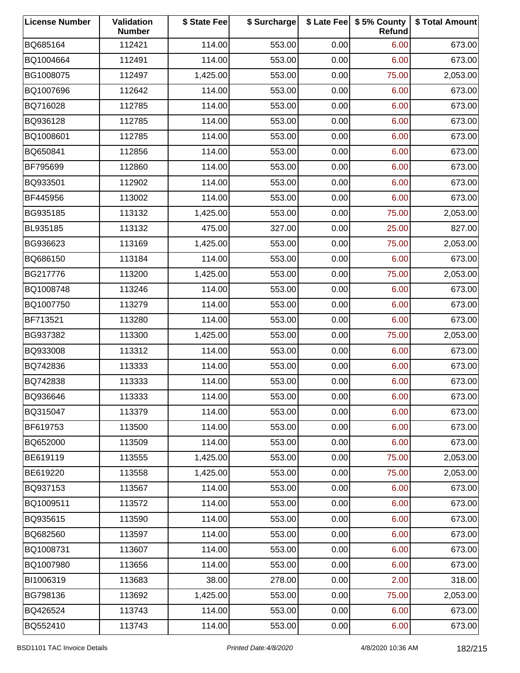| <b>License Number</b> | Validation<br><b>Number</b> | \$ State Fee | \$ Surcharge |      | \$ Late Fee   \$5% County<br>Refund | \$ Total Amount |
|-----------------------|-----------------------------|--------------|--------------|------|-------------------------------------|-----------------|
| BQ685164              | 112421                      | 114.00       | 553.00       | 0.00 | 6.00                                | 673.00          |
| BQ1004664             | 112491                      | 114.00       | 553.00       | 0.00 | 6.00                                | 673.00          |
| BG1008075             | 112497                      | 1,425.00     | 553.00       | 0.00 | 75.00                               | 2,053.00        |
| BQ1007696             | 112642                      | 114.00       | 553.00       | 0.00 | 6.00                                | 673.00          |
| BQ716028              | 112785                      | 114.00       | 553.00       | 0.00 | 6.00                                | 673.00          |
| BQ936128              | 112785                      | 114.00       | 553.00       | 0.00 | 6.00                                | 673.00          |
| BQ1008601             | 112785                      | 114.00       | 553.00       | 0.00 | 6.00                                | 673.00          |
| BQ650841              | 112856                      | 114.00       | 553.00       | 0.00 | 6.00                                | 673.00          |
| BF795699              | 112860                      | 114.00       | 553.00       | 0.00 | 6.00                                | 673.00          |
| BQ933501              | 112902                      | 114.00       | 553.00       | 0.00 | 6.00                                | 673.00          |
| BF445956              | 113002                      | 114.00       | 553.00       | 0.00 | 6.00                                | 673.00          |
| BG935185              | 113132                      | 1,425.00     | 553.00       | 0.00 | 75.00                               | 2,053.00        |
| BL935185              | 113132                      | 475.00       | 327.00       | 0.00 | 25.00                               | 827.00          |
| BG936623              | 113169                      | 1,425.00     | 553.00       | 0.00 | 75.00                               | 2,053.00        |
| BQ686150              | 113184                      | 114.00       | 553.00       | 0.00 | 6.00                                | 673.00          |
| BG217776              | 113200                      | 1,425.00     | 553.00       | 0.00 | 75.00                               | 2,053.00        |
| BQ1008748             | 113246                      | 114.00       | 553.00       | 0.00 | 6.00                                | 673.00          |
| BQ1007750             | 113279                      | 114.00       | 553.00       | 0.00 | 6.00                                | 673.00          |
| BF713521              | 113280                      | 114.00       | 553.00       | 0.00 | 6.00                                | 673.00          |
| BG937382              | 113300                      | 1,425.00     | 553.00       | 0.00 | 75.00                               | 2,053.00        |
| BQ933008              | 113312                      | 114.00       | 553.00       | 0.00 | 6.00                                | 673.00          |
| BQ742836              | 113333                      | 114.00       | 553.00       | 0.00 | 6.00                                | 673.00          |
| BQ742838              | 113333                      | 114.00       | 553.00       | 0.00 | 6.00                                | 673.00          |
| BQ936646              | 113333                      | 114.00       | 553.00       | 0.00 | 6.00                                | 673.00          |
| BQ315047              | 113379                      | 114.00       | 553.00       | 0.00 | 6.00                                | 673.00          |
| BF619753              | 113500                      | 114.00       | 553.00       | 0.00 | 6.00                                | 673.00          |
| BQ652000              | 113509                      | 114.00       | 553.00       | 0.00 | 6.00                                | 673.00          |
| BE619119              | 113555                      | 1,425.00     | 553.00       | 0.00 | 75.00                               | 2,053.00        |
| BE619220              | 113558                      | 1,425.00     | 553.00       | 0.00 | 75.00                               | 2,053.00        |
| BQ937153              | 113567                      | 114.00       | 553.00       | 0.00 | 6.00                                | 673.00          |
| BQ1009511             | 113572                      | 114.00       | 553.00       | 0.00 | 6.00                                | 673.00          |
| BQ935615              | 113590                      | 114.00       | 553.00       | 0.00 | 6.00                                | 673.00          |
| BQ682560              | 113597                      | 114.00       | 553.00       | 0.00 | 6.00                                | 673.00          |
| BQ1008731             | 113607                      | 114.00       | 553.00       | 0.00 | 6.00                                | 673.00          |
| BQ1007980             | 113656                      | 114.00       | 553.00       | 0.00 | 6.00                                | 673.00          |
| BI1006319             | 113683                      | 38.00        | 278.00       | 0.00 | 2.00                                | 318.00          |
| BG798136              | 113692                      | 1,425.00     | 553.00       | 0.00 | 75.00                               | 2,053.00        |
| BQ426524              | 113743                      | 114.00       | 553.00       | 0.00 | 6.00                                | 673.00          |
| BQ552410              | 113743                      | 114.00       | 553.00       | 0.00 | 6.00                                | 673.00          |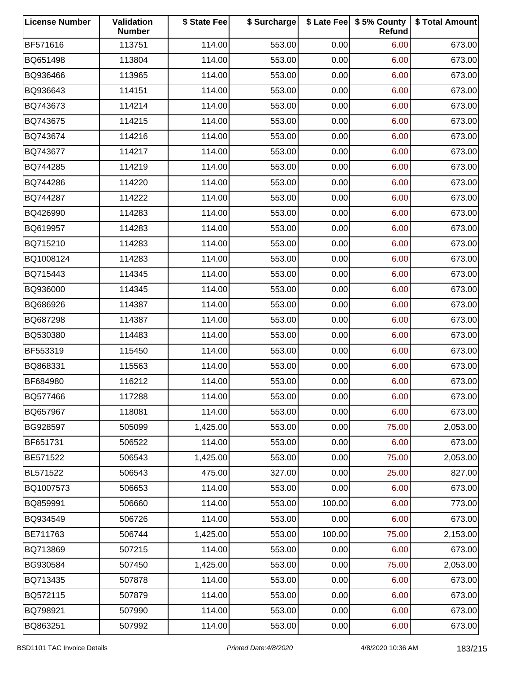| <b>License Number</b> | Validation<br><b>Number</b> | \$ State Fee | \$ Surcharge |        | \$ Late Fee   \$5% County<br>Refund | \$ Total Amount |
|-----------------------|-----------------------------|--------------|--------------|--------|-------------------------------------|-----------------|
| BF571616              | 113751                      | 114.00       | 553.00       | 0.00   | 6.00                                | 673.00          |
| BQ651498              | 113804                      | 114.00       | 553.00       | 0.00   | 6.00                                | 673.00          |
| BQ936466              | 113965                      | 114.00       | 553.00       | 0.00   | 6.00                                | 673.00          |
| BQ936643              | 114151                      | 114.00       | 553.00       | 0.00   | 6.00                                | 673.00          |
| BQ743673              | 114214                      | 114.00       | 553.00       | 0.00   | 6.00                                | 673.00          |
| BQ743675              | 114215                      | 114.00       | 553.00       | 0.00   | 6.00                                | 673.00          |
| BQ743674              | 114216                      | 114.00       | 553.00       | 0.00   | 6.00                                | 673.00          |
| BQ743677              | 114217                      | 114.00       | 553.00       | 0.00   | 6.00                                | 673.00          |
| BQ744285              | 114219                      | 114.00       | 553.00       | 0.00   | 6.00                                | 673.00          |
| BQ744286              | 114220                      | 114.00       | 553.00       | 0.00   | 6.00                                | 673.00          |
| BQ744287              | 114222                      | 114.00       | 553.00       | 0.00   | 6.00                                | 673.00          |
| BQ426990              | 114283                      | 114.00       | 553.00       | 0.00   | 6.00                                | 673.00          |
| BQ619957              | 114283                      | 114.00       | 553.00       | 0.00   | 6.00                                | 673.00          |
| BQ715210              | 114283                      | 114.00       | 553.00       | 0.00   | 6.00                                | 673.00          |
| BQ1008124             | 114283                      | 114.00       | 553.00       | 0.00   | 6.00                                | 673.00          |
| BQ715443              | 114345                      | 114.00       | 553.00       | 0.00   | 6.00                                | 673.00          |
| BQ936000              | 114345                      | 114.00       | 553.00       | 0.00   | 6.00                                | 673.00          |
| BQ686926              | 114387                      | 114.00       | 553.00       | 0.00   | 6.00                                | 673.00          |
| BQ687298              | 114387                      | 114.00       | 553.00       | 0.00   | 6.00                                | 673.00          |
| BQ530380              | 114483                      | 114.00       | 553.00       | 0.00   | 6.00                                | 673.00          |
| BF553319              | 115450                      | 114.00       | 553.00       | 0.00   | 6.00                                | 673.00          |
| BQ868331              | 115563                      | 114.00       | 553.00       | 0.00   | 6.00                                | 673.00          |
| BF684980              | 116212                      | 114.00       | 553.00       | 0.00   | 6.00                                | 673.00          |
| BQ577466              | 117288                      | 114.00       | 553.00       | 0.00   | 6.00                                | 673.00          |
| BQ657967              | 118081                      | 114.00       | 553.00       | 0.00   | 6.00                                | 673.00          |
| BG928597              | 505099                      | 1,425.00     | 553.00       | 0.00   | 75.00                               | 2,053.00        |
| BF651731              | 506522                      | 114.00       | 553.00       | 0.00   | 6.00                                | 673.00          |
| BE571522              | 506543                      | 1,425.00     | 553.00       | 0.00   | 75.00                               | 2,053.00        |
| BL571522              | 506543                      | 475.00       | 327.00       | 0.00   | 25.00                               | 827.00          |
| BQ1007573             | 506653                      | 114.00       | 553.00       | 0.00   | 6.00                                | 673.00          |
| BQ859991              | 506660                      | 114.00       | 553.00       | 100.00 | 6.00                                | 773.00          |
| BQ934549              | 506726                      | 114.00       | 553.00       | 0.00   | 6.00                                | 673.00          |
| BE711763              | 506744                      | 1,425.00     | 553.00       | 100.00 | 75.00                               | 2,153.00        |
| BQ713869              | 507215                      | 114.00       | 553.00       | 0.00   | 6.00                                | 673.00          |
| BG930584              | 507450                      | 1,425.00     | 553.00       | 0.00   | 75.00                               | 2,053.00        |
| BQ713435              | 507878                      | 114.00       | 553.00       | 0.00   | 6.00                                | 673.00          |
| BQ572115              | 507879                      | 114.00       | 553.00       | 0.00   | 6.00                                | 673.00          |
| BQ798921              | 507990                      | 114.00       | 553.00       | 0.00   | 6.00                                | 673.00          |
| BQ863251              | 507992                      | 114.00       | 553.00       | 0.00   | 6.00                                | 673.00          |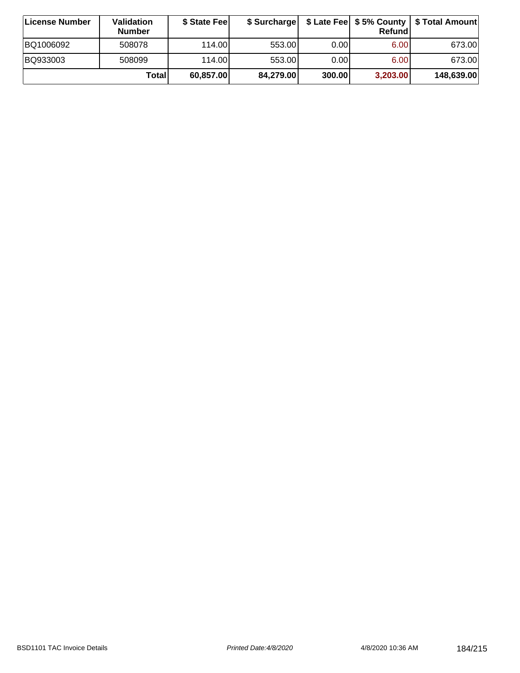| ∣License Number | <b>Validation</b><br><b>Number</b> | \$ State Feel | \$ Surcharge |        | Refundl  | \$ Late Fee   \$5% County   \$ Total Amount |
|-----------------|------------------------------------|---------------|--------------|--------|----------|---------------------------------------------|
| BQ1006092       | 508078                             | 114.00        | 553.00       | 0.00   | 6.00     | 673.00                                      |
| BQ933003        | 508099                             | 114.00        | 553.00       | 0.001  | 6.00     | 673.00                                      |
|                 | Totall                             | 60,857.00     | 84,279.00    | 300.00 | 3,203.00 | 148,639.00                                  |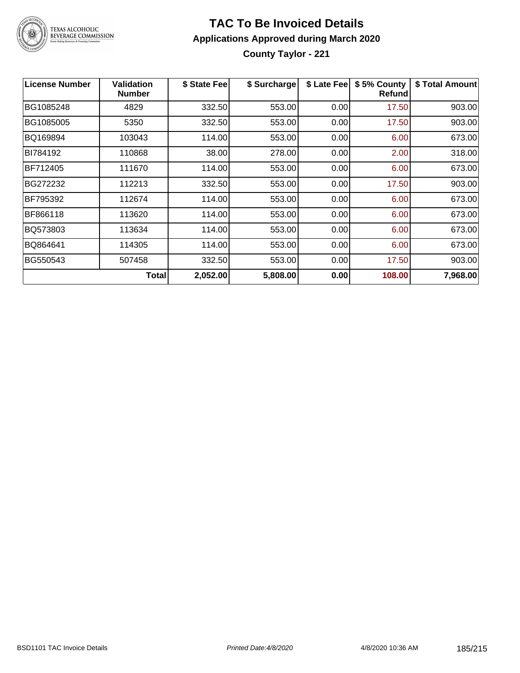

# TEXAS ALCOHOLIC<br>BEVERAGE COMMISSION

#### **TAC To Be Invoiced Details Applications Approved during March 2020 County Taylor - 221**

**License Number Validation Number \$ State Fee \$ Surcharge \$ Late Fee \$ 5% County Refund \$ Total Amount** BG1085248 | 4829 | 332.50| 553.00| 0.00| 17.50| 903.00 BG1085005 | 5350 | 332.50| 553.00| 0.00| 17.50| 903.00 BQ169894 103043 114.00 553.00 0.00 6.00 673.00 BI784192 | 110868 | 38.00| 278.00| 0.00| 2.00| 318.00 BF712405 111670 114.00 553.00 0.00 6.00 673.00 BG272232 112213 332.50 553.00 0.00 17.50 903.00 BF795392 112674 114.00 553.00 0.00 6.00 673.00 BF866118 | 113620 | 114.00| 553.00| 0.00| 6.00| 673.00 BQ573803 113634 114.00 553.00 0.00 6.00 673.00 BQ864641 114305 114.00 553.00 0.00 6.00 673.00 BG550543 | 507458 | 332.50| 553.00| 0.00| 17.50| 903.00 **Total 2,052.00 5,808.00 0.00 108.00 7,968.00**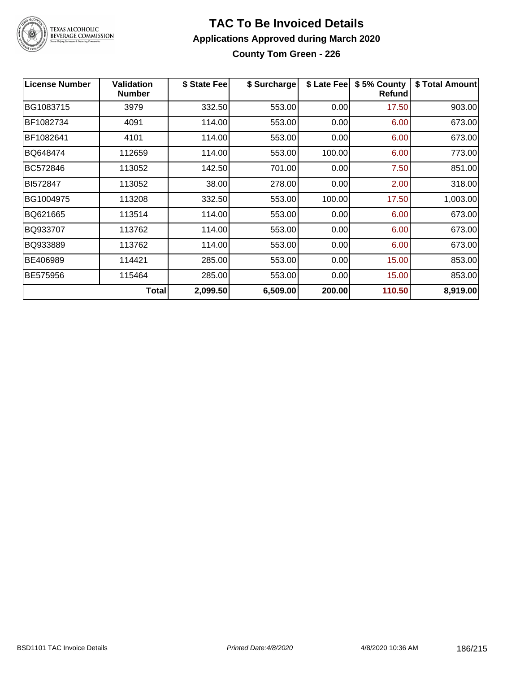

#### **TAC To Be Invoiced Details Applications Approved during March 2020 County Tom Green - 226**

| <b>License Number</b> | <b>Validation</b><br><b>Number</b> | \$ State Fee | \$ Surcharge | \$ Late Fee | \$5% County<br>Refund | \$ Total Amount |
|-----------------------|------------------------------------|--------------|--------------|-------------|-----------------------|-----------------|
| BG1083715             | 3979                               | 332.50       | 553.00       | 0.00        | 17.50                 | 903.00          |
| BF1082734             | 4091                               | 114.00       | 553.00       | 0.00        | 6.00                  | 673.00          |
| BF1082641             | 4101                               | 114.00       | 553.00       | 0.00        | 6.00                  | 673.00          |
| BQ648474              | 112659                             | 114.00       | 553.00       | 100.00      | 6.00                  | 773.00          |
| BC572846              | 113052                             | 142.50       | 701.00       | 0.00        | 7.50                  | 851.00          |
| BI572847              | 113052                             | 38.00        | 278.00       | 0.00        | 2.00                  | 318.00          |
| BG1004975             | 113208                             | 332.50       | 553.00       | 100.00      | 17.50                 | 1,003.00        |
| BQ621665              | 113514                             | 114.00       | 553.00       | 0.00        | 6.00                  | 673.00          |
| BQ933707              | 113762                             | 114.00       | 553.00       | 0.00        | 6.00                  | 673.00          |
| BQ933889              | 113762                             | 114.00       | 553.00       | 0.00        | 6.00                  | 673.00          |
| BE406989              | 114421                             | 285.00       | 553.00       | 0.00        | 15.00                 | 853.00          |
| BE575956              | 115464                             | 285.00       | 553.00       | 0.00        | 15.00                 | 853.00          |
|                       | Total                              | 2,099.50     | 6,509.00     | 200.00      | 110.50                | 8,919.00        |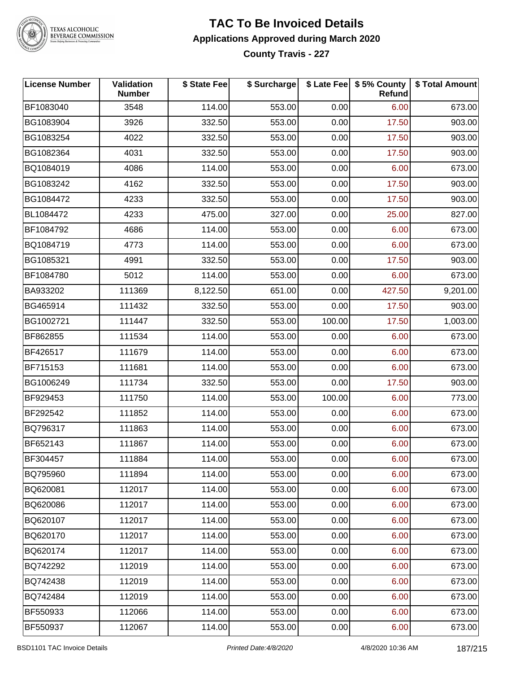

**TEXAS ALCOHOLIC BEVERAGE COMMISSION** 

#### **TAC To Be Invoiced Details Applications Approved during March 2020 County Travis - 227**

**License Number Validation Number \$ State Fee \$ Surcharge \$ Late Fee \$ 5% County Refund \$ Total Amount** BF1083040 3548 114.00 553.00 0.00 6.00 673.00 BG1083904 | 3926 | 332.50| 553.00| 0.00| 17.50| 903.00 BG1083254 4022 332.50 553.00 0.00 17.50 903.00 BG1082364 | 4031 | 332.50| 553.00| 0.00| 17.50| 903.00 BQ1084019 | 4086 | 114.00| 553.00| 0.00| 6.00| 673.00 BG1083242 4162 332.50 553.00 0.00 17.50 903.00 BG1084472 | 4233 | 332.50| 553.00| 0.00| 17.50| 903.00 BL1084472 | 4233 | 475.00| 327.00| 0.00| 25.00| 827.00 BF1084792 | 4686 | 114.00| 553.00| 0.00| 6.00| 673.00 BQ1084719 4773 114.00 553.00 0.00 6.00 673.00 BG1085321 | 4991 | 332.50| 553.00| 0.00| 17.50| 903.00 BF1084780 5012 114.00 553.00 0.00 6.00 673.00 BA933202 | 111369 | 8,122.50| 651.00| 0.00| 427.50| 9,201.00 BG465914 111432 332.50 553.00 0.00 17.50 903.00 BG1002721 111447 332.50 553.00 100.00 17.50 1,003.00 BF862855 111534 114.00 553.00 0.00 6.00 673.00 BF426517 111679 114.00 553.00 0.00 6.00 673.00 BF715153 | 111681 | 114.00| 553.00| 0.00| 6.00| 673.00 BG1006249 111734 332.50 553.00 0.00 17.50 903.00 BF929453 111750 114.00 553.00 100.00 6.00 773.00 BF292542 111852 114.00 553.00 0.00 6.00 673.00 BQ796317 | 111863 | 114.00| 553.00| 0.00| 6.00| 673.00 BF652143 111867 114.00 553.00 0.00 6.00 673.00 BF304457 | 111884 | 114.00| 553.00| 0.00| 6.00| 673.00 BQ795960 | 111894 | 114.00| 553.00| 0.00| 6.00| 673.00 BQ620081 112017 114.00 553.00 0.00 6.00 673.00 BQ620086 112017 114.00 553.00 0.00 6.00 673.00 BQ620107 112017 114.00 553.00 0.00 6.00 673.00 BQ620170 112017 114.00 553.00 0.00 6.00 673.00 BQ620174 112017 114.00 553.00 0.00 6.00 673.00 BQ742292 112019 114.00 553.00 0.00 6.00 673.00 BQ742438 112019 114.00 553.00 0.00 6.00 673.00 BQ742484 112019 114.00 553.00 0.00 6.00 673.00 BF550933 | 112066 | 114.00| 553.00| 0.00| 6.00| 673.00 BF550937 112067 114.00 553.00 0.00 6.00 673.00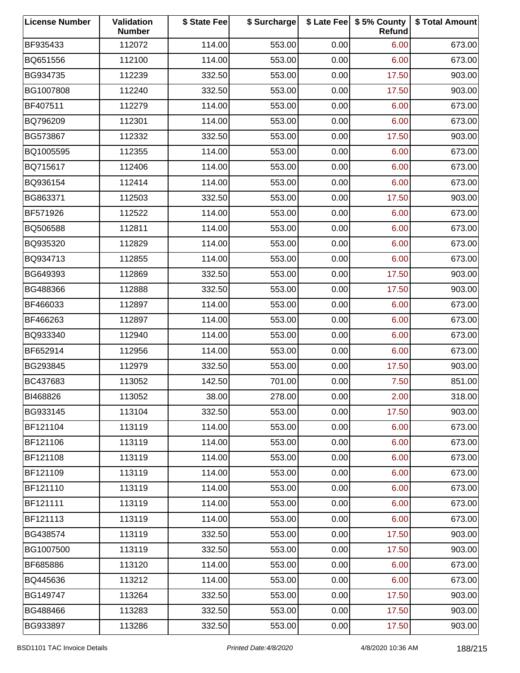| <b>License Number</b> | Validation<br><b>Number</b> | \$ State Fee | \$ Surcharge |      | \$ Late Fee   \$5% County<br>Refund | \$ Total Amount |
|-----------------------|-----------------------------|--------------|--------------|------|-------------------------------------|-----------------|
| BF935433              | 112072                      | 114.00       | 553.00       | 0.00 | 6.00                                | 673.00          |
| BQ651556              | 112100                      | 114.00       | 553.00       | 0.00 | 6.00                                | 673.00          |
| BG934735              | 112239                      | 332.50       | 553.00       | 0.00 | 17.50                               | 903.00          |
| BG1007808             | 112240                      | 332.50       | 553.00       | 0.00 | 17.50                               | 903.00          |
| BF407511              | 112279                      | 114.00       | 553.00       | 0.00 | 6.00                                | 673.00          |
| BQ796209              | 112301                      | 114.00       | 553.00       | 0.00 | 6.00                                | 673.00          |
| BG573867              | 112332                      | 332.50       | 553.00       | 0.00 | 17.50                               | 903.00          |
| BQ1005595             | 112355                      | 114.00       | 553.00       | 0.00 | 6.00                                | 673.00          |
| BQ715617              | 112406                      | 114.00       | 553.00       | 0.00 | 6.00                                | 673.00          |
| BQ936154              | 112414                      | 114.00       | 553.00       | 0.00 | 6.00                                | 673.00          |
| BG863371              | 112503                      | 332.50       | 553.00       | 0.00 | 17.50                               | 903.00          |
| BF571926              | 112522                      | 114.00       | 553.00       | 0.00 | 6.00                                | 673.00          |
| BQ506588              | 112811                      | 114.00       | 553.00       | 0.00 | 6.00                                | 673.00          |
| BQ935320              | 112829                      | 114.00       | 553.00       | 0.00 | 6.00                                | 673.00          |
| BQ934713              | 112855                      | 114.00       | 553.00       | 0.00 | 6.00                                | 673.00          |
| BG649393              | 112869                      | 332.50       | 553.00       | 0.00 | 17.50                               | 903.00          |
| BG488366              | 112888                      | 332.50       | 553.00       | 0.00 | 17.50                               | 903.00          |
| BF466033              | 112897                      | 114.00       | 553.00       | 0.00 | 6.00                                | 673.00          |
| BF466263              | 112897                      | 114.00       | 553.00       | 0.00 | 6.00                                | 673.00          |
| BQ933340              | 112940                      | 114.00       | 553.00       | 0.00 | 6.00                                | 673.00          |
| BF652914              | 112956                      | 114.00       | 553.00       | 0.00 | 6.00                                | 673.00          |
| BG293845              | 112979                      | 332.50       | 553.00       | 0.00 | 17.50                               | 903.00          |
| BC437683              | 113052                      | 142.50       | 701.00       | 0.00 | 7.50                                | 851.00          |
| BI468826              | 113052                      | 38.00        | 278.00       | 0.00 | 2.00                                | 318.00          |
| BG933145              | 113104                      | 332.50       | 553.00       | 0.00 | 17.50                               | 903.00          |
| BF121104              | 113119                      | 114.00       | 553.00       | 0.00 | 6.00                                | 673.00          |
| BF121106              | 113119                      | 114.00       | 553.00       | 0.00 | 6.00                                | 673.00          |
| BF121108              | 113119                      | 114.00       | 553.00       | 0.00 | 6.00                                | 673.00          |
| BF121109              | 113119                      | 114.00       | 553.00       | 0.00 | 6.00                                | 673.00          |
| BF121110              | 113119                      | 114.00       | 553.00       | 0.00 | 6.00                                | 673.00          |
| BF121111              | 113119                      | 114.00       | 553.00       | 0.00 | 6.00                                | 673.00          |
| BF121113              | 113119                      | 114.00       | 553.00       | 0.00 | 6.00                                | 673.00          |
| BG438574              | 113119                      | 332.50       | 553.00       | 0.00 | 17.50                               | 903.00          |
| BG1007500             | 113119                      | 332.50       | 553.00       | 0.00 | 17.50                               | 903.00          |
| BF685886              | 113120                      | 114.00       | 553.00       | 0.00 | 6.00                                | 673.00          |
| BQ445636              | 113212                      | 114.00       | 553.00       | 0.00 | 6.00                                | 673.00          |
| BG149747              | 113264                      | 332.50       | 553.00       | 0.00 | 17.50                               | 903.00          |
| BG488466              | 113283                      | 332.50       | 553.00       | 0.00 | 17.50                               | 903.00          |
| BG933897              | 113286                      | 332.50       | 553.00       | 0.00 | 17.50                               | 903.00          |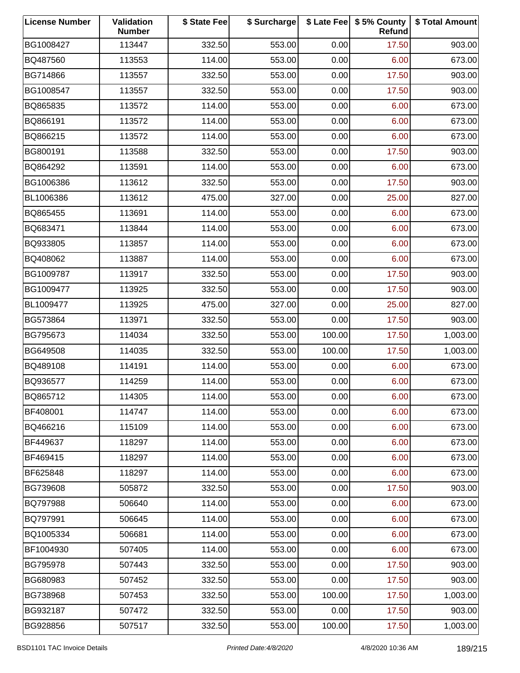| <b>License Number</b> | Validation<br><b>Number</b> | \$ State Fee | \$ Surcharge |        | \$ Late Fee   \$5% County<br>Refund | \$ Total Amount |
|-----------------------|-----------------------------|--------------|--------------|--------|-------------------------------------|-----------------|
| BG1008427             | 113447                      | 332.50       | 553.00       | 0.00   | 17.50                               | 903.00          |
| BQ487560              | 113553                      | 114.00       | 553.00       | 0.00   | 6.00                                | 673.00          |
| BG714866              | 113557                      | 332.50       | 553.00       | 0.00   | 17.50                               | 903.00          |
| BG1008547             | 113557                      | 332.50       | 553.00       | 0.00   | 17.50                               | 903.00          |
| BQ865835              | 113572                      | 114.00       | 553.00       | 0.00   | 6.00                                | 673.00          |
| BQ866191              | 113572                      | 114.00       | 553.00       | 0.00   | 6.00                                | 673.00          |
| BQ866215              | 113572                      | 114.00       | 553.00       | 0.00   | 6.00                                | 673.00          |
| BG800191              | 113588                      | 332.50       | 553.00       | 0.00   | 17.50                               | 903.00          |
| BQ864292              | 113591                      | 114.00       | 553.00       | 0.00   | 6.00                                | 673.00          |
| BG1006386             | 113612                      | 332.50       | 553.00       | 0.00   | 17.50                               | 903.00          |
| BL1006386             | 113612                      | 475.00       | 327.00       | 0.00   | 25.00                               | 827.00          |
| BQ865455              | 113691                      | 114.00       | 553.00       | 0.00   | 6.00                                | 673.00          |
| BQ683471              | 113844                      | 114.00       | 553.00       | 0.00   | 6.00                                | 673.00          |
| BQ933805              | 113857                      | 114.00       | 553.00       | 0.00   | 6.00                                | 673.00          |
| BQ408062              | 113887                      | 114.00       | 553.00       | 0.00   | 6.00                                | 673.00          |
| BG1009787             | 113917                      | 332.50       | 553.00       | 0.00   | 17.50                               | 903.00          |
| BG1009477             | 113925                      | 332.50       | 553.00       | 0.00   | 17.50                               | 903.00          |
| BL1009477             | 113925                      | 475.00       | 327.00       | 0.00   | 25.00                               | 827.00          |
| BG573864              | 113971                      | 332.50       | 553.00       | 0.00   | 17.50                               | 903.00          |
| BG795673              | 114034                      | 332.50       | 553.00       | 100.00 | 17.50                               | 1,003.00        |
| BG649508              | 114035                      | 332.50       | 553.00       | 100.00 | 17.50                               | 1,003.00        |
| BQ489108              | 114191                      | 114.00       | 553.00       | 0.00   | 6.00                                | 673.00          |
| BQ936577              | 114259                      | 114.00       | 553.00       | 0.00   | 6.00                                | 673.00          |
| BQ865712              | 114305                      | 114.00       | 553.00       | 0.00   | 6.00                                | 673.00          |
| BF408001              | 114747                      | 114.00       | 553.00       | 0.00   | 6.00                                | 673.00          |
| BQ466216              | 115109                      | 114.00       | 553.00       | 0.00   | 6.00                                | 673.00          |
| BF449637              | 118297                      | 114.00       | 553.00       | 0.00   | 6.00                                | 673.00          |
| BF469415              | 118297                      | 114.00       | 553.00       | 0.00   | 6.00                                | 673.00          |
| BF625848              | 118297                      | 114.00       | 553.00       | 0.00   | 6.00                                | 673.00          |
| BG739608              | 505872                      | 332.50       | 553.00       | 0.00   | 17.50                               | 903.00          |
| BQ797988              | 506640                      | 114.00       | 553.00       | 0.00   | 6.00                                | 673.00          |
| BQ797991              | 506645                      | 114.00       | 553.00       | 0.00   | 6.00                                | 673.00          |
| BQ1005334             | 506681                      | 114.00       | 553.00       | 0.00   | 6.00                                | 673.00          |
| BF1004930             | 507405                      | 114.00       | 553.00       | 0.00   | 6.00                                | 673.00          |
| BG795978              | 507443                      | 332.50       | 553.00       | 0.00   | 17.50                               | 903.00          |
| BG680983              | 507452                      | 332.50       | 553.00       | 0.00   | 17.50                               | 903.00          |
| BG738968              | 507453                      | 332.50       | 553.00       | 100.00 | 17.50                               | 1,003.00        |
| BG932187              | 507472                      | 332.50       | 553.00       | 0.00   | 17.50                               | 903.00          |
| BG928856              | 507517                      | 332.50       | 553.00       | 100.00 | 17.50                               | 1,003.00        |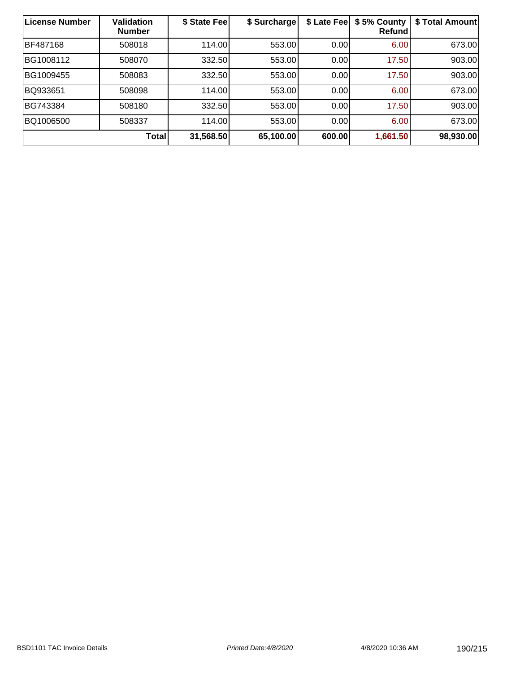| <b>License Number</b> | <b>Validation</b><br><b>Number</b> | \$ State Fee | \$ Surcharge | \$ Late Fee | \$5% County<br>Refundl | \$ Total Amount |
|-----------------------|------------------------------------|--------------|--------------|-------------|------------------------|-----------------|
| BF487168              | 508018                             | 114.00       | 553.00       | 0.00        | 6.00                   | 673.00          |
| BG1008112             | 508070                             | 332.50       | 553.00       | 0.00        | 17.50                  | 903.00          |
| BG1009455             | 508083                             | 332.50       | 553.00       | 0.00        | 17.50                  | 903.00          |
| BQ933651              | 508098                             | 114.00       | 553.00       | 0.00        | 6.00                   | 673.00          |
| BG743384              | 508180                             | 332.50       | 553.00       | 0.00        | 17.50                  | 903.00          |
| BQ1006500             | 508337                             | 114.00       | 553.00       | 0.00        | 6.00                   | 673.00          |
|                       | <b>Total</b>                       | 31,568.50    | 65,100.00    | 600.00      | 1,661.50               | 98,930.00       |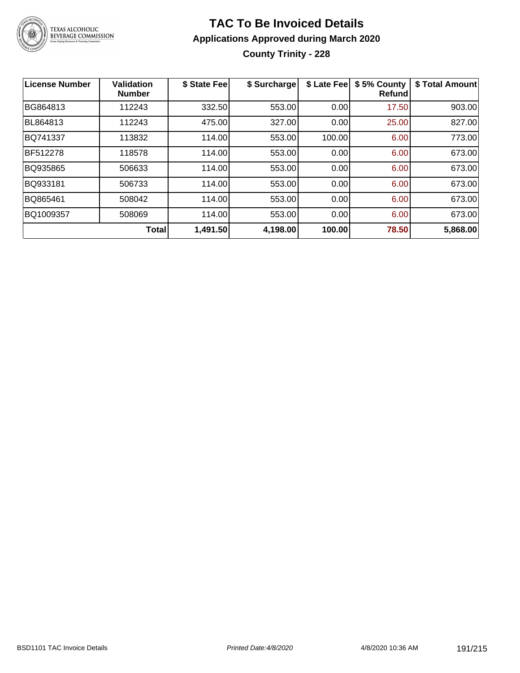

# **TAC To Be Invoiced Details Applications Approved during March 2020 County Trinity - 228**

| License Number | Validation<br><b>Number</b> | \$ State Fee | \$ Surcharge | \$ Late Feel | \$5% County<br>Refundl | \$ Total Amount |
|----------------|-----------------------------|--------------|--------------|--------------|------------------------|-----------------|
| BG864813       | 112243                      | 332.50       | 553.00       | 0.00         | 17.50                  | 903.00          |
| BL864813       | 112243                      | 475.00       | 327.00       | 0.00         | 25.00                  | 827.00          |
| BQ741337       | 113832                      | 114.00       | 553.00       | 100.00       | 6.00                   | 773.00          |
| BF512278       | 118578                      | 114.00       | 553.00       | 0.00         | 6.00                   | 673.00          |
| BQ935865       | 506633                      | 114.00       | 553.00       | 0.00         | 6.00                   | 673.00          |
| BQ933181       | 506733                      | 114.00       | 553.00       | 0.00         | 6.00                   | 673.00          |
| BQ865461       | 508042                      | 114.00       | 553.00       | 0.00         | 6.00                   | 673.00          |
| BQ1009357      | 508069                      | 114.00       | 553.00       | 0.00         | 6.00                   | 673.00          |
|                | <b>Total</b>                | 1,491.50     | 4,198.00     | 100.00       | 78.50                  | 5,868.00        |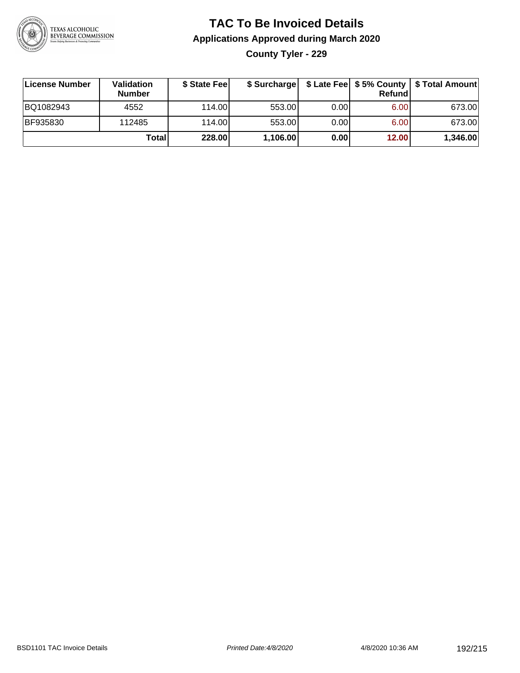

# **TAC To Be Invoiced Details Applications Approved during March 2020 County Tyler - 229**

| License Number | <b>Validation</b><br><b>Number</b> | \$ State Fee | \$ Surcharge |      | Refundi | \$ Late Fee   \$5% County   \$ Total Amount |
|----------------|------------------------------------|--------------|--------------|------|---------|---------------------------------------------|
| BQ1082943      | 4552                               | 114.00L      | 553.00       | 0.00 | 6.00    | 673.00                                      |
| BF935830       | 112485                             | 114.00L      | 553.00       | 0.00 | 6.00    | 673.00                                      |
|                | Total                              | 228.00       | 1,106.00     | 0.00 | 12.00   | 1,346.00                                    |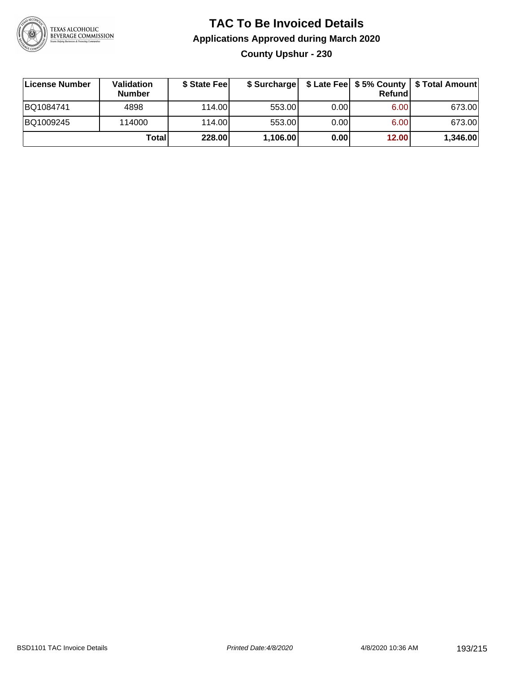

# **TAC To Be Invoiced Details Applications Approved during March 2020 County Upshur - 230**

| License Number | Validation<br><b>Number</b> | \$ State Feel | \$ Surcharge |      | Refund            | \$ Late Fee   \$5% County   \$ Total Amount |
|----------------|-----------------------------|---------------|--------------|------|-------------------|---------------------------------------------|
| BQ1084741      | 4898                        | 114.00L       | 553.00       | 0.00 | 6.00 <sub>1</sub> | 673.00                                      |
| BQ1009245      | 114000                      | 114.00L       | 553.00       | 0.00 | 6.00 <sub>1</sub> | 673.00                                      |
|                | Total                       | 228.00        | 1,106.00     | 0.00 | 12.00             | 1,346.00                                    |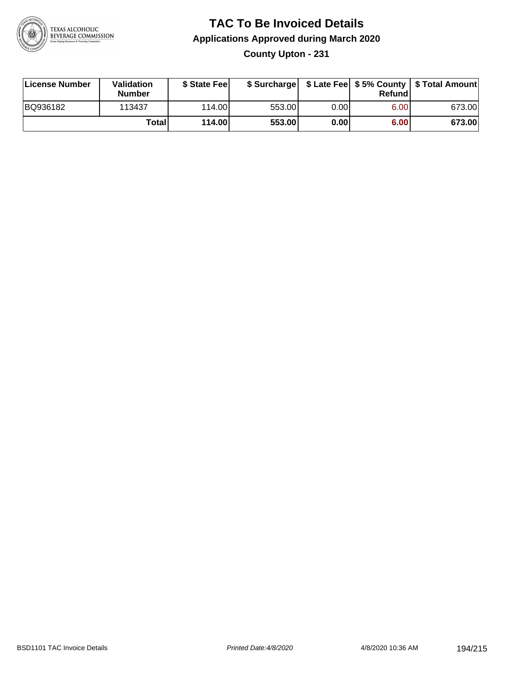

# **TAC To Be Invoiced Details Applications Approved during March 2020 County Upton - 231**

| License Number | Validation<br><b>Number</b> | \$ State Fee |        |      | Refund | \$ Surcharge   \$ Late Fee   \$5% County   \$ Total Amount |
|----------------|-----------------------------|--------------|--------|------|--------|------------------------------------------------------------|
| BQ936182       | 113437                      | 114.00L      | 553.00 | 0.00 | 6.00   | 673.00                                                     |
|                | Total                       | 114.00       | 553.00 | 0.00 | 6.00   | 673.00                                                     |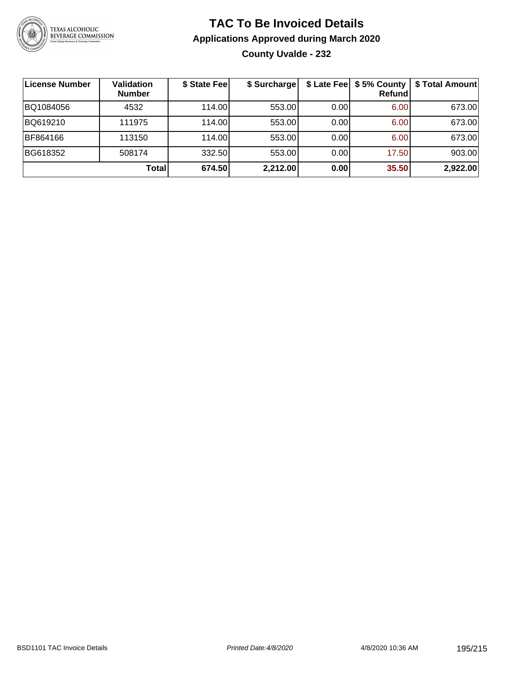

# **TAC To Be Invoiced Details Applications Approved during March 2020 County Uvalde - 232**

| License Number | <b>Validation</b><br><b>Number</b> | \$ State Fee | \$ Surcharge |       | <b>Refund</b> | \$ Late Fee   \$5% County   \$ Total Amount |
|----------------|------------------------------------|--------------|--------------|-------|---------------|---------------------------------------------|
| BQ1084056      | 4532                               | 114.00       | 553.00       | 0.00  | 6.00          | 673.00                                      |
| BQ619210       | 111975                             | 114.00       | 553.00       | 0.001 | 6.00          | 673.00                                      |
| BF864166       | 113150                             | 114.00       | 553.00       | 0.00  | 6.00          | 673.00                                      |
| BG618352       | 508174                             | 332.50       | 553.00       | 0.00  | 17.50         | 903.00                                      |
|                | Total                              | 674.50       | 2,212.00     | 0.00  | 35.50         | 2,922.00                                    |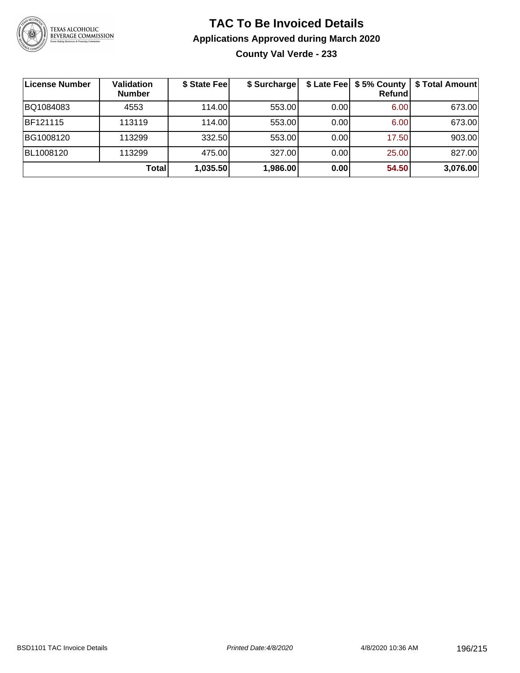

# **TAC To Be Invoiced Details Applications Approved during March 2020 County Val Verde - 233**

| License Number | <b>Validation</b><br><b>Number</b> | \$ State Fee | \$ Surcharge | \$ Late Fee | \$5% County<br><b>Refund</b> | \$ Total Amount |
|----------------|------------------------------------|--------------|--------------|-------------|------------------------------|-----------------|
| BQ1084083      | 4553                               | 114.00L      | 553.00       | 0.00        | 6.00                         | 673.00          |
| BF121115       | 113119                             | 114.00L      | 553.00       | 0.00        | 6.00                         | 673.00          |
| BG1008120      | 113299                             | 332.50       | 553.00       | 0.00        | 17.50                        | 903.00          |
| BL1008120      | 113299                             | 475.00       | 327.00       | 0.00        | 25.00                        | 827.00          |
|                | <b>Total</b>                       | 1,035.50     | 1,986.00     | 0.00        | 54.50                        | 3,076.00        |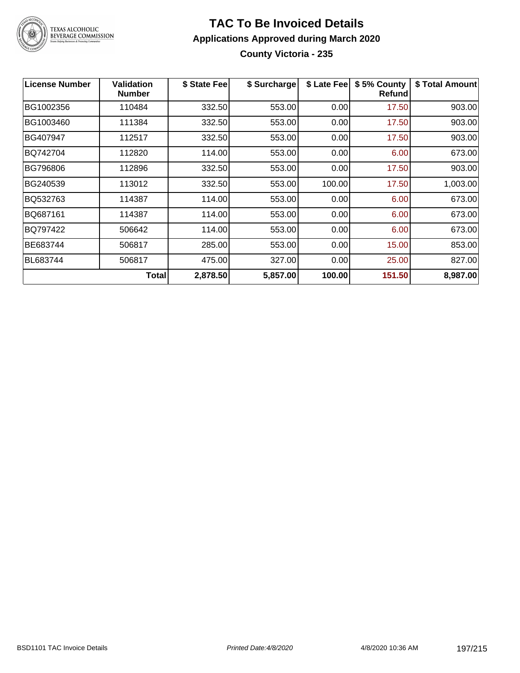

# **TAC To Be Invoiced Details Applications Approved during March 2020 County Victoria - 235**

| <b>License Number</b> | <b>Validation</b><br><b>Number</b> | \$ State Fee | \$ Surcharge | \$ Late Fee | \$5% County<br>Refund | \$ Total Amount |
|-----------------------|------------------------------------|--------------|--------------|-------------|-----------------------|-----------------|
| BG1002356             | 110484                             | 332.50       | 553.00       | 0.00        | 17.50                 | 903.00          |
| BG1003460             | 111384                             | 332.50       | 553.00       | 0.00        | 17.50                 | 903.00          |
| BG407947              | 112517                             | 332.50       | 553.00       | 0.00        | 17.50                 | 903.00          |
| BQ742704              | 112820                             | 114.00       | 553.00       | 0.00        | 6.00                  | 673.00          |
| BG796806              | 112896                             | 332.50       | 553.00       | 0.00        | 17.50                 | 903.00          |
| BG240539              | 113012                             | 332.50       | 553.00       | 100.00      | 17.50                 | 1,003.00        |
| BQ532763              | 114387                             | 114.00       | 553.00       | 0.00        | 6.00                  | 673.00          |
| BQ687161              | 114387                             | 114.00       | 553.00       | 0.00        | 6.00                  | 673.00          |
| BQ797422              | 506642                             | 114.00       | 553.00       | 0.00        | 6.00                  | 673.00          |
| BE683744              | 506817                             | 285.00       | 553.00       | 0.00        | 15.00                 | 853.00          |
| <b>BL683744</b>       | 506817                             | 475.00       | 327.00       | 0.00        | 25.00                 | 827.00          |
|                       | <b>Total</b>                       | 2,878.50     | 5,857.00     | 100.00      | 151.50                | 8,987.00        |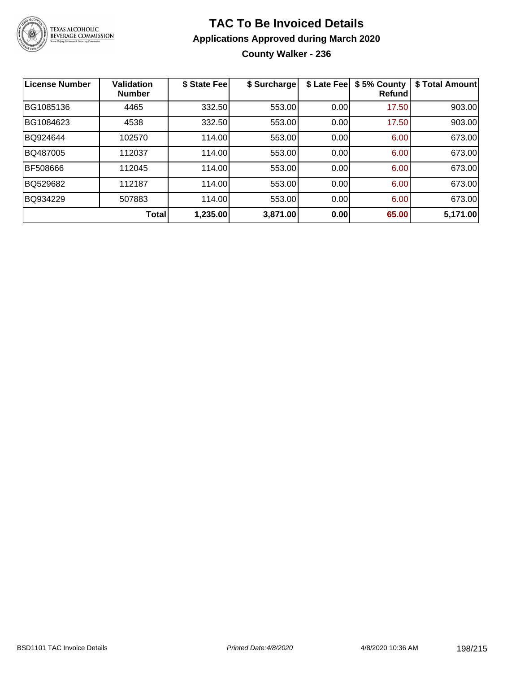

# **TAC To Be Invoiced Details Applications Approved during March 2020 County Walker - 236**

| License Number | <b>Validation</b><br><b>Number</b> | \$ State Fee | \$ Surcharge | \$ Late Fee | \$5% County<br>Refund | \$ Total Amount |
|----------------|------------------------------------|--------------|--------------|-------------|-----------------------|-----------------|
| BG1085136      | 4465                               | 332.50       | 553.00       | 0.00        | 17.50                 | 903.00          |
| BG1084623      | 4538                               | 332.50       | 553.00       | 0.00        | 17.50                 | 903.00          |
| BQ924644       | 102570                             | 114.00       | 553.00       | 0.00        | 6.00                  | 673.00          |
| BQ487005       | 112037                             | 114.00       | 553.00       | 0.00        | 6.00                  | 673.00          |
| BF508666       | 112045                             | 114.00       | 553.00       | 0.00        | 6.00                  | 673.00          |
| BQ529682       | 112187                             | 114.00       | 553.00       | 0.00        | 6.00                  | 673.00          |
| BQ934229       | 507883                             | 114.00       | 553.00       | 0.00        | 6.00                  | 673.00          |
|                | Total                              | 1,235.00     | 3,871.00     | 0.00        | 65.00                 | 5,171.00        |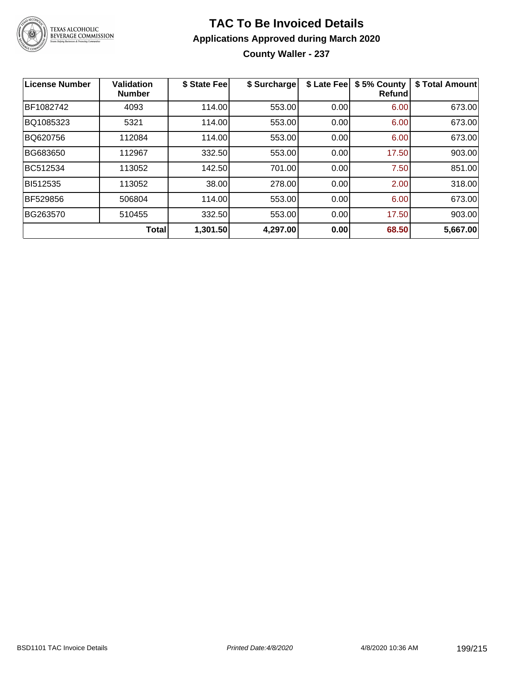

# **TAC To Be Invoiced Details Applications Approved during March 2020**

**County Waller - 237**

| License Number  | <b>Validation</b><br><b>Number</b> | \$ State Fee | \$ Surcharge | \$ Late Fee | \$5% County<br>Refundl | \$ Total Amount |
|-----------------|------------------------------------|--------------|--------------|-------------|------------------------|-----------------|
| BF1082742       | 4093                               | 114.00       | 553.00       | 0.00        | 6.00                   | 673.00          |
| BQ1085323       | 5321                               | 114.00       | 553.00       | 0.00        | 6.00                   | 673.00          |
| BQ620756        | 112084                             | 114.00       | 553.00       | 0.00        | 6.00                   | 673.00          |
| BG683650        | 112967                             | 332.50       | 553.00       | 0.00        | 17.50                  | 903.00          |
| BC512534        | 113052                             | 142.50       | 701.00       | 0.00        | 7.50                   | 851.00          |
| BI512535        | 113052                             | 38.00        | 278.00       | 0.00        | 2.00                   | 318.00          |
| <b>BF529856</b> | 506804                             | 114.00       | 553.00       | 0.00        | 6.00                   | 673.00          |
| BG263570        | 510455                             | 332.50       | 553.00       | 0.00        | 17.50                  | 903.00          |
|                 | <b>Total</b>                       | 1,301.50     | 4,297.00     | 0.00        | 68.50                  | 5,667.00        |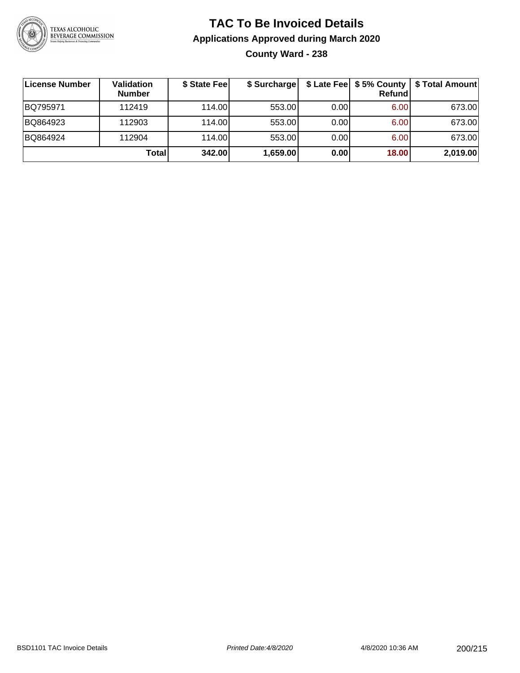

# **TAC To Be Invoiced Details Applications Approved during March 2020 County Ward - 238**

| License Number | <b>Validation</b><br><b>Number</b> | \$ State Fee | \$ Surcharge |      | Refund | \$ Late Fee   \$5% County   \$ Total Amount |
|----------------|------------------------------------|--------------|--------------|------|--------|---------------------------------------------|
| BQ795971       | 112419                             | 114.00       | 553.00       | 0.00 | 6.00   | 673.00                                      |
| BQ864923       | 112903                             | 114.00L      | 553.00       | 0.00 | 6.00   | 673.00                                      |
| BQ864924       | 112904                             | 114.00       | 553.00       | 0.00 | 6.00   | 673.00                                      |
|                | Totall                             | 342.00       | 1,659.00     | 0.00 | 18.00  | 2,019.00                                    |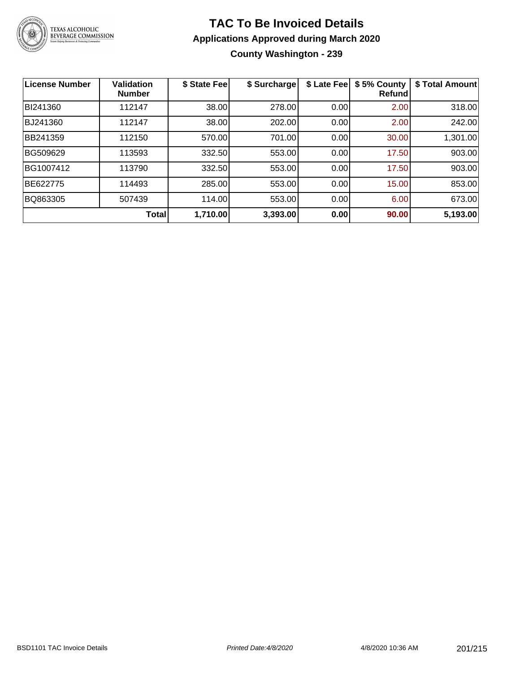

# **TAC To Be Invoiced Details Applications Approved during March 2020 County Washington - 239**

| <b>License Number</b> | <b>Validation</b><br><b>Number</b> | \$ State Fee | \$ Surcharge | \$ Late Fee | \$5% County<br><b>Refund</b> | \$ Total Amount |
|-----------------------|------------------------------------|--------------|--------------|-------------|------------------------------|-----------------|
| BI241360              | 112147                             | 38.00        | 278.00       | 0.00        | 2.00                         | 318.00          |
| BJ241360              | 112147                             | 38.00        | 202.00       | 0.00        | 2.00                         | 242.00          |
| BB241359              | 112150                             | 570.00       | 701.00       | 0.00        | 30.00                        | 1,301.00        |
| BG509629              | 113593                             | 332.50       | 553.00       | 0.00        | 17.50                        | 903.00          |
| BG1007412             | 113790                             | 332.50       | 553.00       | 0.00        | 17.50                        | 903.00          |
| BE622775              | 114493                             | 285.00       | 553.00       | 0.00        | 15.00                        | 853.00          |
| BQ863305              | 507439                             | 114.00       | 553.00       | 0.00        | 6.00                         | 673.00          |
|                       | Total                              | 1,710.00     | 3,393.00     | 0.00        | 90.00                        | 5,193.00        |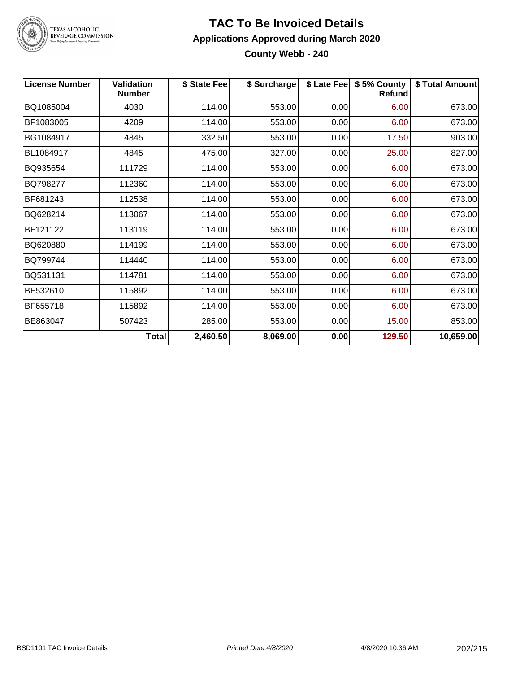

# TEXAS ALCOHOLIC<br>BEVERAGE COMMISSION

#### **TAC To Be Invoiced Details Applications Approved during March 2020 County Webb - 240**

| <b>License Number</b> | <b>Validation</b><br><b>Number</b> | \$ State Fee | \$ Surcharge |      | \$ Late Fee   \$5% County<br><b>Refund</b> | \$ Total Amount |
|-----------------------|------------------------------------|--------------|--------------|------|--------------------------------------------|-----------------|
| BQ1085004             | 4030                               | 114.00       | 553.00       | 0.00 | 6.00                                       | 673.00          |
| BF1083005             | 4209                               | 114.00       | 553.00       | 0.00 | 6.00                                       | 673.00          |
| BG1084917             | 4845                               | 332.50       | 553.00       | 0.00 | 17.50                                      | 903.00          |
| BL1084917             | 4845                               | 475.00       | 327.00       | 0.00 | 25.00                                      | 827.00          |
| BQ935654              | 111729                             | 114.00       | 553.00       | 0.00 | 6.00                                       | 673.00          |
| BQ798277              | 112360                             | 114.00       | 553.00       | 0.00 | 6.00                                       | 673.00          |
| BF681243              | 112538                             | 114.00       | 553.00       | 0.00 | 6.00                                       | 673.00          |
| BQ628214              | 113067                             | 114.00       | 553.00       | 0.00 | 6.00                                       | 673.00          |
| BF121122              | 113119                             | 114.00       | 553.00       | 0.00 | 6.00                                       | 673.00          |
| BQ620880              | 114199                             | 114.00       | 553.00       | 0.00 | 6.00                                       | 673.00          |
| BQ799744              | 114440                             | 114.00       | 553.00       | 0.00 | 6.00                                       | 673.00          |
| BQ531131              | 114781                             | 114.00       | 553.00       | 0.00 | 6.00                                       | 673.00          |
| BF532610              | 115892                             | 114.00       | 553.00       | 0.00 | 6.00                                       | 673.00          |
| BF655718              | 115892                             | 114.00       | 553.00       | 0.00 | 6.00                                       | 673.00          |
| BE863047              | 507423                             | 285.00       | 553.00       | 0.00 | 15.00                                      | 853.00          |
|                       | <b>Total</b>                       | 2,460.50     | 8,069.00     | 0.00 | 129.50                                     | 10,659.00       |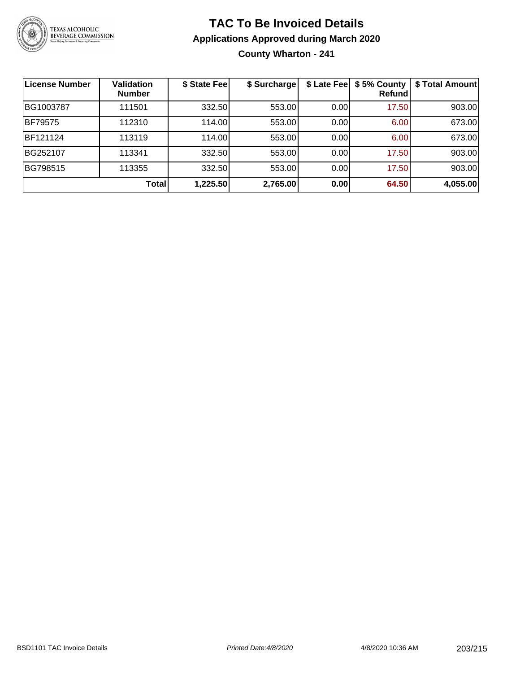

# **TAC To Be Invoiced Details Applications Approved during March 2020 County Wharton - 241**

| License Number | <b>Validation</b><br><b>Number</b> | \$ State Fee | \$ Surcharge | \$ Late Fee | \$5% County<br>Refund | \$ Total Amount |
|----------------|------------------------------------|--------------|--------------|-------------|-----------------------|-----------------|
| BG1003787      | 111501                             | 332.50       | 553.00       | 0.00        | 17.50                 | 903.00          |
| <b>BF79575</b> | 112310                             | 114.00       | 553.00       | 0.00        | 6.00                  | 673.00          |
| BF121124       | 113119                             | 114.00       | 553.00       | 0.00        | 6.00                  | 673.00          |
| BG252107       | 113341                             | 332.50       | 553.00       | 0.00        | 17.50                 | 903.00          |
| BG798515       | 113355                             | 332.50       | 553.00       | 0.00        | 17.50                 | 903.00          |
|                | <b>Total</b>                       | 1,225.50     | 2,765.00     | 0.00        | 64.50                 | 4,055.00        |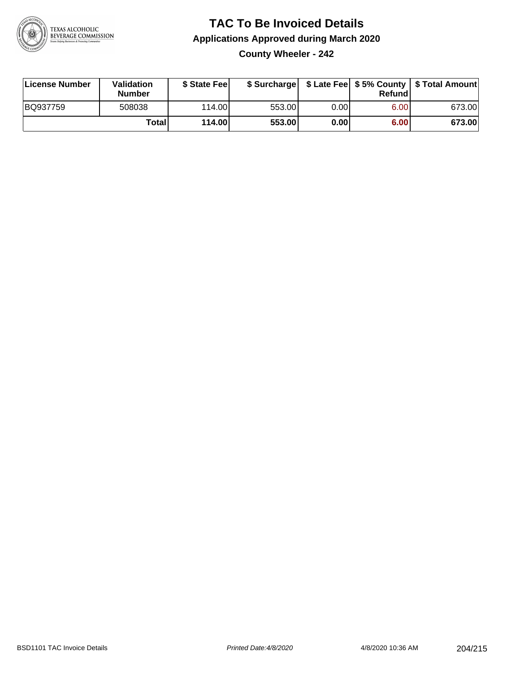

# **TAC To Be Invoiced Details Applications Approved during March 2020 County Wheeler - 242**

| License Number | Validation<br><b>Number</b> | \$ State Fee |        |      | Refund | \$ Surcharge   \$ Late Fee   \$5% County   \$ Total Amount |
|----------------|-----------------------------|--------------|--------|------|--------|------------------------------------------------------------|
| BQ937759       | 508038                      | 114.00L      | 553.00 | 0.00 | 6.00   | 673.00                                                     |
|                | Total                       | 114.00       | 553.00 | 0.00 | 6.00   | 673.00                                                     |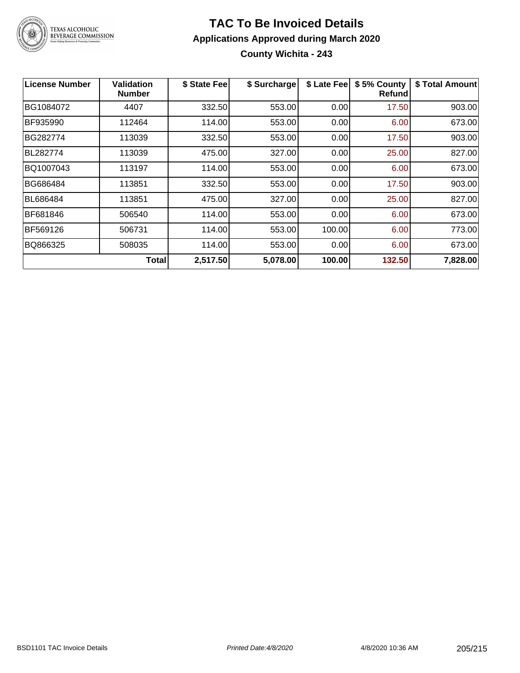

# **TAC To Be Invoiced Details Applications Approved during March 2020 County Wichita - 243**

| License Number | Validation<br><b>Number</b> | \$ State Fee | \$ Surcharge | \$ Late Fee | \$5% County<br>Refundl | \$ Total Amount |
|----------------|-----------------------------|--------------|--------------|-------------|------------------------|-----------------|
| BG1084072      | 4407                        | 332.50       | 553.00       | 0.00        | 17.50                  | 903.00          |
| BF935990       | 112464                      | 114.00       | 553.00       | 0.00        | 6.00                   | 673.00          |
| BG282774       | 113039                      | 332.50       | 553.00       | 0.00        | 17.50                  | 903.00          |
| BL282774       | 113039                      | 475.00       | 327.00       | 0.00        | 25.00                  | 827.00          |
| BQ1007043      | 113197                      | 114.00       | 553.00       | 0.00        | 6.00                   | 673.00          |
| BG686484       | 113851                      | 332.50       | 553.00       | 0.00        | 17.50                  | 903.00          |
| BL686484       | 113851                      | 475.00       | 327.00       | 0.00        | 25.00                  | 827.00          |
| BF681846       | 506540                      | 114.00       | 553.00       | 0.00        | 6.00                   | 673.00          |
| BF569126       | 506731                      | 114.00       | 553.00       | 100.00      | 6.00                   | 773.00          |
| BQ866325       | 508035                      | 114.00       | 553.00       | 0.00        | 6.00                   | 673.00          |
|                | <b>Total</b>                | 2,517.50     | 5,078.00     | 100.00      | 132.50                 | 7,828.00        |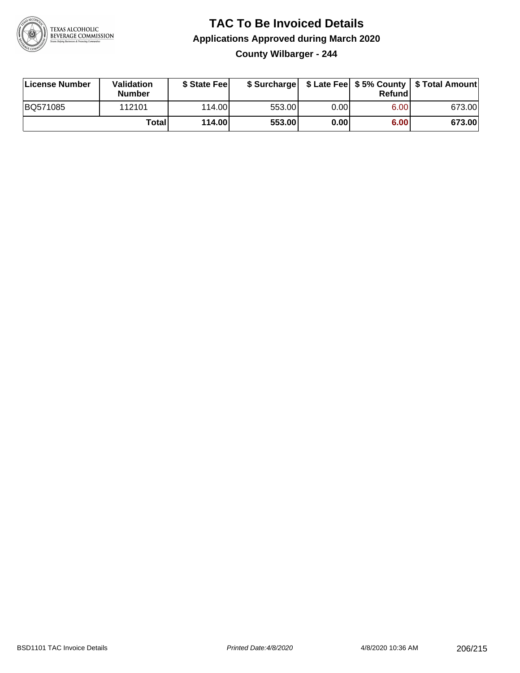

# **TAC To Be Invoiced Details Applications Approved during March 2020 County Wilbarger - 244**

| License Number | Validation<br><b>Number</b> | \$ State Feel |        |       | Refundl | \$ Surcharge   \$ Late Fee   \$5% County   \$ Total Amount |
|----------------|-----------------------------|---------------|--------|-------|---------|------------------------------------------------------------|
| BQ571085       | 112101                      | 114.00        | 553.00 | 0.00  | 6.00    | 673.00                                                     |
|                | Totall                      | 114.00        | 553.00 | 0.001 | 6.00    | 673.00                                                     |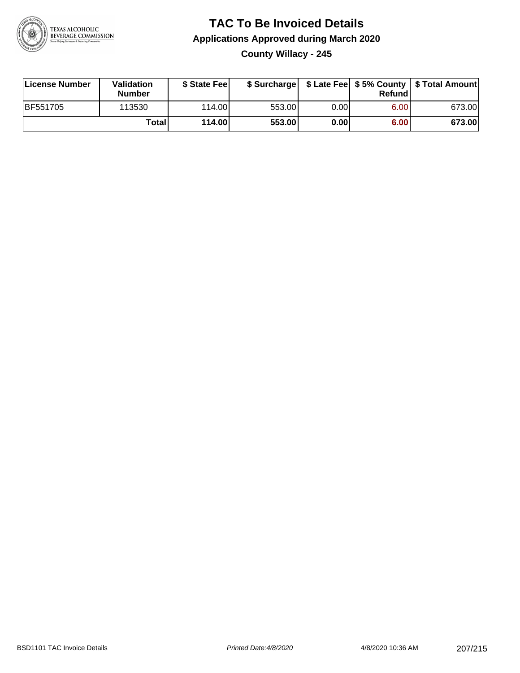

# **TAC To Be Invoiced Details Applications Approved during March 2020 County Willacy - 245**

| License Number  | Validation<br><b>Number</b> | \$ State Fee |        |      | Refundl | \$ Surcharge   \$ Late Fee   \$5% County   \$ Total Amount |
|-----------------|-----------------------------|--------------|--------|------|---------|------------------------------------------------------------|
| <b>BF551705</b> | 113530                      | 114.00       | 553.00 | 0.00 | 6.00    | 673.00                                                     |
|                 | Totall                      | 114.00       | 553.00 | 0.00 | 6.00    | 673.00                                                     |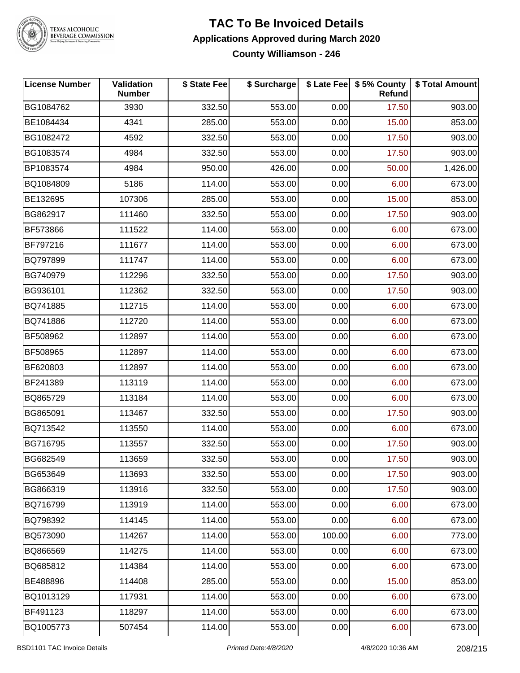

# TEXAS ALCOHOLIC<br>BEVERAGE COMMISSION

#### **TAC To Be Invoiced Details Applications Approved during March 2020 County Williamson - 246**

| <b>License Number</b> | <b>Validation</b><br><b>Number</b> | \$ State Fee | \$ Surcharge |        | \$ Late Fee   \$5% County<br><b>Refund</b> | \$ Total Amount |
|-----------------------|------------------------------------|--------------|--------------|--------|--------------------------------------------|-----------------|
| BG1084762             | 3930                               | 332.50       | 553.00       | 0.00   | 17.50                                      | 903.00          |
| BE1084434             | 4341                               | 285.00       | 553.00       | 0.00   | 15.00                                      | 853.00          |
| BG1082472             | 4592                               | 332.50       | 553.00       | 0.00   | 17.50                                      | 903.00          |
| BG1083574             | 4984                               | 332.50       | 553.00       | 0.00   | 17.50                                      | 903.00          |
| BP1083574             | 4984                               | 950.00       | 426.00       | 0.00   | 50.00                                      | 1,426.00        |
| BQ1084809             | 5186                               | 114.00       | 553.00       | 0.00   | 6.00                                       | 673.00          |
| BE132695              | 107306                             | 285.00       | 553.00       | 0.00   | 15.00                                      | 853.00          |
| BG862917              | 111460                             | 332.50       | 553.00       | 0.00   | 17.50                                      | 903.00          |
| BF573866              | 111522                             | 114.00       | 553.00       | 0.00   | 6.00                                       | 673.00          |
| BF797216              | 111677                             | 114.00       | 553.00       | 0.00   | 6.00                                       | 673.00          |
| BQ797899              | 111747                             | 114.00       | 553.00       | 0.00   | 6.00                                       | 673.00          |
| BG740979              | 112296                             | 332.50       | 553.00       | 0.00   | 17.50                                      | 903.00          |
| BG936101              | 112362                             | 332.50       | 553.00       | 0.00   | 17.50                                      | 903.00          |
| BQ741885              | 112715                             | 114.00       | 553.00       | 0.00   | 6.00                                       | 673.00          |
| BQ741886              | 112720                             | 114.00       | 553.00       | 0.00   | 6.00                                       | 673.00          |
| BF508962              | 112897                             | 114.00       | 553.00       | 0.00   | 6.00                                       | 673.00          |
| BF508965              | 112897                             | 114.00       | 553.00       | 0.00   | 6.00                                       | 673.00          |
| BF620803              | 112897                             | 114.00       | 553.00       | 0.00   | 6.00                                       | 673.00          |
| BF241389              | 113119                             | 114.00       | 553.00       | 0.00   | 6.00                                       | 673.00          |
| BQ865729              | 113184                             | 114.00       | 553.00       | 0.00   | 6.00                                       | 673.00          |
| BG865091              | 113467                             | 332.50       | 553.00       | 0.00   | 17.50                                      | 903.00          |
| BQ713542              | 113550                             | 114.00       | 553.00       | 0.00   | 6.00                                       | 673.00          |
| BG716795              | 113557                             | 332.50       | 553.00       | 0.00   | 17.50                                      | 903.00          |
| BG682549              | 113659                             | 332.50       | 553.00       | 0.00   | 17.50                                      | 903.00          |
| BG653649              | 113693                             | 332.50       | 553.00       | 0.00   | 17.50                                      | 903.00          |
| BG866319              | 113916                             | 332.50       | 553.00       | 0.00   | 17.50                                      | 903.00          |
| BQ716799              | 113919                             | 114.00       | 553.00       | 0.00   | 6.00                                       | 673.00          |
| BQ798392              | 114145                             | 114.00       | 553.00       | 0.00   | 6.00                                       | 673.00          |
| BQ573090              | 114267                             | 114.00       | 553.00       | 100.00 | 6.00                                       | 773.00          |
| BQ866569              | 114275                             | 114.00       | 553.00       | 0.00   | 6.00                                       | 673.00          |
| BQ685812              | 114384                             | 114.00       | 553.00       | 0.00   | 6.00                                       | 673.00          |
| BE488896              | 114408                             | 285.00       | 553.00       | 0.00   | 15.00                                      | 853.00          |
| BQ1013129             | 117931                             | 114.00       | 553.00       | 0.00   | 6.00                                       | 673.00          |
| BF491123              | 118297                             | 114.00       | 553.00       | 0.00   | 6.00                                       | 673.00          |
| BQ1005773             | 507454                             | 114.00       | 553.00       | 0.00   | 6.00                                       | 673.00          |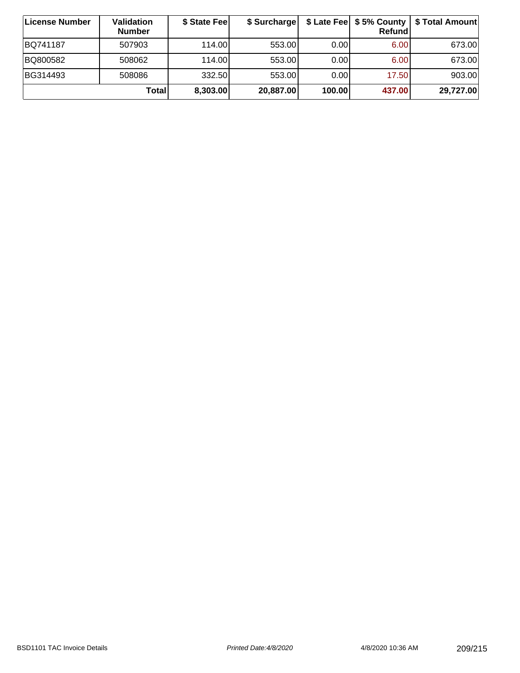| ∣License Number | <b>Validation</b><br><b>Number</b> | \$ State Fee | \$ Surcharge |        | Refundl           | \$ Late Fee   \$5% County   \$ Total Amount |
|-----------------|------------------------------------|--------------|--------------|--------|-------------------|---------------------------------------------|
| BQ741187        | 507903                             | 114.00       | 553.00       | 0.00   | 6.00              | 673.00                                      |
| BQ800582        | 508062                             | 114.00L      | 553.00       | 0.00   | 6.00 <sub>1</sub> | 673.00                                      |
| BG314493        | 508086                             | 332.50       | 553.00       | 0.00   | 17.50             | 903.00                                      |
|                 | Totall                             | 8,303.00     | 20,887.00    | 100.00 | 437.00            | 29,727.00                                   |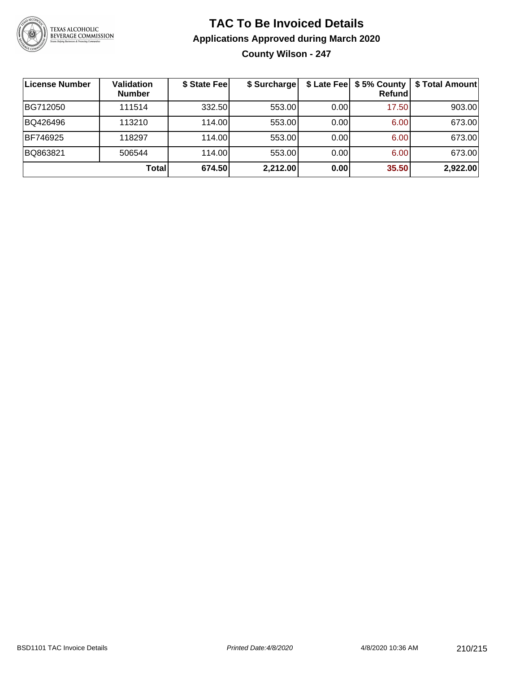

# **TAC To Be Invoiced Details Applications Approved during March 2020 County Wilson - 247**

| License Number | <b>Validation</b><br><b>Number</b> | \$ State Fee | \$ Surcharge |      | Refundl | \$ Late Fee   \$5% County   \$ Total Amount |
|----------------|------------------------------------|--------------|--------------|------|---------|---------------------------------------------|
| BG712050       | 111514                             | 332.50       | 553.00       | 0.00 | 17.50   | 903.00                                      |
| BQ426496       | 113210                             | 114.00L      | 553.00       | 0.00 | 6.00    | 673.00                                      |
| BF746925       | 118297                             | 114.00       | 553.00       | 0.00 | 6.00    | 673.00                                      |
| BQ863821       | 506544                             | 114.00L      | 553.00       | 0.00 | 6.00    | 673.00                                      |
|                | Total                              | 674.50       | 2,212.00     | 0.00 | 35.50   | 2,922.00                                    |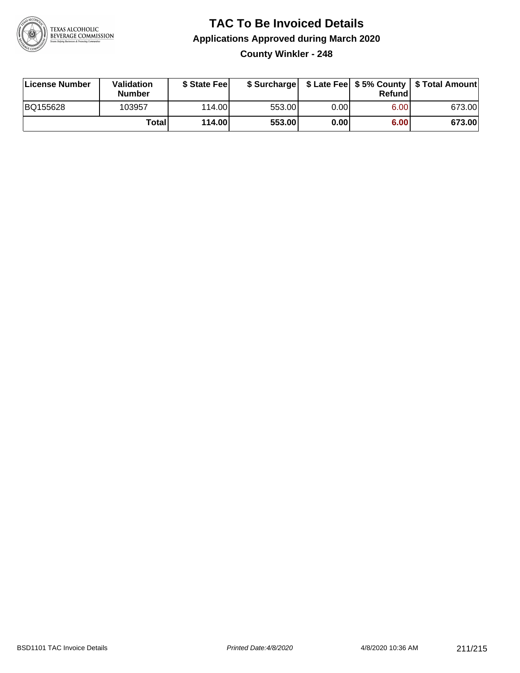

# **TAC To Be Invoiced Details Applications Approved during March 2020**

**County Winkler - 248**

| License Number | <b>Validation</b><br><b>Number</b> | \$ State Feel |        |      | Refundl | \$ Surcharge   \$ Late Fee   \$5% County   \$ Total Amount |
|----------------|------------------------------------|---------------|--------|------|---------|------------------------------------------------------------|
| BQ155628       | 103957                             | 114.00        | 553.00 | 0.00 | 6.00    | 673.00                                                     |
|                | Totall                             | 114.00        | 553.00 | 0.00 | 6.00    | 673.00                                                     |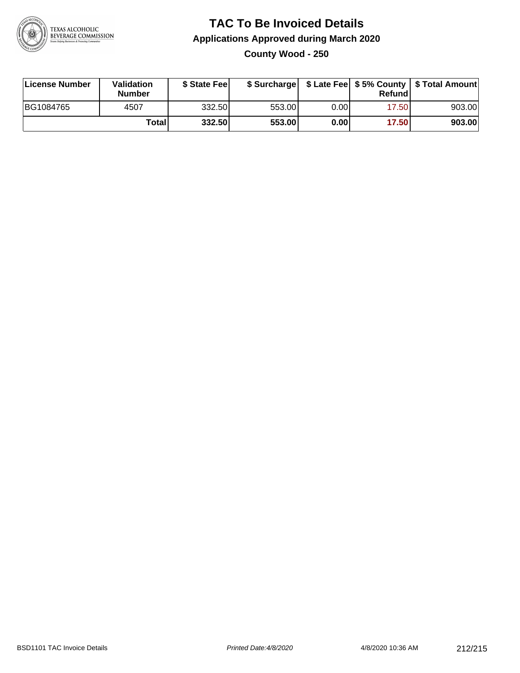

# **TAC To Be Invoiced Details Applications Approved during March 2020 County Wood - 250**

| License Number | Validation<br><b>Number</b> | \$ State Feel |        |      | Refund | \$ Surcharge   \$ Late Fee   \$5% County   \$ Total Amount |
|----------------|-----------------------------|---------------|--------|------|--------|------------------------------------------------------------|
| BG1084765      | 4507                        | 332.50        | 553.00 | 0.00 | 17.50  | 903.00                                                     |
|                | Totall                      | 332.50        | 553.00 | 0.00 | 17.50  | 903.00                                                     |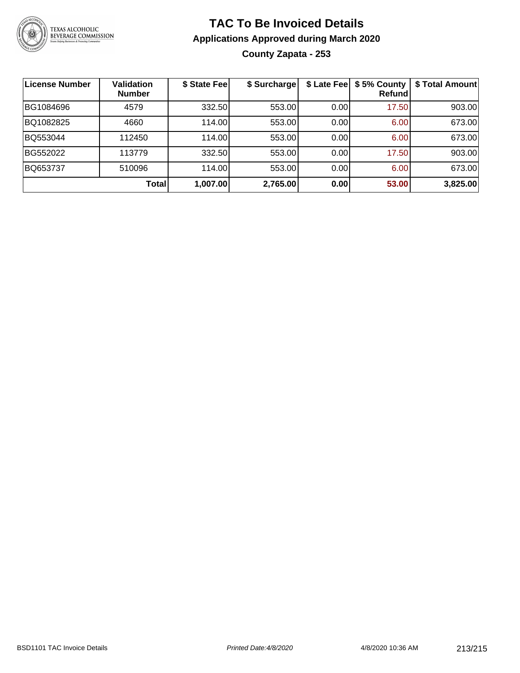

# **TAC To Be Invoiced Details Applications Approved during March 2020 County Zapata - 253**

| <b>License Number</b> | <b>Validation</b><br><b>Number</b> | \$ State Fee | \$ Surcharge |      | \$ Late Fee   \$5% County<br>Refundl | \$ Total Amount |
|-----------------------|------------------------------------|--------------|--------------|------|--------------------------------------|-----------------|
| BG1084696             | 4579                               | 332.50       | 553.00       | 0.00 | 17.50                                | 903.00          |
| BQ1082825             | 4660                               | 114.00       | 553.00       | 0.00 | 6.00                                 | 673.00          |
| BQ553044              | 112450                             | 114.00       | 553.00       | 0.00 | 6.00                                 | 673.00          |
| BG552022              | 113779                             | 332.50       | 553.00       | 0.00 | 17.50                                | 903.00          |
| BQ653737              | 510096                             | 114.00       | 553.00       | 0.00 | 6.00                                 | 673.00          |
|                       | <b>Total</b>                       | 1,007.00     | 2,765.00     | 0.00 | 53.00                                | 3,825.00        |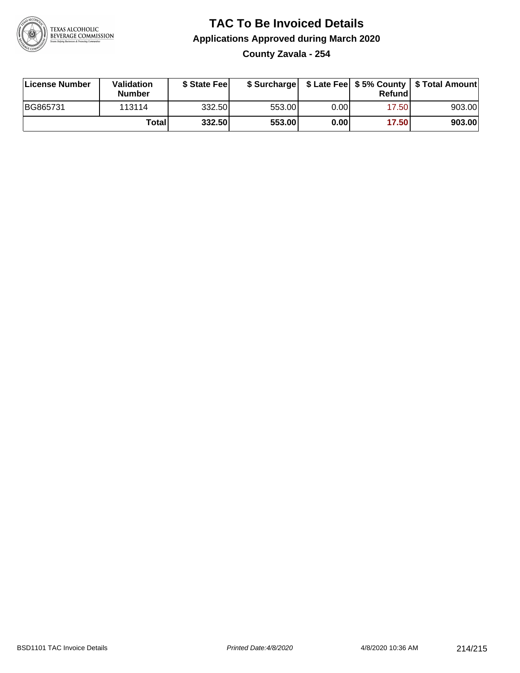

# **TAC To Be Invoiced Details Applications Approved during March 2020**

**County Zavala - 254**

| License Number | <b>Validation</b><br><b>Number</b> | \$ State Fee |        |      | Refundl | \$ Surcharge   \$ Late Fee   \$5% County   \$ Total Amount |
|----------------|------------------------------------|--------------|--------|------|---------|------------------------------------------------------------|
| BG865731       | 113114                             | 332.50       | 553.00 | 0.00 | 17.50   | 903.00                                                     |
|                | Totall                             | 332.50       | 553.00 | 0.00 | 17.50   | 903.00                                                     |